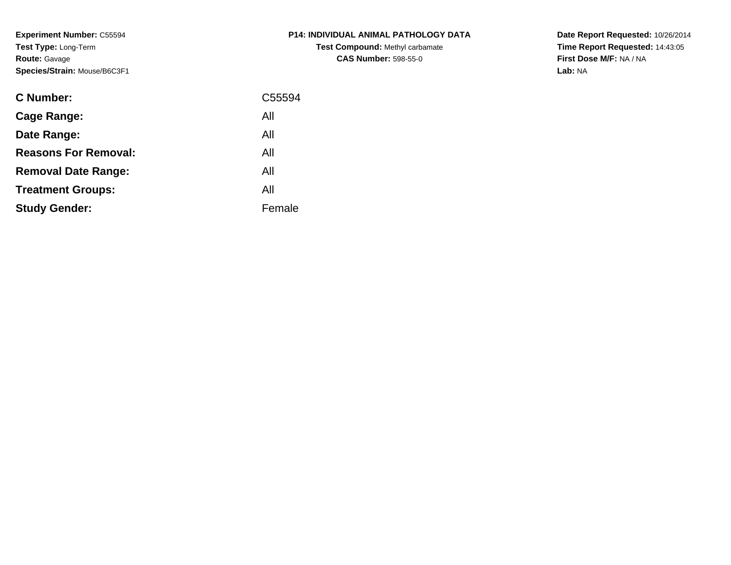**Experiment Number:** C55594**Test Type:** Long-Term**Route:** Gavage**Species/Strain:** Mouse/B6C3F1

| <b>C Number:</b>            | C55594 |
|-----------------------------|--------|
| <b>Cage Range:</b>          | All    |
| Date Range:                 | All    |
| <b>Reasons For Removal:</b> | All    |
| <b>Removal Date Range:</b>  | All    |
| <b>Treatment Groups:</b>    | All    |
| <b>Study Gender:</b>        | Female |
|                             |        |

**P14: INDIVIDUAL ANIMAL PATHOLOGY DATATest Compound:** Methyl carbamate**CAS Number:** 598-55-0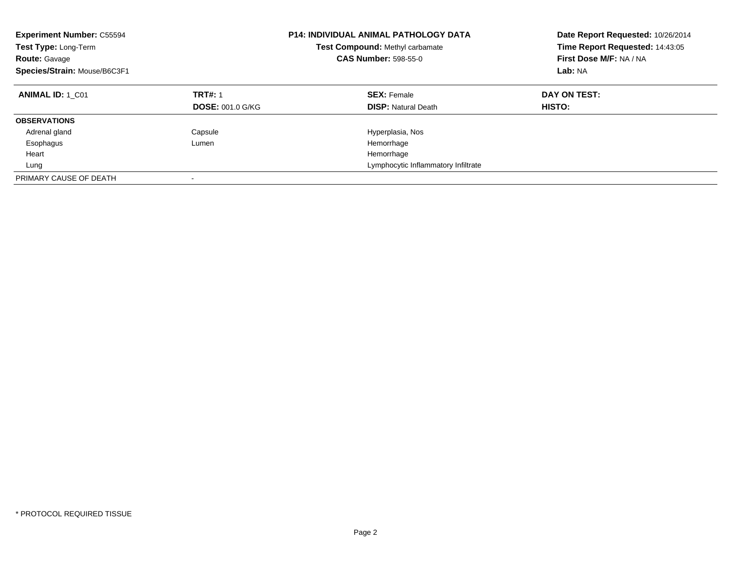| <b>Experiment Number: C55594</b><br>Test Type: Long-Term<br><b>Route: Gavage</b><br>Species/Strain: Mouse/B6C3F1 |                         | <b>P14: INDIVIDUAL ANIMAL PATHOLOGY DATA</b><br>Test Compound: Methyl carbamate<br><b>CAS Number: 598-55-0</b> | Date Report Requested: 10/26/2014<br>Time Report Requested: 14:43:05<br>First Dose M/F: NA / NA<br>Lab: NA |
|------------------------------------------------------------------------------------------------------------------|-------------------------|----------------------------------------------------------------------------------------------------------------|------------------------------------------------------------------------------------------------------------|
| <b>ANIMAL ID: 1 C01</b>                                                                                          | <b>TRT#: 1</b>          | <b>SEX: Female</b>                                                                                             | DAY ON TEST:                                                                                               |
|                                                                                                                  | <b>DOSE: 001.0 G/KG</b> | <b>DISP:</b> Natural Death                                                                                     | HISTO:                                                                                                     |
| <b>OBSERVATIONS</b>                                                                                              |                         |                                                                                                                |                                                                                                            |
| Adrenal gland                                                                                                    | Capsule                 | Hyperplasia, Nos                                                                                               |                                                                                                            |
| Esophagus                                                                                                        | Lumen                   | Hemorrhage                                                                                                     |                                                                                                            |
| Heart                                                                                                            |                         | Hemorrhage                                                                                                     |                                                                                                            |
| Lung                                                                                                             |                         | Lymphocytic Inflammatory Infiltrate                                                                            |                                                                                                            |
| PRIMARY CAUSE OF DEATH                                                                                           |                         |                                                                                                                |                                                                                                            |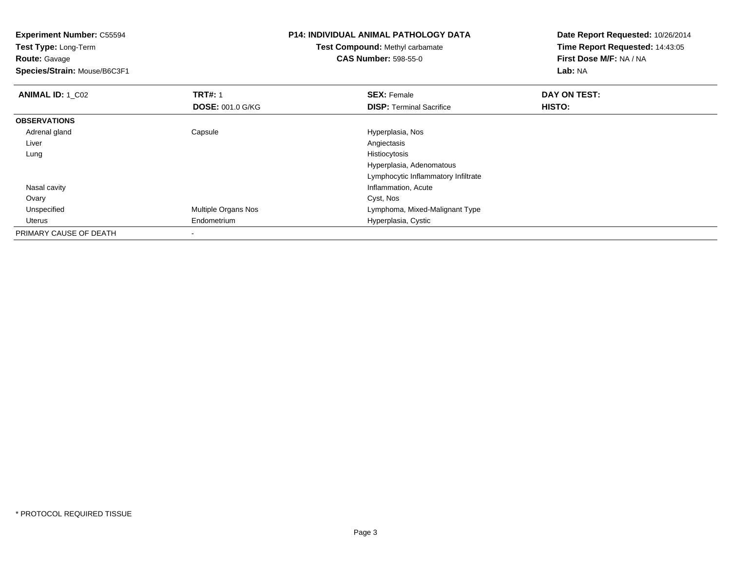**Experiment Number:** C55594**Test Type:** Long-Term**Route:** Gavage **Species/Strain:** Mouse/B6C3F1**P14: INDIVIDUAL ANIMAL PATHOLOGY DATATest Compound:** Methyl carbamate**CAS Number:** 598-55-0**Date Report Requested:** 10/26/2014**Time Report Requested:** 14:43:05**First Dose M/F:** NA / NA**Lab:** NA**ANIMAL ID: 1 C02 TRT#:** 1 **SEX:** Female **DAY ON TEST: DOSE:** 001.0 G/KG**DISP:** Terminal Sacrifice **HISTO: OBSERVATIONS** Adrenal glandCapsule **Hyperplasia, Nos**<br>
Angiectasis Liverr and the contract of the contract of the contract of the contract of the contract of the contract of the contract of the contract of the contract of the contract of the contract of the contract of the contract of the cont Histiocytosis Lungg and the state of the state of the state of the state of the state of the state of the state of the state of the state of the state of the state of the state of the state of the state of the state of the state of the stat Hyperplasia, Adenomatous Lymphocytic Inflammatory Infiltrate Nasal cavity Inflammation, Acute Ovaryy and the control of the control of the control of the control of the control of the control of the control of the control of the control of the control of the control of the control of the control of the control of the co UnspecifiedMultiple Organs Nos **Multiple Organs Nos Lymphoma, Mixed-Malignant Type**  Uterus Endometrium Hyperplasia, Cystic PRIMARY CAUSE OF DEATH-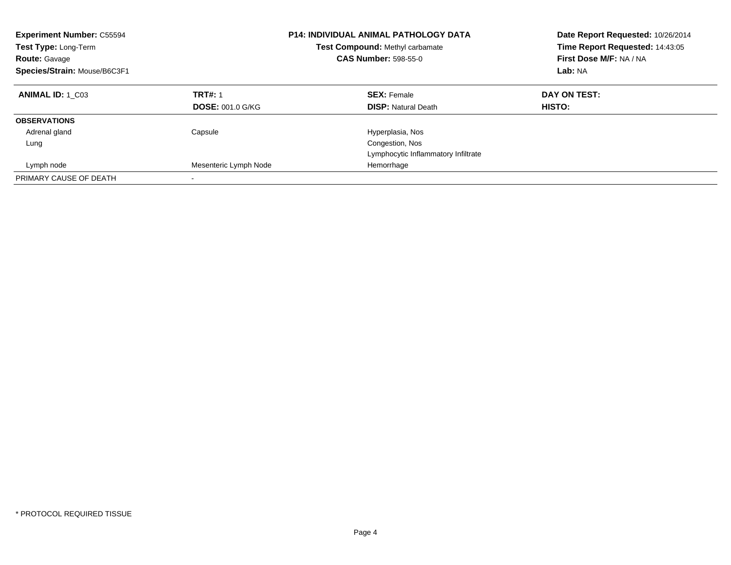| <b>Experiment Number: C55594</b><br>Test Type: Long-Term<br><b>Route: Gavage</b><br>Species/Strain: Mouse/B6C3F1 |                         | <b>P14: INDIVIDUAL ANIMAL PATHOLOGY DATA</b><br><b>Test Compound: Methyl carbamate</b><br><b>CAS Number: 598-55-0</b> | Date Report Requested: 10/26/2014<br>Time Report Requested: 14:43:05<br>First Dose M/F: NA / NA<br>Lab: NA |
|------------------------------------------------------------------------------------------------------------------|-------------------------|-----------------------------------------------------------------------------------------------------------------------|------------------------------------------------------------------------------------------------------------|
| <b>ANIMAL ID: 1 C03</b>                                                                                          | <b>TRT#: 1</b>          | <b>SEX: Female</b>                                                                                                    | DAY ON TEST:                                                                                               |
|                                                                                                                  | <b>DOSE: 001.0 G/KG</b> | <b>DISP: Natural Death</b>                                                                                            | <b>HISTO:</b>                                                                                              |
| <b>OBSERVATIONS</b>                                                                                              |                         |                                                                                                                       |                                                                                                            |
| Adrenal gland                                                                                                    | Capsule                 | Hyperplasia, Nos                                                                                                      |                                                                                                            |
| Lung                                                                                                             |                         | Congestion, Nos                                                                                                       |                                                                                                            |
|                                                                                                                  |                         | Lymphocytic Inflammatory Infiltrate                                                                                   |                                                                                                            |
| Lymph node                                                                                                       | Mesenteric Lymph Node   | Hemorrhage                                                                                                            |                                                                                                            |
| PRIMARY CAUSE OF DEATH                                                                                           |                         |                                                                                                                       |                                                                                                            |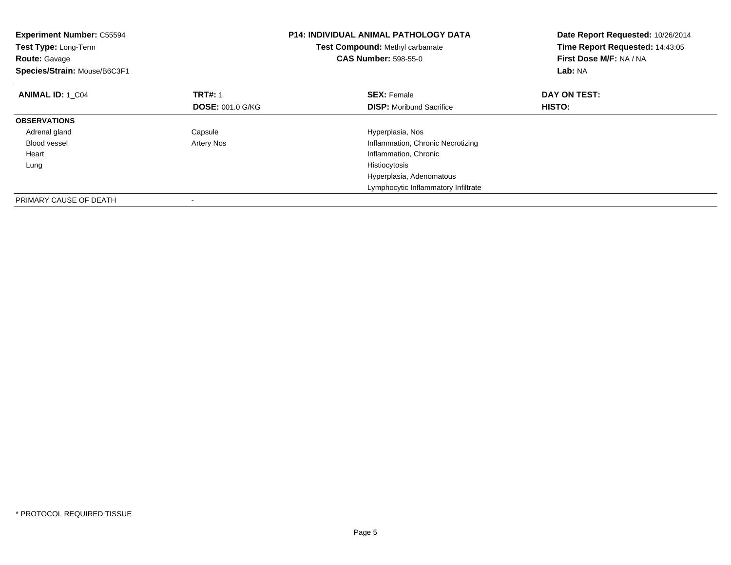| <b>Experiment Number: C55594</b><br>Test Type: Long-Term<br><b>Route: Gavage</b><br>Species/Strain: Mouse/B6C3F1 |                         | <b>P14: INDIVIDUAL ANIMAL PATHOLOGY DATA</b><br>Test Compound: Methyl carbamate<br><b>CAS Number: 598-55-0</b> | Date Report Requested: 10/26/2014<br>Time Report Requested: 14:43:05<br>First Dose M/F: NA / NA<br>Lab: NA |
|------------------------------------------------------------------------------------------------------------------|-------------------------|----------------------------------------------------------------------------------------------------------------|------------------------------------------------------------------------------------------------------------|
| <b>ANIMAL ID: 1 C04</b>                                                                                          | <b>TRT#: 1</b>          | <b>SEX: Female</b>                                                                                             | DAY ON TEST:                                                                                               |
|                                                                                                                  | <b>DOSE: 001.0 G/KG</b> | <b>DISP:</b> Moribund Sacrifice                                                                                | HISTO:                                                                                                     |
| <b>OBSERVATIONS</b>                                                                                              |                         |                                                                                                                |                                                                                                            |
| Adrenal gland                                                                                                    | Capsule                 | Hyperplasia, Nos                                                                                               |                                                                                                            |
| <b>Blood vessel</b>                                                                                              | Artery Nos              | Inflammation, Chronic Necrotizing                                                                              |                                                                                                            |
| Heart                                                                                                            |                         | Inflammation, Chronic                                                                                          |                                                                                                            |
| Lung                                                                                                             |                         | Histiocytosis                                                                                                  |                                                                                                            |
|                                                                                                                  |                         | Hyperplasia, Adenomatous                                                                                       |                                                                                                            |
|                                                                                                                  |                         | Lymphocytic Inflammatory Infiltrate                                                                            |                                                                                                            |
| PRIMARY CAUSE OF DEATH                                                                                           |                         |                                                                                                                |                                                                                                            |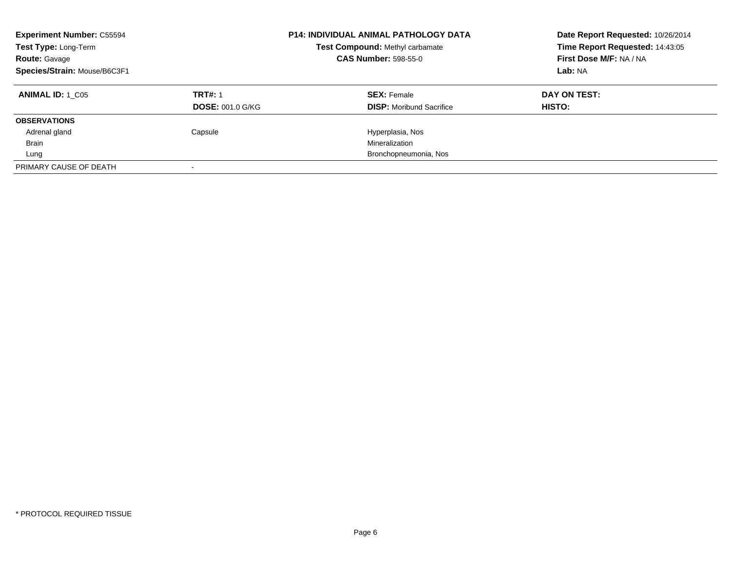| <b>Experiment Number: C55594</b><br>Test Type: Long-Term<br><b>Route: Gavage</b><br>Species/Strain: Mouse/B6C3F1 |                         | <b>P14: INDIVIDUAL ANIMAL PATHOLOGY DATA</b><br>Test Compound: Methyl carbamate<br><b>CAS Number: 598-55-0</b> | Date Report Requested: 10/26/2014<br>Time Report Requested: 14:43:05<br>First Dose M/F: NA / NA<br>Lab: NA |
|------------------------------------------------------------------------------------------------------------------|-------------------------|----------------------------------------------------------------------------------------------------------------|------------------------------------------------------------------------------------------------------------|
| <b>ANIMAL ID: 1 C05</b>                                                                                          | <b>TRT#: 1</b>          | <b>SEX: Female</b>                                                                                             | DAY ON TEST:                                                                                               |
|                                                                                                                  | <b>DOSE: 001.0 G/KG</b> | <b>DISP:</b> Moribund Sacrifice                                                                                | HISTO:                                                                                                     |
| <b>OBSERVATIONS</b>                                                                                              |                         |                                                                                                                |                                                                                                            |
| Adrenal gland                                                                                                    | Capsule                 | Hyperplasia, Nos                                                                                               |                                                                                                            |
| <b>Brain</b>                                                                                                     |                         | Mineralization                                                                                                 |                                                                                                            |
| Lung                                                                                                             |                         | Bronchopneumonia, Nos                                                                                          |                                                                                                            |
| PRIMARY CAUSE OF DEATH                                                                                           |                         |                                                                                                                |                                                                                                            |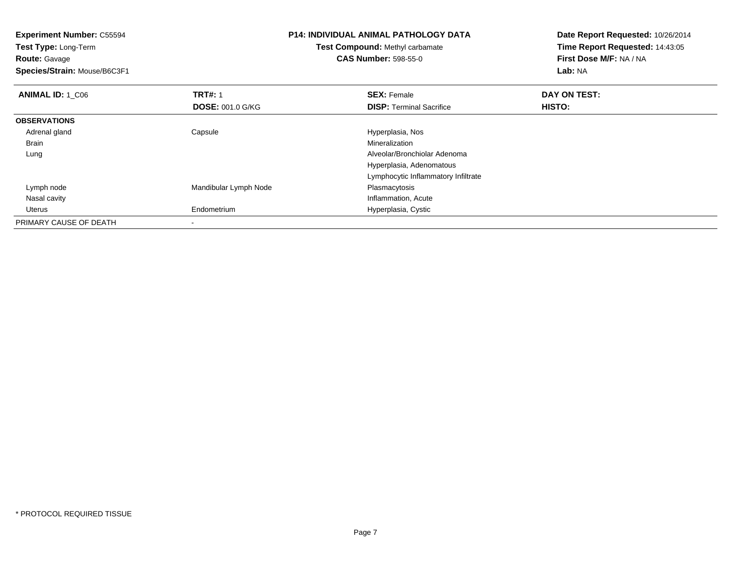| <b>Experiment Number: C55594</b> |                         | <b>P14: INDIVIDUAL ANIMAL PATHOLOGY DATA</b> | Date Report Requested: 10/26/2014 |  |
|----------------------------------|-------------------------|----------------------------------------------|-----------------------------------|--|
| Test Type: Long-Term             |                         | Test Compound: Methyl carbamate              | Time Report Requested: 14:43:05   |  |
| <b>Route: Gavage</b>             |                         | <b>CAS Number: 598-55-0</b>                  | First Dose M/F: NA / NA           |  |
| Species/Strain: Mouse/B6C3F1     |                         |                                              | Lab: NA                           |  |
| <b>ANIMAL ID: 1 C06</b>          | <b>TRT#: 1</b>          | <b>SEX: Female</b>                           | DAY ON TEST:                      |  |
|                                  | <b>DOSE: 001.0 G/KG</b> | <b>DISP:</b> Terminal Sacrifice              | <b>HISTO:</b>                     |  |
| <b>OBSERVATIONS</b>              |                         |                                              |                                   |  |
| Adrenal gland                    | Capsule                 | Hyperplasia, Nos                             |                                   |  |
| Brain                            |                         | Mineralization                               |                                   |  |
| Lung                             |                         | Alveolar/Bronchiolar Adenoma                 |                                   |  |
|                                  |                         | Hyperplasia, Adenomatous                     |                                   |  |
|                                  |                         | Lymphocytic Inflammatory Infiltrate          |                                   |  |
| Lymph node                       | Mandibular Lymph Node   | Plasmacytosis                                |                                   |  |
| Nasal cavity                     |                         | Inflammation, Acute                          |                                   |  |
| Uterus                           | Endometrium             | Hyperplasia, Cystic                          |                                   |  |
| PRIMARY CAUSE OF DEATH           |                         |                                              |                                   |  |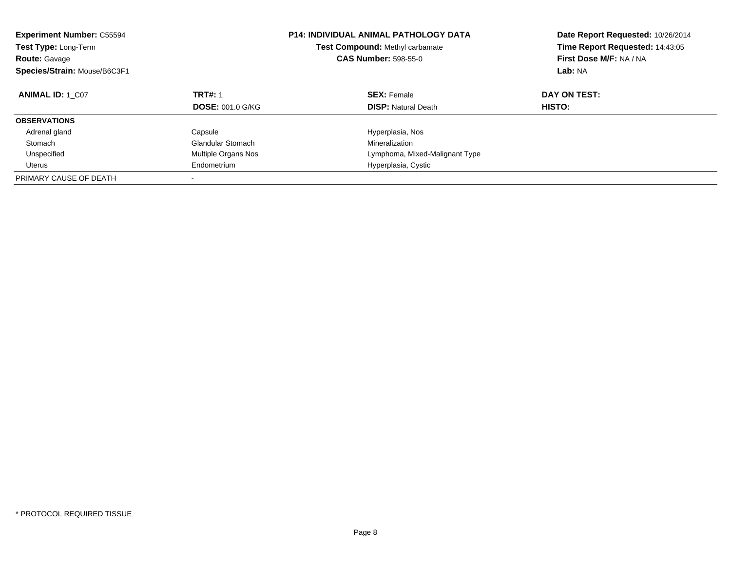| <b>Experiment Number: C55594</b><br>Test Type: Long-Term<br><b>Route: Gavage</b><br>Species/Strain: Mouse/B6C3F1 |                          | <b>P14: INDIVIDUAL ANIMAL PATHOLOGY DATA</b><br><b>Test Compound: Methyl carbamate</b><br><b>CAS Number: 598-55-0</b> | Date Report Requested: 10/26/2014<br>Time Report Requested: 14:43:05<br>First Dose M/F: NA / NA<br>Lab: NA |
|------------------------------------------------------------------------------------------------------------------|--------------------------|-----------------------------------------------------------------------------------------------------------------------|------------------------------------------------------------------------------------------------------------|
| <b>ANIMAL ID: 1 C07</b>                                                                                          | <b>TRT#: 1</b>           | <b>SEX: Female</b>                                                                                                    | DAY ON TEST:                                                                                               |
|                                                                                                                  | <b>DOSE: 001.0 G/KG</b>  | <b>DISP:</b> Natural Death                                                                                            | <b>HISTO:</b>                                                                                              |
| <b>OBSERVATIONS</b>                                                                                              |                          |                                                                                                                       |                                                                                                            |
| Adrenal gland                                                                                                    | Capsule                  | Hyperplasia, Nos                                                                                                      |                                                                                                            |
| Stomach                                                                                                          | <b>Glandular Stomach</b> | Mineralization                                                                                                        |                                                                                                            |
| Unspecified                                                                                                      | Multiple Organs Nos      | Lymphoma, Mixed-Malignant Type                                                                                        |                                                                                                            |
| Uterus                                                                                                           | Endometrium              | Hyperplasia, Cystic                                                                                                   |                                                                                                            |
| PRIMARY CAUSE OF DEATH                                                                                           |                          |                                                                                                                       |                                                                                                            |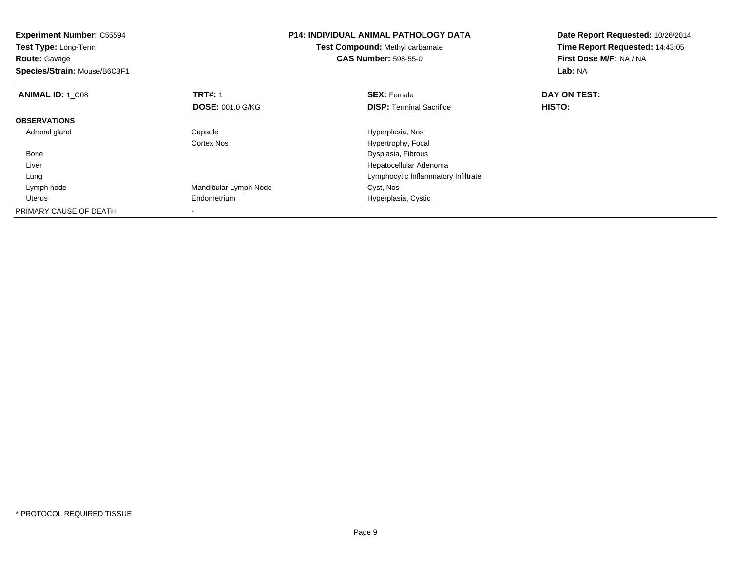| <b>Experiment Number: C55594</b><br><b>Test Type: Long-Term</b><br><b>Route: Gavage</b><br>Species/Strain: Mouse/B6C3F1 |                         | <b>P14: INDIVIDUAL ANIMAL PATHOLOGY DATA</b><br>Test Compound: Methyl carbamate<br><b>CAS Number: 598-55-0</b> | Date Report Requested: 10/26/2014<br>Time Report Requested: 14:43:05<br>First Dose M/F: NA / NA<br>Lab: NA |
|-------------------------------------------------------------------------------------------------------------------------|-------------------------|----------------------------------------------------------------------------------------------------------------|------------------------------------------------------------------------------------------------------------|
| <b>ANIMAL ID: 1 C08</b>                                                                                                 | <b>TRT#: 1</b>          | <b>SEX: Female</b>                                                                                             | DAY ON TEST:                                                                                               |
|                                                                                                                         | <b>DOSE: 001.0 G/KG</b> | <b>DISP:</b> Terminal Sacrifice                                                                                | <b>HISTO:</b>                                                                                              |
| <b>OBSERVATIONS</b>                                                                                                     |                         |                                                                                                                |                                                                                                            |
| Adrenal gland                                                                                                           | Capsule                 | Hyperplasia, Nos                                                                                               |                                                                                                            |
|                                                                                                                         | Cortex Nos              | Hypertrophy, Focal                                                                                             |                                                                                                            |
| Bone                                                                                                                    |                         | Dysplasia, Fibrous                                                                                             |                                                                                                            |
| Liver                                                                                                                   |                         | Hepatocellular Adenoma                                                                                         |                                                                                                            |
| Lung                                                                                                                    |                         | Lymphocytic Inflammatory Infiltrate                                                                            |                                                                                                            |
| Lymph node                                                                                                              | Mandibular Lymph Node   | Cyst, Nos                                                                                                      |                                                                                                            |
| Uterus                                                                                                                  | Endometrium             | Hyperplasia, Cystic                                                                                            |                                                                                                            |
| PRIMARY CAUSE OF DEATH                                                                                                  |                         |                                                                                                                |                                                                                                            |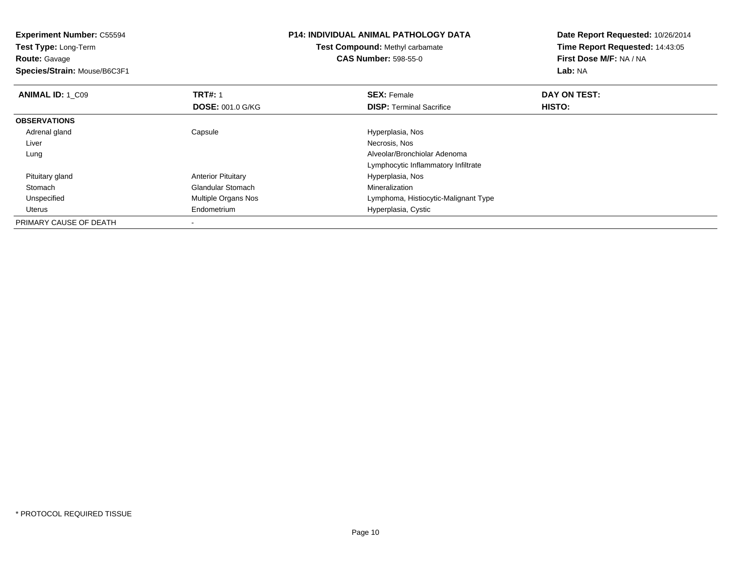| <b>Experiment Number: C55594</b><br>Test Type: Long-Term |                           | <b>P14: INDIVIDUAL ANIMAL PATHOLOGY DATA</b> | Date Report Requested: 10/26/2014 |  |
|----------------------------------------------------------|---------------------------|----------------------------------------------|-----------------------------------|--|
|                                                          |                           | <b>Test Compound: Methyl carbamate</b>       | Time Report Requested: 14:43:05   |  |
| <b>Route: Gavage</b>                                     |                           | <b>CAS Number: 598-55-0</b>                  | First Dose M/F: NA / NA           |  |
| Species/Strain: Mouse/B6C3F1                             |                           |                                              | Lab: NA                           |  |
| <b>ANIMAL ID: 1_C09</b>                                  | <b>TRT#: 1</b>            | <b>SEX: Female</b>                           | DAY ON TEST:                      |  |
|                                                          | <b>DOSE: 001.0 G/KG</b>   | <b>DISP:</b> Terminal Sacrifice              | HISTO:                            |  |
| <b>OBSERVATIONS</b>                                      |                           |                                              |                                   |  |
| Adrenal gland                                            | Capsule                   | Hyperplasia, Nos                             |                                   |  |
| Liver                                                    |                           | Necrosis, Nos                                |                                   |  |
| Lung                                                     |                           | Alveolar/Bronchiolar Adenoma                 |                                   |  |
|                                                          |                           | Lymphocytic Inflammatory Infiltrate          |                                   |  |
| Pituitary gland                                          | <b>Anterior Pituitary</b> | Hyperplasia, Nos                             |                                   |  |
| Stomach                                                  | <b>Glandular Stomach</b>  | Mineralization                               |                                   |  |
| Unspecified                                              | Multiple Organs Nos       | Lymphoma, Histiocytic-Malignant Type         |                                   |  |
| Uterus                                                   | Endometrium               | Hyperplasia, Cystic                          |                                   |  |
| PRIMARY CAUSE OF DEATH                                   |                           |                                              |                                   |  |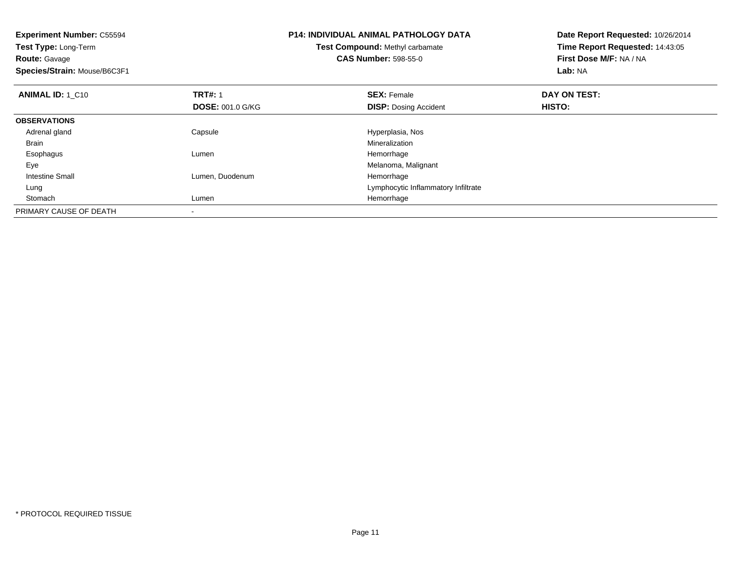| <b>Experiment Number: C55594</b><br>Test Type: Long-Term |                         | <b>P14: INDIVIDUAL ANIMAL PATHOLOGY DATA</b> | Date Report Requested: 10/26/2014<br>Time Report Requested: 14:43:05 |
|----------------------------------------------------------|-------------------------|----------------------------------------------|----------------------------------------------------------------------|
|                                                          |                         | Test Compound: Methyl carbamate              |                                                                      |
| <b>Route: Gavage</b>                                     |                         | <b>CAS Number: 598-55-0</b>                  | First Dose M/F: NA / NA                                              |
| Species/Strain: Mouse/B6C3F1                             |                         |                                              | Lab: NA                                                              |
| <b>ANIMAL ID: 1 C10</b>                                  | <b>TRT#: 1</b>          | <b>SEX: Female</b>                           | DAY ON TEST:                                                         |
|                                                          | <b>DOSE: 001.0 G/KG</b> | <b>DISP: Dosing Accident</b>                 | HISTO:                                                               |
| <b>OBSERVATIONS</b>                                      |                         |                                              |                                                                      |
| Adrenal gland                                            | Capsule                 | Hyperplasia, Nos                             |                                                                      |
| Brain                                                    |                         | Mineralization                               |                                                                      |
| Esophagus                                                | Lumen                   | Hemorrhage                                   |                                                                      |
| Eye                                                      |                         | Melanoma, Malignant                          |                                                                      |
| <b>Intestine Small</b>                                   | Lumen, Duodenum         | Hemorrhage                                   |                                                                      |
| Lung                                                     |                         | Lymphocytic Inflammatory Infiltrate          |                                                                      |
| Stomach                                                  | Lumen                   | Hemorrhage                                   |                                                                      |
| PRIMARY CAUSE OF DEATH                                   |                         |                                              |                                                                      |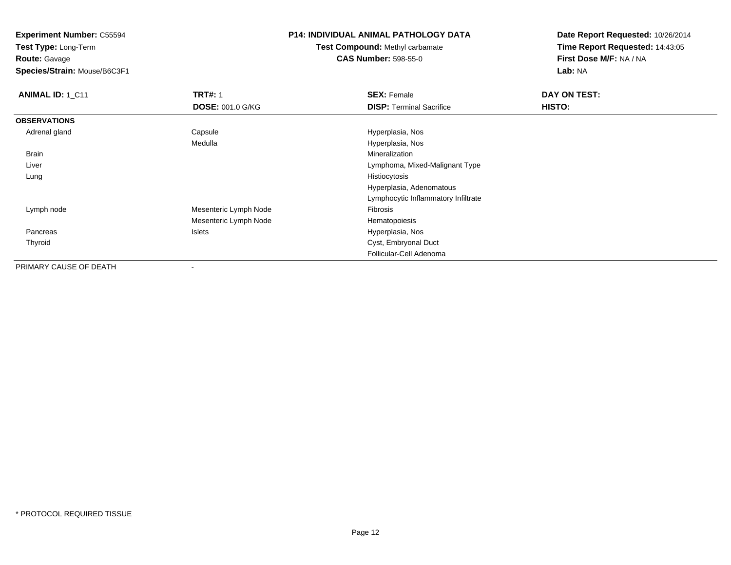**Experiment Number:** C55594

**Test Type:** Long-Term**Route:** Gavage

**Species/Strain:** Mouse/B6C3F1

## **P14: INDIVIDUAL ANIMAL PATHOLOGY DATA**

**Test Compound:** Methyl carbamate**CAS Number:** 598-55-0

| ANIMAL ID: 1_C11       | <b>TRT#: 1</b>           | <b>SEX: Female</b>                  | DAY ON TEST: |
|------------------------|--------------------------|-------------------------------------|--------------|
|                        | <b>DOSE: 001.0 G/KG</b>  | <b>DISP: Terminal Sacrifice</b>     | HISTO:       |
| <b>OBSERVATIONS</b>    |                          |                                     |              |
| Adrenal gland          | Capsule                  | Hyperplasia, Nos                    |              |
|                        | Medulla                  | Hyperplasia, Nos                    |              |
| Brain                  |                          | Mineralization                      |              |
| Liver                  |                          | Lymphoma, Mixed-Malignant Type      |              |
| Lung                   |                          | Histiocytosis                       |              |
|                        |                          | Hyperplasia, Adenomatous            |              |
|                        |                          | Lymphocytic Inflammatory Infiltrate |              |
| Lymph node             | Mesenteric Lymph Node    | Fibrosis                            |              |
|                        | Mesenteric Lymph Node    | Hematopoiesis                       |              |
| Pancreas               | Islets                   | Hyperplasia, Nos                    |              |
| Thyroid                |                          | Cyst, Embryonal Duct                |              |
|                        |                          | Follicular-Cell Adenoma             |              |
| PRIMARY CAUSE OF DEATH | $\overline{\phantom{a}}$ |                                     |              |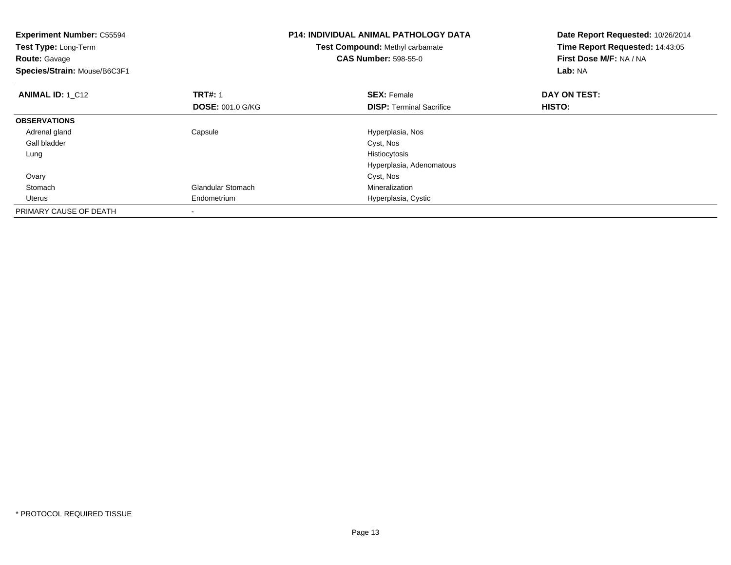| <b>Experiment Number: C55594</b><br>Test Type: Long-Term<br><b>Route: Gavage</b><br>Species/Strain: Mouse/B6C3F1 |                                           | <b>P14: INDIVIDUAL ANIMAL PATHOLOGY DATA</b><br>Test Compound: Methyl carbamate<br><b>CAS Number: 598-55-0</b> | Date Report Requested: 10/26/2014<br>Time Report Requested: 14:43:05<br>First Dose M/F: NA / NA<br>Lab: NA |
|------------------------------------------------------------------------------------------------------------------|-------------------------------------------|----------------------------------------------------------------------------------------------------------------|------------------------------------------------------------------------------------------------------------|
| <b>ANIMAL ID: 1_C12</b>                                                                                          | <b>TRT#: 1</b><br><b>DOSE: 001.0 G/KG</b> | <b>SEX: Female</b><br><b>DISP:</b> Terminal Sacrifice                                                          | DAY ON TEST:<br>HISTO:                                                                                     |
| <b>OBSERVATIONS</b>                                                                                              |                                           |                                                                                                                |                                                                                                            |
| Adrenal gland                                                                                                    | Capsule                                   | Hyperplasia, Nos                                                                                               |                                                                                                            |
| Gall bladder                                                                                                     |                                           | Cyst, Nos                                                                                                      |                                                                                                            |
| Lung                                                                                                             |                                           | Histiocytosis                                                                                                  |                                                                                                            |
|                                                                                                                  |                                           | Hyperplasia, Adenomatous                                                                                       |                                                                                                            |
| Ovary                                                                                                            |                                           | Cyst, Nos                                                                                                      |                                                                                                            |
| Stomach                                                                                                          | <b>Glandular Stomach</b>                  | Mineralization                                                                                                 |                                                                                                            |
| Uterus                                                                                                           | Endometrium                               | Hyperplasia, Cystic                                                                                            |                                                                                                            |
| PRIMARY CAUSE OF DEATH                                                                                           |                                           |                                                                                                                |                                                                                                            |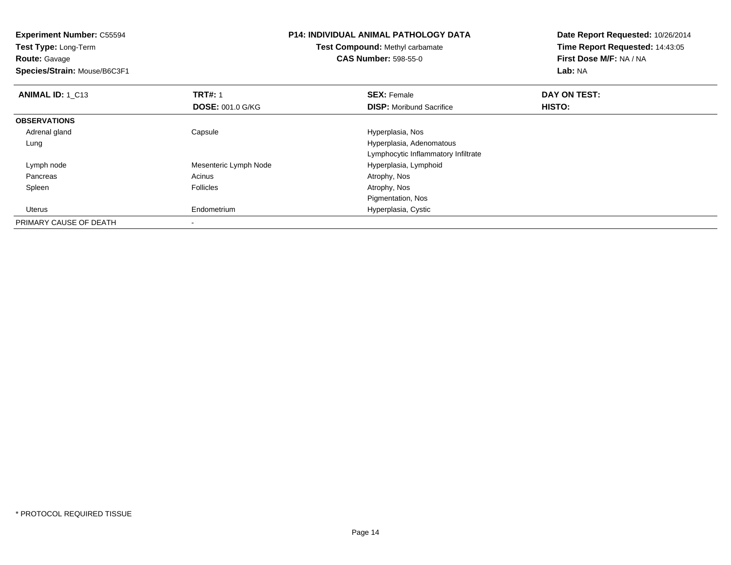**Experiment Number:** C55594**Test Type:** Long-Term**Route:** Gavage **Species/Strain:** Mouse/B6C3F1**P14: INDIVIDUAL ANIMAL PATHOLOGY DATATest Compound:** Methyl carbamate**CAS Number:** 598-55-0**Date Report Requested:** 10/26/2014**Time Report Requested:** 14:43:05**First Dose M/F:** NA / NA**Lab:** NA**ANIMAL ID: 1 C13 TRT#:** 1 **SEX:** Female **DAY ON TEST: DOSE:** 001.0 G/KG**DISP:** Moribund Sacrifice **HISTO: OBSERVATIONS** Adrenal glandCapsule **Capsule Hyperplasia**, Nos Lung Hyperplasia, Adenomatous Lymphocytic Inflammatory Infiltrate Lymph nodeMesenteric Lymph Node<br>
Acinus<br>
Acinus<br>
Acinus<br>
Acinus<br>
Acinus<br>
Acinus<br>
Acinus<br>
Acinus<br>
Acinus<br>
Acinus<br>
Acinus<br>
Acinus<br>
Acinus<br>
Acinus<br>
Acinus<br>
Acinus<br>
Acinus<br>
Acinus<br>
Acinus<br>
Acinus<br>
Acinus<br>
Acinus<br>
Acinus<br>
Acinus<br>
Acinus<br> Pancreass and the contract of the contract of the contract of the contract of the contract  $\mathsf{A}$  at  $\mathsf{A}$  and  $\mathsf{A}$  and  $\mathsf{A}$  and  $\mathsf{A}$  and  $\mathsf{A}$  are contract of  $\mathsf{A}$  and  $\mathsf{A}$  and  $\mathsf{A}$  are contract of Spleenn and the settlement of the Follicles and the Follicles and the Second Muslim of Atrophy, Nos Pigmentation, Nosm Hyperplasia, Cystic Uterus EndometriumPRIMARY CAUSE OF DEATH-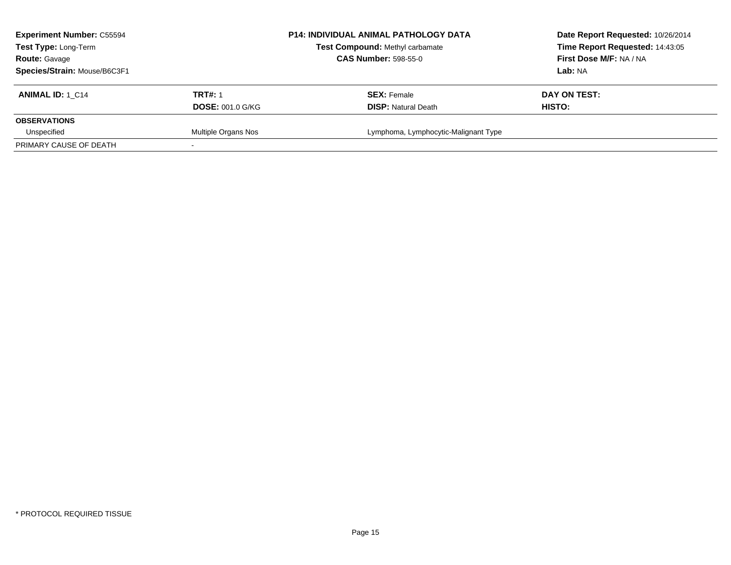| <b>Experiment Number: C55594</b><br>Test Type: Long-Term<br><b>Route: Gavage</b> |                         | <b>P14: INDIVIDUAL ANIMAL PATHOLOGY DATA</b><br>Test Compound: Methyl carbamate<br><b>CAS Number: 598-55-0</b> | Date Report Requested: 10/26/2014<br>Time Report Requested: 14:43:05<br>First Dose M/F: NA / NA |
|----------------------------------------------------------------------------------|-------------------------|----------------------------------------------------------------------------------------------------------------|-------------------------------------------------------------------------------------------------|
| Species/Strain: Mouse/B6C3F1                                                     |                         |                                                                                                                | <b>Lab:</b> NA                                                                                  |
| <b>ANIMAL ID: 1 C14</b>                                                          | <b>TRT#: 1</b>          | <b>SEX: Female</b>                                                                                             | DAY ON TEST:                                                                                    |
|                                                                                  | <b>DOSE: 001.0 G/KG</b> | <b>DISP: Natural Death</b>                                                                                     | HISTO:                                                                                          |
| <b>OBSERVATIONS</b>                                                              |                         |                                                                                                                |                                                                                                 |
| Unspecified                                                                      | Multiple Organs Nos     | Lymphoma, Lymphocytic-Malignant Type                                                                           |                                                                                                 |
| PRIMARY CAUSE OF DEATH                                                           |                         |                                                                                                                |                                                                                                 |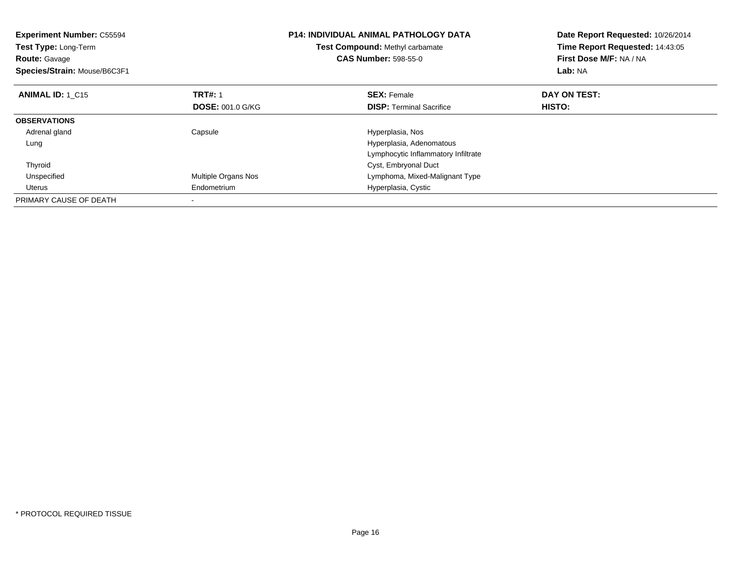| <b>Experiment Number: C55594</b><br><b>Test Type: Long-Term</b><br><b>Route: Gavage</b><br>Species/Strain: Mouse/B6C3F1 |                         | <b>P14: INDIVIDUAL ANIMAL PATHOLOGY DATA</b><br>Test Compound: Methyl carbamate<br><b>CAS Number: 598-55-0</b> | Date Report Requested: 10/26/2014<br>Time Report Requested: 14:43:05<br>First Dose M/F: NA / NA<br>Lab: NA |
|-------------------------------------------------------------------------------------------------------------------------|-------------------------|----------------------------------------------------------------------------------------------------------------|------------------------------------------------------------------------------------------------------------|
| <b>ANIMAL ID: 1 C15</b>                                                                                                 | <b>TRT#: 1</b>          | <b>SEX: Female</b>                                                                                             | DAY ON TEST:                                                                                               |
|                                                                                                                         | <b>DOSE: 001.0 G/KG</b> | <b>DISP:</b> Terminal Sacrifice                                                                                | <b>HISTO:</b>                                                                                              |
| <b>OBSERVATIONS</b>                                                                                                     |                         |                                                                                                                |                                                                                                            |
| Adrenal gland                                                                                                           | Capsule                 | Hyperplasia, Nos                                                                                               |                                                                                                            |
| Lung                                                                                                                    |                         | Hyperplasia, Adenomatous                                                                                       |                                                                                                            |
|                                                                                                                         |                         | Lymphocytic Inflammatory Infiltrate                                                                            |                                                                                                            |
| Thyroid                                                                                                                 |                         | Cyst, Embryonal Duct                                                                                           |                                                                                                            |
| Unspecified                                                                                                             | Multiple Organs Nos     | Lymphoma, Mixed-Malignant Type                                                                                 |                                                                                                            |
| Uterus                                                                                                                  | Endometrium             | Hyperplasia, Cystic                                                                                            |                                                                                                            |
| PRIMARY CAUSE OF DEATH                                                                                                  |                         |                                                                                                                |                                                                                                            |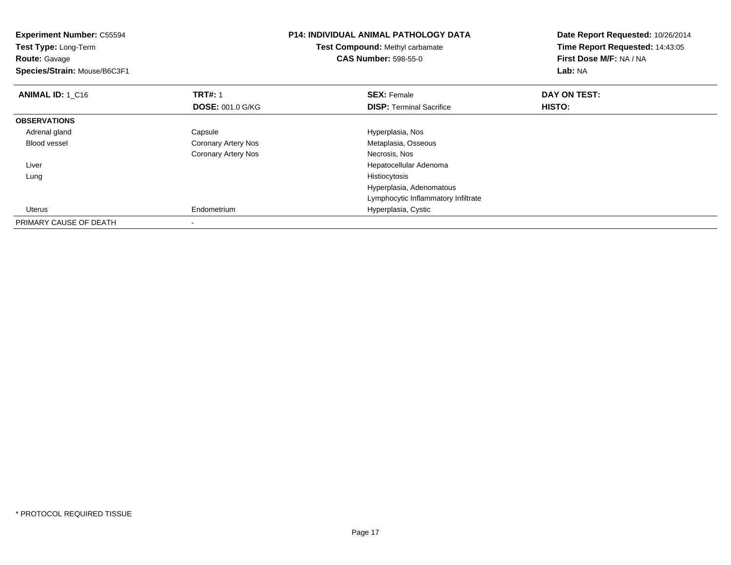| <b>Experiment Number: C55594</b><br>Test Type: Long-Term<br><b>Route:</b> Gavage<br>Species/Strain: Mouse/B6C3F1 |                          | <b>P14: INDIVIDUAL ANIMAL PATHOLOGY DATA</b><br><b>Test Compound: Methyl carbamate</b><br><b>CAS Number: 598-55-0</b> | Date Report Requested: 10/26/2014<br>Time Report Requested: 14:43:05<br>First Dose M/F: NA / NA<br>Lab: NA |
|------------------------------------------------------------------------------------------------------------------|--------------------------|-----------------------------------------------------------------------------------------------------------------------|------------------------------------------------------------------------------------------------------------|
| <b>ANIMAL ID: 1 C16</b>                                                                                          | <b>TRT#: 1</b>           | <b>SEX: Female</b>                                                                                                    | DAY ON TEST:                                                                                               |
|                                                                                                                  | <b>DOSE: 001.0 G/KG</b>  | <b>DISP: Terminal Sacrifice</b>                                                                                       | HISTO:                                                                                                     |
| <b>OBSERVATIONS</b>                                                                                              |                          |                                                                                                                       |                                                                                                            |
| Adrenal gland                                                                                                    | Capsule                  | Hyperplasia, Nos                                                                                                      |                                                                                                            |
| Blood vessel                                                                                                     | Coronary Artery Nos      | Metaplasia, Osseous                                                                                                   |                                                                                                            |
|                                                                                                                  | Coronary Artery Nos      | Necrosis, Nos                                                                                                         |                                                                                                            |
| Liver                                                                                                            |                          | Hepatocellular Adenoma                                                                                                |                                                                                                            |
| Lung                                                                                                             |                          | Histiocytosis                                                                                                         |                                                                                                            |
|                                                                                                                  |                          | Hyperplasia, Adenomatous                                                                                              |                                                                                                            |
|                                                                                                                  |                          | Lymphocytic Inflammatory Infiltrate                                                                                   |                                                                                                            |
| Uterus                                                                                                           | Endometrium              | Hyperplasia, Cystic                                                                                                   |                                                                                                            |
| PRIMARY CAUSE OF DEATH                                                                                           | $\overline{\phantom{a}}$ |                                                                                                                       |                                                                                                            |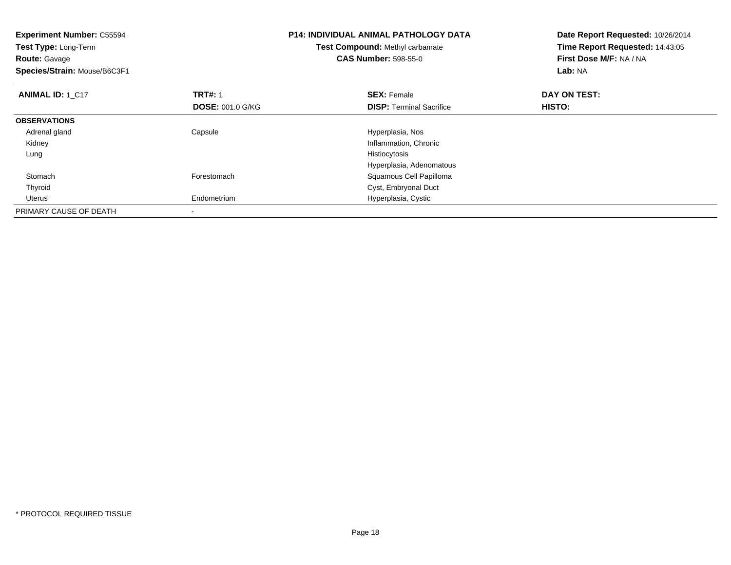| <b>Experiment Number: C55594</b><br><b>Test Type: Long-Term</b><br><b>Route: Gavage</b><br>Species/Strain: Mouse/B6C3F1 |                                           | <b>P14: INDIVIDUAL ANIMAL PATHOLOGY DATA</b><br>Test Compound: Methyl carbamate<br><b>CAS Number: 598-55-0</b> | Date Report Requested: 10/26/2014<br>Time Report Requested: 14:43:05<br>First Dose M/F: NA / NA<br>Lab: NA |  |
|-------------------------------------------------------------------------------------------------------------------------|-------------------------------------------|----------------------------------------------------------------------------------------------------------------|------------------------------------------------------------------------------------------------------------|--|
| <b>ANIMAL ID: 1 C17</b>                                                                                                 | <b>TRT#: 1</b><br><b>DOSE: 001.0 G/KG</b> | <b>SEX: Female</b><br><b>DISP:</b> Terminal Sacrifice                                                          | DAY ON TEST:<br>HISTO:                                                                                     |  |
| <b>OBSERVATIONS</b>                                                                                                     |                                           |                                                                                                                |                                                                                                            |  |
| Adrenal gland                                                                                                           | Capsule                                   | Hyperplasia, Nos                                                                                               |                                                                                                            |  |
| Kidney                                                                                                                  |                                           | Inflammation, Chronic                                                                                          |                                                                                                            |  |
| Lung                                                                                                                    |                                           | Histiocytosis                                                                                                  |                                                                                                            |  |
|                                                                                                                         |                                           | Hyperplasia, Adenomatous                                                                                       |                                                                                                            |  |
| Stomach                                                                                                                 | Forestomach                               | Squamous Cell Papilloma                                                                                        |                                                                                                            |  |
| Thyroid                                                                                                                 |                                           | Cyst, Embryonal Duct                                                                                           |                                                                                                            |  |
| Uterus                                                                                                                  | Endometrium                               | Hyperplasia, Cystic                                                                                            |                                                                                                            |  |
| PRIMARY CAUSE OF DEATH                                                                                                  |                                           |                                                                                                                |                                                                                                            |  |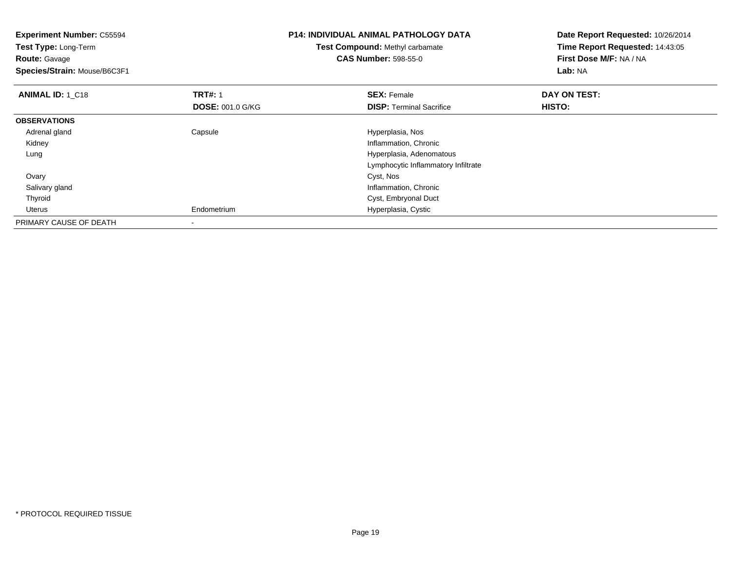| <b>Experiment Number: C55594</b><br>Test Type: Long-Term<br><b>Route: Gavage</b><br>Species/Strain: Mouse/B6C3F1 |                         | <b>P14: INDIVIDUAL ANIMAL PATHOLOGY DATA</b><br>Test Compound: Methyl carbamate<br><b>CAS Number: 598-55-0</b> | Date Report Requested: 10/26/2014<br>Time Report Requested: 14:43:05<br>First Dose M/F: NA / NA<br>Lab: NA |
|------------------------------------------------------------------------------------------------------------------|-------------------------|----------------------------------------------------------------------------------------------------------------|------------------------------------------------------------------------------------------------------------|
| <b>ANIMAL ID: 1 C18</b>                                                                                          | <b>TRT#: 1</b>          | <b>SEX: Female</b>                                                                                             | DAY ON TEST:                                                                                               |
|                                                                                                                  | <b>DOSE: 001.0 G/KG</b> | <b>DISP:</b> Terminal Sacrifice                                                                                | HISTO:                                                                                                     |
| <b>OBSERVATIONS</b>                                                                                              |                         |                                                                                                                |                                                                                                            |
| Adrenal gland                                                                                                    | Capsule                 | Hyperplasia, Nos                                                                                               |                                                                                                            |
| Kidney                                                                                                           |                         | Inflammation, Chronic                                                                                          |                                                                                                            |
| Lung                                                                                                             |                         | Hyperplasia, Adenomatous                                                                                       |                                                                                                            |
|                                                                                                                  |                         | Lymphocytic Inflammatory Infiltrate                                                                            |                                                                                                            |
| Ovary                                                                                                            |                         | Cyst, Nos                                                                                                      |                                                                                                            |
| Salivary gland                                                                                                   |                         | Inflammation, Chronic                                                                                          |                                                                                                            |
| Thyroid                                                                                                          |                         | Cyst, Embryonal Duct                                                                                           |                                                                                                            |
| Uterus                                                                                                           | Endometrium             | Hyperplasia, Cystic                                                                                            |                                                                                                            |
| PRIMARY CAUSE OF DEATH                                                                                           |                         |                                                                                                                |                                                                                                            |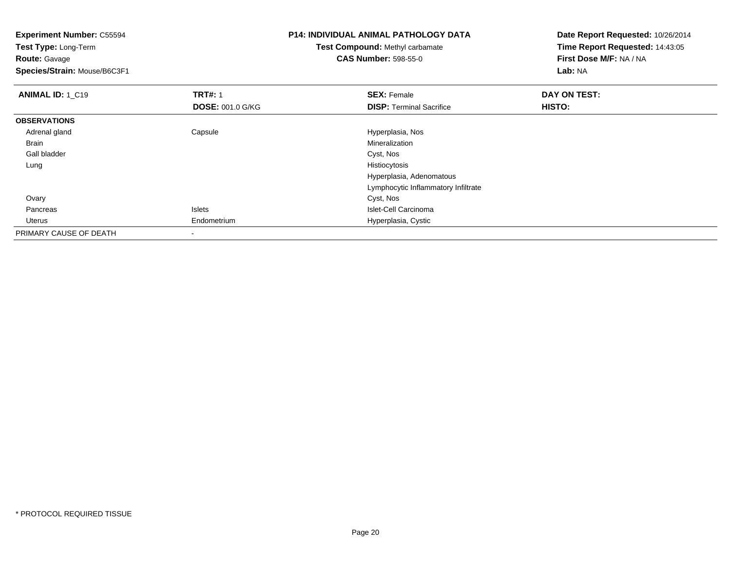| <b>Experiment Number: C55594</b><br>Test Type: Long-Term |                         | <b>P14: INDIVIDUAL ANIMAL PATHOLOGY DATA</b> | Date Report Requested: 10/26/2014 |  |
|----------------------------------------------------------|-------------------------|----------------------------------------------|-----------------------------------|--|
|                                                          |                         | <b>Test Compound: Methyl carbamate</b>       | Time Report Requested: 14:43:05   |  |
| <b>Route: Gavage</b>                                     |                         | <b>CAS Number: 598-55-0</b>                  | First Dose M/F: NA / NA           |  |
| Species/Strain: Mouse/B6C3F1                             |                         |                                              | Lab: NA                           |  |
| <b>ANIMAL ID: 1 C19</b>                                  | <b>TRT#: 1</b>          | <b>SEX: Female</b>                           | DAY ON TEST:                      |  |
|                                                          | <b>DOSE: 001.0 G/KG</b> | <b>DISP:</b> Terminal Sacrifice              | HISTO:                            |  |
| <b>OBSERVATIONS</b>                                      |                         |                                              |                                   |  |
| Adrenal gland                                            | Capsule                 | Hyperplasia, Nos                             |                                   |  |
| Brain                                                    |                         | Mineralization                               |                                   |  |
| Gall bladder                                             |                         | Cyst, Nos                                    |                                   |  |
| Lung                                                     |                         | Histiocytosis                                |                                   |  |
|                                                          |                         | Hyperplasia, Adenomatous                     |                                   |  |
|                                                          |                         | Lymphocytic Inflammatory Infiltrate          |                                   |  |
| Ovary                                                    |                         | Cyst, Nos                                    |                                   |  |
| Pancreas                                                 | Islets                  | Islet-Cell Carcinoma                         |                                   |  |
| Uterus                                                   | Endometrium             | Hyperplasia, Cystic                          |                                   |  |
| PRIMARY CAUSE OF DEATH                                   |                         |                                              |                                   |  |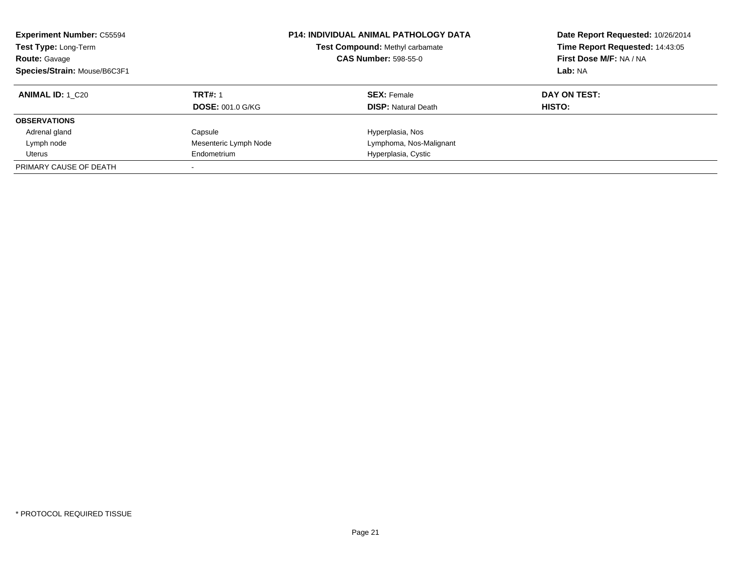| <b>Experiment Number: C55594</b><br>Test Compound: Methyl carbamate<br>Test Type: Long-Term<br><b>CAS Number: 598-55-0</b><br><b>Route: Gavage</b><br>Species/Strain: Mouse/B6C3F1 |                         | <b>P14: INDIVIDUAL ANIMAL PATHOLOGY DATA</b> | Date Report Requested: 10/26/2014<br>Time Report Requested: 14:43:05<br>First Dose M/F: NA / NA<br>Lab: NA |
|------------------------------------------------------------------------------------------------------------------------------------------------------------------------------------|-------------------------|----------------------------------------------|------------------------------------------------------------------------------------------------------------|
| <b>ANIMAL ID:</b> 1 C20                                                                                                                                                            | <b>TRT#: 1</b>          | <b>SEX: Female</b>                           | DAY ON TEST:                                                                                               |
|                                                                                                                                                                                    | <b>DOSE: 001.0 G/KG</b> | <b>DISP: Natural Death</b>                   | HISTO:                                                                                                     |
| <b>OBSERVATIONS</b>                                                                                                                                                                |                         |                                              |                                                                                                            |
| Adrenal gland                                                                                                                                                                      | Capsule                 | Hyperplasia, Nos                             |                                                                                                            |
| Lymph node                                                                                                                                                                         | Mesenteric Lymph Node   | Lymphoma, Nos-Malignant                      |                                                                                                            |
| Uterus                                                                                                                                                                             | Endometrium             | Hyperplasia, Cystic                          |                                                                                                            |
| PRIMARY CAUSE OF DEATH                                                                                                                                                             |                         |                                              |                                                                                                            |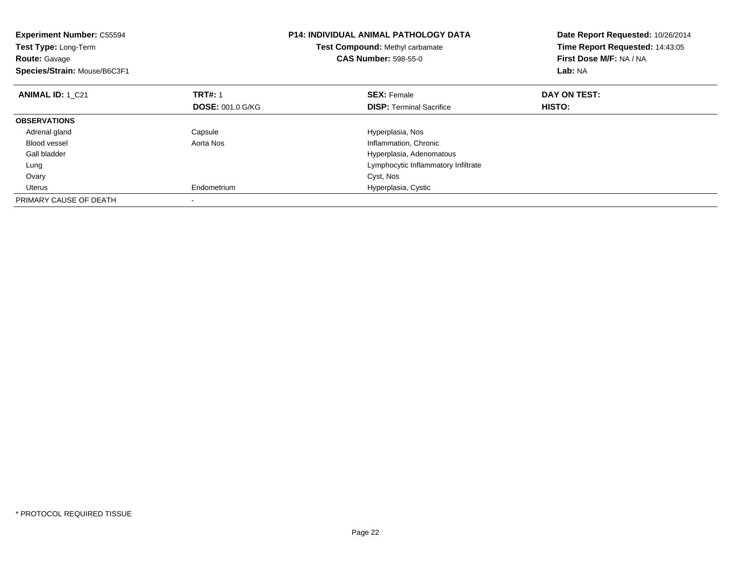| <b>Experiment Number: C55594</b><br>Test Type: Long-Term<br><b>Route: Gavage</b><br>Species/Strain: Mouse/B6C3F1 |                         | <b>P14: INDIVIDUAL ANIMAL PATHOLOGY DATA</b><br>Test Compound: Methyl carbamate<br><b>CAS Number: 598-55-0</b> | Date Report Requested: 10/26/2014<br>Time Report Requested: 14:43:05<br>First Dose M/F: NA / NA<br>Lab: NA |
|------------------------------------------------------------------------------------------------------------------|-------------------------|----------------------------------------------------------------------------------------------------------------|------------------------------------------------------------------------------------------------------------|
| <b>ANIMAL ID: 1 C21</b>                                                                                          | <b>TRT#: 1</b>          | <b>SEX: Female</b>                                                                                             | DAY ON TEST:                                                                                               |
|                                                                                                                  | <b>DOSE: 001.0 G/KG</b> | <b>DISP:</b> Terminal Sacrifice                                                                                | <b>HISTO:</b>                                                                                              |
| <b>OBSERVATIONS</b>                                                                                              |                         |                                                                                                                |                                                                                                            |
| Adrenal gland                                                                                                    | Capsule                 | Hyperplasia, Nos                                                                                               |                                                                                                            |
| <b>Blood vessel</b>                                                                                              | Aorta Nos               | Inflammation, Chronic                                                                                          |                                                                                                            |
| Gall bladder                                                                                                     |                         | Hyperplasia, Adenomatous                                                                                       |                                                                                                            |
| Lung                                                                                                             |                         | Lymphocytic Inflammatory Infiltrate                                                                            |                                                                                                            |
| Ovary                                                                                                            |                         | Cyst, Nos                                                                                                      |                                                                                                            |
| Uterus                                                                                                           | Endometrium             | Hyperplasia, Cystic                                                                                            |                                                                                                            |
| PRIMARY CAUSE OF DEATH                                                                                           |                         |                                                                                                                |                                                                                                            |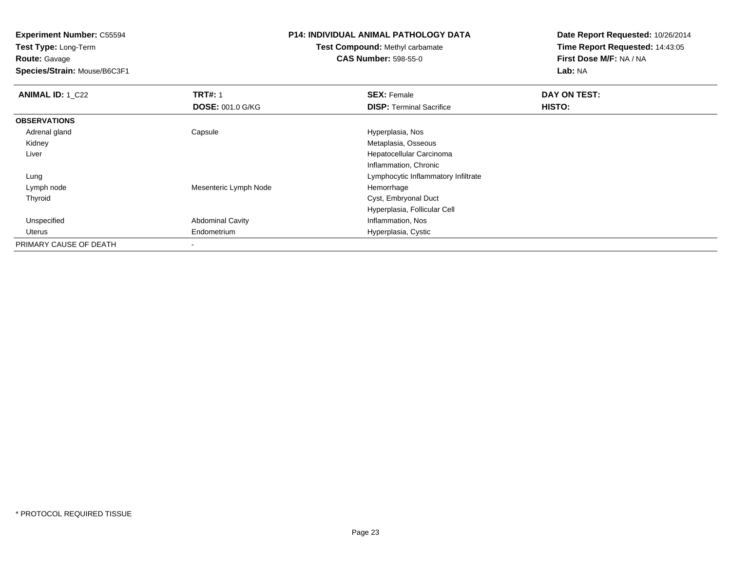**Experiment Number:** C55594

**Test Type:** Long-Term**Route:** Gavage

**Species/Strain:** Mouse/B6C3F1

## **P14: INDIVIDUAL ANIMAL PATHOLOGY DATA**

**Test Compound:** Methyl carbamate**CAS Number:** 598-55-0

| <b>ANIMAL ID: 1_C22</b> | <b>TRT#: 1</b>          | <b>SEX: Female</b>                  | DAY ON TEST: |  |
|-------------------------|-------------------------|-------------------------------------|--------------|--|
|                         | <b>DOSE: 001.0 G/KG</b> | <b>DISP:</b> Terminal Sacrifice     | HISTO:       |  |
| <b>OBSERVATIONS</b>     |                         |                                     |              |  |
| Adrenal gland           | Capsule                 | Hyperplasia, Nos                    |              |  |
| Kidney                  |                         | Metaplasia, Osseous                 |              |  |
| Liver                   |                         | Hepatocellular Carcinoma            |              |  |
|                         |                         | Inflammation, Chronic               |              |  |
| Lung                    |                         | Lymphocytic Inflammatory Infiltrate |              |  |
| Lymph node              | Mesenteric Lymph Node   | Hemorrhage                          |              |  |
| Thyroid                 |                         | Cyst, Embryonal Duct                |              |  |
|                         |                         | Hyperplasia, Follicular Cell        |              |  |
| Unspecified             | <b>Abdominal Cavity</b> | Inflammation, Nos                   |              |  |
| Uterus                  | Endometrium             | Hyperplasia, Cystic                 |              |  |
| PRIMARY CAUSE OF DEATH  | -                       |                                     |              |  |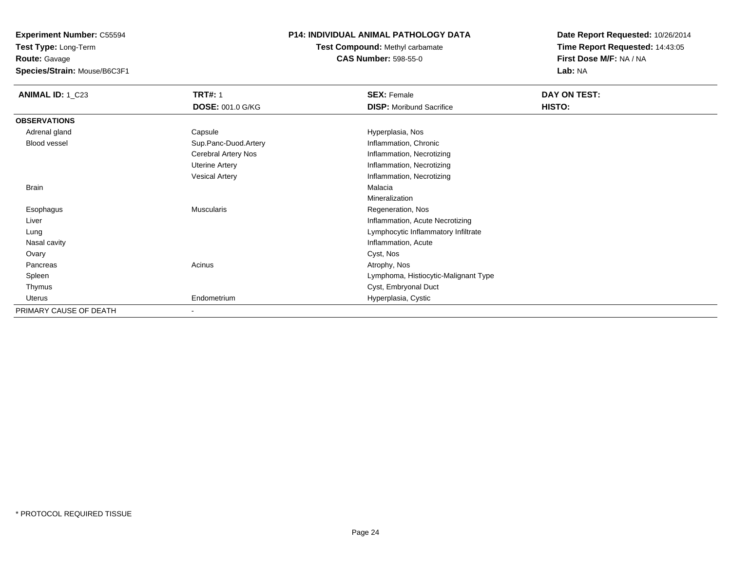**Experiment Number:** C55594

**Test Type:** Long-Term

**Route:** Gavage

**Species/Strain:** Mouse/B6C3F1

## **P14: INDIVIDUAL ANIMAL PATHOLOGY DATA**

## **Test Compound:** Methyl carbamate**CAS Number:** 598-55-0

| <b>ANIMAL ID: 1_C23</b> | <b>TRT#: 1</b>          | <b>SEX: Female</b>                   | DAY ON TEST: |  |
|-------------------------|-------------------------|--------------------------------------|--------------|--|
|                         | <b>DOSE: 001.0 G/KG</b> | <b>DISP:</b> Moribund Sacrifice      | HISTO:       |  |
| <b>OBSERVATIONS</b>     |                         |                                      |              |  |
| Adrenal gland           | Capsule                 | Hyperplasia, Nos                     |              |  |
| Blood vessel            | Sup.Panc-Duod.Artery    | Inflammation, Chronic                |              |  |
|                         | Cerebral Artery Nos     | Inflammation, Necrotizing            |              |  |
|                         | <b>Uterine Artery</b>   | Inflammation, Necrotizing            |              |  |
|                         | <b>Vesical Artery</b>   | Inflammation, Necrotizing            |              |  |
| <b>Brain</b>            |                         | Malacia                              |              |  |
|                         |                         | Mineralization                       |              |  |
| Esophagus               | <b>Muscularis</b>       | Regeneration, Nos                    |              |  |
| Liver                   |                         | Inflammation, Acute Necrotizing      |              |  |
| Lung                    |                         | Lymphocytic Inflammatory Infiltrate  |              |  |
| Nasal cavity            |                         | Inflammation, Acute                  |              |  |
| Ovary                   |                         | Cyst, Nos                            |              |  |
| Pancreas                | Acinus                  | Atrophy, Nos                         |              |  |
| Spleen                  |                         | Lymphoma, Histiocytic-Malignant Type |              |  |
| Thymus                  |                         | Cyst, Embryonal Duct                 |              |  |
| Uterus                  | Endometrium             | Hyperplasia, Cystic                  |              |  |
| PRIMARY CAUSE OF DEATH  | ۰                       |                                      |              |  |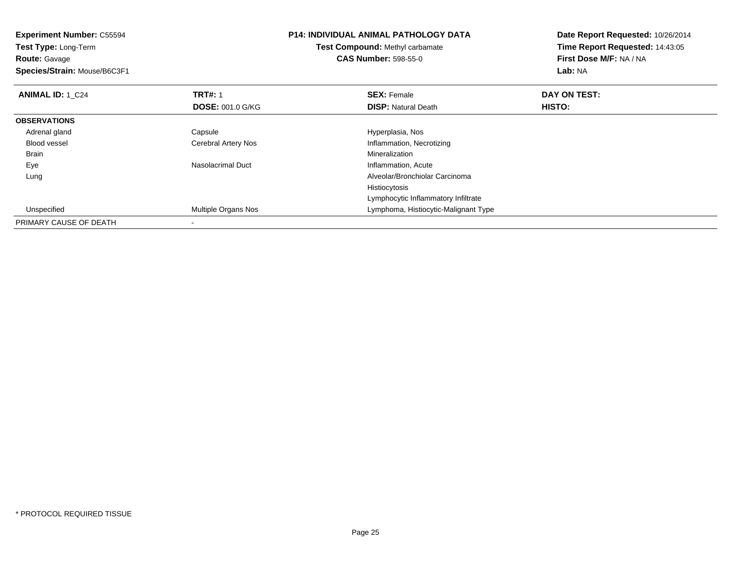| <b>Experiment Number: C55594</b><br>Test Type: Long-Term |                         | <b>P14: INDIVIDUAL ANIMAL PATHOLOGY DATA</b> | Date Report Requested: 10/26/2014 |
|----------------------------------------------------------|-------------------------|----------------------------------------------|-----------------------------------|
|                                                          |                         | <b>Test Compound: Methyl carbamate</b>       | Time Report Requested: 14:43:05   |
| <b>Route: Gavage</b>                                     |                         | <b>CAS Number: 598-55-0</b>                  | First Dose M/F: NA / NA           |
| Species/Strain: Mouse/B6C3F1                             |                         |                                              | <b>Lab: NA</b>                    |
| <b>ANIMAL ID: 1 C24</b>                                  | <b>TRT#: 1</b>          | <b>SEX: Female</b>                           | DAY ON TEST:                      |
|                                                          | <b>DOSE: 001.0 G/KG</b> | <b>DISP: Natural Death</b>                   | HISTO:                            |
| <b>OBSERVATIONS</b>                                      |                         |                                              |                                   |
| Adrenal gland                                            | Capsule                 | Hyperplasia, Nos                             |                                   |
| <b>Blood vessel</b>                                      | Cerebral Artery Nos     | Inflammation, Necrotizing                    |                                   |
| Brain                                                    |                         | <b>Mineralization</b>                        |                                   |
| Eye                                                      | Nasolacrimal Duct       | Inflammation, Acute                          |                                   |
| Lung                                                     |                         | Alveolar/Bronchiolar Carcinoma               |                                   |
|                                                          |                         | Histiocytosis                                |                                   |
|                                                          |                         | Lymphocytic Inflammatory Infiltrate          |                                   |
| Unspecified                                              | Multiple Organs Nos     | Lymphoma, Histiocytic-Malignant Type         |                                   |
| PRIMARY CAUSE OF DEATH                                   |                         |                                              |                                   |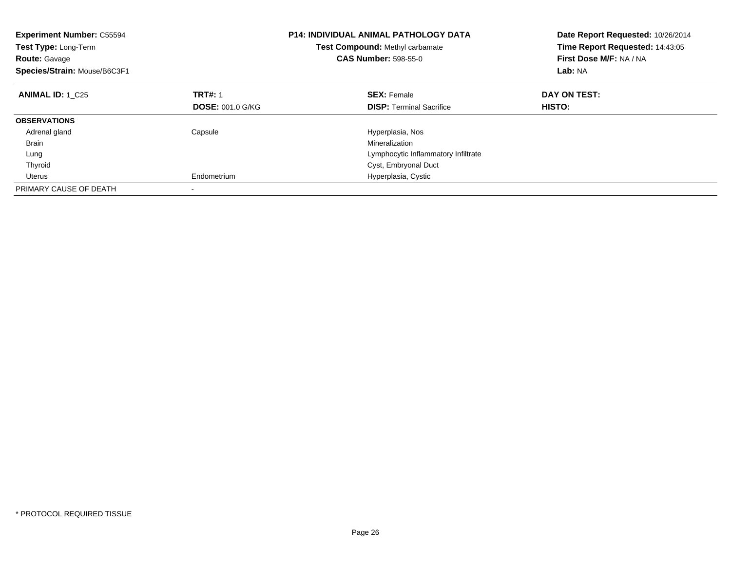| <b>Experiment Number: C55594</b><br>Test Type: Long-Term<br><b>Route: Gavage</b><br>Species/Strain: Mouse/B6C3F1 |                         | <b>P14: INDIVIDUAL ANIMAL PATHOLOGY DATA</b><br>Test Compound: Methyl carbamate<br><b>CAS Number: 598-55-0</b> | Date Report Requested: 10/26/2014<br>Time Report Requested: 14:43:05<br>First Dose M/F: NA / NA<br>Lab: NA |  |
|------------------------------------------------------------------------------------------------------------------|-------------------------|----------------------------------------------------------------------------------------------------------------|------------------------------------------------------------------------------------------------------------|--|
| <b>ANIMAL ID: 1 C25</b>                                                                                          | <b>TRT#: 1</b>          | <b>SEX: Female</b>                                                                                             | DAY ON TEST:                                                                                               |  |
|                                                                                                                  | <b>DOSE: 001.0 G/KG</b> | <b>DISP:</b> Terminal Sacrifice                                                                                | <b>HISTO:</b>                                                                                              |  |
| <b>OBSERVATIONS</b>                                                                                              |                         |                                                                                                                |                                                                                                            |  |
| Adrenal gland                                                                                                    | Capsule                 | Hyperplasia, Nos                                                                                               |                                                                                                            |  |
| <b>Brain</b>                                                                                                     |                         | Mineralization                                                                                                 |                                                                                                            |  |
| Lung                                                                                                             |                         | Lymphocytic Inflammatory Infiltrate                                                                            |                                                                                                            |  |
| Thyroid                                                                                                          |                         | Cyst, Embryonal Duct                                                                                           |                                                                                                            |  |
| Uterus                                                                                                           | Endometrium             | Hyperplasia, Cystic                                                                                            |                                                                                                            |  |
| PRIMARY CAUSE OF DEATH                                                                                           |                         |                                                                                                                |                                                                                                            |  |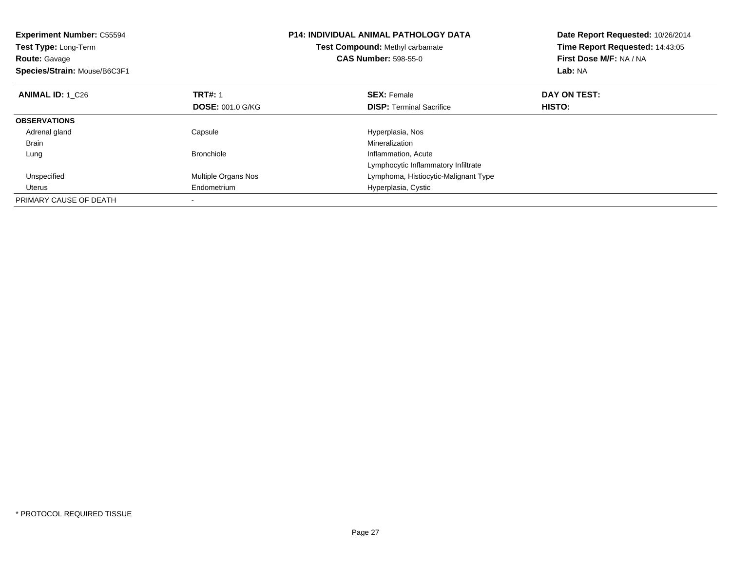| <b>Experiment Number: C55594</b><br>Test Type: Long-Term<br><b>Route: Gavage</b><br>Species/Strain: Mouse/B6C3F1 |                         | <b>P14: INDIVIDUAL ANIMAL PATHOLOGY DATA</b><br>Test Compound: Methyl carbamate<br><b>CAS Number: 598-55-0</b> | Date Report Requested: 10/26/2014<br>Time Report Requested: 14:43:05<br>First Dose M/F: NA / NA<br>Lab: NA |
|------------------------------------------------------------------------------------------------------------------|-------------------------|----------------------------------------------------------------------------------------------------------------|------------------------------------------------------------------------------------------------------------|
| <b>ANIMAL ID: 1 C26</b>                                                                                          | <b>TRT#: 1</b>          | <b>SEX: Female</b>                                                                                             | DAY ON TEST:                                                                                               |
|                                                                                                                  | <b>DOSE: 001.0 G/KG</b> | <b>DISP:</b> Terminal Sacrifice                                                                                | <b>HISTO:</b>                                                                                              |
| <b>OBSERVATIONS</b>                                                                                              |                         |                                                                                                                |                                                                                                            |
| Adrenal gland                                                                                                    | Capsule                 | Hyperplasia, Nos                                                                                               |                                                                                                            |
| <b>Brain</b>                                                                                                     |                         | Mineralization                                                                                                 |                                                                                                            |
| Lung                                                                                                             | <b>Bronchiole</b>       | Inflammation, Acute                                                                                            |                                                                                                            |
|                                                                                                                  |                         | Lymphocytic Inflammatory Infiltrate                                                                            |                                                                                                            |
| Unspecified                                                                                                      | Multiple Organs Nos     | Lymphoma, Histiocytic-Malignant Type                                                                           |                                                                                                            |
| Uterus                                                                                                           | Endometrium             | Hyperplasia, Cystic                                                                                            |                                                                                                            |
| PRIMARY CAUSE OF DEATH                                                                                           |                         |                                                                                                                |                                                                                                            |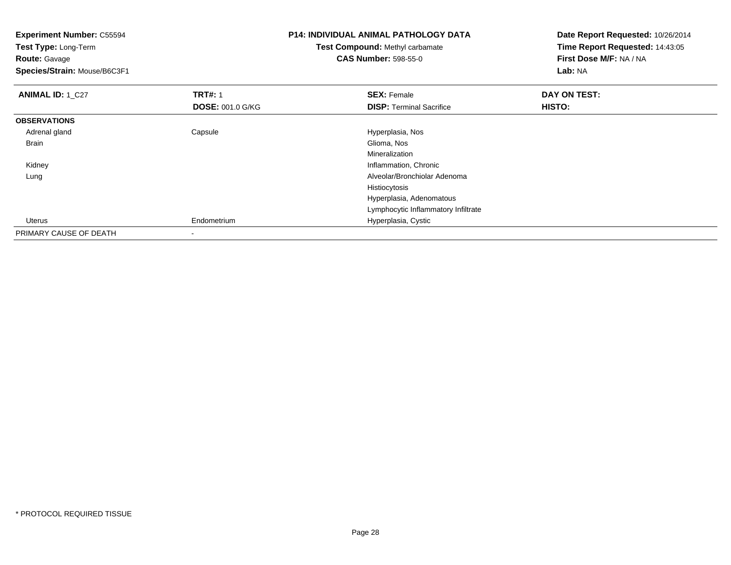| <b>Experiment Number: C55594</b> | <b>P14: INDIVIDUAL ANIMAL PATHOLOGY DATA</b> |                                        | Date Report Requested: 10/26/2014 |
|----------------------------------|----------------------------------------------|----------------------------------------|-----------------------------------|
| Test Type: Long-Term             |                                              | <b>Test Compound: Methyl carbamate</b> | Time Report Requested: 14:43:05   |
| <b>Route: Gavage</b>             |                                              | <b>CAS Number: 598-55-0</b>            | First Dose M/F: NA / NA           |
| Species/Strain: Mouse/B6C3F1     |                                              |                                        | Lab: NA                           |
| <b>ANIMAL ID: 1 C27</b>          | <b>TRT#: 1</b>                               | <b>SEX: Female</b>                     | DAY ON TEST:                      |
|                                  | <b>DOSE: 001.0 G/KG</b>                      | <b>DISP:</b> Terminal Sacrifice        | HISTO:                            |
| <b>OBSERVATIONS</b>              |                                              |                                        |                                   |
| Adrenal gland                    | Capsule                                      | Hyperplasia, Nos                       |                                   |
| Brain                            |                                              | Glioma, Nos                            |                                   |
|                                  |                                              | Mineralization                         |                                   |
| Kidney                           |                                              | Inflammation, Chronic                  |                                   |
| Lung                             |                                              | Alveolar/Bronchiolar Adenoma           |                                   |
|                                  |                                              | Histiocytosis                          |                                   |
|                                  |                                              | Hyperplasia, Adenomatous               |                                   |
|                                  |                                              | Lymphocytic Inflammatory Infiltrate    |                                   |
| Uterus                           | Endometrium                                  | Hyperplasia, Cystic                    |                                   |
| PRIMARY CAUSE OF DEATH           | $\blacksquare$                               |                                        |                                   |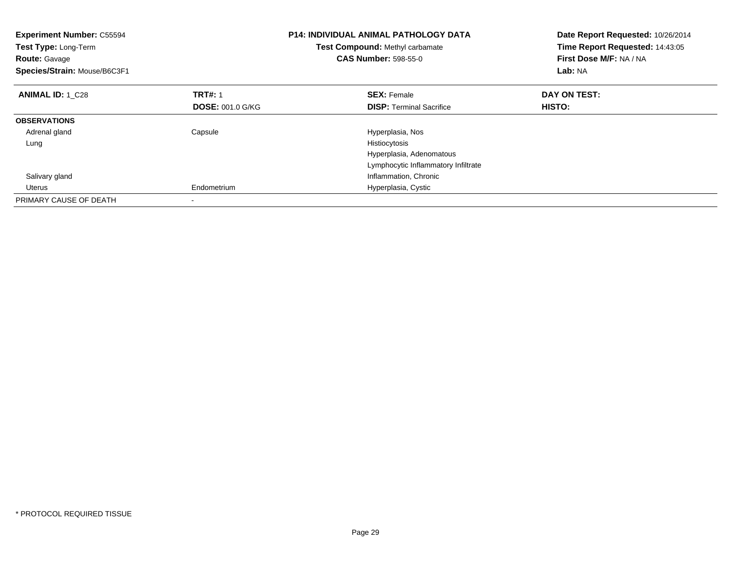| <b>Experiment Number: C55594</b><br>Test Type: Long-Term<br><b>Route: Gavage</b><br>Species/Strain: Mouse/B6C3F1 |                         | <b>P14: INDIVIDUAL ANIMAL PATHOLOGY DATA</b><br>Test Compound: Methyl carbamate<br><b>CAS Number: 598-55-0</b> | Date Report Requested: 10/26/2014<br>Time Report Requested: 14:43:05<br>First Dose M/F: NA / NA<br>Lab: NA |
|------------------------------------------------------------------------------------------------------------------|-------------------------|----------------------------------------------------------------------------------------------------------------|------------------------------------------------------------------------------------------------------------|
| <b>ANIMAL ID: 1 C28</b>                                                                                          | <b>TRT#: 1</b>          | <b>SEX: Female</b>                                                                                             | DAY ON TEST:                                                                                               |
|                                                                                                                  | <b>DOSE: 001.0 G/KG</b> | <b>DISP:</b> Terminal Sacrifice                                                                                | <b>HISTO:</b>                                                                                              |
| <b>OBSERVATIONS</b>                                                                                              |                         |                                                                                                                |                                                                                                            |
| Adrenal gland                                                                                                    | Capsule                 | Hyperplasia, Nos                                                                                               |                                                                                                            |
| Lung                                                                                                             |                         | Histiocytosis                                                                                                  |                                                                                                            |
|                                                                                                                  |                         | Hyperplasia, Adenomatous                                                                                       |                                                                                                            |
|                                                                                                                  |                         | Lymphocytic Inflammatory Infiltrate                                                                            |                                                                                                            |
| Salivary gland                                                                                                   |                         | Inflammation, Chronic                                                                                          |                                                                                                            |
| Uterus                                                                                                           | Endometrium             | Hyperplasia, Cystic                                                                                            |                                                                                                            |
| PRIMARY CAUSE OF DEATH                                                                                           |                         |                                                                                                                |                                                                                                            |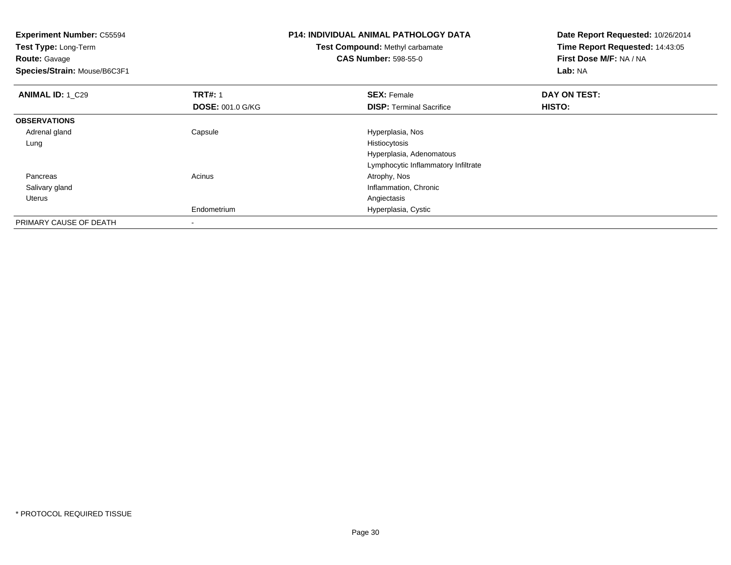| <b>Experiment Number: C55594</b><br>Test Type: Long-Term<br><b>Route: Gavage</b><br>Species/Strain: Mouse/B6C3F1 |                                           | P14: INDIVIDUAL ANIMAL PATHOLOGY DATA<br><b>Test Compound: Methyl carbamate</b><br><b>CAS Number: 598-55-0</b> | Date Report Requested: 10/26/2014<br>Time Report Requested: 14:43:05<br>First Dose M/F: NA / NA<br>Lab: NA |
|------------------------------------------------------------------------------------------------------------------|-------------------------------------------|----------------------------------------------------------------------------------------------------------------|------------------------------------------------------------------------------------------------------------|
| <b>ANIMAL ID: 1 C29</b>                                                                                          | <b>TRT#: 1</b><br><b>DOSE: 001.0 G/KG</b> | <b>SEX: Female</b><br><b>DISP:</b> Terminal Sacrifice                                                          | DAY ON TEST:<br>HISTO:                                                                                     |
| <b>OBSERVATIONS</b>                                                                                              |                                           |                                                                                                                |                                                                                                            |
| Adrenal gland                                                                                                    | Capsule                                   | Hyperplasia, Nos                                                                                               |                                                                                                            |
|                                                                                                                  |                                           |                                                                                                                |                                                                                                            |
| Lung                                                                                                             |                                           | Histiocytosis                                                                                                  |                                                                                                            |
|                                                                                                                  |                                           | Hyperplasia, Adenomatous                                                                                       |                                                                                                            |
|                                                                                                                  |                                           | Lymphocytic Inflammatory Infiltrate                                                                            |                                                                                                            |
| Pancreas                                                                                                         | Acinus                                    | Atrophy, Nos                                                                                                   |                                                                                                            |
| Salivary gland                                                                                                   |                                           | Inflammation, Chronic                                                                                          |                                                                                                            |
| Uterus                                                                                                           |                                           | Angiectasis                                                                                                    |                                                                                                            |
|                                                                                                                  | Endometrium                               | Hyperplasia, Cystic                                                                                            |                                                                                                            |
| PRIMARY CAUSE OF DEATH                                                                                           |                                           |                                                                                                                |                                                                                                            |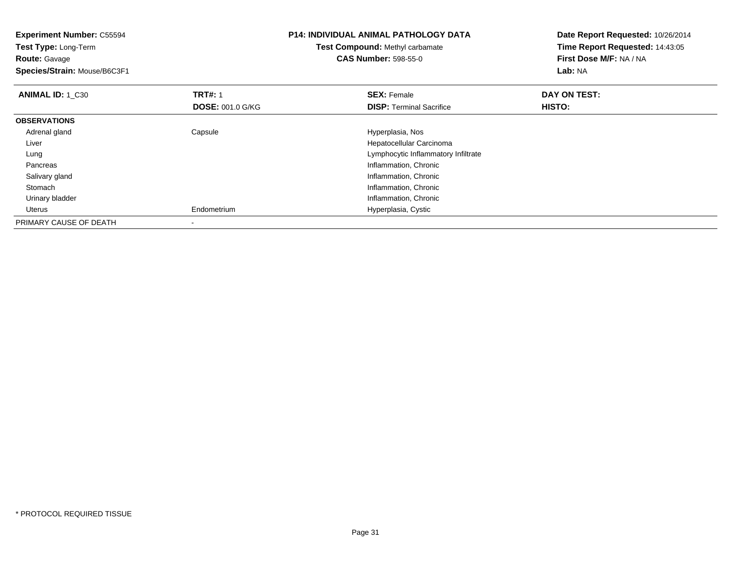| <b>Experiment Number: C55594</b><br>Test Type: Long-Term<br><b>Route:</b> Gavage<br>Species/Strain: Mouse/B6C3F1 |                         | <b>P14: INDIVIDUAL ANIMAL PATHOLOGY DATA</b><br><b>Test Compound: Methyl carbamate</b><br><b>CAS Number: 598-55-0</b> | Date Report Requested: 10/26/2014<br>Time Report Requested: 14:43:05<br>First Dose M/F: NA / NA<br>Lab: NA |
|------------------------------------------------------------------------------------------------------------------|-------------------------|-----------------------------------------------------------------------------------------------------------------------|------------------------------------------------------------------------------------------------------------|
| <b>ANIMAL ID: 1 C30</b>                                                                                          | <b>TRT#: 1</b>          | <b>SEX: Female</b>                                                                                                    | DAY ON TEST:                                                                                               |
|                                                                                                                  | <b>DOSE: 001.0 G/KG</b> | <b>DISP:</b> Terminal Sacrifice                                                                                       | HISTO:                                                                                                     |
| <b>OBSERVATIONS</b>                                                                                              |                         |                                                                                                                       |                                                                                                            |
| Adrenal gland                                                                                                    | Capsule                 | Hyperplasia, Nos                                                                                                      |                                                                                                            |
| Liver                                                                                                            |                         | Hepatocellular Carcinoma                                                                                              |                                                                                                            |
| Lung                                                                                                             |                         | Lymphocytic Inflammatory Infiltrate                                                                                   |                                                                                                            |
| Pancreas                                                                                                         |                         | Inflammation, Chronic                                                                                                 |                                                                                                            |
| Salivary gland                                                                                                   |                         | Inflammation, Chronic                                                                                                 |                                                                                                            |
| Stomach                                                                                                          |                         | Inflammation, Chronic                                                                                                 |                                                                                                            |
| Urinary bladder                                                                                                  |                         | Inflammation, Chronic                                                                                                 |                                                                                                            |
| Uterus                                                                                                           | Endometrium             | Hyperplasia, Cystic                                                                                                   |                                                                                                            |
| PRIMARY CAUSE OF DEATH                                                                                           |                         |                                                                                                                       |                                                                                                            |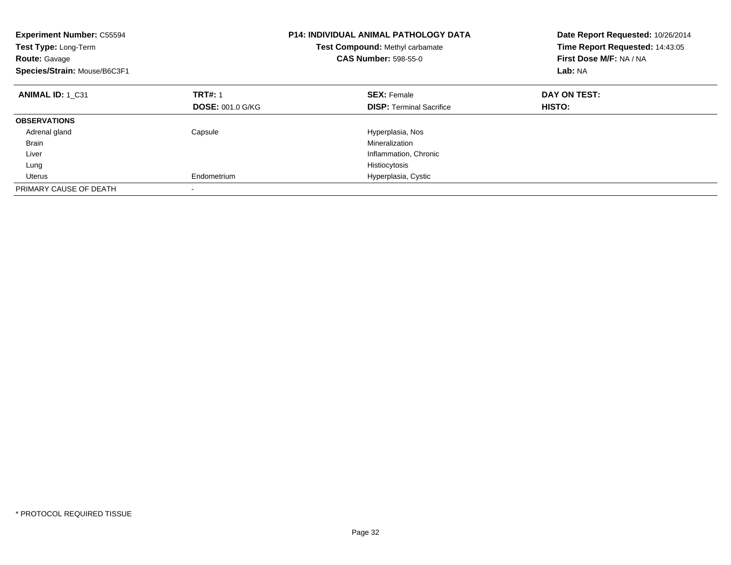| <b>Experiment Number: C55594</b><br>Test Type: Long-Term<br><b>Route: Gavage</b><br>Species/Strain: Mouse/B6C3F1 |                         | <b>P14: INDIVIDUAL ANIMAL PATHOLOGY DATA</b><br>Test Compound: Methyl carbamate<br><b>CAS Number: 598-55-0</b> | Date Report Requested: 10/26/2014<br>Time Report Requested: 14:43:05<br>First Dose M/F: NA / NA<br>Lab: NA |
|------------------------------------------------------------------------------------------------------------------|-------------------------|----------------------------------------------------------------------------------------------------------------|------------------------------------------------------------------------------------------------------------|
| ANIMAL ID: 1 C31                                                                                                 | <b>TRT#: 1</b>          | <b>SEX: Female</b>                                                                                             | DAY ON TEST:                                                                                               |
|                                                                                                                  | <b>DOSE: 001.0 G/KG</b> | <b>DISP:</b> Terminal Sacrifice                                                                                | <b>HISTO:</b>                                                                                              |
| <b>OBSERVATIONS</b>                                                                                              |                         |                                                                                                                |                                                                                                            |
| Adrenal gland                                                                                                    | Capsule                 | Hyperplasia, Nos                                                                                               |                                                                                                            |
| <b>Brain</b>                                                                                                     |                         | Mineralization                                                                                                 |                                                                                                            |
| Liver                                                                                                            |                         | Inflammation, Chronic                                                                                          |                                                                                                            |
| Lung                                                                                                             |                         | Histiocytosis                                                                                                  |                                                                                                            |
| Uterus                                                                                                           | Endometrium             | Hyperplasia, Cystic                                                                                            |                                                                                                            |
| PRIMARY CAUSE OF DEATH                                                                                           |                         |                                                                                                                |                                                                                                            |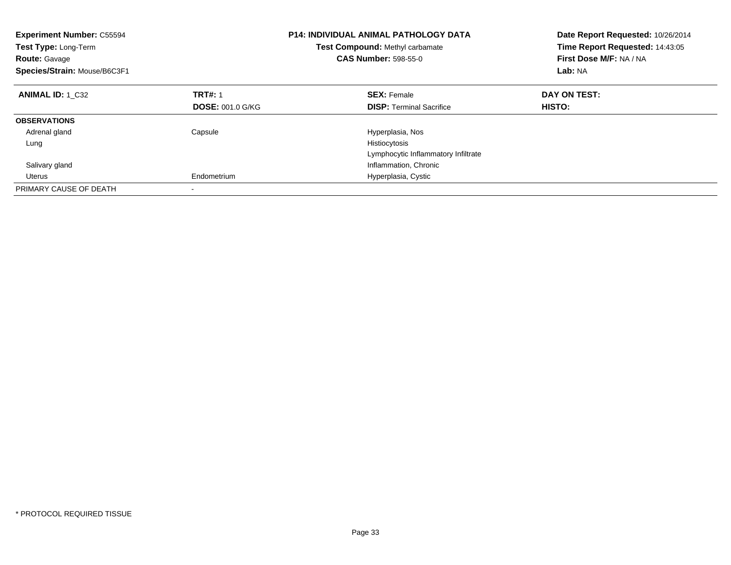| <b>Experiment Number: C55594</b><br><b>Test Type: Long-Term</b><br><b>Route: Gavage</b><br>Species/Strain: Mouse/B6C3F1 |                         | <b>P14: INDIVIDUAL ANIMAL PATHOLOGY DATA</b><br>Test Compound: Methyl carbamate<br><b>CAS Number: 598-55-0</b> | Date Report Requested: 10/26/2014<br>Time Report Requested: 14:43:05<br>First Dose M/F: NA / NA<br>Lab: NA |
|-------------------------------------------------------------------------------------------------------------------------|-------------------------|----------------------------------------------------------------------------------------------------------------|------------------------------------------------------------------------------------------------------------|
| <b>ANIMAL ID: 1 C32</b>                                                                                                 | <b>TRT#: 1</b>          | <b>SEX: Female</b>                                                                                             | DAY ON TEST:                                                                                               |
|                                                                                                                         | <b>DOSE: 001.0 G/KG</b> | <b>DISP:</b> Terminal Sacrifice                                                                                | <b>HISTO:</b>                                                                                              |
| <b>OBSERVATIONS</b>                                                                                                     |                         |                                                                                                                |                                                                                                            |
| Adrenal gland                                                                                                           | Capsule                 | Hyperplasia, Nos                                                                                               |                                                                                                            |
| Lung                                                                                                                    |                         | Histiocytosis                                                                                                  |                                                                                                            |
|                                                                                                                         |                         | Lymphocytic Inflammatory Infiltrate                                                                            |                                                                                                            |
| Salivary gland                                                                                                          |                         | Inflammation, Chronic                                                                                          |                                                                                                            |
| Uterus                                                                                                                  | Endometrium             | Hyperplasia, Cystic                                                                                            |                                                                                                            |
| PRIMARY CAUSE OF DEATH                                                                                                  |                         |                                                                                                                |                                                                                                            |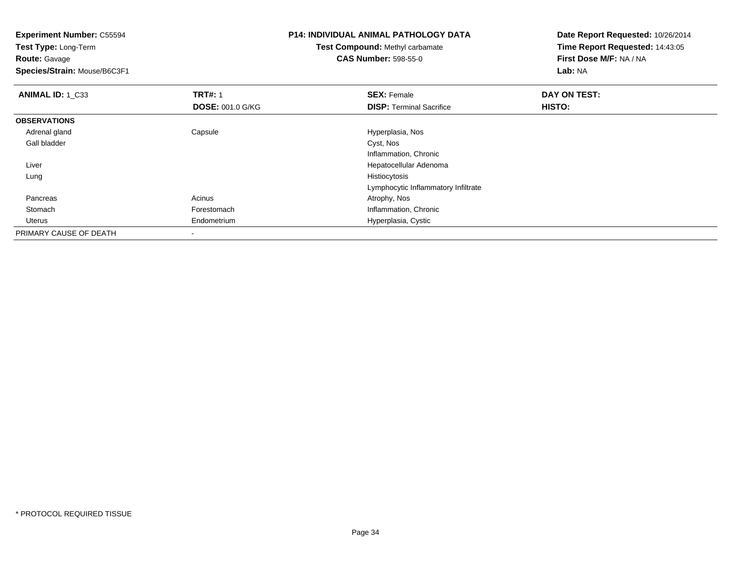**Experiment Number:** C55594**Test Type:** Long-Term**Route:** Gavage **Species/Strain:** Mouse/B6C3F1**P14: INDIVIDUAL ANIMAL PATHOLOGY DATATest Compound:** Methyl carbamate**CAS Number:** 598-55-0**Date Report Requested:** 10/26/2014**Time Report Requested:** 14:43:05**First Dose M/F:** NA / NA**Lab:** NA**ANIMAL ID: 1 C33 TRT#:** 1 **SEX:** Female **DAY ON TEST: DOSE:** 001.0 G/KG**DISP:** Terminal Sacrifice **HISTO: OBSERVATIONS** Adrenal glandCapsule **Capsule Capsule Capsule Capsule**<br>Cyst, Nos Gall bladderr and the contract of the contract of the contract of the contract of the contract of the contract of the contract of the contract of the contract of the contract of the contract of the contract of the contract of the cont Inflammation, Chronic Hepatocellular Adenoma Liver Lungg and the state of the state of the state of the state of the state of the state of the state of the state of the state of the state of the state of the state of the state of the state of the state of the state of the stat Lymphocytic Inflammatory Infiltrate Pancreass and the contract of the contract of the contract of the contract of the contract  $\mathsf{A}$  at  $\mathsf{A}$  and  $\mathsf{A}$  and  $\mathsf{A}$  and  $\mathsf{A}$  and  $\mathsf{A}$  are contract of  $\mathsf{A}$  and  $\mathsf{A}$  and  $\mathsf{A}$  are contract of StomachForestomach **Inflammation**, Chronic Uterus Endometrium Hyperplasia, Cystic PRIMARY CAUSE OF DEATH-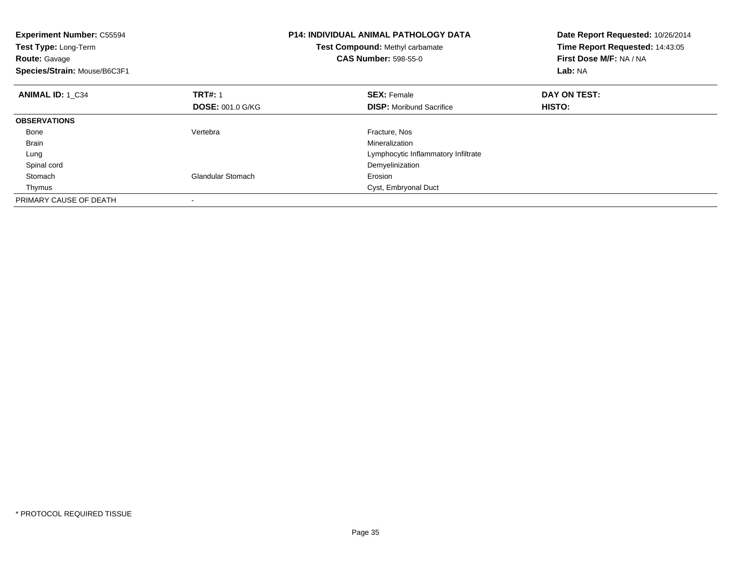| <b>Experiment Number: C55594</b><br>Test Type: Long-Term<br><b>Route: Gavage</b><br>Species/Strain: Mouse/B6C3F1 |                          | <b>P14: INDIVIDUAL ANIMAL PATHOLOGY DATA</b><br>Test Compound: Methyl carbamate<br><b>CAS Number: 598-55-0</b> | Date Report Requested: 10/26/2014<br>Time Report Requested: 14:43:05<br>First Dose M/F: NA / NA<br>Lab: NA |
|------------------------------------------------------------------------------------------------------------------|--------------------------|----------------------------------------------------------------------------------------------------------------|------------------------------------------------------------------------------------------------------------|
| <b>ANIMAL ID: 1 C34</b>                                                                                          | <b>TRT#: 1</b>           | <b>SEX: Female</b>                                                                                             | DAY ON TEST:                                                                                               |
|                                                                                                                  | <b>DOSE: 001.0 G/KG</b>  | <b>DISP:</b> Moribund Sacrifice                                                                                | <b>HISTO:</b>                                                                                              |
| <b>OBSERVATIONS</b>                                                                                              |                          |                                                                                                                |                                                                                                            |
| Bone                                                                                                             | Vertebra                 | Fracture, Nos                                                                                                  |                                                                                                            |
| <b>Brain</b>                                                                                                     |                          | Mineralization                                                                                                 |                                                                                                            |
| Lung                                                                                                             |                          | Lymphocytic Inflammatory Infiltrate                                                                            |                                                                                                            |
| Spinal cord                                                                                                      |                          | Demyelinization                                                                                                |                                                                                                            |
| Stomach                                                                                                          | <b>Glandular Stomach</b> | Erosion                                                                                                        |                                                                                                            |
| Thymus                                                                                                           |                          | Cyst, Embryonal Duct                                                                                           |                                                                                                            |
| PRIMARY CAUSE OF DEATH                                                                                           |                          |                                                                                                                |                                                                                                            |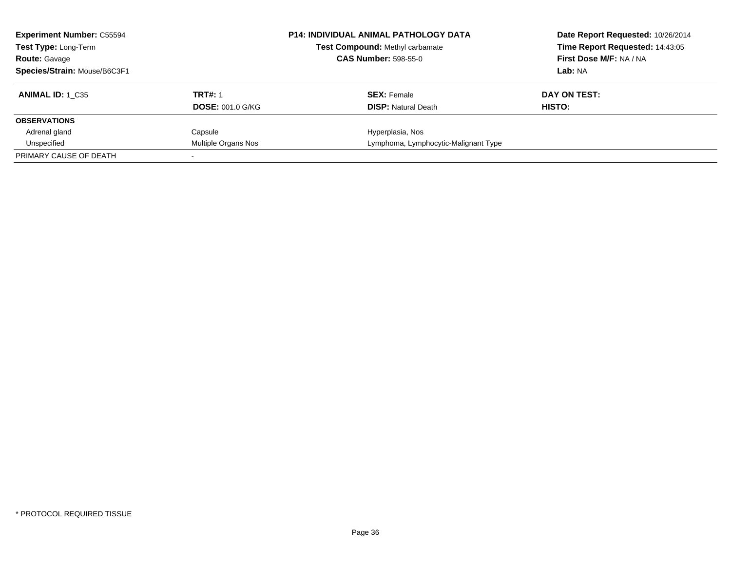| <b>Experiment Number: C55594</b><br><b>Test Type: Long-Term</b><br><b>Route: Gavage</b><br>Species/Strain: Mouse/B6C3F1 |                                           | <b>P14: INDIVIDUAL ANIMAL PATHOLOGY DATA</b><br><b>Test Compound: Methyl carbamate</b><br><b>CAS Number: 598-55-0</b> | Date Report Requested: 10/26/2014<br>Time Report Requested: 14:43:05<br>First Dose M/F: NA / NA<br>Lab: NA |
|-------------------------------------------------------------------------------------------------------------------------|-------------------------------------------|-----------------------------------------------------------------------------------------------------------------------|------------------------------------------------------------------------------------------------------------|
| <b>ANIMAL ID:</b> 1 C35                                                                                                 | <b>TRT#: 1</b><br><b>DOSE: 001.0 G/KG</b> | <b>SEX:</b> Female<br><b>DISP:</b> Natural Death                                                                      | DAY ON TEST:<br>HISTO:                                                                                     |
| <b>OBSERVATIONS</b>                                                                                                     |                                           |                                                                                                                       |                                                                                                            |
| Adrenal gland                                                                                                           | Capsule                                   | Hyperplasia, Nos                                                                                                      |                                                                                                            |
| Unspecified                                                                                                             | Multiple Organs Nos                       | Lymphoma, Lymphocytic-Malignant Type                                                                                  |                                                                                                            |
| PRIMARY CAUSE OF DEATH                                                                                                  |                                           |                                                                                                                       |                                                                                                            |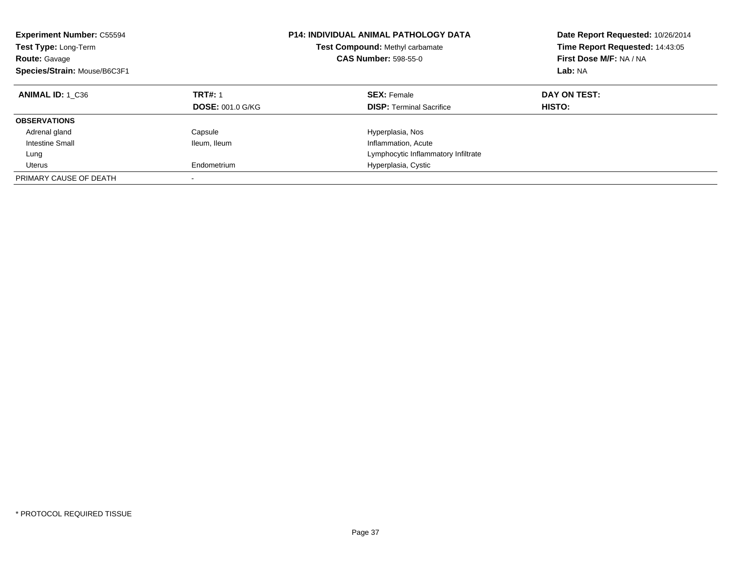| <b>Experiment Number: C55594</b><br>Test Type: Long-Term<br><b>Route: Gavage</b><br>Species/Strain: Mouse/B6C3F1 |                                           | <b>P14: INDIVIDUAL ANIMAL PATHOLOGY DATA</b><br><b>Test Compound: Methyl carbamate</b><br><b>CAS Number: 598-55-0</b> | Date Report Requested: 10/26/2014<br>Time Report Requested: 14:43:05<br>First Dose M/F: NA / NA<br>Lab: NA |
|------------------------------------------------------------------------------------------------------------------|-------------------------------------------|-----------------------------------------------------------------------------------------------------------------------|------------------------------------------------------------------------------------------------------------|
| ANIMAL ID: 1 C36                                                                                                 | <b>TRT#: 1</b><br><b>DOSE: 001.0 G/KG</b> | <b>SEX: Female</b><br><b>DISP:</b> Terminal Sacrifice                                                                 | DAY ON TEST:<br><b>HISTO:</b>                                                                              |
| <b>OBSERVATIONS</b>                                                                                              |                                           |                                                                                                                       |                                                                                                            |
|                                                                                                                  |                                           |                                                                                                                       |                                                                                                            |
| Adrenal gland                                                                                                    | Capsule                                   | Hyperplasia, Nos                                                                                                      |                                                                                                            |
| Intestine Small                                                                                                  | Ileum, Ileum                              | Inflammation, Acute                                                                                                   |                                                                                                            |
| Lung                                                                                                             |                                           | Lymphocytic Inflammatory Infiltrate                                                                                   |                                                                                                            |
| Uterus                                                                                                           | Endometrium                               | Hyperplasia, Cystic                                                                                                   |                                                                                                            |
| PRIMARY CAUSE OF DEATH                                                                                           | $\overline{\phantom{a}}$                  |                                                                                                                       |                                                                                                            |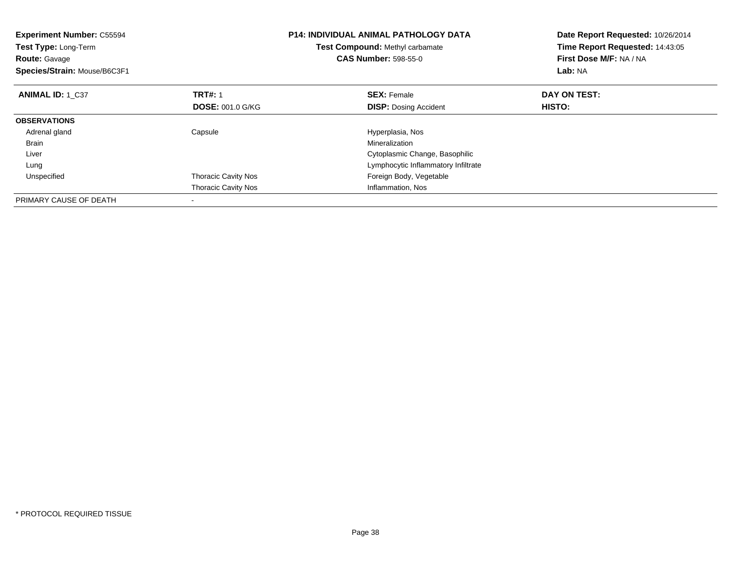| <b>Experiment Number: C55594</b><br>Test Type: Long-Term<br><b>Route: Gavage</b><br>Species/Strain: Mouse/B6C3F1 |                            | <b>P14: INDIVIDUAL ANIMAL PATHOLOGY DATA</b><br>Test Compound: Methyl carbamate<br><b>CAS Number: 598-55-0</b> | Date Report Requested: 10/26/2014<br>Time Report Requested: 14:43:05<br>First Dose M/F: NA / NA<br>Lab: NA |
|------------------------------------------------------------------------------------------------------------------|----------------------------|----------------------------------------------------------------------------------------------------------------|------------------------------------------------------------------------------------------------------------|
| <b>ANIMAL ID: 1 C37</b>                                                                                          | <b>TRT#: 1</b>             | <b>SEX: Female</b>                                                                                             | DAY ON TEST:                                                                                               |
|                                                                                                                  | <b>DOSE: 001.0 G/KG</b>    | <b>DISP:</b> Dosing Accident                                                                                   | HISTO:                                                                                                     |
| <b>OBSERVATIONS</b>                                                                                              |                            |                                                                                                                |                                                                                                            |
| Adrenal gland                                                                                                    | Capsule                    | Hyperplasia, Nos                                                                                               |                                                                                                            |
| <b>Brain</b>                                                                                                     |                            | Mineralization                                                                                                 |                                                                                                            |
| Liver                                                                                                            |                            | Cytoplasmic Change, Basophilic                                                                                 |                                                                                                            |
| Lung                                                                                                             |                            | Lymphocytic Inflammatory Infiltrate                                                                            |                                                                                                            |
| Unspecified                                                                                                      | <b>Thoracic Cavity Nos</b> | Foreign Body, Vegetable                                                                                        |                                                                                                            |
|                                                                                                                  | <b>Thoracic Cavity Nos</b> | Inflammation, Nos                                                                                              |                                                                                                            |
| PRIMARY CAUSE OF DEATH                                                                                           |                            |                                                                                                                |                                                                                                            |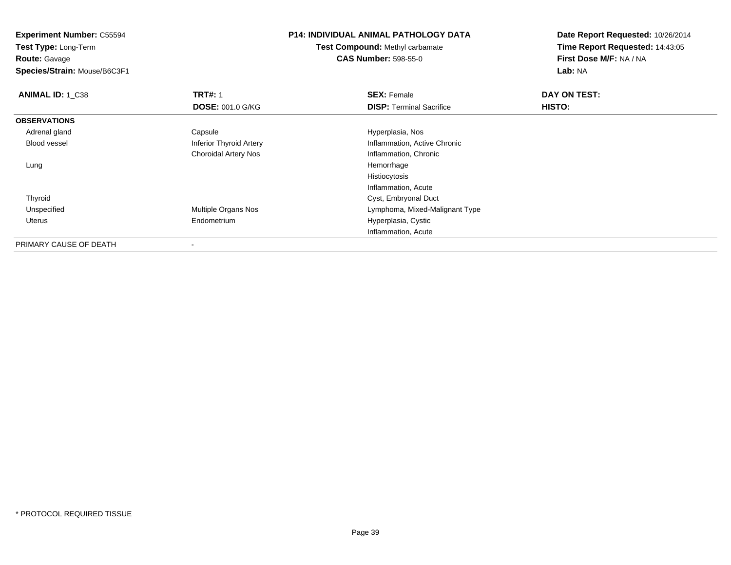**Experiment Number:** C55594**Test Type:** Long-Term**Route:** Gavage **Species/Strain:** Mouse/B6C3F1**P14: INDIVIDUAL ANIMAL PATHOLOGY DATATest Compound:** Methyl carbamate**CAS Number:** 598-55-0**Date Report Requested:** 10/26/2014**Time Report Requested:** 14:43:05**First Dose M/F:** NA / NA**Lab:** NA**ANIMAL ID: 1 C38 REX:** Female **DAY ON TEST: CONSIST: SEX:** Female **DOSE:** 001.0 G/KG**DISP:** Terminal Sacrifice **HISTO: OBSERVATIONS** Adrenal glandCapsule **Capsule Hyperplasia**, Nos Blood vessel Inferior Thyroid Artery Inflammation, Active Chronic Choroidal Artery Nos Inflammation, Chronic Lungg and the state of the state of the state of the state of the state of the state of the state of the state of the state of the state of the state of the state of the state of the state of the state of the state of the stat Histiocytosis Inflammation, Acute Cyst, Embryonal Duct Thyroid UnspecifiedMultiple Organs Nos **Multiple Organs Nos** Lymphoma, Mixed-Malignant Type Uterus Endometrium Hyperplasia, Cystic Inflammation, AcutePRIMARY CAUSE OF DEATH-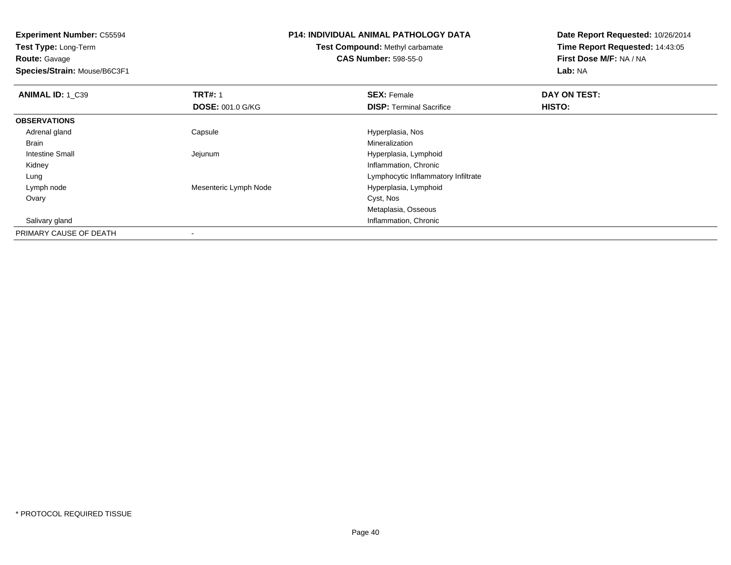**Experiment Number:** C55594**Test Type:** Long-Term**Route:** Gavage **Species/Strain:** Mouse/B6C3F1**P14: INDIVIDUAL ANIMAL PATHOLOGY DATATest Compound:** Methyl carbamate**CAS Number:** 598-55-0**Date Report Requested:** 10/26/2014**Time Report Requested:** 14:43:05**First Dose M/F:** NA / NA**Lab:** NA**ANIMAL ID: 1 C39 TRT#:** 1 **SEX:** Female **DAY ON TEST: DOSE:** 001.0 G/KG**DISP:** Terminal Sacrifice **HISTO: OBSERVATIONS** Adrenal glandCapsule **Capsule Capsule Capsule Capsule** Hyperplasia, Nos<br>
Mineralization Brainn and the control of the control of the control of the control of the control of the control of the control of the control of the control of the control of the control of the control of the control of the control of the co Intestine Small Jejunum Hyperplasia, Lymphoid Kidney Inflammation, Chronic LungLymphocytic Inflammatory Infiltrate<br>
Mesenteric Lymph Node<br>
Hyperplasia, Lymphoid Lymph nodeHyperplasia, Lymphoid<br>Cyst, Nos Ovaryy and the control of the control of the control of the control of the control of the control of the control of the control of the control of the control of the control of the control of the control of the control of the co Metaplasia, Osseous**Inflammation, Chronic**  Salivary glandPRIMARY CAUSE OF DEATH-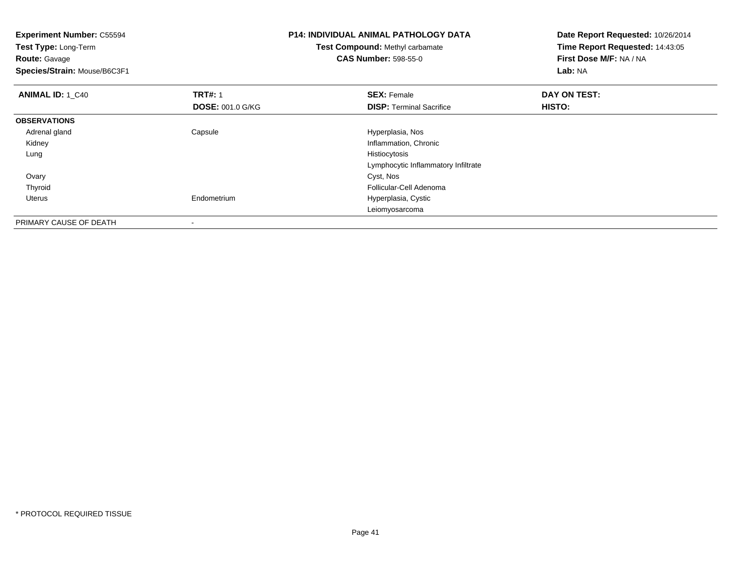| <b>Experiment Number: C55594</b><br>Test Type: Long-Term<br><b>Route: Gavage</b> |                         | <b>P14: INDIVIDUAL ANIMAL PATHOLOGY DATA</b><br>Test Compound: Methyl carbamate<br><b>CAS Number: 598-55-0</b> | Date Report Requested: 10/26/2014<br>Time Report Requested: 14:43:05<br>First Dose M/F: NA / NA |
|----------------------------------------------------------------------------------|-------------------------|----------------------------------------------------------------------------------------------------------------|-------------------------------------------------------------------------------------------------|
| Species/Strain: Mouse/B6C3F1                                                     |                         |                                                                                                                | Lab: NA                                                                                         |
| <b>ANIMAL ID: 1 C40</b>                                                          | <b>TRT#: 1</b>          | <b>SEX: Female</b>                                                                                             | DAY ON TEST:                                                                                    |
|                                                                                  | <b>DOSE: 001.0 G/KG</b> | <b>DISP:</b> Terminal Sacrifice                                                                                | HISTO:                                                                                          |
| <b>OBSERVATIONS</b>                                                              |                         |                                                                                                                |                                                                                                 |
| Adrenal gland                                                                    | Capsule                 | Hyperplasia, Nos                                                                                               |                                                                                                 |
| Kidney                                                                           |                         | Inflammation, Chronic                                                                                          |                                                                                                 |
| Lung                                                                             |                         | Histiocytosis                                                                                                  |                                                                                                 |
|                                                                                  |                         | Lymphocytic Inflammatory Infiltrate                                                                            |                                                                                                 |
| Ovary                                                                            |                         | Cyst, Nos                                                                                                      |                                                                                                 |
| Thyroid                                                                          |                         | Follicular-Cell Adenoma                                                                                        |                                                                                                 |
| Uterus                                                                           | Endometrium             | Hyperplasia, Cystic                                                                                            |                                                                                                 |
|                                                                                  |                         | Leiomyosarcoma                                                                                                 |                                                                                                 |
| PRIMARY CAUSE OF DEATH                                                           |                         |                                                                                                                |                                                                                                 |

-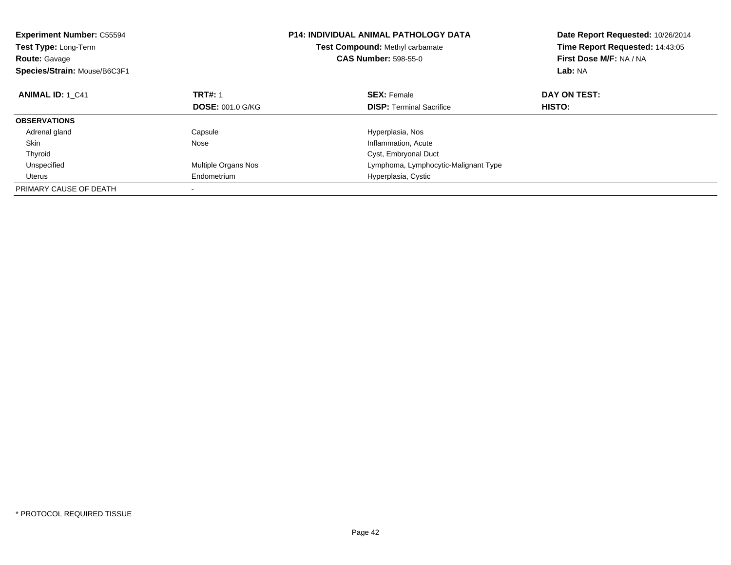| <b>Experiment Number: C55594</b><br>Test Type: Long-Term<br><b>Route: Gavage</b><br>Species/Strain: Mouse/B6C3F1 |                         | <b>P14: INDIVIDUAL ANIMAL PATHOLOGY DATA</b><br>Test Compound: Methyl carbamate<br><b>CAS Number: 598-55-0</b> | Date Report Requested: 10/26/2014<br>Time Report Requested: 14:43:05<br>First Dose M/F: NA / NA<br>Lab: NA |
|------------------------------------------------------------------------------------------------------------------|-------------------------|----------------------------------------------------------------------------------------------------------------|------------------------------------------------------------------------------------------------------------|
| <b>ANIMAL ID: 1 C41</b>                                                                                          | <b>TRT#: 1</b>          | <b>SEX: Female</b>                                                                                             | DAY ON TEST:                                                                                               |
|                                                                                                                  | <b>DOSE: 001.0 G/KG</b> | <b>DISP: Terminal Sacrifice</b>                                                                                | HISTO:                                                                                                     |
| <b>OBSERVATIONS</b>                                                                                              |                         |                                                                                                                |                                                                                                            |
| Adrenal gland                                                                                                    | Capsule                 | Hyperplasia, Nos                                                                                               |                                                                                                            |
| Skin                                                                                                             | Nose                    | Inflammation, Acute                                                                                            |                                                                                                            |
| Thyroid                                                                                                          |                         | Cyst, Embryonal Duct                                                                                           |                                                                                                            |
| Unspecified                                                                                                      | Multiple Organs Nos     | Lymphoma, Lymphocytic-Malignant Type                                                                           |                                                                                                            |
| Uterus                                                                                                           | Endometrium             | Hyperplasia, Cystic                                                                                            |                                                                                                            |
| PRIMARY CAUSE OF DEATH                                                                                           |                         |                                                                                                                |                                                                                                            |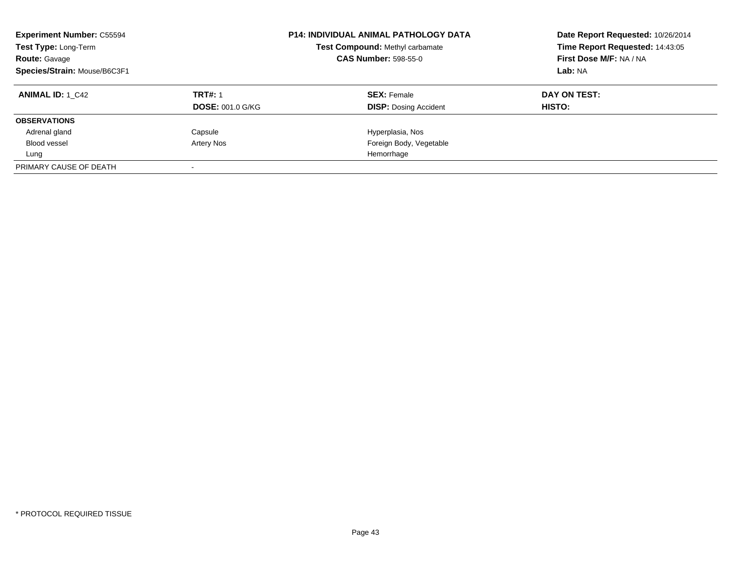| <b>Experiment Number: C55594</b><br>Test Type: Long-Term<br><b>Route: Gavage</b><br>Species/Strain: Mouse/B6C3F1 |                         | <b>P14: INDIVIDUAL ANIMAL PATHOLOGY DATA</b><br>Test Compound: Methyl carbamate<br><b>CAS Number: 598-55-0</b> | Date Report Requested: 10/26/2014<br>Time Report Requested: 14:43:05<br>First Dose M/F: NA / NA<br>Lab: NA |
|------------------------------------------------------------------------------------------------------------------|-------------------------|----------------------------------------------------------------------------------------------------------------|------------------------------------------------------------------------------------------------------------|
| <b>ANIMAL ID: 1 C42</b>                                                                                          | <b>TRT#: 1</b>          | <b>SEX: Female</b>                                                                                             | DAY ON TEST:                                                                                               |
|                                                                                                                  | <b>DOSE: 001.0 G/KG</b> | <b>DISP:</b> Dosing Accident                                                                                   | <b>HISTO:</b>                                                                                              |
| <b>OBSERVATIONS</b>                                                                                              |                         |                                                                                                                |                                                                                                            |
| Adrenal gland                                                                                                    | Capsule                 | Hyperplasia, Nos                                                                                               |                                                                                                            |
| Blood vessel                                                                                                     | Artery Nos              | Foreign Body, Vegetable                                                                                        |                                                                                                            |
| Lung                                                                                                             |                         | Hemorrhage                                                                                                     |                                                                                                            |
| PRIMARY CAUSE OF DEATH                                                                                           |                         |                                                                                                                |                                                                                                            |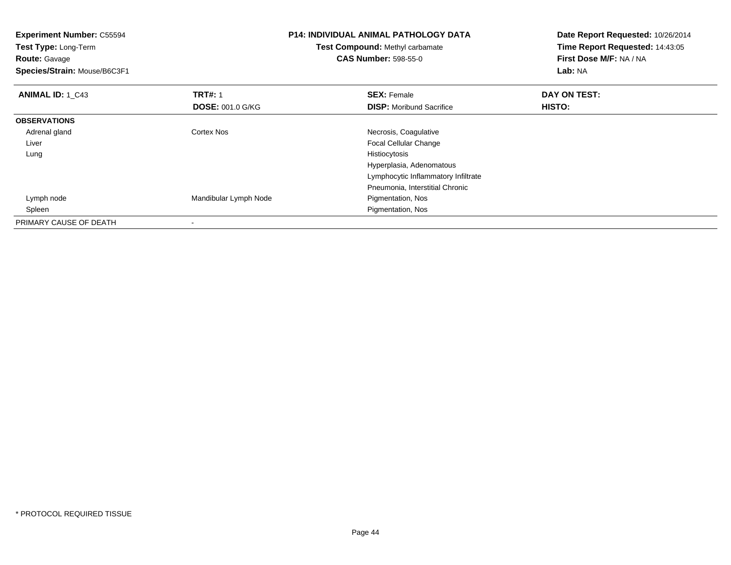| <b>Experiment Number: C55594</b><br>Test Type: Long-Term<br><b>Route: Gavage</b><br>Species/Strain: Mouse/B6C3F1 |                         | <b>P14: INDIVIDUAL ANIMAL PATHOLOGY DATA</b><br>Test Compound: Methyl carbamate<br><b>CAS Number: 598-55-0</b> | Date Report Requested: 10/26/2014<br>Time Report Requested: 14:43:05<br>First Dose M/F: NA / NA<br>Lab: NA |
|------------------------------------------------------------------------------------------------------------------|-------------------------|----------------------------------------------------------------------------------------------------------------|------------------------------------------------------------------------------------------------------------|
| <b>ANIMAL ID: 1 C43</b>                                                                                          | <b>TRT#: 1</b>          | <b>SEX: Female</b>                                                                                             | DAY ON TEST:                                                                                               |
|                                                                                                                  | <b>DOSE: 001.0 G/KG</b> | <b>DISP:</b> Moribund Sacrifice                                                                                | HISTO:                                                                                                     |
| <b>OBSERVATIONS</b>                                                                                              |                         |                                                                                                                |                                                                                                            |
| Adrenal gland                                                                                                    | <b>Cortex Nos</b>       | Necrosis, Coagulative                                                                                          |                                                                                                            |
| Liver                                                                                                            |                         | <b>Focal Cellular Change</b>                                                                                   |                                                                                                            |
| Lung                                                                                                             |                         | Histiocytosis                                                                                                  |                                                                                                            |
|                                                                                                                  |                         | Hyperplasia, Adenomatous                                                                                       |                                                                                                            |
|                                                                                                                  |                         | Lymphocytic Inflammatory Infiltrate                                                                            |                                                                                                            |
|                                                                                                                  |                         | Pneumonia, Interstitial Chronic                                                                                |                                                                                                            |
| Lymph node                                                                                                       | Mandibular Lymph Node   | Pigmentation, Nos                                                                                              |                                                                                                            |
| Spleen                                                                                                           |                         | Pigmentation, Nos                                                                                              |                                                                                                            |
| PRIMARY CAUSE OF DEATH                                                                                           |                         |                                                                                                                |                                                                                                            |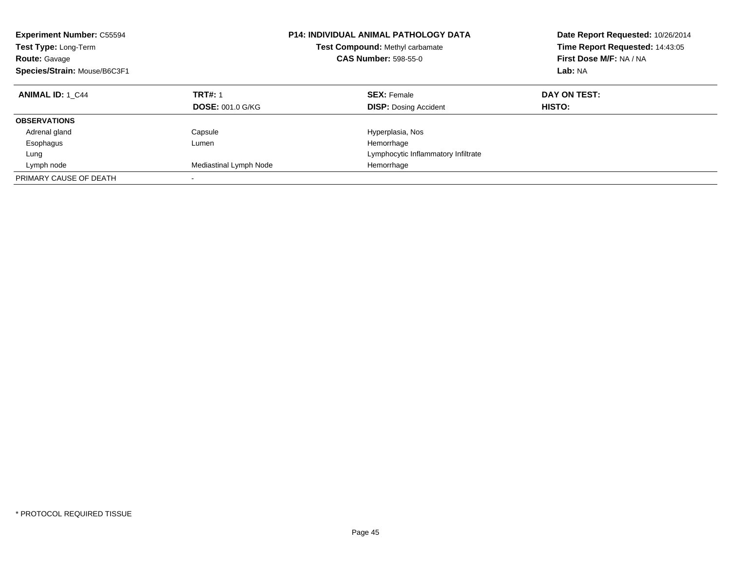| <b>Experiment Number: C55594</b><br>Test Type: Long-Term<br><b>Route: Gavage</b><br>Species/Strain: Mouse/B6C3F1 |                         | <b>P14: INDIVIDUAL ANIMAL PATHOLOGY DATA</b><br>Test Compound: Methyl carbamate<br><b>CAS Number: 598-55-0</b> | Date Report Requested: 10/26/2014<br>Time Report Requested: 14:43:05<br>First Dose M/F: NA / NA<br>Lab: NA |
|------------------------------------------------------------------------------------------------------------------|-------------------------|----------------------------------------------------------------------------------------------------------------|------------------------------------------------------------------------------------------------------------|
| <b>ANIMAL ID: 1 C44</b>                                                                                          | <b>TRT#: 1</b>          | <b>SEX: Female</b>                                                                                             | DAY ON TEST:                                                                                               |
|                                                                                                                  | <b>DOSE: 001.0 G/KG</b> | <b>DISP:</b> Dosing Accident                                                                                   | HISTO:                                                                                                     |
| <b>OBSERVATIONS</b>                                                                                              |                         |                                                                                                                |                                                                                                            |
| Adrenal gland                                                                                                    | Capsule                 | Hyperplasia, Nos                                                                                               |                                                                                                            |
| Esophagus                                                                                                        | Lumen                   | Hemorrhage                                                                                                     |                                                                                                            |
| Lung                                                                                                             |                         | Lymphocytic Inflammatory Infiltrate                                                                            |                                                                                                            |
| Lymph node                                                                                                       | Mediastinal Lymph Node  | Hemorrhage                                                                                                     |                                                                                                            |
| PRIMARY CAUSE OF DEATH                                                                                           |                         |                                                                                                                |                                                                                                            |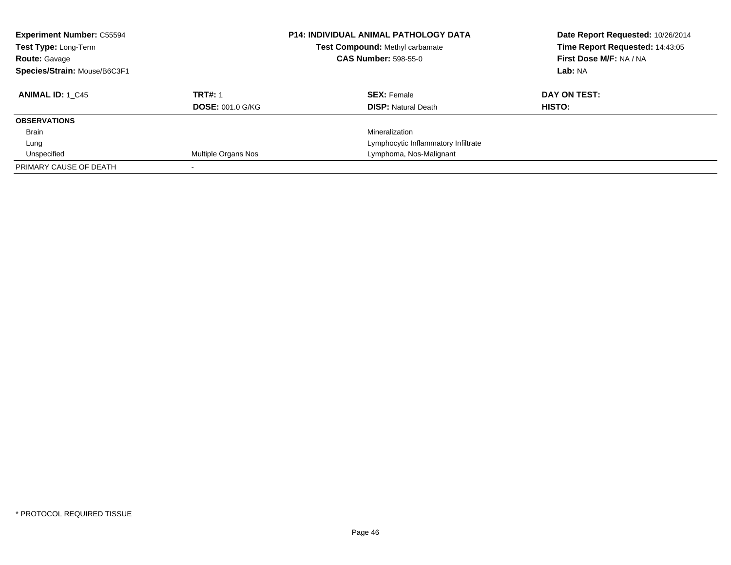| <b>Experiment Number: C55594</b><br>Test Type: Long-Term<br><b>Route: Gavage</b><br>Species/Strain: Mouse/B6C3F1 |                         | <b>P14: INDIVIDUAL ANIMAL PATHOLOGY DATA</b><br><b>Test Compound: Methyl carbamate</b><br><b>CAS Number: 598-55-0</b> | Date Report Requested: 10/26/2014<br>Time Report Requested: 14:43:05<br>First Dose M/F: NA / NA<br>Lab: NA |
|------------------------------------------------------------------------------------------------------------------|-------------------------|-----------------------------------------------------------------------------------------------------------------------|------------------------------------------------------------------------------------------------------------|
| <b>ANIMAL ID: 1 C45</b>                                                                                          | <b>TRT#: 1</b>          | <b>SEX: Female</b>                                                                                                    | DAY ON TEST:                                                                                               |
|                                                                                                                  | <b>DOSE: 001.0 G/KG</b> | <b>DISP:</b> Natural Death                                                                                            | HISTO:                                                                                                     |
| <b>OBSERVATIONS</b>                                                                                              |                         |                                                                                                                       |                                                                                                            |
| Brain                                                                                                            |                         | Mineralization                                                                                                        |                                                                                                            |
| Lung                                                                                                             |                         | Lymphocytic Inflammatory Infiltrate                                                                                   |                                                                                                            |
| Unspecified                                                                                                      | Multiple Organs Nos     | Lymphoma, Nos-Malignant                                                                                               |                                                                                                            |
| PRIMARY CAUSE OF DEATH                                                                                           |                         |                                                                                                                       |                                                                                                            |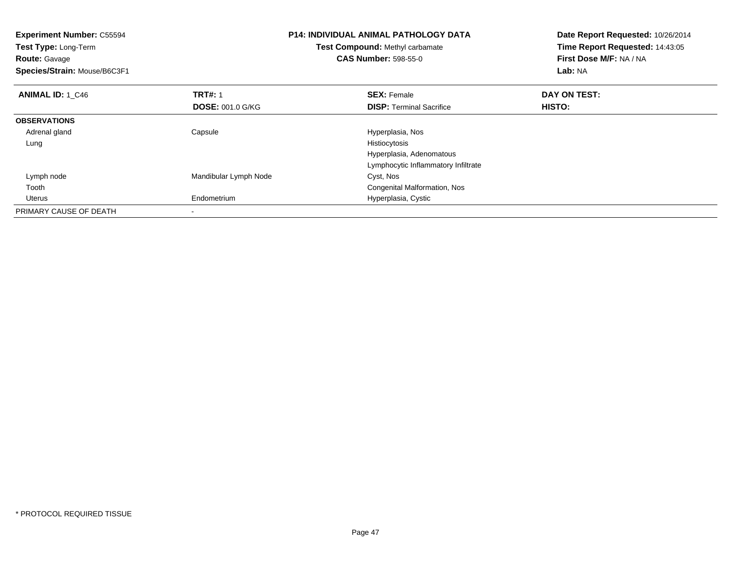| <b>Experiment Number: C55594</b><br>Test Type: Long-Term<br><b>Route: Gavage</b><br>Species/Strain: Mouse/B6C3F1 |                         | <b>P14: INDIVIDUAL ANIMAL PATHOLOGY DATA</b><br>Test Compound: Methyl carbamate<br><b>CAS Number: 598-55-0</b> | Date Report Requested: 10/26/2014<br>Time Report Requested: 14:43:05<br>First Dose M/F: NA / NA<br>Lab: NA |
|------------------------------------------------------------------------------------------------------------------|-------------------------|----------------------------------------------------------------------------------------------------------------|------------------------------------------------------------------------------------------------------------|
| <b>ANIMAL ID: 1_C46</b>                                                                                          | <b>TRT#: 1</b>          | <b>SEX: Female</b>                                                                                             | DAY ON TEST:                                                                                               |
|                                                                                                                  | <b>DOSE: 001.0 G/KG</b> | <b>DISP:</b> Terminal Sacrifice                                                                                | <b>HISTO:</b>                                                                                              |
| <b>OBSERVATIONS</b>                                                                                              |                         |                                                                                                                |                                                                                                            |
| Adrenal gland                                                                                                    | Capsule                 | Hyperplasia, Nos                                                                                               |                                                                                                            |
| Lung                                                                                                             |                         | Histiocytosis                                                                                                  |                                                                                                            |
|                                                                                                                  |                         | Hyperplasia, Adenomatous                                                                                       |                                                                                                            |
|                                                                                                                  |                         | Lymphocytic Inflammatory Infiltrate                                                                            |                                                                                                            |
| Lymph node                                                                                                       | Mandibular Lymph Node   | Cyst, Nos                                                                                                      |                                                                                                            |
| Tooth                                                                                                            |                         | Congenital Malformation, Nos                                                                                   |                                                                                                            |
| Uterus                                                                                                           | Endometrium             | Hyperplasia, Cystic                                                                                            |                                                                                                            |
| PRIMARY CAUSE OF DEATH                                                                                           |                         |                                                                                                                |                                                                                                            |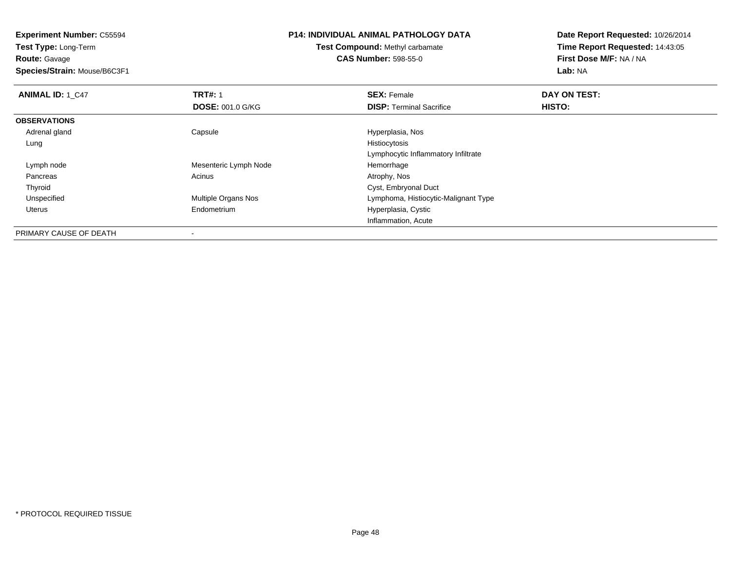**Experiment Number:** C55594**Test Type:** Long-Term**Route:** Gavage **Species/Strain:** Mouse/B6C3F1**P14: INDIVIDUAL ANIMAL PATHOLOGY DATATest Compound:** Methyl carbamate**CAS Number:** 598-55-0**Date Report Requested:** 10/26/2014**Time Report Requested:** 14:43:05**First Dose M/F:** NA / NA**Lab:** NA**ANIMAL ID: 1 C47 TRT#:** 1 **SEX:** Female **DAY ON TEST: DOSE:** 001.0 G/KG**DISP:** Terminal Sacrifice **HISTO: OBSERVATIONS** Adrenal glandCapsule Hyperplasia, Nos<br>
Histiocytosis<br>
Histiocytosis Lungg and the state of the state of the state of the state of the state of the state of the state of the state of the state of the state of the state of the state of the state of the state of the state of the state of the stat Lymphocytic Inflammatory Infiltrate Lymph nodeMesenteric Lymph Node<br>
Acinus<br>
Atrophy, Nos Pancreass and the contract of the contract of the contract of the contract of the contract  $\mathsf{A}$  at  $\mathsf{A}$  and  $\mathsf{A}$  and  $\mathsf{A}$  and  $\mathsf{A}$  and  $\mathsf{A}$  are contract of  $\mathsf{A}$  and  $\mathsf{A}$  and  $\mathsf{A}$  are contract of ThyroidCyst, Embryonal Duct<br>Multiple Organs Nos<br>Lymphoma, Histiocytic UnspecifiedLymphoma, Histiocytic-Malignant Type Uterus Endometrium Hyperplasia, Cystic Inflammation, Acute

PRIMARY CAUSE OF DEATH-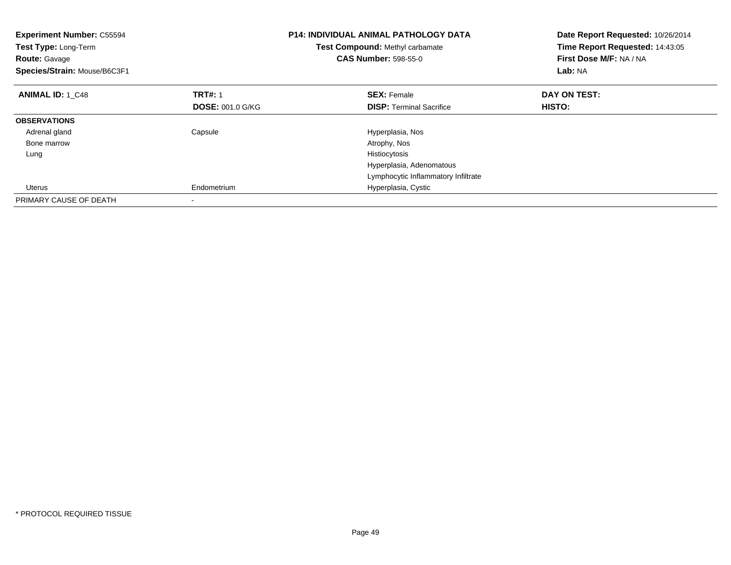| <b>Experiment Number: C55594</b><br>Test Type: Long-Term<br><b>Route: Gavage</b><br>Species/Strain: Mouse/B6C3F1 |                         | <b>P14: INDIVIDUAL ANIMAL PATHOLOGY DATA</b><br>Test Compound: Methyl carbamate<br><b>CAS Number: 598-55-0</b> | Date Report Requested: 10/26/2014<br>Time Report Requested: 14:43:05<br>First Dose M/F: NA / NA<br>Lab: NA |
|------------------------------------------------------------------------------------------------------------------|-------------------------|----------------------------------------------------------------------------------------------------------------|------------------------------------------------------------------------------------------------------------|
| <b>ANIMAL ID: 1 C48</b>                                                                                          | <b>TRT#: 1</b>          | <b>SEX: Female</b>                                                                                             | DAY ON TEST:                                                                                               |
|                                                                                                                  | <b>DOSE: 001.0 G/KG</b> | <b>DISP:</b> Terminal Sacrifice                                                                                | <b>HISTO:</b>                                                                                              |
| <b>OBSERVATIONS</b>                                                                                              |                         |                                                                                                                |                                                                                                            |
| Adrenal gland                                                                                                    | Capsule                 | Hyperplasia, Nos                                                                                               |                                                                                                            |
| Bone marrow                                                                                                      |                         | Atrophy, Nos                                                                                                   |                                                                                                            |
| Lung                                                                                                             |                         | Histiocytosis                                                                                                  |                                                                                                            |
|                                                                                                                  |                         | Hyperplasia, Adenomatous                                                                                       |                                                                                                            |
|                                                                                                                  |                         | Lymphocytic Inflammatory Infiltrate                                                                            |                                                                                                            |
| Uterus                                                                                                           | Endometrium             | Hyperplasia, Cystic                                                                                            |                                                                                                            |
| PRIMARY CAUSE OF DEATH                                                                                           |                         |                                                                                                                |                                                                                                            |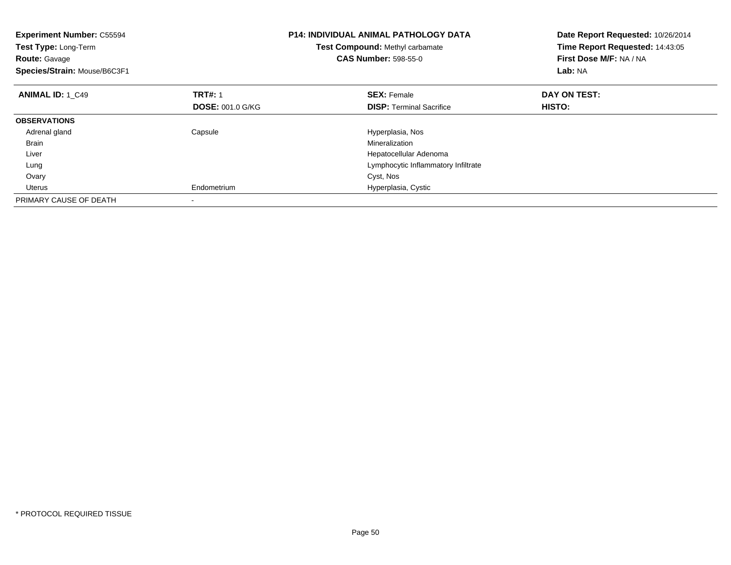| <b>Experiment Number: C55594</b><br>Test Type: Long-Term<br><b>Route: Gavage</b><br>Species/Strain: Mouse/B6C3F1 |                         | <b>P14: INDIVIDUAL ANIMAL PATHOLOGY DATA</b><br>Test Compound: Methyl carbamate<br><b>CAS Number: 598-55-0</b> | Date Report Requested: 10/26/2014<br>Time Report Requested: 14:43:05<br>First Dose M/F: NA / NA<br>Lab: NA |
|------------------------------------------------------------------------------------------------------------------|-------------------------|----------------------------------------------------------------------------------------------------------------|------------------------------------------------------------------------------------------------------------|
| <b>ANIMAL ID: 1 C49</b>                                                                                          | <b>TRT#: 1</b>          | <b>SEX: Female</b>                                                                                             | DAY ON TEST:                                                                                               |
|                                                                                                                  | <b>DOSE: 001.0 G/KG</b> | <b>DISP:</b> Terminal Sacrifice                                                                                | HISTO:                                                                                                     |
| <b>OBSERVATIONS</b>                                                                                              |                         |                                                                                                                |                                                                                                            |
| Adrenal gland                                                                                                    | Capsule                 | Hyperplasia, Nos                                                                                               |                                                                                                            |
| <b>Brain</b>                                                                                                     |                         | Mineralization                                                                                                 |                                                                                                            |
| Liver                                                                                                            |                         | Hepatocellular Adenoma                                                                                         |                                                                                                            |
| Lung                                                                                                             |                         | Lymphocytic Inflammatory Infiltrate                                                                            |                                                                                                            |
| Ovary                                                                                                            |                         | Cyst, Nos                                                                                                      |                                                                                                            |
| Uterus                                                                                                           | Endometrium             | Hyperplasia, Cystic                                                                                            |                                                                                                            |
| PRIMARY CAUSE OF DEATH                                                                                           |                         |                                                                                                                |                                                                                                            |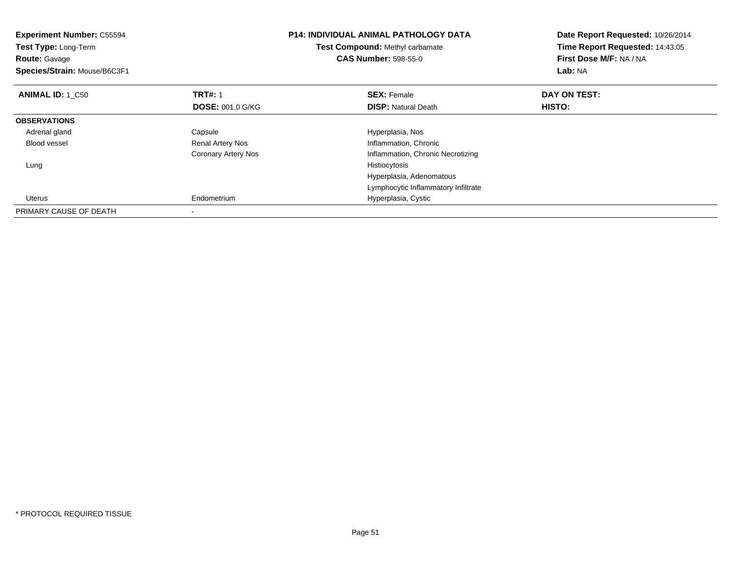| <b>Experiment Number: C55594</b><br>Test Type: Long-Term<br><b>Route: Gavage</b><br>Species/Strain: Mouse/B6C3F1 |                         | <b>P14: INDIVIDUAL ANIMAL PATHOLOGY DATA</b><br>Test Compound: Methyl carbamate<br><b>CAS Number: 598-55-0</b> | Date Report Requested: 10/26/2014<br>Time Report Requested: 14:43:05<br>First Dose M/F: NA / NA<br>Lab: NA |
|------------------------------------------------------------------------------------------------------------------|-------------------------|----------------------------------------------------------------------------------------------------------------|------------------------------------------------------------------------------------------------------------|
| <b>ANIMAL ID: 1 C50</b>                                                                                          | <b>TRT#: 1</b>          | <b>SEX: Female</b>                                                                                             | DAY ON TEST:                                                                                               |
|                                                                                                                  | <b>DOSE: 001.0 G/KG</b> | <b>DISP:</b> Natural Death                                                                                     | <b>HISTO:</b>                                                                                              |
| <b>OBSERVATIONS</b>                                                                                              |                         |                                                                                                                |                                                                                                            |
| Adrenal gland                                                                                                    | Capsule                 | Hyperplasia, Nos                                                                                               |                                                                                                            |
| Blood vessel                                                                                                     | Renal Artery Nos        | Inflammation, Chronic                                                                                          |                                                                                                            |
|                                                                                                                  | Coronary Artery Nos     | Inflammation, Chronic Necrotizing                                                                              |                                                                                                            |
| Lung                                                                                                             |                         | Histiocytosis                                                                                                  |                                                                                                            |
|                                                                                                                  |                         | Hyperplasia, Adenomatous                                                                                       |                                                                                                            |
|                                                                                                                  |                         | Lymphocytic Inflammatory Infiltrate                                                                            |                                                                                                            |
| Uterus                                                                                                           | Endometrium             | Hyperplasia, Cystic                                                                                            |                                                                                                            |
| PRIMARY CAUSE OF DEATH                                                                                           |                         |                                                                                                                |                                                                                                            |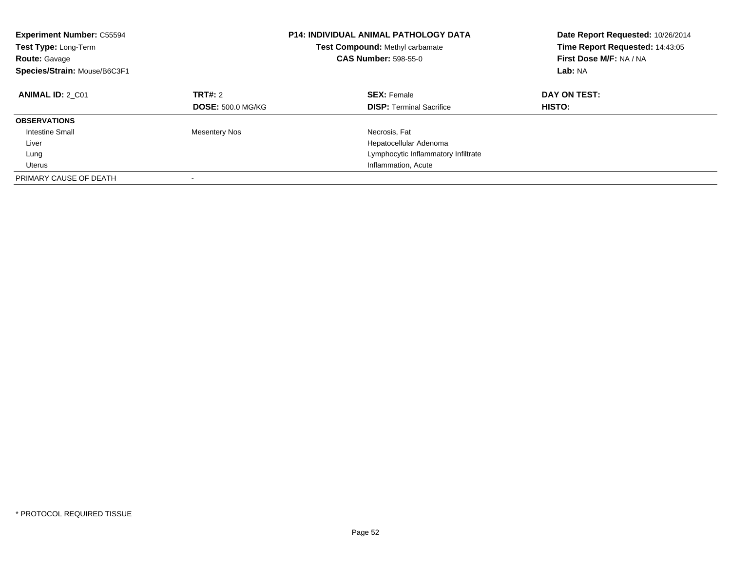| <b>Experiment Number: C55594</b><br>Test Type: Long-Term<br><b>Route: Gavage</b><br>Species/Strain: Mouse/B6C3F1 |                                     | <b>P14: INDIVIDUAL ANIMAL PATHOLOGY DATA</b><br><b>Test Compound: Methyl carbamate</b><br><b>CAS Number: 598-55-0</b> | Date Report Requested: 10/26/2014<br>Time Report Requested: 14:43:05<br>First Dose M/F: NA / NA<br>Lab: NA |
|------------------------------------------------------------------------------------------------------------------|-------------------------------------|-----------------------------------------------------------------------------------------------------------------------|------------------------------------------------------------------------------------------------------------|
| <b>ANIMAL ID: 2 C01</b>                                                                                          | TRT#: 2<br><b>DOSE: 500.0 MG/KG</b> | <b>SEX: Female</b><br><b>DISP:</b> Terminal Sacrifice                                                                 | DAY ON TEST:<br>HISTO:                                                                                     |
| <b>OBSERVATIONS</b>                                                                                              |                                     |                                                                                                                       |                                                                                                            |
| <b>Intestine Small</b>                                                                                           | <b>Mesentery Nos</b>                | Necrosis, Fat                                                                                                         |                                                                                                            |
| Liver                                                                                                            |                                     | Hepatocellular Adenoma                                                                                                |                                                                                                            |
| Lung                                                                                                             |                                     | Lymphocytic Inflammatory Infiltrate                                                                                   |                                                                                                            |
| Uterus                                                                                                           |                                     | Inflammation, Acute                                                                                                   |                                                                                                            |
| PRIMARY CAUSE OF DEATH                                                                                           |                                     |                                                                                                                       |                                                                                                            |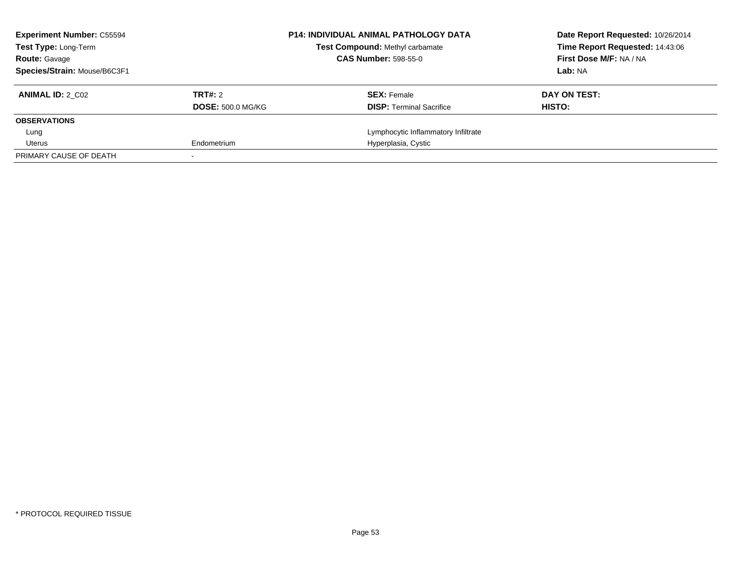| <b>Experiment Number: C55594</b><br><b>Test Type: Long-Term</b> | <b>P14: INDIVIDUAL ANIMAL PATHOLOGY DATA</b><br><b>Test Compound: Methyl carbamate</b> |                                     | Date Report Requested: 10/26/2014<br>Time Report Requested: 14:43:06 |
|-----------------------------------------------------------------|----------------------------------------------------------------------------------------|-------------------------------------|----------------------------------------------------------------------|
| <b>Route: Gavage</b>                                            |                                                                                        | <b>CAS Number: 598-55-0</b>         | First Dose M/F: NA / NA                                              |
| Species/Strain: Mouse/B6C3F1                                    |                                                                                        |                                     | Lab: NA                                                              |
| <b>ANIMAL ID: 2 C02</b>                                         | TRT#: 2                                                                                | <b>SEX: Female</b>                  | DAY ON TEST:                                                         |
|                                                                 | <b>DOSE: 500.0 MG/KG</b>                                                               | <b>DISP:</b> Terminal Sacrifice     | HISTO:                                                               |
| <b>OBSERVATIONS</b>                                             |                                                                                        |                                     |                                                                      |
| Lung                                                            |                                                                                        | Lymphocytic Inflammatory Infiltrate |                                                                      |
| Uterus                                                          | Endometrium                                                                            | Hyperplasia, Cystic                 |                                                                      |
| PRIMARY CAUSE OF DEATH                                          |                                                                                        |                                     |                                                                      |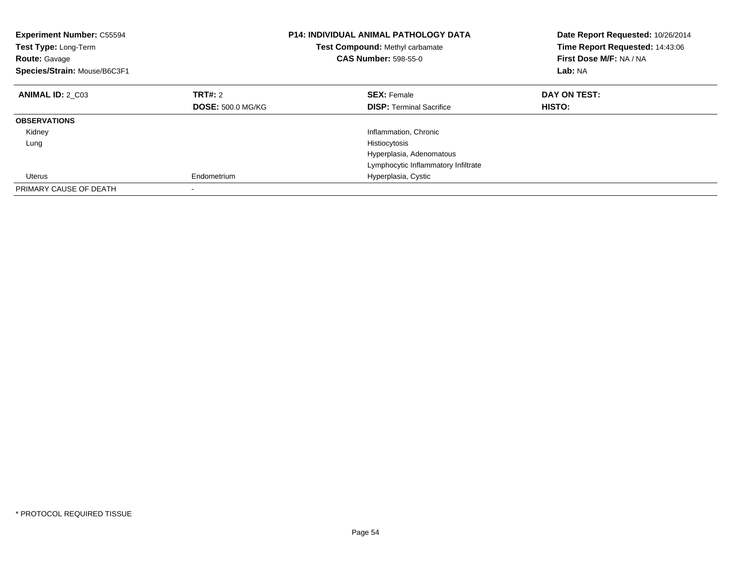| <b>Experiment Number: C55594</b><br>Test Type: Long-Term<br><b>Route: Gavage</b><br>Species/Strain: Mouse/B6C3F1 |                          | <b>P14: INDIVIDUAL ANIMAL PATHOLOGY DATA</b><br><b>Test Compound: Methyl carbamate</b><br><b>CAS Number: 598-55-0</b> | Date Report Requested: 10/26/2014<br>Time Report Requested: 14:43:06<br>First Dose M/F: NA / NA<br>Lab: NA |
|------------------------------------------------------------------------------------------------------------------|--------------------------|-----------------------------------------------------------------------------------------------------------------------|------------------------------------------------------------------------------------------------------------|
| <b>ANIMAL ID: 2 C03</b>                                                                                          | TRT#: 2                  | <b>SEX: Female</b>                                                                                                    | DAY ON TEST:                                                                                               |
|                                                                                                                  | <b>DOSE: 500.0 MG/KG</b> | <b>DISP:</b> Terminal Sacrifice                                                                                       | <b>HISTO:</b>                                                                                              |
| <b>OBSERVATIONS</b>                                                                                              |                          |                                                                                                                       |                                                                                                            |
| Kidney                                                                                                           |                          | Inflammation, Chronic                                                                                                 |                                                                                                            |
| Lung                                                                                                             |                          | Histiocytosis                                                                                                         |                                                                                                            |
|                                                                                                                  |                          | Hyperplasia, Adenomatous                                                                                              |                                                                                                            |
|                                                                                                                  |                          | Lymphocytic Inflammatory Infiltrate                                                                                   |                                                                                                            |
| Uterus                                                                                                           | Endometrium              | Hyperplasia, Cystic                                                                                                   |                                                                                                            |
| PRIMARY CAUSE OF DEATH                                                                                           |                          |                                                                                                                       |                                                                                                            |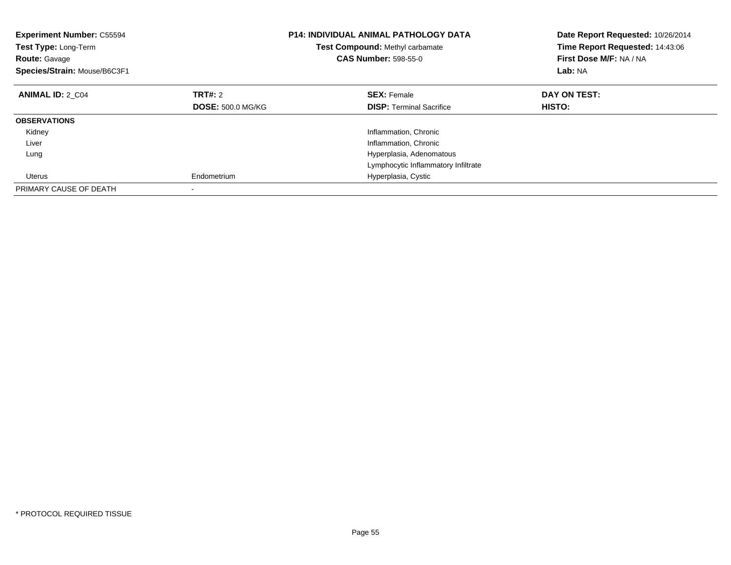| <b>Experiment Number: C55594</b><br>Test Type: Long-Term<br><b>Route: Gavage</b><br>Species/Strain: Mouse/B6C3F1 |                          | <b>P14: INDIVIDUAL ANIMAL PATHOLOGY DATA</b><br><b>Test Compound: Methyl carbamate</b><br><b>CAS Number: 598-55-0</b> |                                     | Date Report Requested: 10/26/2014<br>Time Report Requested: 14:43:06<br>First Dose M/F: NA / NA<br>Lab: NA |
|------------------------------------------------------------------------------------------------------------------|--------------------------|-----------------------------------------------------------------------------------------------------------------------|-------------------------------------|------------------------------------------------------------------------------------------------------------|
| <b>ANIMAL ID: 2 C04</b>                                                                                          | TRT#: 2                  | <b>SEX: Female</b>                                                                                                    |                                     | DAY ON TEST:                                                                                               |
|                                                                                                                  | <b>DOSE: 500.0 MG/KG</b> |                                                                                                                       | <b>DISP:</b> Terminal Sacrifice     | HISTO:                                                                                                     |
| <b>OBSERVATIONS</b>                                                                                              |                          |                                                                                                                       |                                     |                                                                                                            |
| Kidney                                                                                                           |                          |                                                                                                                       | Inflammation, Chronic               |                                                                                                            |
| Liver                                                                                                            |                          |                                                                                                                       | Inflammation, Chronic               |                                                                                                            |
| Lung                                                                                                             |                          |                                                                                                                       | Hyperplasia, Adenomatous            |                                                                                                            |
|                                                                                                                  |                          |                                                                                                                       | Lymphocytic Inflammatory Infiltrate |                                                                                                            |
| Uterus                                                                                                           | Endometrium              |                                                                                                                       | Hyperplasia, Cystic                 |                                                                                                            |
| PRIMARY CAUSE OF DEATH                                                                                           |                          |                                                                                                                       |                                     |                                                                                                            |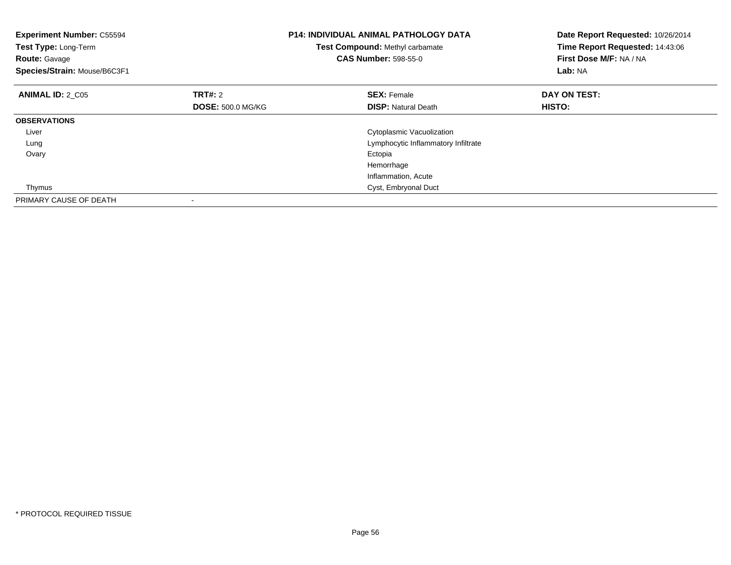| <b>Experiment Number: C55594</b><br>Test Type: Long-Term<br><b>Route: Gavage</b><br>Species/Strain: Mouse/B6C3F1 |                          | <b>P14: INDIVIDUAL ANIMAL PATHOLOGY DATA</b><br><b>Test Compound: Methyl carbamate</b><br><b>CAS Number: 598-55-0</b> | Date Report Requested: 10/26/2014<br>Time Report Requested: 14:43:06<br>First Dose M/F: NA / NA<br>Lab: NA |
|------------------------------------------------------------------------------------------------------------------|--------------------------|-----------------------------------------------------------------------------------------------------------------------|------------------------------------------------------------------------------------------------------------|
| <b>ANIMAL ID: 2 C05</b>                                                                                          | TRT#: 2                  | <b>SEX: Female</b>                                                                                                    | DAY ON TEST:                                                                                               |
|                                                                                                                  | <b>DOSE: 500.0 MG/KG</b> | <b>DISP: Natural Death</b>                                                                                            | <b>HISTO:</b>                                                                                              |
| <b>OBSERVATIONS</b>                                                                                              |                          |                                                                                                                       |                                                                                                            |
| Liver                                                                                                            |                          | Cytoplasmic Vacuolization                                                                                             |                                                                                                            |
| Lung                                                                                                             |                          | Lymphocytic Inflammatory Infiltrate                                                                                   |                                                                                                            |
| Ovary                                                                                                            |                          | Ectopia                                                                                                               |                                                                                                            |
|                                                                                                                  |                          | Hemorrhage                                                                                                            |                                                                                                            |
|                                                                                                                  |                          | Inflammation, Acute                                                                                                   |                                                                                                            |
| Thymus                                                                                                           |                          | Cyst, Embryonal Duct                                                                                                  |                                                                                                            |
| PRIMARY CAUSE OF DEATH                                                                                           |                          |                                                                                                                       |                                                                                                            |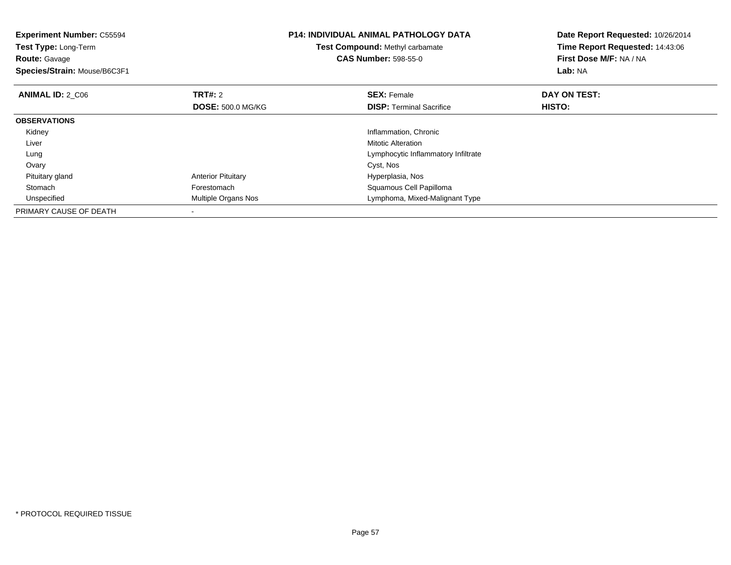| <b>Experiment Number: C55594</b><br>Test Type: Long-Term<br><b>Route:</b> Gavage<br>Species/Strain: Mouse/B6C3F1 |                           | <b>P14: INDIVIDUAL ANIMAL PATHOLOGY DATA</b><br>Test Compound: Methyl carbamate<br><b>CAS Number: 598-55-0</b> | Date Report Requested: 10/26/2014<br>Time Report Requested: 14:43:06<br>First Dose M/F: NA / NA<br>Lab: NA |
|------------------------------------------------------------------------------------------------------------------|---------------------------|----------------------------------------------------------------------------------------------------------------|------------------------------------------------------------------------------------------------------------|
| <b>ANIMAL ID: 2 C06</b>                                                                                          | <b>TRT#: 2</b>            | <b>SEX: Female</b>                                                                                             | DAY ON TEST:                                                                                               |
|                                                                                                                  | <b>DOSE: 500.0 MG/KG</b>  | <b>DISP:</b> Terminal Sacrifice                                                                                | <b>HISTO:</b>                                                                                              |
| <b>OBSERVATIONS</b>                                                                                              |                           |                                                                                                                |                                                                                                            |
| Kidney                                                                                                           |                           | Inflammation, Chronic                                                                                          |                                                                                                            |
| Liver                                                                                                            |                           | <b>Mitotic Alteration</b>                                                                                      |                                                                                                            |
| Lung                                                                                                             |                           | Lymphocytic Inflammatory Infiltrate                                                                            |                                                                                                            |
| Ovary                                                                                                            |                           | Cyst, Nos                                                                                                      |                                                                                                            |
| Pituitary gland                                                                                                  | <b>Anterior Pituitary</b> | Hyperplasia, Nos                                                                                               |                                                                                                            |
| Stomach                                                                                                          | Forestomach               | Squamous Cell Papilloma                                                                                        |                                                                                                            |
| Unspecified                                                                                                      | Multiple Organs Nos       | Lymphoma, Mixed-Malignant Type                                                                                 |                                                                                                            |
| PRIMARY CAUSE OF DEATH                                                                                           |                           |                                                                                                                |                                                                                                            |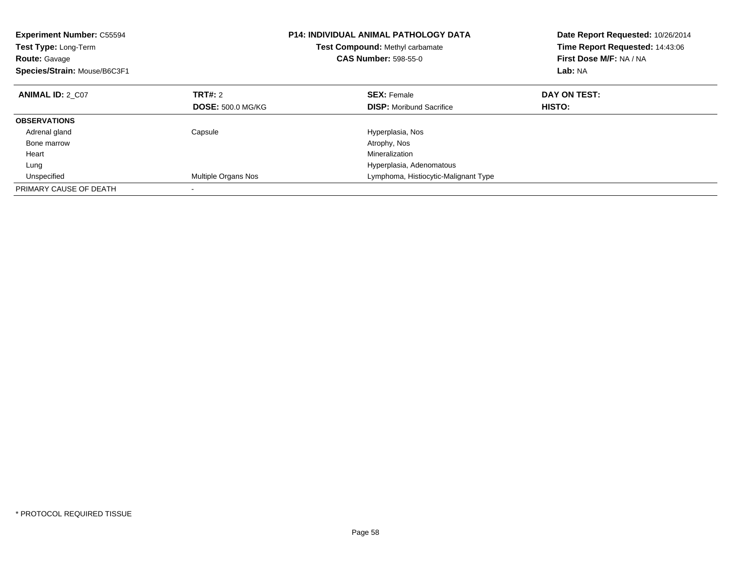| <b>Experiment Number: C55594</b><br>Test Type: Long-Term<br><b>Route: Gavage</b><br>Species/Strain: Mouse/B6C3F1 |                          | P14: INDIVIDUAL ANIMAL PATHOLOGY DATA<br>Test Compound: Methyl carbamate<br><b>CAS Number: 598-55-0</b> | Date Report Requested: 10/26/2014<br>Time Report Requested: 14:43:06<br>First Dose M/F: NA / NA<br>Lab: NA |  |
|------------------------------------------------------------------------------------------------------------------|--------------------------|---------------------------------------------------------------------------------------------------------|------------------------------------------------------------------------------------------------------------|--|
| <b>ANIMAL ID: 2 C07</b>                                                                                          | TRT#: 2                  | <b>SEX:</b> Female                                                                                      | DAY ON TEST:                                                                                               |  |
|                                                                                                                  | <b>DOSE: 500.0 MG/KG</b> | <b>DISP:</b> Moribund Sacrifice                                                                         | HISTO:                                                                                                     |  |
| <b>OBSERVATIONS</b>                                                                                              |                          |                                                                                                         |                                                                                                            |  |
| Adrenal gland                                                                                                    | Capsule                  | Hyperplasia, Nos                                                                                        |                                                                                                            |  |
| Bone marrow                                                                                                      |                          | Atrophy, Nos                                                                                            |                                                                                                            |  |
| Heart                                                                                                            |                          | Mineralization                                                                                          |                                                                                                            |  |
| Lung                                                                                                             |                          | Hyperplasia, Adenomatous                                                                                |                                                                                                            |  |
| Unspecified                                                                                                      | Multiple Organs Nos      | Lymphoma, Histiocytic-Malignant Type                                                                    |                                                                                                            |  |
| PRIMARY CAUSE OF DEATH                                                                                           |                          |                                                                                                         |                                                                                                            |  |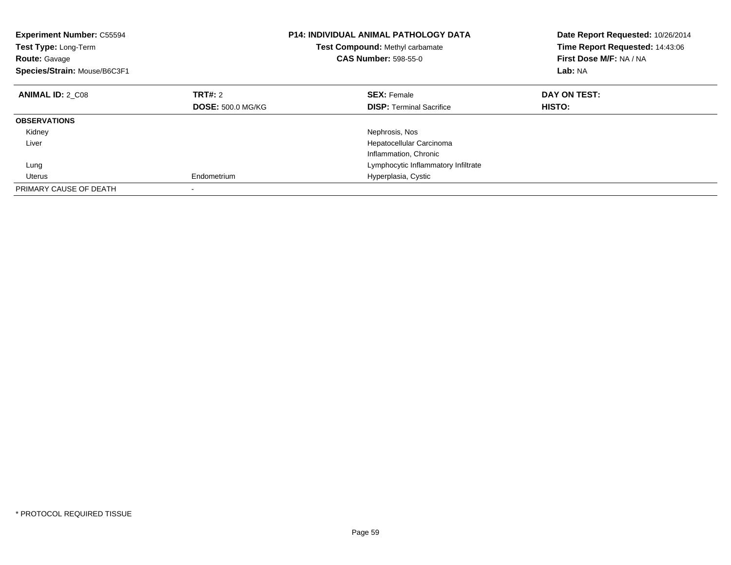| <b>Experiment Number: C55594</b><br>Test Type: Long-Term<br><b>Route: Gavage</b><br>Species/Strain: Mouse/B6C3F1 |                          | <b>P14: INDIVIDUAL ANIMAL PATHOLOGY DATA</b><br>Test Compound: Methyl carbamate<br><b>CAS Number: 598-55-0</b> | Date Report Requested: 10/26/2014<br>Time Report Requested: 14:43:06<br>First Dose M/F: NA / NA<br>Lab: NA |
|------------------------------------------------------------------------------------------------------------------|--------------------------|----------------------------------------------------------------------------------------------------------------|------------------------------------------------------------------------------------------------------------|
| <b>ANIMAL ID: 2 C08</b>                                                                                          | TRT#: 2                  | <b>SEX: Female</b>                                                                                             | DAY ON TEST:                                                                                               |
|                                                                                                                  | <b>DOSE: 500.0 MG/KG</b> | <b>DISP:</b> Terminal Sacrifice                                                                                | <b>HISTO:</b>                                                                                              |
| <b>OBSERVATIONS</b>                                                                                              |                          |                                                                                                                |                                                                                                            |
| Kidney                                                                                                           |                          | Nephrosis, Nos                                                                                                 |                                                                                                            |
| Liver                                                                                                            |                          | Hepatocellular Carcinoma                                                                                       |                                                                                                            |
|                                                                                                                  |                          | Inflammation, Chronic                                                                                          |                                                                                                            |
| Lung                                                                                                             |                          | Lymphocytic Inflammatory Infiltrate                                                                            |                                                                                                            |
| Uterus                                                                                                           | Endometrium              | Hyperplasia, Cystic                                                                                            |                                                                                                            |
| PRIMARY CAUSE OF DEATH                                                                                           |                          |                                                                                                                |                                                                                                            |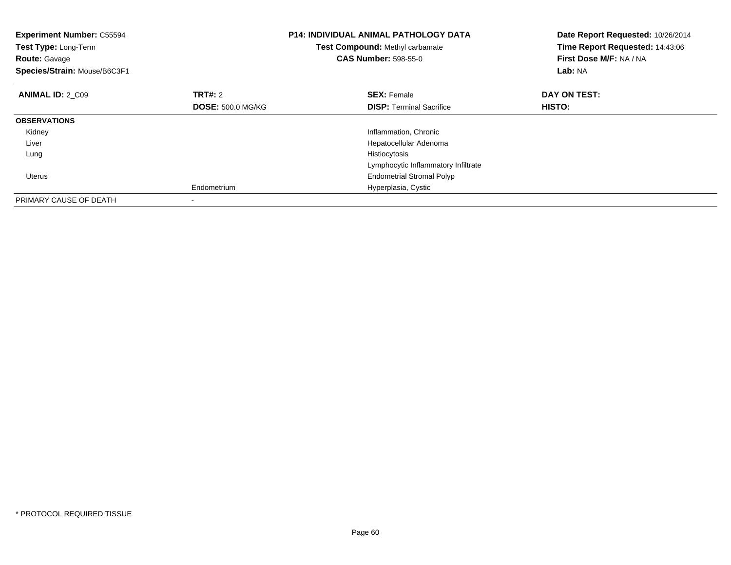| <b>Experiment Number: C55594</b><br>Test Type: Long-Term<br><b>Route: Gavage</b><br>Species/Strain: Mouse/B6C3F1 |                          | <b>P14: INDIVIDUAL ANIMAL PATHOLOGY DATA</b><br>Test Compound: Methyl carbamate<br><b>CAS Number: 598-55-0</b> | Date Report Requested: 10/26/2014<br>Time Report Requested: 14:43:06<br>First Dose M/F: NA / NA<br>Lab: NA |
|------------------------------------------------------------------------------------------------------------------|--------------------------|----------------------------------------------------------------------------------------------------------------|------------------------------------------------------------------------------------------------------------|
| <b>ANIMAL ID: 2 C09</b>                                                                                          | TRT#: 2                  | <b>SEX: Female</b>                                                                                             | DAY ON TEST:                                                                                               |
|                                                                                                                  | <b>DOSE: 500.0 MG/KG</b> | <b>DISP:</b> Terminal Sacrifice                                                                                | HISTO:                                                                                                     |
| <b>OBSERVATIONS</b>                                                                                              |                          |                                                                                                                |                                                                                                            |
| Kidney                                                                                                           |                          | Inflammation, Chronic                                                                                          |                                                                                                            |
| Liver                                                                                                            |                          | Hepatocellular Adenoma                                                                                         |                                                                                                            |
| Lung                                                                                                             |                          | Histiocytosis                                                                                                  |                                                                                                            |
|                                                                                                                  |                          | Lymphocytic Inflammatory Infiltrate                                                                            |                                                                                                            |
| <b>Uterus</b>                                                                                                    |                          | <b>Endometrial Stromal Polyp</b>                                                                               |                                                                                                            |
|                                                                                                                  | Endometrium              | Hyperplasia, Cystic                                                                                            |                                                                                                            |
| PRIMARY CAUSE OF DEATH                                                                                           |                          |                                                                                                                |                                                                                                            |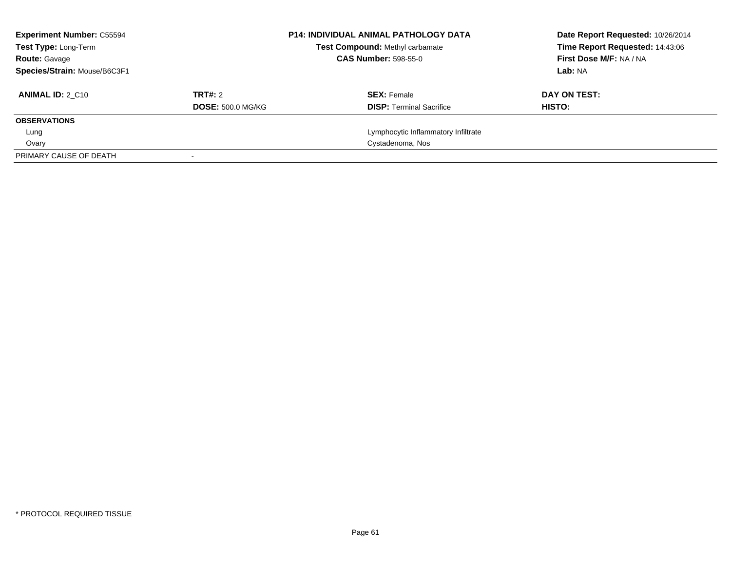| <b>Experiment Number: C55594</b><br><b>Test Type: Long-Term</b> |                          | <b>P14: INDIVIDUAL ANIMAL PATHOLOGY DATA</b><br>Test Compound: Methyl carbamate |                                     | Date Report Requested: 10/26/2014<br>Time Report Requested: 14:43:06 |
|-----------------------------------------------------------------|--------------------------|---------------------------------------------------------------------------------|-------------------------------------|----------------------------------------------------------------------|
| <b>Route: Gavage</b>                                            |                          | <b>CAS Number: 598-55-0</b>                                                     |                                     | First Dose M/F: NA / NA                                              |
| Species/Strain: Mouse/B6C3F1                                    |                          |                                                                                 |                                     | Lab: NA                                                              |
| <b>ANIMAL ID: 2 C10</b>                                         | TRT#: 2                  |                                                                                 | <b>SEX: Female</b>                  | DAY ON TEST:                                                         |
|                                                                 | <b>DOSE: 500.0 MG/KG</b> |                                                                                 | <b>DISP:</b> Terminal Sacrifice     | HISTO:                                                               |
| <b>OBSERVATIONS</b>                                             |                          |                                                                                 |                                     |                                                                      |
| Lung                                                            |                          |                                                                                 | Lymphocytic Inflammatory Infiltrate |                                                                      |
| Ovary                                                           |                          |                                                                                 | Cystadenoma, Nos                    |                                                                      |
| PRIMARY CAUSE OF DEATH                                          |                          |                                                                                 |                                     |                                                                      |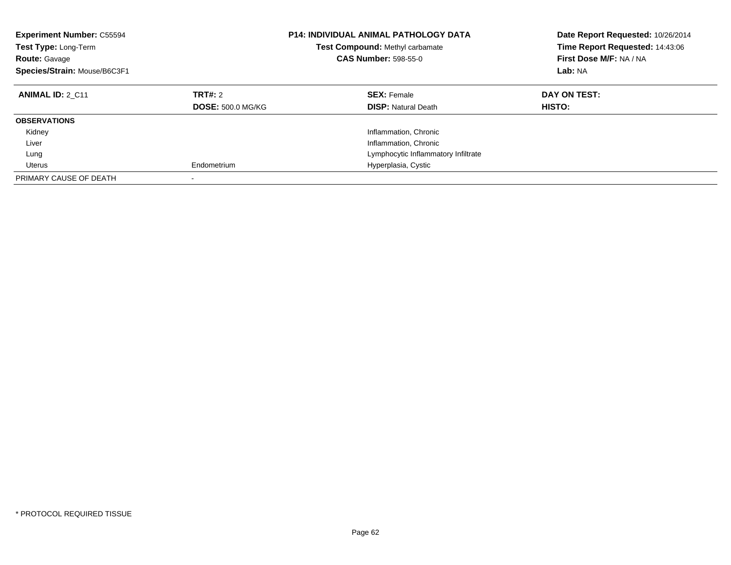| <b>Experiment Number: C55594</b><br>Test Type: Long-Term<br><b>Route: Gavage</b><br>Species/Strain: Mouse/B6C3F1 |                                     | <b>P14: INDIVIDUAL ANIMAL PATHOLOGY DATA</b><br><b>Test Compound: Methyl carbamate</b><br><b>CAS Number: 598-55-0</b> | Date Report Requested: 10/26/2014<br>Time Report Requested: 14:43:06<br>First Dose M/F: NA / NA<br>Lab: NA |
|------------------------------------------------------------------------------------------------------------------|-------------------------------------|-----------------------------------------------------------------------------------------------------------------------|------------------------------------------------------------------------------------------------------------|
| <b>ANIMAL ID: 2 C11</b>                                                                                          | TRT#: 2<br><b>DOSE: 500.0 MG/KG</b> | <b>SEX: Female</b><br><b>DISP:</b> Natural Death                                                                      | DAY ON TEST:<br><b>HISTO:</b>                                                                              |
| <b>OBSERVATIONS</b>                                                                                              |                                     |                                                                                                                       |                                                                                                            |
| Kidney                                                                                                           |                                     | Inflammation, Chronic                                                                                                 |                                                                                                            |
| Liver                                                                                                            |                                     | Inflammation, Chronic                                                                                                 |                                                                                                            |
| Lung                                                                                                             |                                     | Lymphocytic Inflammatory Infiltrate                                                                                   |                                                                                                            |
| Uterus                                                                                                           | Endometrium                         | Hyperplasia, Cystic                                                                                                   |                                                                                                            |
| PRIMARY CAUSE OF DEATH                                                                                           | $\overline{\phantom{a}}$            |                                                                                                                       |                                                                                                            |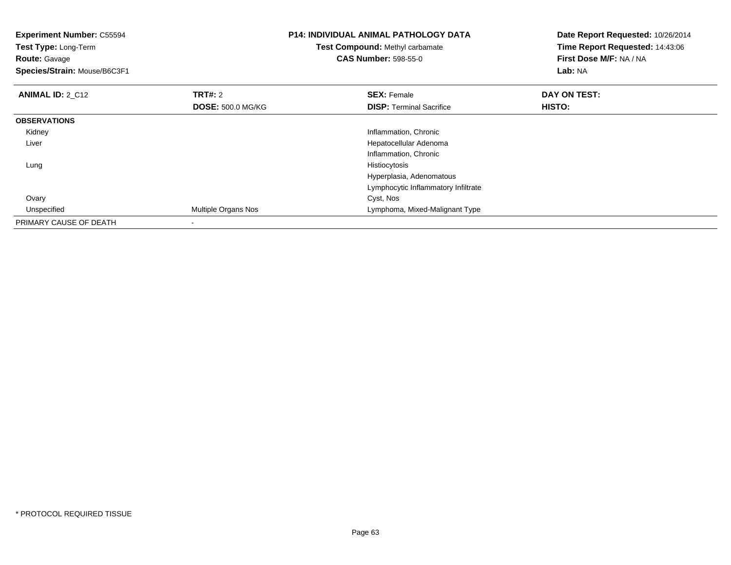| <b>Experiment Number: C55594</b><br>Test Type: Long-Term<br><b>Route: Gavage</b><br>Species/Strain: Mouse/B6C3F1 |                          | <b>P14: INDIVIDUAL ANIMAL PATHOLOGY DATA</b><br>Test Compound: Methyl carbamate<br><b>CAS Number: 598-55-0</b> | Date Report Requested: 10/26/2014<br>Time Report Requested: 14:43:06<br>First Dose M/F: NA / NA<br>Lab: NA |
|------------------------------------------------------------------------------------------------------------------|--------------------------|----------------------------------------------------------------------------------------------------------------|------------------------------------------------------------------------------------------------------------|
| <b>ANIMAL ID: 2_C12</b>                                                                                          | <b>TRT#: 2</b>           | <b>SEX: Female</b>                                                                                             | DAY ON TEST:                                                                                               |
|                                                                                                                  | <b>DOSE: 500.0 MG/KG</b> | <b>DISP:</b> Terminal Sacrifice                                                                                | HISTO:                                                                                                     |
| <b>OBSERVATIONS</b>                                                                                              |                          |                                                                                                                |                                                                                                            |
| Kidney                                                                                                           |                          | Inflammation, Chronic                                                                                          |                                                                                                            |
| Liver                                                                                                            |                          | Hepatocellular Adenoma                                                                                         |                                                                                                            |
|                                                                                                                  |                          | Inflammation, Chronic                                                                                          |                                                                                                            |
| Lung                                                                                                             |                          | Histiocytosis                                                                                                  |                                                                                                            |
|                                                                                                                  |                          | Hyperplasia, Adenomatous                                                                                       |                                                                                                            |
|                                                                                                                  |                          | Lymphocytic Inflammatory Infiltrate                                                                            |                                                                                                            |
| Ovary                                                                                                            |                          | Cyst, Nos                                                                                                      |                                                                                                            |
| Unspecified                                                                                                      | Multiple Organs Nos      | Lymphoma, Mixed-Malignant Type                                                                                 |                                                                                                            |
| PRIMARY CAUSE OF DEATH                                                                                           |                          |                                                                                                                |                                                                                                            |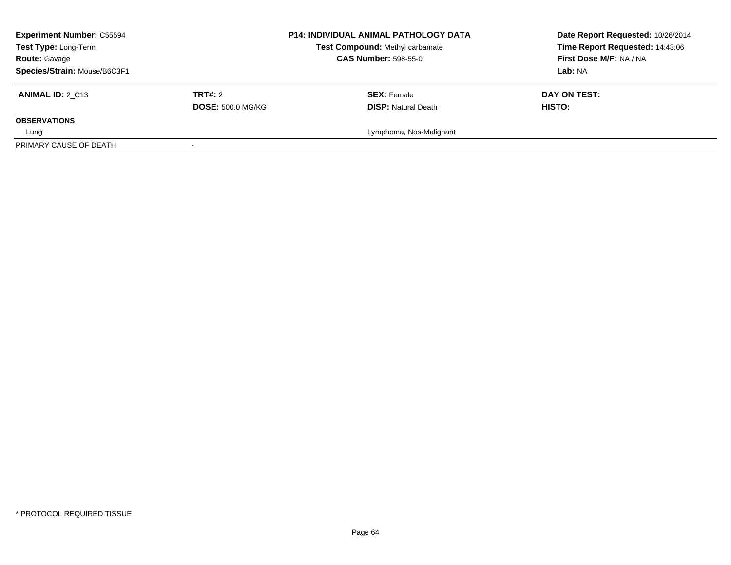| <b>Experiment Number: C55594</b><br>Test Type: Long-Term<br><b>Route: Gavage</b> |                          | <b>P14: INDIVIDUAL ANIMAL PATHOLOGY DATA</b><br>Test Compound: Methyl carbamate<br><b>CAS Number: 598-55-0</b> | Date Report Requested: 10/26/2014<br>Time Report Requested: 14:43:06<br>First Dose M/F: NA / NA |
|----------------------------------------------------------------------------------|--------------------------|----------------------------------------------------------------------------------------------------------------|-------------------------------------------------------------------------------------------------|
| Species/Strain: Mouse/B6C3F1                                                     |                          |                                                                                                                | Lab: NA                                                                                         |
| <b>ANIMAL ID: 2 C13</b>                                                          | <b>TRT#: 2</b>           | <b>SEX: Female</b>                                                                                             | DAY ON TEST:                                                                                    |
|                                                                                  | <b>DOSE: 500.0 MG/KG</b> | <b>DISP: Natural Death</b>                                                                                     | <b>HISTO:</b>                                                                                   |
| <b>OBSERVATIONS</b>                                                              |                          |                                                                                                                |                                                                                                 |
| Lung                                                                             |                          | Lymphoma, Nos-Malignant                                                                                        |                                                                                                 |
| PRIMARY CAUSE OF DEATH                                                           |                          |                                                                                                                |                                                                                                 |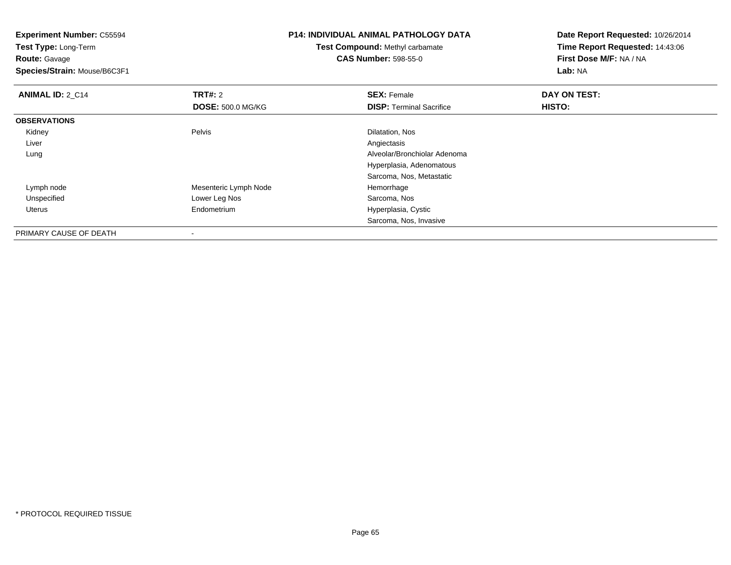**Experiment Number:** C55594**Test Type:** Long-Term**Route:** Gavage **Species/Strain:** Mouse/B6C3F1**P14: INDIVIDUAL ANIMAL PATHOLOGY DATATest Compound:** Methyl carbamate**CAS Number:** 598-55-0**Date Report Requested:** 10/26/2014**Time Report Requested:** 14:43:06**First Dose M/F:** NA / NA**Lab:** NA**ANIMAL ID: 2 C14 TRT#:** 2 **SEX:** Female **DAY ON TEST: DOSE:** 500.0 MG/KG**DISP:** Terminal Sacrifice **HISTO: OBSERVATIONS** KidneyPelvis **Dilatation**, Nos Liverr and the contract of the contract of the contract of the contract of the contract of the contract of the contract of the contract of the contract of the contract of the contract of the contract of the contract of the cont Alveolar/Bronchiolar Adenoma LungHyperplasia, Adenomatous Sarcoma, Nos, Metastatic Lymph nodeMesenteric Lymph Node<br>
Lower Leg Nos<br>
Lower Leg Nos<br>
Alternative Mesenteric Sarcoma, Nos UnspecifiedLower Leg Nos Uterus Endometrium Hyperplasia, Cystic Sarcoma, Nos, InvasivePRIMARY CAUSE OF DEATH

-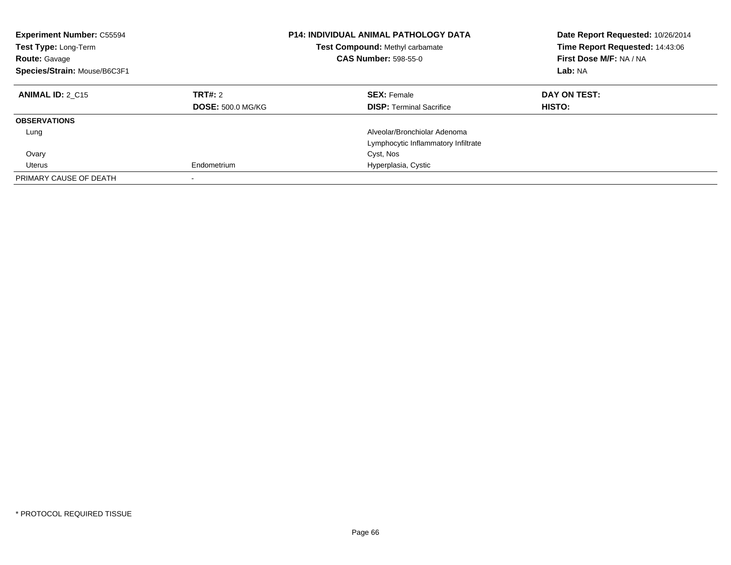| <b>Experiment Number: C55594</b><br><b>Test Type: Long-Term</b><br><b>Route: Gavage</b><br>Species/Strain: Mouse/B6C3F1 |                                     | <b>P14: INDIVIDUAL ANIMAL PATHOLOGY DATA</b><br>Test Compound: Methyl carbamate<br><b>CAS Number: 598-55-0</b> | Date Report Requested: 10/26/2014<br>Time Report Requested: 14:43:06<br>First Dose M/F: NA / NA<br>Lab: NA |
|-------------------------------------------------------------------------------------------------------------------------|-------------------------------------|----------------------------------------------------------------------------------------------------------------|------------------------------------------------------------------------------------------------------------|
| <b>ANIMAL ID: 2 C15</b>                                                                                                 | TRT#: 2<br><b>DOSE: 500.0 MG/KG</b> | <b>SEX: Female</b><br><b>DISP:</b> Terminal Sacrifice                                                          | DAY ON TEST:<br>HISTO:                                                                                     |
| <b>OBSERVATIONS</b>                                                                                                     |                                     |                                                                                                                |                                                                                                            |
| Lung                                                                                                                    |                                     | Alveolar/Bronchiolar Adenoma<br>Lymphocytic Inflammatory Infiltrate                                            |                                                                                                            |
| Ovary                                                                                                                   |                                     | Cyst, Nos                                                                                                      |                                                                                                            |
| Uterus                                                                                                                  | Endometrium                         | Hyperplasia, Cystic                                                                                            |                                                                                                            |
| PRIMARY CAUSE OF DEATH                                                                                                  |                                     |                                                                                                                |                                                                                                            |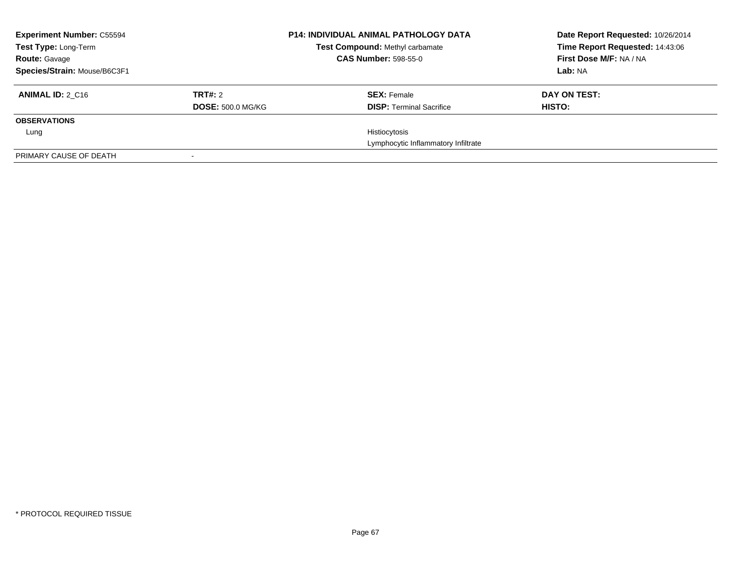| <b>Experiment Number: C55594</b><br><b>Test Type: Long-Term</b> |                          | <b>P14: INDIVIDUAL ANIMAL PATHOLOGY DATA</b><br><b>Test Compound: Methyl carbamate</b> | Date Report Requested: 10/26/2014<br>Time Report Requested: 14:43:06 |
|-----------------------------------------------------------------|--------------------------|----------------------------------------------------------------------------------------|----------------------------------------------------------------------|
| <b>Route: Gavage</b>                                            |                          | <b>CAS Number: 598-55-0</b>                                                            | First Dose M/F: NA / NA                                              |
| Species/Strain: Mouse/B6C3F1                                    |                          |                                                                                        | Lab: NA                                                              |
| <b>ANIMAL ID: 2 C16</b>                                         | TRT#: 2                  | <b>SEX: Female</b>                                                                     | DAY ON TEST:                                                         |
|                                                                 | <b>DOSE: 500.0 MG/KG</b> | <b>DISP:</b> Terminal Sacrifice                                                        | HISTO:                                                               |
| <b>OBSERVATIONS</b>                                             |                          |                                                                                        |                                                                      |
| Lung                                                            |                          | Histiocytosis                                                                          |                                                                      |
|                                                                 |                          | Lymphocytic Inflammatory Infiltrate                                                    |                                                                      |
| PRIMARY CAUSE OF DEATH                                          |                          |                                                                                        |                                                                      |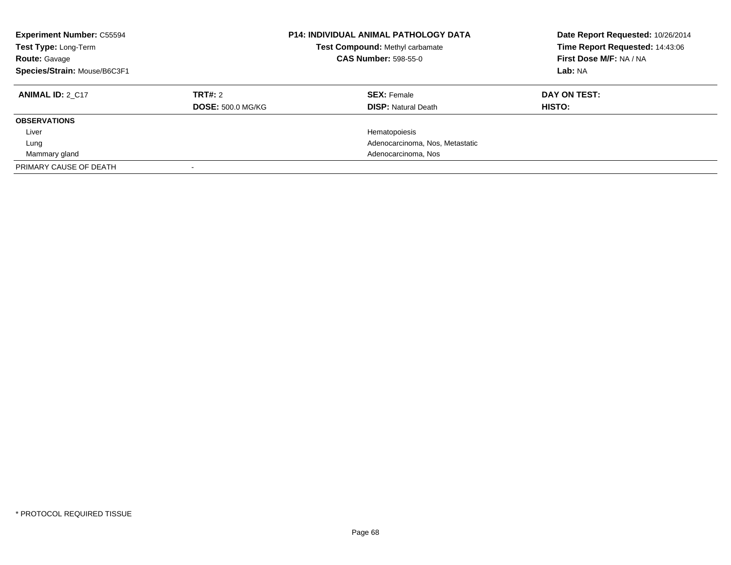| <b>Experiment Number: C55594</b><br>Test Type: Long-Term<br><b>Route: Gavage</b><br>Species/Strain: Mouse/B6C3F1 |                                     | <b>P14: INDIVIDUAL ANIMAL PATHOLOGY DATA</b><br>Test Compound: Methyl carbamate<br><b>CAS Number: 598-55-0</b> | Date Report Requested: 10/26/2014<br>Time Report Requested: 14:43:06<br>First Dose M/F: NA / NA<br>Lab: NA |
|------------------------------------------------------------------------------------------------------------------|-------------------------------------|----------------------------------------------------------------------------------------------------------------|------------------------------------------------------------------------------------------------------------|
| <b>ANIMAL ID: 2 C17</b>                                                                                          | TRT#: 2<br><b>DOSE: 500.0 MG/KG</b> | <b>SEX: Female</b><br><b>DISP: Natural Death</b>                                                               | DAY ON TEST:<br><b>HISTO:</b>                                                                              |
| <b>OBSERVATIONS</b>                                                                                              |                                     |                                                                                                                |                                                                                                            |
| Liver                                                                                                            |                                     | Hematopoiesis                                                                                                  |                                                                                                            |
| Lung                                                                                                             |                                     | Adenocarcinoma, Nos, Metastatic                                                                                |                                                                                                            |
| Mammary gland                                                                                                    |                                     | Adenocarcinoma, Nos                                                                                            |                                                                                                            |
| PRIMARY CAUSE OF DEATH                                                                                           |                                     |                                                                                                                |                                                                                                            |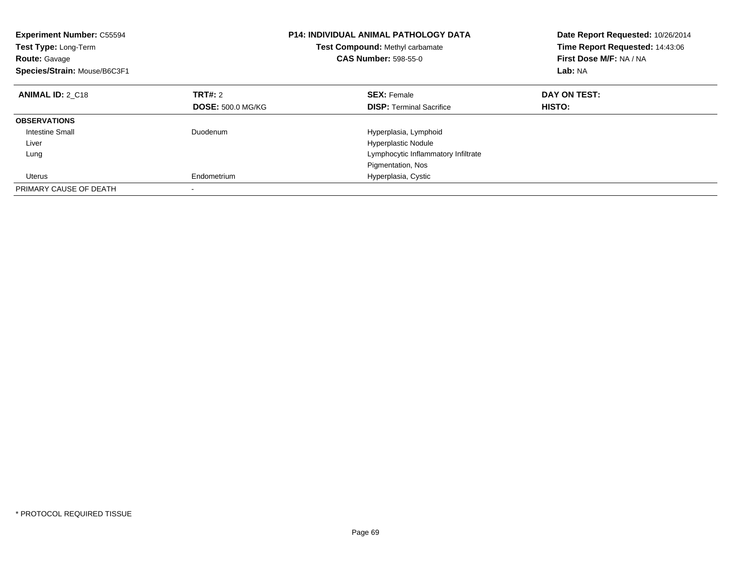| <b>Experiment Number: C55594</b><br><b>Test Type: Long-Term</b><br><b>Route: Gavage</b><br>Species/Strain: Mouse/B6C3F1 |                          | <b>P14: INDIVIDUAL ANIMAL PATHOLOGY DATA</b><br>Test Compound: Methyl carbamate<br><b>CAS Number: 598-55-0</b> | Date Report Requested: 10/26/2014<br>Time Report Requested: 14:43:06<br>First Dose M/F: NA / NA<br>Lab: NA |
|-------------------------------------------------------------------------------------------------------------------------|--------------------------|----------------------------------------------------------------------------------------------------------------|------------------------------------------------------------------------------------------------------------|
| <b>ANIMAL ID: 2 C18</b>                                                                                                 | TRT#: 2                  | <b>SEX: Female</b>                                                                                             | DAY ON TEST:                                                                                               |
|                                                                                                                         | <b>DOSE: 500.0 MG/KG</b> | <b>DISP:</b> Terminal Sacrifice                                                                                | <b>HISTO:</b>                                                                                              |
| <b>OBSERVATIONS</b>                                                                                                     |                          |                                                                                                                |                                                                                                            |
| <b>Intestine Small</b>                                                                                                  | Duodenum                 | Hyperplasia, Lymphoid                                                                                          |                                                                                                            |
| Liver                                                                                                                   |                          | <b>Hyperplastic Nodule</b>                                                                                     |                                                                                                            |
| Lung                                                                                                                    |                          | Lymphocytic Inflammatory Infiltrate                                                                            |                                                                                                            |
|                                                                                                                         |                          | Pigmentation, Nos                                                                                              |                                                                                                            |
| Uterus                                                                                                                  | Endometrium              | Hyperplasia, Cystic                                                                                            |                                                                                                            |
| PRIMARY CAUSE OF DEATH                                                                                                  |                          |                                                                                                                |                                                                                                            |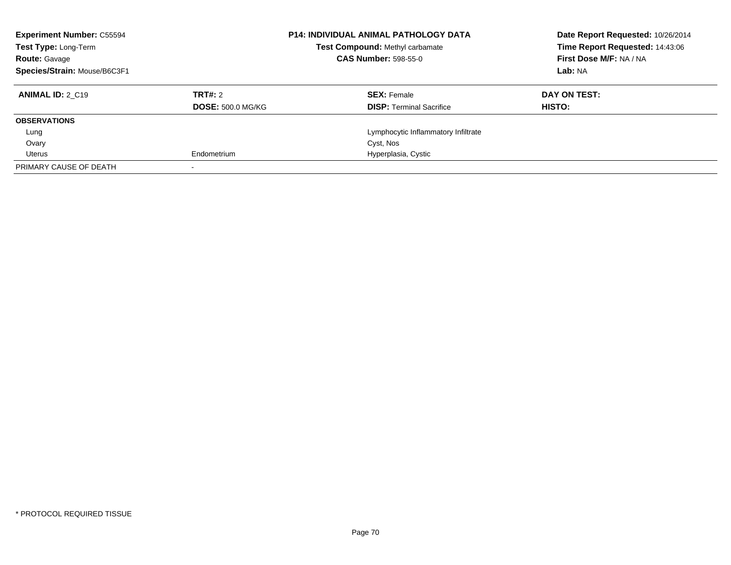| <b>Experiment Number: C55594</b><br><b>Test Type: Long-Term</b><br><b>Route: Gavage</b> |                          | <b>P14: INDIVIDUAL ANIMAL PATHOLOGY DATA</b><br>Test Compound: Methyl carbamate<br><b>CAS Number: 598-55-0</b> | Date Report Requested: 10/26/2014<br>Time Report Requested: 14:43:06<br>First Dose M/F: NA / NA |
|-----------------------------------------------------------------------------------------|--------------------------|----------------------------------------------------------------------------------------------------------------|-------------------------------------------------------------------------------------------------|
| Species/Strain: Mouse/B6C3F1                                                            |                          |                                                                                                                | Lab: NA                                                                                         |
| <b>ANIMAL ID: 2 C19</b>                                                                 | TRT#: 2                  | <b>SEX: Female</b>                                                                                             | DAY ON TEST:                                                                                    |
|                                                                                         | <b>DOSE: 500.0 MG/KG</b> | <b>DISP:</b> Terminal Sacrifice                                                                                | HISTO:                                                                                          |
| <b>OBSERVATIONS</b>                                                                     |                          |                                                                                                                |                                                                                                 |
| Lung                                                                                    |                          | Lymphocytic Inflammatory Infiltrate                                                                            |                                                                                                 |
| Ovary                                                                                   |                          | Cyst, Nos                                                                                                      |                                                                                                 |
| Uterus                                                                                  | Endometrium              | Hyperplasia, Cystic                                                                                            |                                                                                                 |
| PRIMARY CAUSE OF DEATH                                                                  |                          |                                                                                                                |                                                                                                 |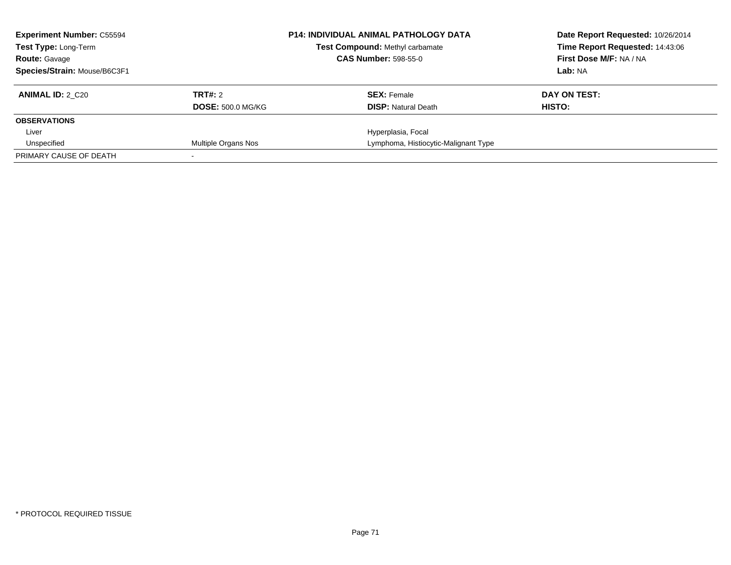| <b>Experiment Number: C55594</b><br><b>Test Type: Long-Term</b> |                          | <b>P14: INDIVIDUAL ANIMAL PATHOLOGY DATA</b><br>Test Compound: Methyl carbamate | Date Report Requested: 10/26/2014<br>Time Report Requested: 14:43:06 |
|-----------------------------------------------------------------|--------------------------|---------------------------------------------------------------------------------|----------------------------------------------------------------------|
| <b>Route: Gavage</b>                                            |                          | <b>CAS Number: 598-55-0</b>                                                     | First Dose M/F: NA / NA                                              |
| Species/Strain: Mouse/B6C3F1                                    |                          |                                                                                 | Lab: NA                                                              |
| <b>ANIMAL ID: 2 C20</b>                                         | TRT#: 2                  | <b>SEX: Female</b>                                                              | DAY ON TEST:                                                         |
|                                                                 | <b>DOSE: 500.0 MG/KG</b> | <b>DISP:</b> Natural Death                                                      | HISTO:                                                               |
| <b>OBSERVATIONS</b>                                             |                          |                                                                                 |                                                                      |
| Liver                                                           |                          | Hyperplasia, Focal                                                              |                                                                      |
| Unspecified                                                     | Multiple Organs Nos      | Lymphoma, Histiocytic-Malignant Type                                            |                                                                      |
| PRIMARY CAUSE OF DEATH                                          |                          |                                                                                 |                                                                      |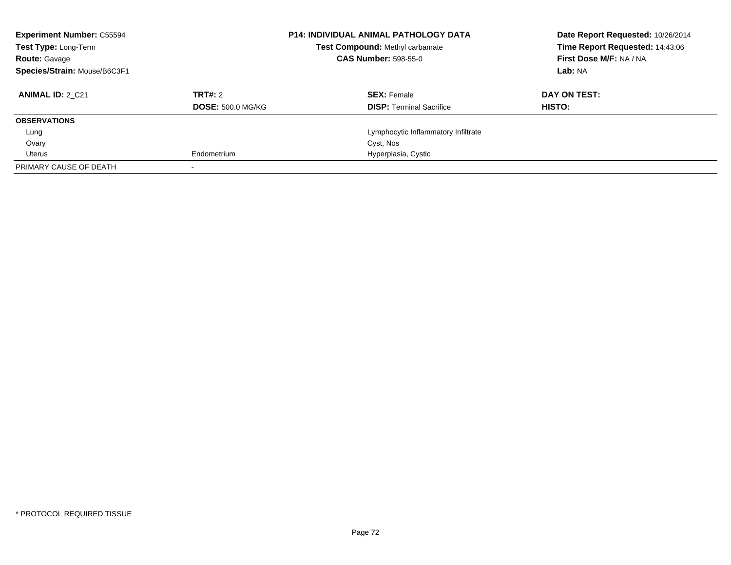| <b>Experiment Number: C55594</b><br><b>Test Type: Long-Term</b><br><b>Route: Gavage</b> |                          | <b>P14: INDIVIDUAL ANIMAL PATHOLOGY DATA</b><br>Test Compound: Methyl carbamate<br><b>CAS Number: 598-55-0</b> | Date Report Requested: 10/26/2014<br>Time Report Requested: 14:43:06<br>First Dose M/F: NA / NA |
|-----------------------------------------------------------------------------------------|--------------------------|----------------------------------------------------------------------------------------------------------------|-------------------------------------------------------------------------------------------------|
| Species/Strain: Mouse/B6C3F1                                                            |                          |                                                                                                                | Lab: NA                                                                                         |
| <b>ANIMAL ID: 2 C21</b>                                                                 | TRT#: 2                  | <b>SEX: Female</b>                                                                                             | DAY ON TEST:                                                                                    |
|                                                                                         | <b>DOSE: 500.0 MG/KG</b> | <b>DISP:</b> Terminal Sacrifice                                                                                | HISTO:                                                                                          |
| <b>OBSERVATIONS</b>                                                                     |                          |                                                                                                                |                                                                                                 |
| Lung                                                                                    |                          | Lymphocytic Inflammatory Infiltrate                                                                            |                                                                                                 |
| Ovary                                                                                   |                          | Cyst, Nos                                                                                                      |                                                                                                 |
| Uterus                                                                                  | Endometrium              | Hyperplasia, Cystic                                                                                            |                                                                                                 |
| PRIMARY CAUSE OF DEATH                                                                  |                          |                                                                                                                |                                                                                                 |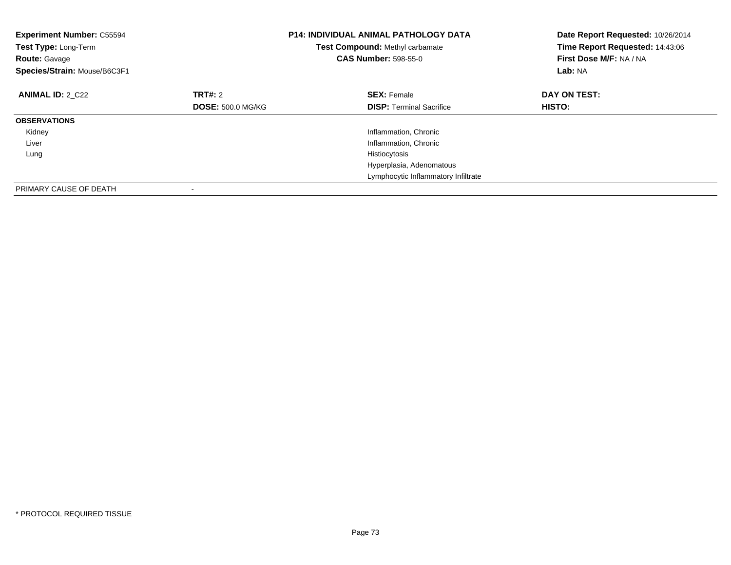| <b>Experiment Number: C55594</b><br>Test Type: Long-Term<br><b>Route: Gavage</b><br>Species/Strain: Mouse/B6C3F1 |                          | <b>P14: INDIVIDUAL ANIMAL PATHOLOGY DATA</b><br>Test Compound: Methyl carbamate<br><b>CAS Number: 598-55-0</b> | Date Report Requested: 10/26/2014<br>Time Report Requested: 14:43:06<br>First Dose M/F: NA / NA<br>Lab: NA |
|------------------------------------------------------------------------------------------------------------------|--------------------------|----------------------------------------------------------------------------------------------------------------|------------------------------------------------------------------------------------------------------------|
| <b>ANIMAL ID: 2 C22</b>                                                                                          | TRT#: 2                  | <b>SEX: Female</b>                                                                                             | DAY ON TEST:                                                                                               |
|                                                                                                                  | <b>DOSE: 500.0 MG/KG</b> | <b>DISP:</b> Terminal Sacrifice                                                                                | <b>HISTO:</b>                                                                                              |
| <b>OBSERVATIONS</b>                                                                                              |                          |                                                                                                                |                                                                                                            |
| Kidney                                                                                                           |                          | Inflammation, Chronic                                                                                          |                                                                                                            |
| Liver                                                                                                            |                          | Inflammation, Chronic                                                                                          |                                                                                                            |
| Lung                                                                                                             |                          | Histiocytosis                                                                                                  |                                                                                                            |
|                                                                                                                  |                          | Hyperplasia, Adenomatous                                                                                       |                                                                                                            |
|                                                                                                                  |                          | Lymphocytic Inflammatory Infiltrate                                                                            |                                                                                                            |
| PRIMARY CAUSE OF DEATH                                                                                           |                          |                                                                                                                |                                                                                                            |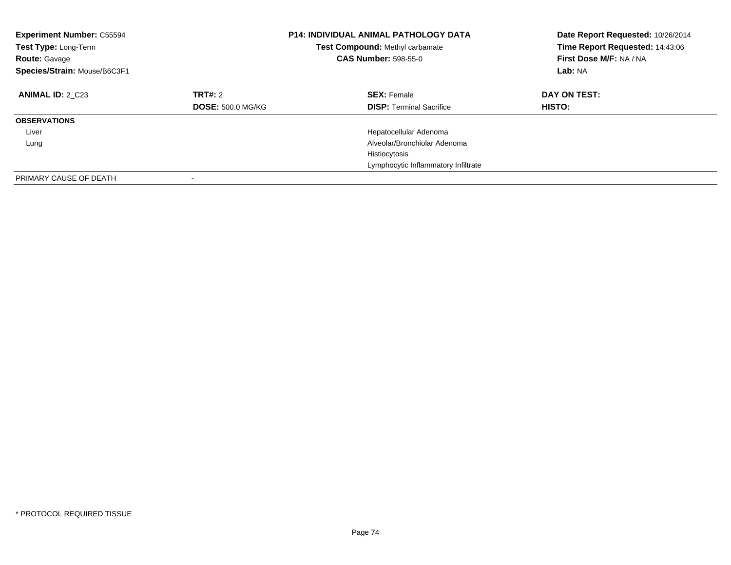| <b>Experiment Number: C55594</b><br>Test Type: Long-Term<br><b>Route: Gavage</b><br>Species/Strain: Mouse/B6C3F1 |                                     | <b>P14: INDIVIDUAL ANIMAL PATHOLOGY DATA</b><br>Test Compound: Methyl carbamate<br><b>CAS Number: 598-55-0</b> | Date Report Requested: 10/26/2014<br>Time Report Requested: 14:43:06<br>First Dose M/F: NA / NA<br>Lab: NA |
|------------------------------------------------------------------------------------------------------------------|-------------------------------------|----------------------------------------------------------------------------------------------------------------|------------------------------------------------------------------------------------------------------------|
| <b>ANIMAL ID: 2 C23</b>                                                                                          | TRT#: 2<br><b>DOSE: 500.0 MG/KG</b> | <b>SEX: Female</b><br><b>DISP:</b> Terminal Sacrifice                                                          | DAY ON TEST:<br><b>HISTO:</b>                                                                              |
| <b>OBSERVATIONS</b>                                                                                              |                                     |                                                                                                                |                                                                                                            |
| Liver                                                                                                            |                                     | Hepatocellular Adenoma                                                                                         |                                                                                                            |
| Lung                                                                                                             |                                     | Alveolar/Bronchiolar Adenoma                                                                                   |                                                                                                            |
|                                                                                                                  |                                     | Histiocytosis                                                                                                  |                                                                                                            |
|                                                                                                                  |                                     | Lymphocytic Inflammatory Infiltrate                                                                            |                                                                                                            |
| PRIMARY CAUSE OF DEATH                                                                                           |                                     |                                                                                                                |                                                                                                            |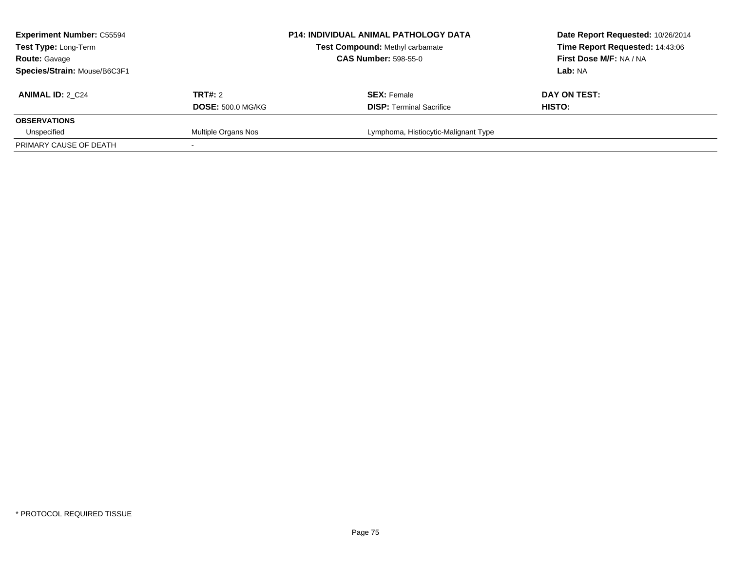| <b>Experiment Number: C55594</b><br>Test Type: Long-Term<br><b>Route: Gavage</b> |                          | <b>P14: INDIVIDUAL ANIMAL PATHOLOGY DATA</b><br>Test Compound: Methyl carbamate<br><b>CAS Number: 598-55-0</b> | Date Report Requested: 10/26/2014<br>Time Report Requested: 14:43:06<br>First Dose M/F: NA / NA |
|----------------------------------------------------------------------------------|--------------------------|----------------------------------------------------------------------------------------------------------------|-------------------------------------------------------------------------------------------------|
| Species/Strain: Mouse/B6C3F1                                                     |                          |                                                                                                                | <b>Lab:</b> NA                                                                                  |
| <b>ANIMAL ID: 2 C24</b>                                                          | <b>TRT#: 2</b>           | <b>SEX: Female</b>                                                                                             | DAY ON TEST:                                                                                    |
|                                                                                  | <b>DOSE: 500.0 MG/KG</b> | <b>DISP: Terminal Sacrifice</b>                                                                                | HISTO:                                                                                          |
| <b>OBSERVATIONS</b>                                                              |                          |                                                                                                                |                                                                                                 |
| Unspecified                                                                      | Multiple Organs Nos      | Lymphoma, Histiocytic-Malignant Type                                                                           |                                                                                                 |
| PRIMARY CAUSE OF DEATH                                                           |                          |                                                                                                                |                                                                                                 |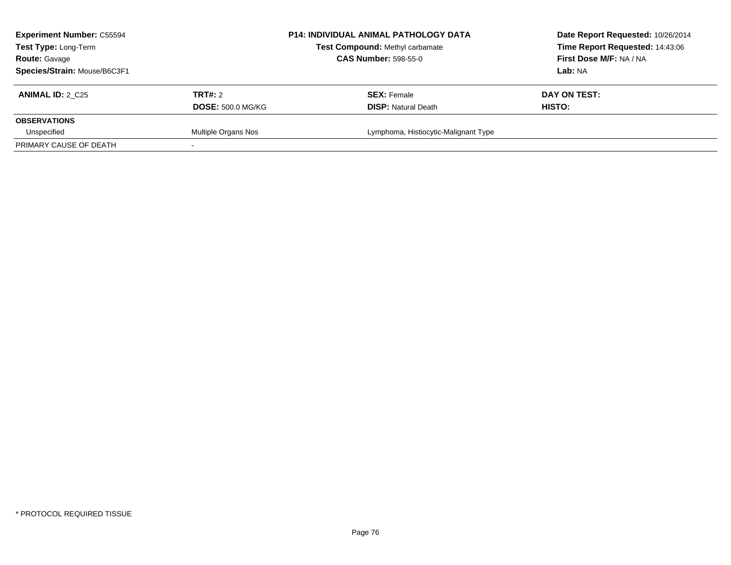| <b>Experiment Number: C55594</b><br>Test Type: Long-Term<br><b>Route: Gavage</b><br>Species/Strain: Mouse/B6C3F1 |                                     | <b>P14: INDIVIDUAL ANIMAL PATHOLOGY DATA</b><br><b>Test Compound: Methyl carbamate</b><br><b>CAS Number: 598-55-0</b> | Date Report Requested: 10/26/2014<br>Time Report Requested: 14:43:06<br>First Dose M/F: NA / NA<br><b>Lab:</b> NA |
|------------------------------------------------------------------------------------------------------------------|-------------------------------------|-----------------------------------------------------------------------------------------------------------------------|-------------------------------------------------------------------------------------------------------------------|
| <b>ANIMAL ID: 2 C25</b>                                                                                          | TRT#: 2<br><b>DOSE: 500.0 MG/KG</b> | <b>SEX: Female</b><br><b>DISP: Natural Death</b>                                                                      | DAY ON TEST:<br>HISTO:                                                                                            |
| <b>OBSERVATIONS</b>                                                                                              |                                     |                                                                                                                       |                                                                                                                   |
| Unspecified                                                                                                      | Multiple Organs Nos                 | Lymphoma, Histiocytic-Malignant Type                                                                                  |                                                                                                                   |
| PRIMARY CAUSE OF DEATH                                                                                           |                                     |                                                                                                                       |                                                                                                                   |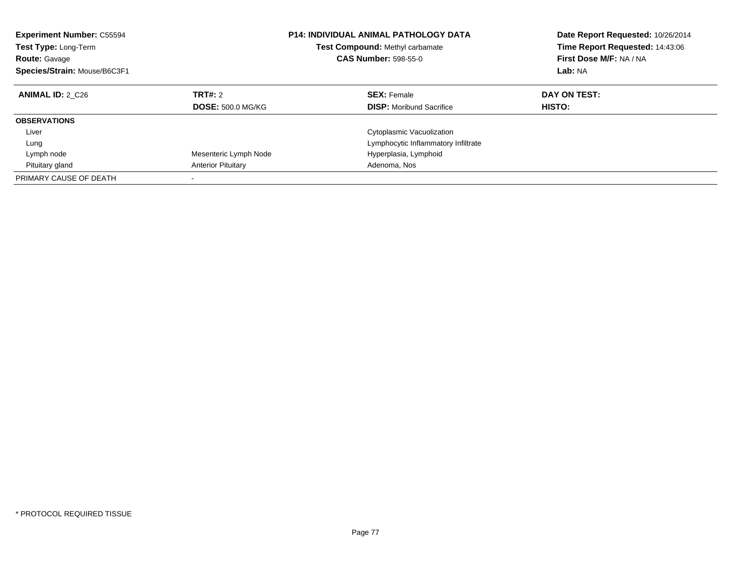| <b>Experiment Number: C55594</b><br><b>Test Type: Long-Term</b><br><b>Route: Gavage</b><br>Species/Strain: Mouse/B6C3F1 |                                     | <b>P14: INDIVIDUAL ANIMAL PATHOLOGY DATA</b><br>Test Compound: Methyl carbamate<br><b>CAS Number: 598-55-0</b> | Date Report Requested: 10/26/2014<br>Time Report Requested: 14:43:06<br>First Dose M/F: NA / NA<br>Lab: NA |
|-------------------------------------------------------------------------------------------------------------------------|-------------------------------------|----------------------------------------------------------------------------------------------------------------|------------------------------------------------------------------------------------------------------------|
| <b>ANIMAL ID: 2 C26</b>                                                                                                 | TRT#: 2<br><b>DOSE: 500.0 MG/KG</b> | <b>SEX: Female</b><br><b>DISP:</b> Moribund Sacrifice                                                          | DAY ON TEST:<br><b>HISTO:</b>                                                                              |
| <b>OBSERVATIONS</b>                                                                                                     |                                     |                                                                                                                |                                                                                                            |
| Liver                                                                                                                   |                                     | Cytoplasmic Vacuolization                                                                                      |                                                                                                            |
| Lung                                                                                                                    |                                     | Lymphocytic Inflammatory Infiltrate                                                                            |                                                                                                            |
| Lymph node                                                                                                              | Mesenteric Lymph Node               | Hyperplasia, Lymphoid                                                                                          |                                                                                                            |
| Pituitary gland                                                                                                         | <b>Anterior Pituitary</b>           | Adenoma, Nos                                                                                                   |                                                                                                            |
| PRIMARY CAUSE OF DEATH                                                                                                  |                                     |                                                                                                                |                                                                                                            |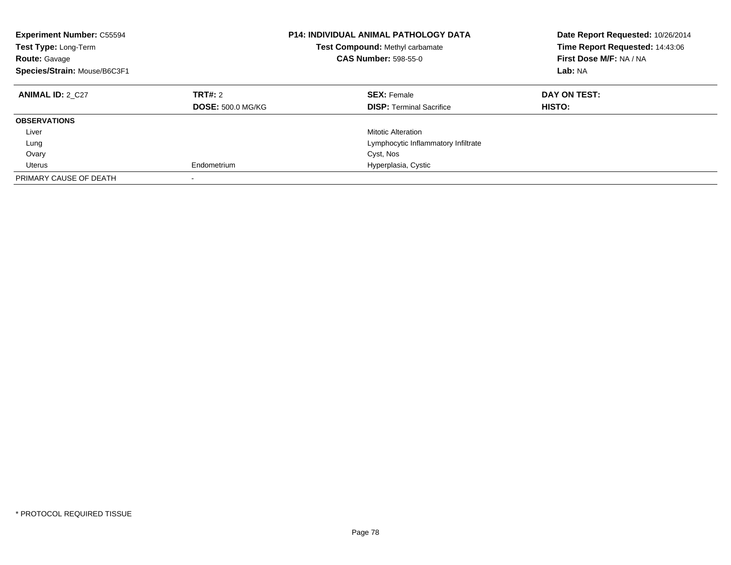| <b>Experiment Number: C55594</b><br>Test Type: Long-Term<br><b>Route: Gavage</b><br>Species/Strain: Mouse/B6C3F1 |                          | <b>P14: INDIVIDUAL ANIMAL PATHOLOGY DATA</b><br><b>Test Compound: Methyl carbamate</b><br><b>CAS Number: 598-55-0</b> | Date Report Requested: 10/26/2014<br>Time Report Requested: 14:43:06<br>First Dose M/F: NA / NA<br>Lab: NA |
|------------------------------------------------------------------------------------------------------------------|--------------------------|-----------------------------------------------------------------------------------------------------------------------|------------------------------------------------------------------------------------------------------------|
| <b>ANIMAL ID: 2 C27</b>                                                                                          | TRT#: 2                  | <b>SEX: Female</b>                                                                                                    | DAY ON TEST:                                                                                               |
|                                                                                                                  | <b>DOSE: 500.0 MG/KG</b> | <b>DISP:</b> Terminal Sacrifice                                                                                       | <b>HISTO:</b>                                                                                              |
| <b>OBSERVATIONS</b>                                                                                              |                          |                                                                                                                       |                                                                                                            |
| Liver                                                                                                            |                          | <b>Mitotic Alteration</b>                                                                                             |                                                                                                            |
| Lung                                                                                                             |                          | Lymphocytic Inflammatory Infiltrate                                                                                   |                                                                                                            |
| Ovary                                                                                                            |                          | Cyst, Nos                                                                                                             |                                                                                                            |
| Uterus                                                                                                           | Endometrium              | Hyperplasia, Cystic                                                                                                   |                                                                                                            |
| PRIMARY CAUSE OF DEATH                                                                                           |                          |                                                                                                                       |                                                                                                            |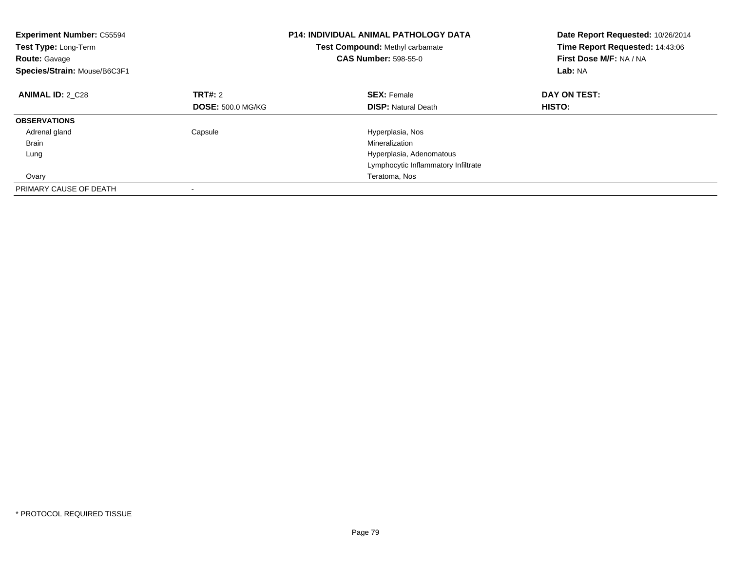| <b>Experiment Number: C55594</b><br>Test Type: Long-Term<br><b>Route: Gavage</b><br>Species/Strain: Mouse/B6C3F1 |                          | <b>P14: INDIVIDUAL ANIMAL PATHOLOGY DATA</b><br><b>Test Compound: Methyl carbamate</b><br><b>CAS Number: 598-55-0</b> | Date Report Requested: 10/26/2014<br>Time Report Requested: 14:43:06<br>First Dose M/F: NA / NA<br>Lab: NA |
|------------------------------------------------------------------------------------------------------------------|--------------------------|-----------------------------------------------------------------------------------------------------------------------|------------------------------------------------------------------------------------------------------------|
| <b>ANIMAL ID: 2 C28</b>                                                                                          | TRT#: 2                  | <b>SEX: Female</b>                                                                                                    | DAY ON TEST:                                                                                               |
|                                                                                                                  | <b>DOSE: 500.0 MG/KG</b> | <b>DISP: Natural Death</b>                                                                                            | <b>HISTO:</b>                                                                                              |
| <b>OBSERVATIONS</b>                                                                                              |                          |                                                                                                                       |                                                                                                            |
| Adrenal gland                                                                                                    | Capsule                  | Hyperplasia, Nos                                                                                                      |                                                                                                            |
| <b>Brain</b>                                                                                                     |                          | Mineralization                                                                                                        |                                                                                                            |
| Lung                                                                                                             |                          | Hyperplasia, Adenomatous                                                                                              |                                                                                                            |
|                                                                                                                  |                          | Lymphocytic Inflammatory Infiltrate                                                                                   |                                                                                                            |
| Ovary                                                                                                            |                          | Teratoma, Nos                                                                                                         |                                                                                                            |
| PRIMARY CAUSE OF DEATH                                                                                           |                          |                                                                                                                       |                                                                                                            |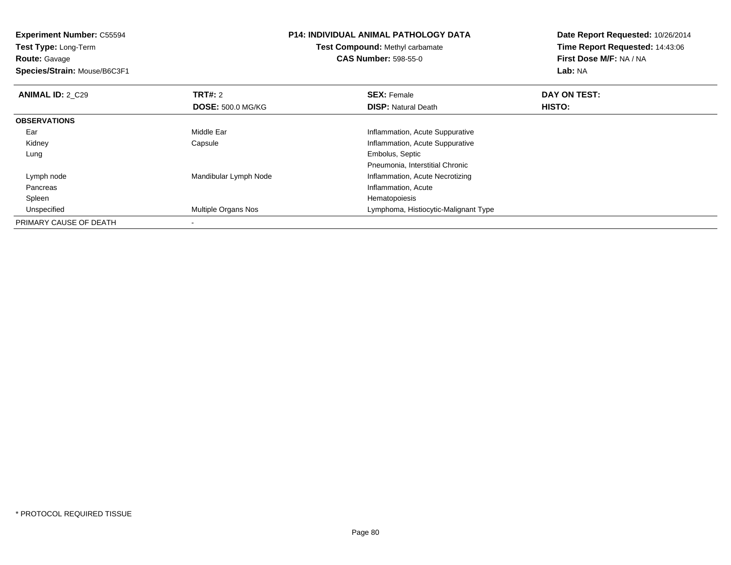**Experiment Number:** C55594**Test Type:** Long-Term**Route:** Gavage **Species/Strain:** Mouse/B6C3F1**P14: INDIVIDUAL ANIMAL PATHOLOGY DATATest Compound:** Methyl carbamate**CAS Number:** 598-55-0**Date Report Requested:** 10/26/2014**Time Report Requested:** 14:43:06**First Dose M/F:** NA / NA**Lab:** NA**ANIMAL ID: 2 C29 TRT#:** 2 **SEX:** Female **DAY ON TEST: DOSE:** 500.0 MG/KG**DISP:** Natural Death **HISTO: OBSERVATIONS** EarMiddle Ear **Inflammation**, Acute Suppurative e **Exercise Supplementary Englisher Supplementary Inflammation**, Acute Suppurative Kidney Capsule Lung Embolus, Septic Pneumonia, Interstitial Chronice **Inflammation, Acute Necrotizing**<br>
and Mandibular Lymph Node **Inflammation**, Acute Necrotizing Lymph node Pancreas Inflammation, Acute Spleenn and the state of the state of the state of the state of the state of the state of the state of the state of the state of the state of the state of the state of the state of the state of the state of the state of the stat UnspecifiedMultiple Organs Nos **Multiple Organs Nos** Lymphoma, Histiocytic-Malignant Type PRIMARY CAUSE OF DEATH-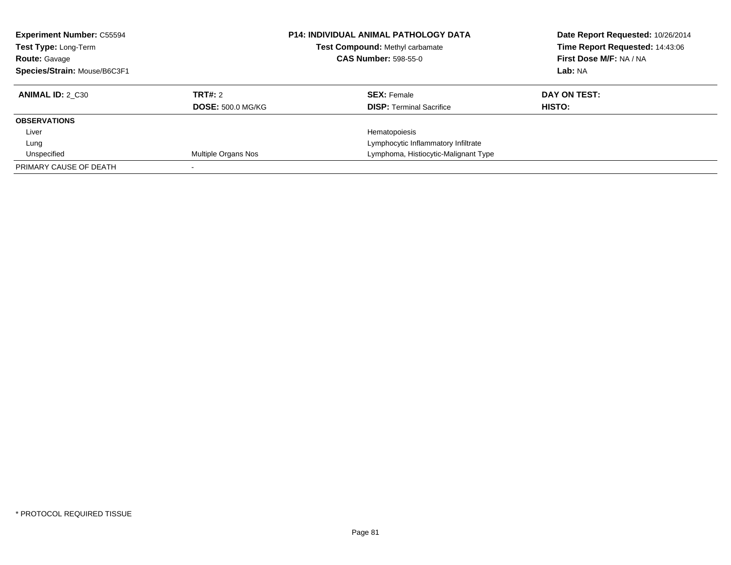| <b>Experiment Number: C55594</b><br>Test Type: Long-Term<br><b>Route: Gavage</b><br>Species/Strain: Mouse/B6C3F1 |                          | <b>P14: INDIVIDUAL ANIMAL PATHOLOGY DATA</b><br>Test Compound: Methyl carbamate<br><b>CAS Number: 598-55-0</b> | Date Report Requested: 10/26/2014<br>Time Report Requested: 14:43:06<br>First Dose M/F: NA / NA<br>Lab: NA |
|------------------------------------------------------------------------------------------------------------------|--------------------------|----------------------------------------------------------------------------------------------------------------|------------------------------------------------------------------------------------------------------------|
| <b>ANIMAL ID: 2 C30</b>                                                                                          | TRT#: 2                  | <b>SEX: Female</b>                                                                                             | DAY ON TEST:                                                                                               |
|                                                                                                                  | <b>DOSE: 500.0 MG/KG</b> | <b>DISP:</b> Terminal Sacrifice                                                                                | HISTO:                                                                                                     |
| <b>OBSERVATIONS</b>                                                                                              |                          |                                                                                                                |                                                                                                            |
| Liver                                                                                                            |                          | Hematopoiesis                                                                                                  |                                                                                                            |
| Lung                                                                                                             |                          | Lymphocytic Inflammatory Infiltrate                                                                            |                                                                                                            |
| Unspecified                                                                                                      | Multiple Organs Nos      | Lymphoma, Histiocytic-Malignant Type                                                                           |                                                                                                            |
| PRIMARY CAUSE OF DEATH                                                                                           |                          |                                                                                                                |                                                                                                            |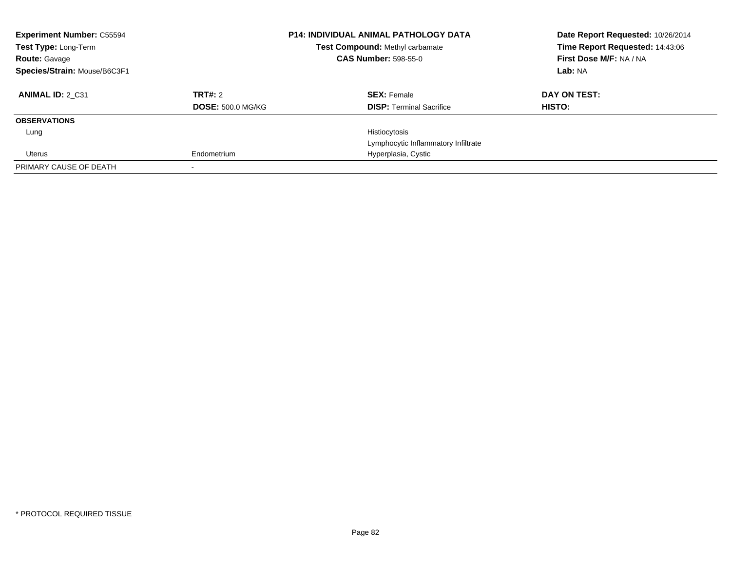| <b>Experiment Number: C55594</b><br>Test Type: Long-Term<br><b>Route: Gavage</b><br>Species/Strain: Mouse/B6C3F1 |                          | <b>P14: INDIVIDUAL ANIMAL PATHOLOGY DATA</b><br>Test Compound: Methyl carbamate<br><b>CAS Number: 598-55-0</b> | Date Report Requested: 10/26/2014<br>Time Report Requested: 14:43:06<br>First Dose M/F: NA / NA<br>Lab: NA |
|------------------------------------------------------------------------------------------------------------------|--------------------------|----------------------------------------------------------------------------------------------------------------|------------------------------------------------------------------------------------------------------------|
|                                                                                                                  |                          |                                                                                                                |                                                                                                            |
| <b>ANIMAL ID: 2 C31</b>                                                                                          | TRT#: 2                  | <b>SEX: Female</b>                                                                                             | DAY ON TEST:                                                                                               |
|                                                                                                                  | <b>DOSE: 500.0 MG/KG</b> | <b>DISP:</b> Terminal Sacrifice                                                                                | HISTO:                                                                                                     |
| <b>OBSERVATIONS</b>                                                                                              |                          |                                                                                                                |                                                                                                            |
| Lung                                                                                                             |                          | Histiocytosis                                                                                                  |                                                                                                            |
|                                                                                                                  |                          | Lymphocytic Inflammatory Infiltrate                                                                            |                                                                                                            |
| Uterus                                                                                                           | Endometrium              | Hyperplasia, Cystic                                                                                            |                                                                                                            |
| PRIMARY CAUSE OF DEATH                                                                                           |                          |                                                                                                                |                                                                                                            |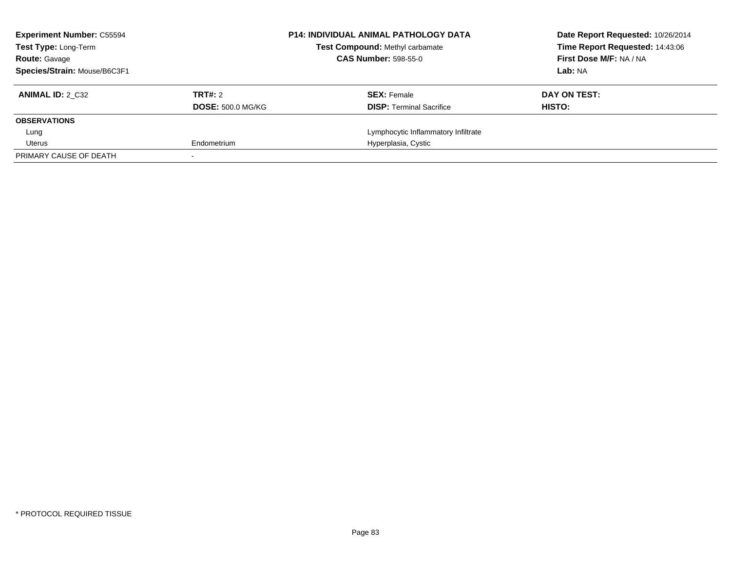| <b>Experiment Number: C55594</b><br><b>Test Type: Long-Term</b> |                          | <b>P14: INDIVIDUAL ANIMAL PATHOLOGY DATA</b><br><b>Test Compound: Methyl carbamate</b> | Date Report Requested: 10/26/2014<br>Time Report Requested: 14:43:06 |
|-----------------------------------------------------------------|--------------------------|----------------------------------------------------------------------------------------|----------------------------------------------------------------------|
| <b>Route: Gavage</b>                                            |                          | <b>CAS Number: 598-55-0</b>                                                            | First Dose M/F: NA / NA                                              |
| Species/Strain: Mouse/B6C3F1                                    |                          |                                                                                        | Lab: NA                                                              |
| <b>ANIMAL ID: 2 C32</b>                                         | TRT#: 2                  | <b>SEX: Female</b>                                                                     | DAY ON TEST:                                                         |
|                                                                 | <b>DOSE: 500.0 MG/KG</b> | <b>DISP:</b> Terminal Sacrifice                                                        | HISTO:                                                               |
| <b>OBSERVATIONS</b>                                             |                          |                                                                                        |                                                                      |
| Lung                                                            |                          | Lymphocytic Inflammatory Infiltrate                                                    |                                                                      |
| Uterus                                                          | Endometrium              | Hyperplasia, Cystic                                                                    |                                                                      |
| PRIMARY CAUSE OF DEATH                                          |                          |                                                                                        |                                                                      |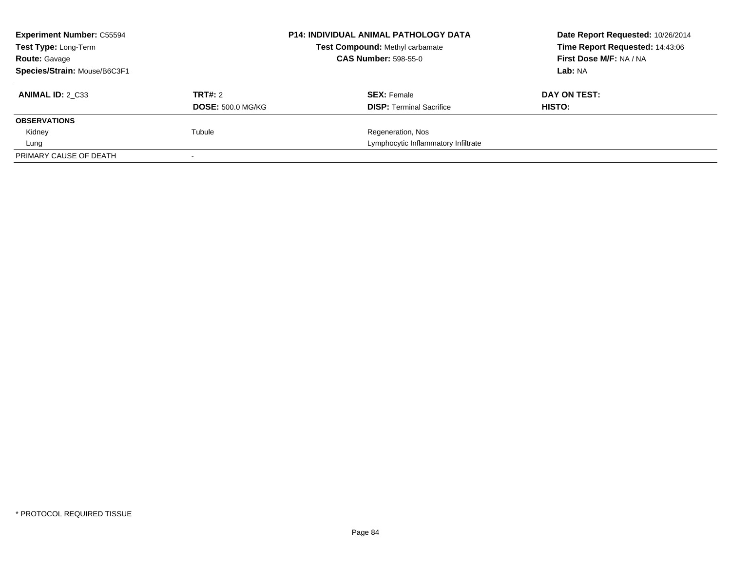| <b>Experiment Number: C55594</b> |                          | <b>P14: INDIVIDUAL ANIMAL PATHOLOGY DATA</b> | Date Report Requested: 10/26/2014 |
|----------------------------------|--------------------------|----------------------------------------------|-----------------------------------|
| Test Type: Long-Term             |                          | Test Compound: Methyl carbamate              | Time Report Requested: 14:43:06   |
| <b>Route: Gavage</b>             |                          | <b>CAS Number: 598-55-0</b>                  | <b>First Dose M/F: NA / NA</b>    |
| Species/Strain: Mouse/B6C3F1     |                          |                                              | Lab: NA                           |
| <b>ANIMAL ID: 2 C33</b>          | TRT#: 2                  | <b>SEX: Female</b>                           | DAY ON TEST:                      |
|                                  | <b>DOSE: 500.0 MG/KG</b> | <b>DISP:</b> Terminal Sacrifice              | HISTO:                            |
| <b>OBSERVATIONS</b>              |                          |                                              |                                   |
| Kidney                           | Tubule                   | Regeneration, Nos                            |                                   |
| Lung                             |                          | Lymphocytic Inflammatory Infiltrate          |                                   |
| PRIMARY CAUSE OF DEATH           |                          |                                              |                                   |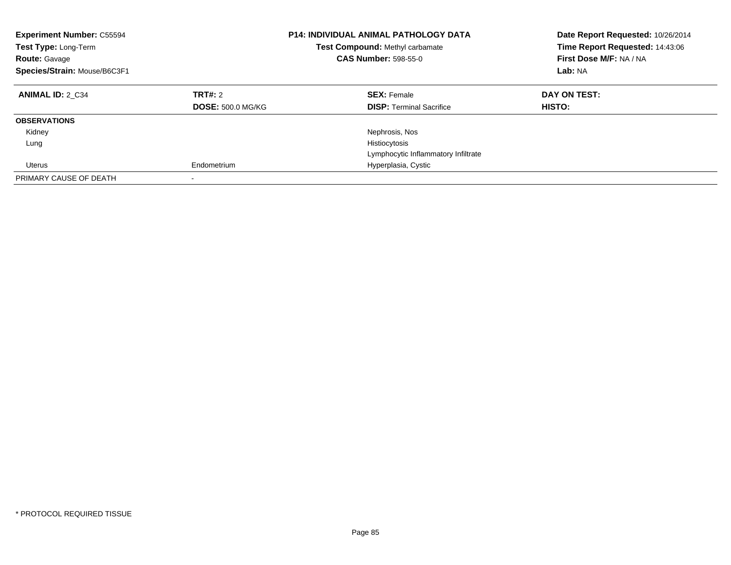| <b>Experiment Number: C55594</b><br><b>Test Type: Long-Term</b><br><b>Route: Gavage</b><br>Species/Strain: Mouse/B6C3F1 |                          | <b>P14: INDIVIDUAL ANIMAL PATHOLOGY DATA</b><br><b>Test Compound: Methyl carbamate</b><br><b>CAS Number: 598-55-0</b> | Date Report Requested: 10/26/2014<br>Time Report Requested: 14:43:06<br>First Dose M/F: NA / NA<br>Lab: NA |
|-------------------------------------------------------------------------------------------------------------------------|--------------------------|-----------------------------------------------------------------------------------------------------------------------|------------------------------------------------------------------------------------------------------------|
| <b>ANIMAL ID: 2 C34</b>                                                                                                 | TRT#: 2                  | <b>SEX: Female</b>                                                                                                    | DAY ON TEST:                                                                                               |
|                                                                                                                         | <b>DOSE: 500.0 MG/KG</b> | <b>DISP:</b> Terminal Sacrifice                                                                                       | HISTO:                                                                                                     |
| <b>OBSERVATIONS</b>                                                                                                     |                          |                                                                                                                       |                                                                                                            |
| Kidney                                                                                                                  |                          | Nephrosis, Nos                                                                                                        |                                                                                                            |
| Lung                                                                                                                    |                          | Histiocytosis                                                                                                         |                                                                                                            |
|                                                                                                                         |                          | Lymphocytic Inflammatory Infiltrate                                                                                   |                                                                                                            |
| Uterus                                                                                                                  | Endometrium              | Hyperplasia, Cystic                                                                                                   |                                                                                                            |
| PRIMARY CAUSE OF DEATH                                                                                                  |                          |                                                                                                                       |                                                                                                            |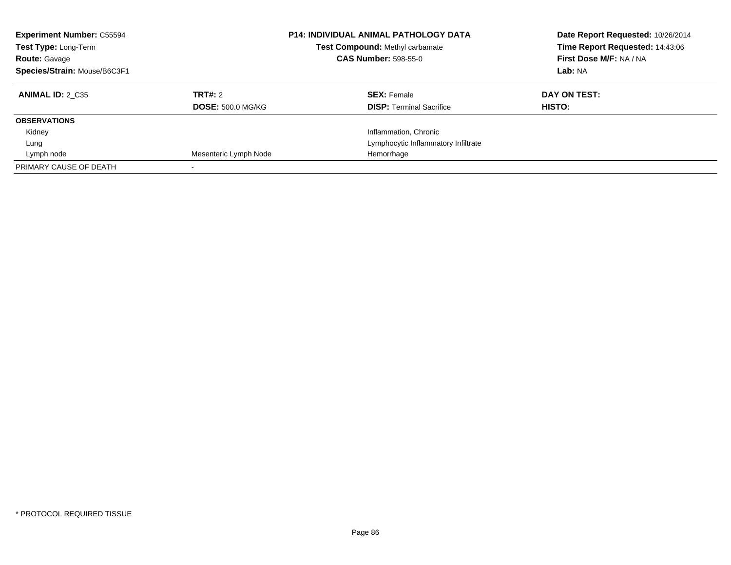| <b>Experiment Number: C55594</b><br>Test Type: Long-Term<br><b>Route: Gavage</b><br>Species/Strain: Mouse/B6C3F1 |                                     | <b>P14: INDIVIDUAL ANIMAL PATHOLOGY DATA</b><br>Test Compound: Methyl carbamate<br><b>CAS Number: 598-55-0</b> | Date Report Requested: 10/26/2014<br>Time Report Requested: 14:43:06<br>First Dose M/F: NA / NA<br>Lab: NA |
|------------------------------------------------------------------------------------------------------------------|-------------------------------------|----------------------------------------------------------------------------------------------------------------|------------------------------------------------------------------------------------------------------------|
| <b>ANIMAL ID: 2 C35</b>                                                                                          | TRT#: 2<br><b>DOSE: 500.0 MG/KG</b> | <b>SEX: Female</b><br><b>DISP:</b> Terminal Sacrifice                                                          | DAY ON TEST:<br>HISTO:                                                                                     |
| <b>OBSERVATIONS</b>                                                                                              |                                     |                                                                                                                |                                                                                                            |
| Kidney                                                                                                           |                                     | Inflammation, Chronic                                                                                          |                                                                                                            |
| Lung                                                                                                             |                                     | Lymphocytic Inflammatory Infiltrate                                                                            |                                                                                                            |
| Lymph node                                                                                                       | Mesenteric Lymph Node               | Hemorrhage                                                                                                     |                                                                                                            |
| PRIMARY CAUSE OF DEATH                                                                                           |                                     |                                                                                                                |                                                                                                            |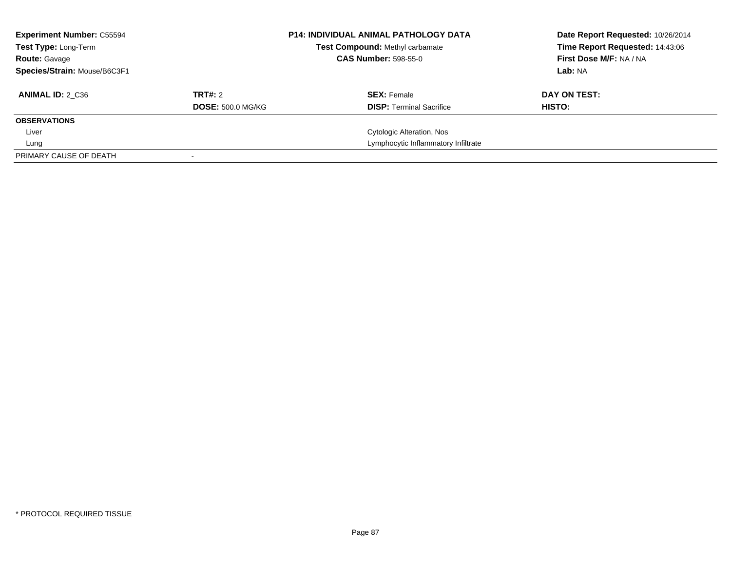| <b>Experiment Number: C55594</b><br><b>Test Type: Long-Term</b><br><b>Route: Gavage</b> |                          | <b>P14: INDIVIDUAL ANIMAL PATHOLOGY DATA</b><br>Test Compound: Methyl carbamate<br><b>CAS Number: 598-55-0</b> |  | Date Report Requested: 10/26/2014<br>Time Report Requested: 14:43:06<br>First Dose M/F: NA / NA |
|-----------------------------------------------------------------------------------------|--------------------------|----------------------------------------------------------------------------------------------------------------|--|-------------------------------------------------------------------------------------------------|
| Species/Strain: Mouse/B6C3F1                                                            |                          |                                                                                                                |  | Lab: NA                                                                                         |
| ANIMAL ID: 2 C36                                                                        | TRT#: 2                  | <b>SEX: Female</b>                                                                                             |  | DAY ON TEST:                                                                                    |
|                                                                                         | <b>DOSE: 500.0 MG/KG</b> | <b>DISP: Terminal Sacrifice</b>                                                                                |  | HISTO:                                                                                          |
| <b>OBSERVATIONS</b>                                                                     |                          |                                                                                                                |  |                                                                                                 |
| Liver                                                                                   |                          | Cytologic Alteration, Nos                                                                                      |  |                                                                                                 |
| Lung                                                                                    |                          | Lymphocytic Inflammatory Infiltrate                                                                            |  |                                                                                                 |
| PRIMARY CAUSE OF DEATH                                                                  |                          |                                                                                                                |  |                                                                                                 |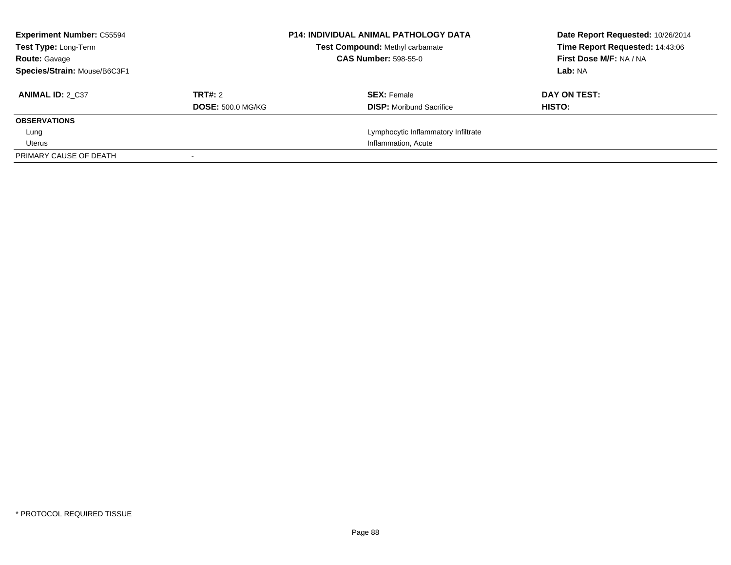| <b>Experiment Number: C55594</b><br><b>Test Type: Long-Term</b><br><b>Route: Gavage</b><br>Species/Strain: Mouse/B6C3F1 |                                     | <b>P14: INDIVIDUAL ANIMAL PATHOLOGY DATA</b><br>Test Compound: Methyl carbamate<br><b>CAS Number: 598-55-0</b> | Date Report Requested: 10/26/2014<br>Time Report Requested: 14:43:06<br>First Dose M/F: NA / NA<br>Lab: NA |
|-------------------------------------------------------------------------------------------------------------------------|-------------------------------------|----------------------------------------------------------------------------------------------------------------|------------------------------------------------------------------------------------------------------------|
| <b>ANIMAL ID: 2 C37</b>                                                                                                 | TRT#: 2<br><b>DOSE: 500.0 MG/KG</b> | <b>SEX: Female</b><br><b>DISP:</b> Moribund Sacrifice                                                          | DAY ON TEST:<br>HISTO:                                                                                     |
| <b>OBSERVATIONS</b>                                                                                                     |                                     |                                                                                                                |                                                                                                            |
| Lung                                                                                                                    |                                     | Lymphocytic Inflammatory Infiltrate                                                                            |                                                                                                            |
| Uterus                                                                                                                  |                                     | Inflammation, Acute                                                                                            |                                                                                                            |
| PRIMARY CAUSE OF DEATH                                                                                                  |                                     |                                                                                                                |                                                                                                            |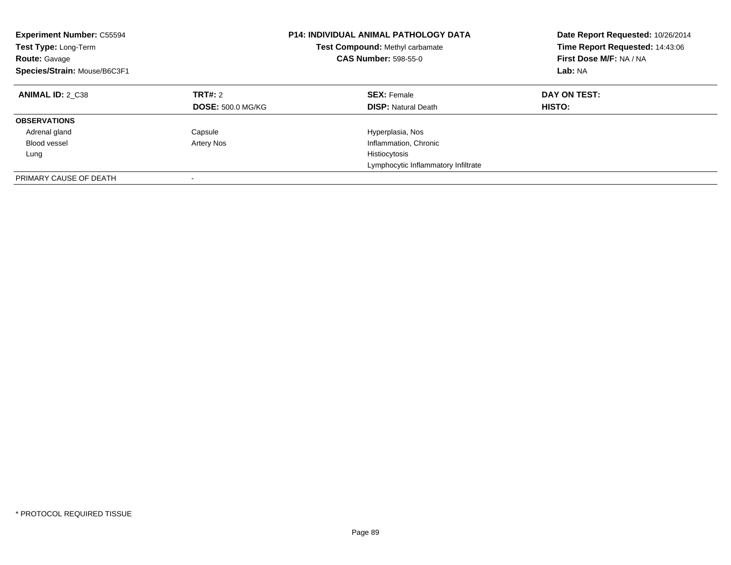| <b>Experiment Number: C55594</b><br>Test Type: Long-Term<br><b>Route: Gavage</b><br>Species/Strain: Mouse/B6C3F1 |                                     | <b>P14: INDIVIDUAL ANIMAL PATHOLOGY DATA</b><br>Test Compound: Methyl carbamate<br><b>CAS Number: 598-55-0</b> | Date Report Requested: 10/26/2014<br>Time Report Requested: 14:43:06<br>First Dose M/F: NA / NA<br>Lab: NA |
|------------------------------------------------------------------------------------------------------------------|-------------------------------------|----------------------------------------------------------------------------------------------------------------|------------------------------------------------------------------------------------------------------------|
| <b>ANIMAL ID: 2 C38</b>                                                                                          | TRT#: 2<br><b>DOSE: 500.0 MG/KG</b> | <b>SEX: Female</b><br><b>DISP:</b> Natural Death                                                               | DAY ON TEST:<br><b>HISTO:</b>                                                                              |
| <b>OBSERVATIONS</b>                                                                                              |                                     |                                                                                                                |                                                                                                            |
| Adrenal gland                                                                                                    | Capsule                             | Hyperplasia, Nos                                                                                               |                                                                                                            |
| <b>Blood vessel</b>                                                                                              | <b>Artery Nos</b>                   | Inflammation, Chronic                                                                                          |                                                                                                            |
| Lung                                                                                                             |                                     | Histiocytosis                                                                                                  |                                                                                                            |
|                                                                                                                  |                                     | Lymphocytic Inflammatory Infiltrate                                                                            |                                                                                                            |
| PRIMARY CAUSE OF DEATH                                                                                           |                                     |                                                                                                                |                                                                                                            |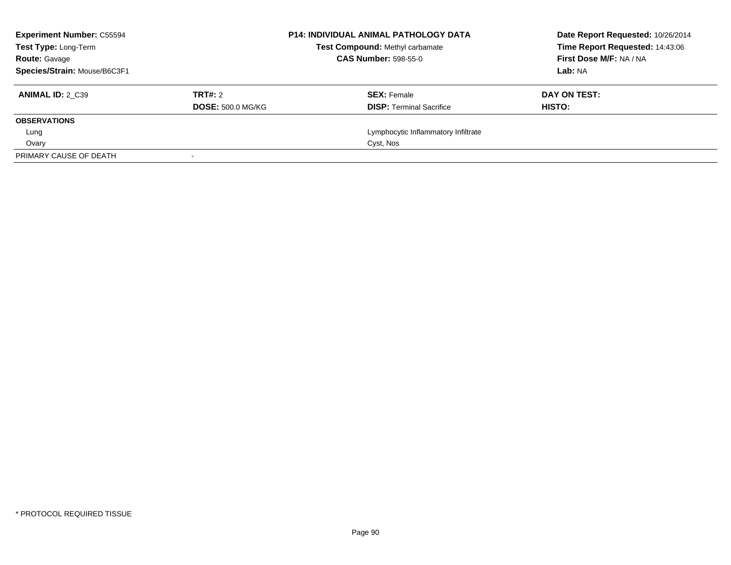| <b>Experiment Number: C55594</b><br>Test Type: Long-Term |                          | <b>P14: INDIVIDUAL ANIMAL PATHOLOGY DATA</b><br><b>Test Compound: Methyl carbamate</b> | Date Report Requested: 10/26/2014<br>Time Report Requested: 14:43:06 |
|----------------------------------------------------------|--------------------------|----------------------------------------------------------------------------------------|----------------------------------------------------------------------|
| <b>Route: Gavage</b>                                     |                          | <b>CAS Number: 598-55-0</b>                                                            | First Dose M/F: NA / NA                                              |
| Species/Strain: Mouse/B6C3F1                             |                          |                                                                                        | Lab: NA                                                              |
| <b>ANIMAL ID: 2 C39</b>                                  | TRT#: 2                  | <b>SEX: Female</b>                                                                     | DAY ON TEST:                                                         |
|                                                          | <b>DOSE: 500.0 MG/KG</b> | <b>DISP:</b> Terminal Sacrifice                                                        | <b>HISTO:</b>                                                        |
| <b>OBSERVATIONS</b>                                      |                          |                                                                                        |                                                                      |
| Lung                                                     |                          | Lymphocytic Inflammatory Infiltrate                                                    |                                                                      |
| Ovary                                                    |                          | Cyst, Nos                                                                              |                                                                      |
| PRIMARY CAUSE OF DEATH                                   |                          |                                                                                        |                                                                      |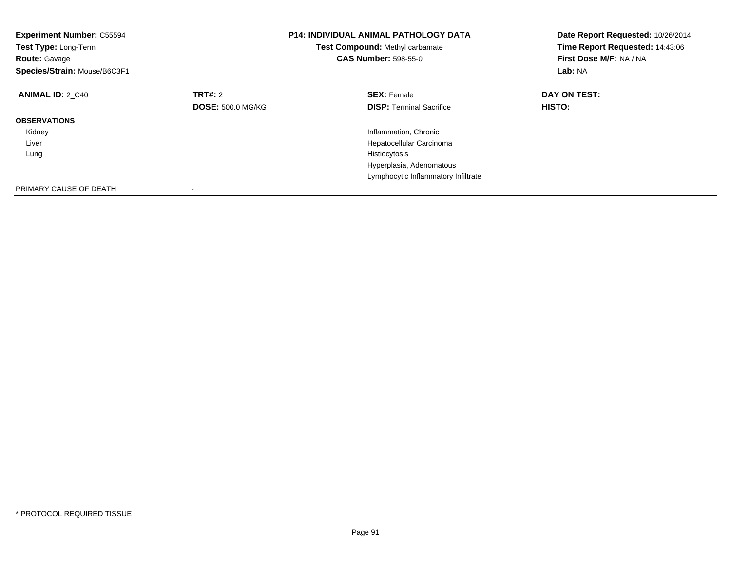| <b>Experiment Number: C55594</b><br>Test Type: Long-Term<br><b>Route: Gavage</b><br>Species/Strain: Mouse/B6C3F1 |                          | <b>P14: INDIVIDUAL ANIMAL PATHOLOGY DATA</b><br>Test Compound: Methyl carbamate<br><b>CAS Number: 598-55-0</b> | Date Report Requested: 10/26/2014<br>Time Report Requested: 14:43:06<br>First Dose M/F: NA / NA<br>Lab: NA |
|------------------------------------------------------------------------------------------------------------------|--------------------------|----------------------------------------------------------------------------------------------------------------|------------------------------------------------------------------------------------------------------------|
| <b>ANIMAL ID: 2 C40</b>                                                                                          | TRT#: 2                  | <b>SEX: Female</b>                                                                                             | DAY ON TEST:                                                                                               |
|                                                                                                                  | <b>DOSE: 500.0 MG/KG</b> | <b>DISP:</b> Terminal Sacrifice                                                                                | <b>HISTO:</b>                                                                                              |
| <b>OBSERVATIONS</b>                                                                                              |                          |                                                                                                                |                                                                                                            |
| Kidney                                                                                                           |                          | Inflammation, Chronic                                                                                          |                                                                                                            |
| Liver                                                                                                            |                          | Hepatocellular Carcinoma                                                                                       |                                                                                                            |
| Lung                                                                                                             |                          | Histiocytosis                                                                                                  |                                                                                                            |
|                                                                                                                  |                          | Hyperplasia, Adenomatous                                                                                       |                                                                                                            |
|                                                                                                                  |                          | Lymphocytic Inflammatory Infiltrate                                                                            |                                                                                                            |
| PRIMARY CAUSE OF DEATH                                                                                           |                          |                                                                                                                |                                                                                                            |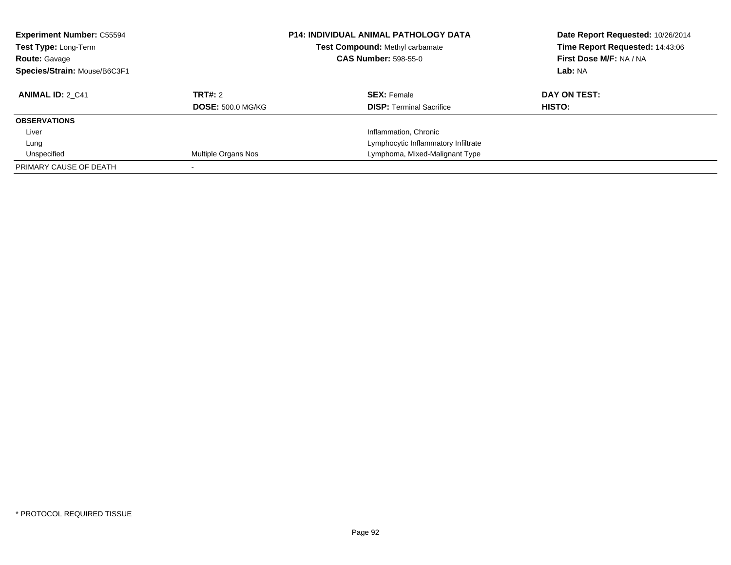| <b>Experiment Number: C55594</b><br>Test Type: Long-Term<br><b>Route: Gavage</b><br>Species/Strain: Mouse/B6C3F1 |                                     | <b>P14: INDIVIDUAL ANIMAL PATHOLOGY DATA</b><br>Test Compound: Methyl carbamate<br><b>CAS Number: 598-55-0</b> | Date Report Requested: 10/26/2014<br>Time Report Requested: 14:43:06<br>First Dose M/F: NA / NA<br>Lab: NA |
|------------------------------------------------------------------------------------------------------------------|-------------------------------------|----------------------------------------------------------------------------------------------------------------|------------------------------------------------------------------------------------------------------------|
| <b>ANIMAL ID: 2 C41</b>                                                                                          | TRT#: 2<br><b>DOSE: 500.0 MG/KG</b> | <b>SEX: Female</b><br><b>DISP:</b> Terminal Sacrifice                                                          | DAY ON TEST:<br>HISTO:                                                                                     |
| <b>OBSERVATIONS</b>                                                                                              |                                     |                                                                                                                |                                                                                                            |
| Liver                                                                                                            |                                     | Inflammation, Chronic                                                                                          |                                                                                                            |
| Lung                                                                                                             |                                     | Lymphocytic Inflammatory Infiltrate                                                                            |                                                                                                            |
| Unspecified                                                                                                      | Multiple Organs Nos                 | Lymphoma, Mixed-Malignant Type                                                                                 |                                                                                                            |
| PRIMARY CAUSE OF DEATH                                                                                           |                                     |                                                                                                                |                                                                                                            |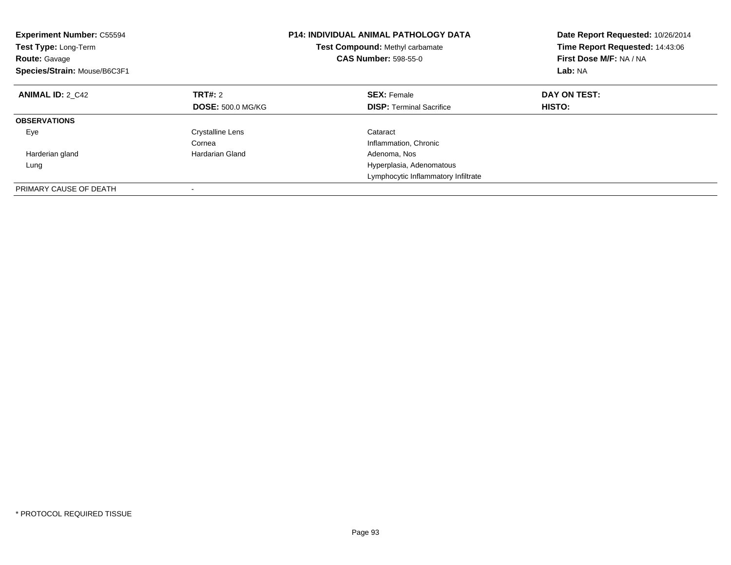| <b>Experiment Number: C55594</b><br><b>Test Type: Long-Term</b><br><b>Route: Gavage</b><br>Species/Strain: Mouse/B6C3F1 |                          | <b>P14: INDIVIDUAL ANIMAL PATHOLOGY DATA</b><br>Test Compound: Methyl carbamate<br><b>CAS Number: 598-55-0</b> | Date Report Requested: 10/26/2014<br>Time Report Requested: 14:43:06<br>First Dose M/F: NA / NA<br>Lab: NA |
|-------------------------------------------------------------------------------------------------------------------------|--------------------------|----------------------------------------------------------------------------------------------------------------|------------------------------------------------------------------------------------------------------------|
| <b>ANIMAL ID: 2 C42</b>                                                                                                 | <b>TRT#: 2</b>           | <b>SEX: Female</b>                                                                                             | DAY ON TEST:                                                                                               |
|                                                                                                                         | <b>DOSE: 500.0 MG/KG</b> | <b>DISP:</b> Terminal Sacrifice                                                                                | HISTO:                                                                                                     |
| <b>OBSERVATIONS</b>                                                                                                     |                          |                                                                                                                |                                                                                                            |
| Eye                                                                                                                     | <b>Crystalline Lens</b>  | Cataract                                                                                                       |                                                                                                            |
|                                                                                                                         | Cornea                   | Inflammation, Chronic                                                                                          |                                                                                                            |
| Harderian gland                                                                                                         | Hardarian Gland          | Adenoma, Nos                                                                                                   |                                                                                                            |
| Lung                                                                                                                    |                          | Hyperplasia, Adenomatous                                                                                       |                                                                                                            |
|                                                                                                                         |                          | Lymphocytic Inflammatory Infiltrate                                                                            |                                                                                                            |
| PRIMARY CAUSE OF DEATH                                                                                                  |                          |                                                                                                                |                                                                                                            |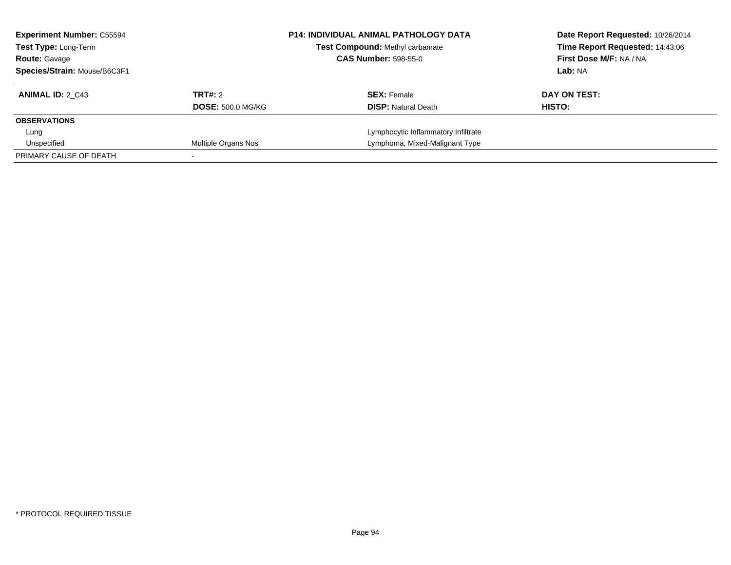| <b>Experiment Number: C55594</b><br><b>Test Type: Long-Term</b> |                          | <b>P14: INDIVIDUAL ANIMAL PATHOLOGY DATA</b><br>Test Compound: Methyl carbamate |  | Date Report Requested: 10/26/2014<br>Time Report Requested: 14:43:06<br>First Dose M/F: NA / NA |  |
|-----------------------------------------------------------------|--------------------------|---------------------------------------------------------------------------------|--|-------------------------------------------------------------------------------------------------|--|
| <b>Route: Gavage</b>                                            |                          | <b>CAS Number: 598-55-0</b>                                                     |  |                                                                                                 |  |
| Species/Strain: Mouse/B6C3F1                                    |                          |                                                                                 |  | Lab: NA                                                                                         |  |
| <b>ANIMAL ID: 2 C43</b>                                         | TRT#: 2                  | <b>SEX: Female</b>                                                              |  | DAY ON TEST:                                                                                    |  |
|                                                                 | <b>DOSE: 500.0 MG/KG</b> | <b>DISP:</b> Natural Death                                                      |  | HISTO:                                                                                          |  |
| <b>OBSERVATIONS</b>                                             |                          |                                                                                 |  |                                                                                                 |  |
| Lung                                                            |                          | Lymphocytic Inflammatory Infiltrate                                             |  |                                                                                                 |  |
| Unspecified                                                     | Multiple Organs Nos      | Lymphoma, Mixed-Malignant Type                                                  |  |                                                                                                 |  |
| PRIMARY CAUSE OF DEATH                                          |                          |                                                                                 |  |                                                                                                 |  |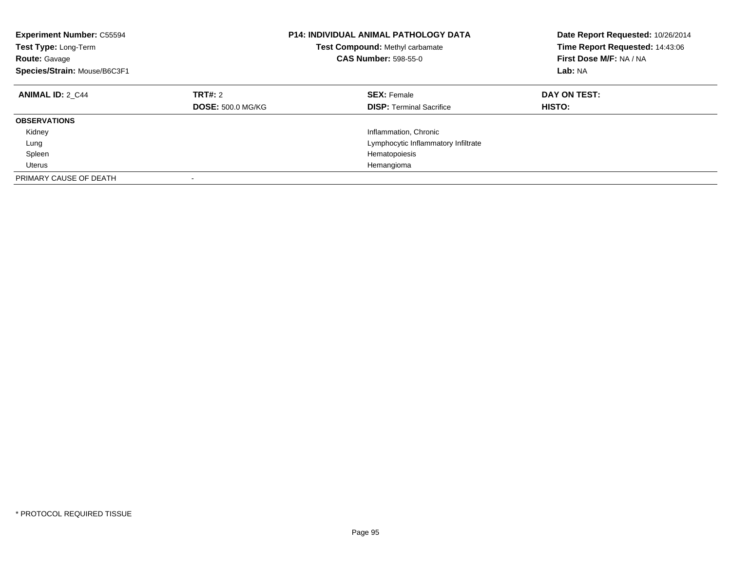| <b>Experiment Number: C55594</b><br><b>Test Type: Long-Term</b><br><b>Route: Gavage</b><br>Species/Strain: Mouse/B6C3F1 |                                     | <b>P14: INDIVIDUAL ANIMAL PATHOLOGY DATA</b><br>Test Compound: Methyl carbamate<br><b>CAS Number: 598-55-0</b> | Date Report Requested: 10/26/2014<br>Time Report Requested: 14:43:06<br>First Dose M/F: NA / NA<br>Lab: NA |
|-------------------------------------------------------------------------------------------------------------------------|-------------------------------------|----------------------------------------------------------------------------------------------------------------|------------------------------------------------------------------------------------------------------------|
| <b>ANIMAL ID: 2 C44</b>                                                                                                 | TRT#: 2<br><b>DOSE: 500.0 MG/KG</b> | <b>SEX: Female</b><br><b>DISP:</b> Terminal Sacrifice                                                          | DAY ON TEST:<br><b>HISTO:</b>                                                                              |
| <b>OBSERVATIONS</b>                                                                                                     |                                     |                                                                                                                |                                                                                                            |
| Kidney                                                                                                                  |                                     | Inflammation, Chronic                                                                                          |                                                                                                            |
| Lung                                                                                                                    |                                     | Lymphocytic Inflammatory Infiltrate                                                                            |                                                                                                            |
| Spleen                                                                                                                  |                                     | Hematopoiesis                                                                                                  |                                                                                                            |
| Uterus                                                                                                                  |                                     | Hemangioma                                                                                                     |                                                                                                            |
| PRIMARY CAUSE OF DEATH                                                                                                  | $\overline{\phantom{a}}$            |                                                                                                                |                                                                                                            |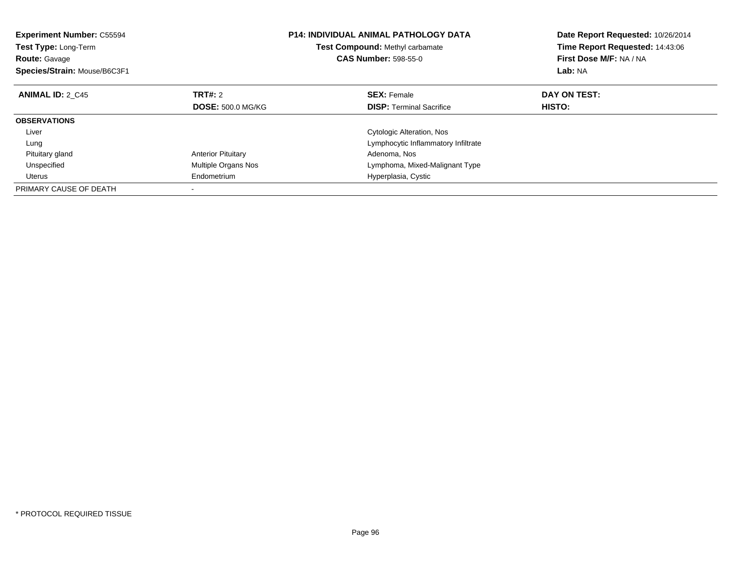| <b>Experiment Number: C55594</b><br>Test Type: Long-Term<br><b>Route: Gavage</b><br>Species/Strain: Mouse/B6C3F1 |                           | <b>P14: INDIVIDUAL ANIMAL PATHOLOGY DATA</b><br>Test Compound: Methyl carbamate<br><b>CAS Number: 598-55-0</b> | Date Report Requested: 10/26/2014<br>Time Report Requested: 14:43:06<br>First Dose M/F: NA / NA<br>Lab: NA |
|------------------------------------------------------------------------------------------------------------------|---------------------------|----------------------------------------------------------------------------------------------------------------|------------------------------------------------------------------------------------------------------------|
| <b>ANIMAL ID: 2 C45</b>                                                                                          | TRT#: 2                   | <b>SEX: Female</b>                                                                                             | DAY ON TEST:                                                                                               |
|                                                                                                                  | <b>DOSE: 500.0 MG/KG</b>  | <b>DISP:</b> Terminal Sacrifice                                                                                | <b>HISTO:</b>                                                                                              |
| <b>OBSERVATIONS</b>                                                                                              |                           |                                                                                                                |                                                                                                            |
| Liver                                                                                                            |                           | Cytologic Alteration, Nos                                                                                      |                                                                                                            |
| Lung                                                                                                             |                           | Lymphocytic Inflammatory Infiltrate                                                                            |                                                                                                            |
| Pituitary gland                                                                                                  | <b>Anterior Pituitary</b> | Adenoma, Nos                                                                                                   |                                                                                                            |
| Unspecified                                                                                                      | Multiple Organs Nos       | Lymphoma, Mixed-Malignant Type                                                                                 |                                                                                                            |
| Uterus                                                                                                           | Endometrium               | Hyperplasia, Cystic                                                                                            |                                                                                                            |
| PRIMARY CAUSE OF DEATH                                                                                           |                           |                                                                                                                |                                                                                                            |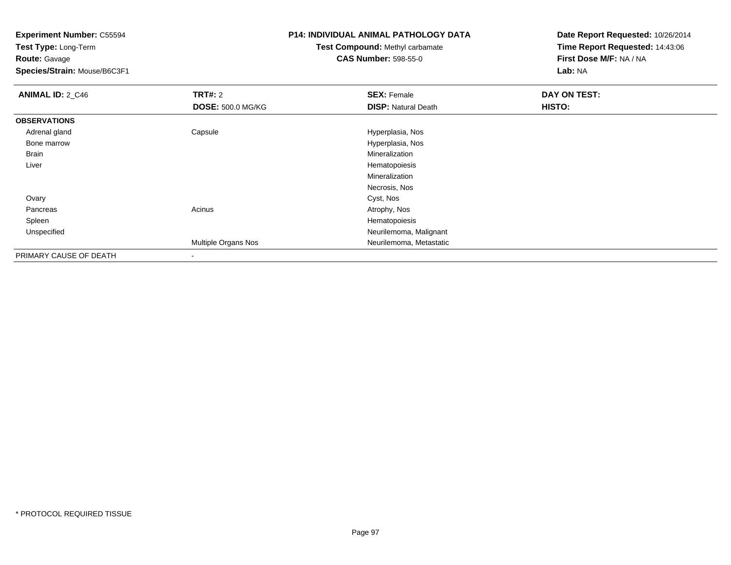**Test Type:** Long-Term**Route:** Gavage

**Species/Strain:** Mouse/B6C3F1

# **P14: INDIVIDUAL ANIMAL PATHOLOGY DATA**

# **Test Compound:** Methyl carbamate**CAS Number:** 598-55-0

| <b>ANIMAL ID: 2_C46</b> | <b>TRT#: 2</b>           | <b>SEX: Female</b>         | DAY ON TEST: |
|-------------------------|--------------------------|----------------------------|--------------|
|                         | <b>DOSE: 500.0 MG/KG</b> | <b>DISP: Natural Death</b> | HISTO:       |
| <b>OBSERVATIONS</b>     |                          |                            |              |
| Adrenal gland           | Capsule                  | Hyperplasia, Nos           |              |
| Bone marrow             |                          | Hyperplasia, Nos           |              |
| <b>Brain</b>            |                          | Mineralization             |              |
| Liver                   |                          | Hematopoiesis              |              |
|                         |                          | Mineralization             |              |
|                         |                          | Necrosis, Nos              |              |
| Ovary                   |                          | Cyst, Nos                  |              |
| Pancreas                | Acinus                   | Atrophy, Nos               |              |
| Spleen                  |                          | Hematopoiesis              |              |
| Unspecified             |                          | Neurilemoma, Malignant     |              |
|                         | Multiple Organs Nos      | Neurilemoma, Metastatic    |              |
| PRIMARY CAUSE OF DEATH  | $\blacksquare$           |                            |              |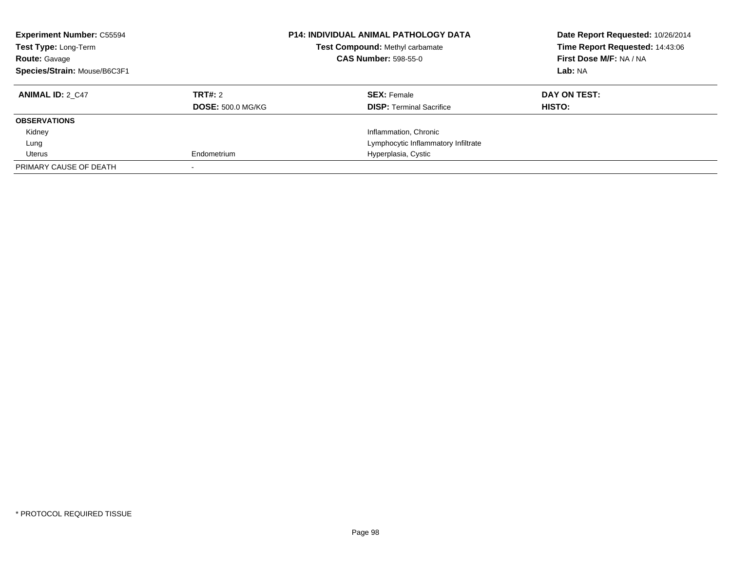| <b>Experiment Number: C55594</b><br>Test Type: Long-Term<br><b>Route: Gavage</b><br>Species/Strain: Mouse/B6C3F1 |                                     | <b>P14: INDIVIDUAL ANIMAL PATHOLOGY DATA</b><br>Test Compound: Methyl carbamate<br><b>CAS Number: 598-55-0</b> | Date Report Requested: 10/26/2014<br>Time Report Requested: 14:43:06<br>First Dose M/F: NA / NA<br>Lab: NA |
|------------------------------------------------------------------------------------------------------------------|-------------------------------------|----------------------------------------------------------------------------------------------------------------|------------------------------------------------------------------------------------------------------------|
| <b>ANIMAL ID: 2 C47</b>                                                                                          | TRT#: 2<br><b>DOSE: 500.0 MG/KG</b> | <b>SEX: Female</b><br><b>DISP:</b> Terminal Sacrifice                                                          | DAY ON TEST:<br>HISTO:                                                                                     |
| <b>OBSERVATIONS</b>                                                                                              |                                     |                                                                                                                |                                                                                                            |
| Kidney                                                                                                           |                                     | Inflammation, Chronic                                                                                          |                                                                                                            |
| Lung                                                                                                             |                                     | Lymphocytic Inflammatory Infiltrate                                                                            |                                                                                                            |
| Uterus                                                                                                           | Endometrium                         | Hyperplasia, Cystic                                                                                            |                                                                                                            |
| PRIMARY CAUSE OF DEATH                                                                                           |                                     |                                                                                                                |                                                                                                            |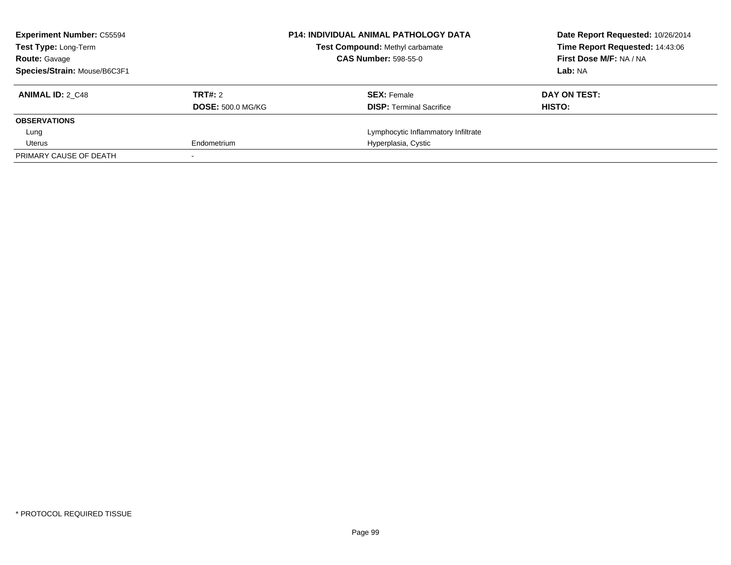| <b>Experiment Number: C55594</b><br><b>Test Type: Long-Term</b> |                          | <b>P14: INDIVIDUAL ANIMAL PATHOLOGY DATA</b><br><b>Test Compound: Methyl carbamate</b> | Date Report Requested: 10/26/2014<br>Time Report Requested: 14:43:06 |
|-----------------------------------------------------------------|--------------------------|----------------------------------------------------------------------------------------|----------------------------------------------------------------------|
| <b>Route: Gavage</b>                                            |                          | <b>CAS Number: 598-55-0</b>                                                            | First Dose M/F: NA / NA                                              |
| Species/Strain: Mouse/B6C3F1                                    |                          |                                                                                        | Lab: NA                                                              |
| <b>ANIMAL ID: 2 C48</b>                                         | TRT#: 2                  | <b>SEX: Female</b>                                                                     | DAY ON TEST:                                                         |
|                                                                 | <b>DOSE: 500.0 MG/KG</b> | <b>DISP:</b> Terminal Sacrifice                                                        | HISTO:                                                               |
| <b>OBSERVATIONS</b>                                             |                          |                                                                                        |                                                                      |
| Lung                                                            |                          | Lymphocytic Inflammatory Infiltrate                                                    |                                                                      |
| Uterus                                                          | Endometrium              | Hyperplasia, Cystic                                                                    |                                                                      |
| PRIMARY CAUSE OF DEATH                                          |                          |                                                                                        |                                                                      |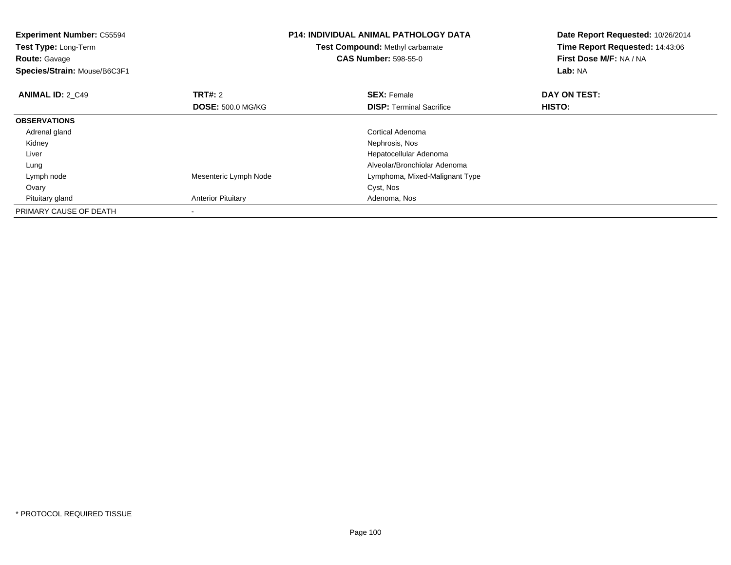| <b>Experiment Number: C55594</b><br>Test Type: Long-Term<br><b>Route: Gavage</b><br>Species/Strain: Mouse/B6C3F1 |                           | <b>P14: INDIVIDUAL ANIMAL PATHOLOGY DATA</b><br>Test Compound: Methyl carbamate<br><b>CAS Number: 598-55-0</b> | Date Report Requested: 10/26/2014<br>Time Report Requested: 14:43:06<br>First Dose M/F: NA / NA<br>Lab: NA |
|------------------------------------------------------------------------------------------------------------------|---------------------------|----------------------------------------------------------------------------------------------------------------|------------------------------------------------------------------------------------------------------------|
| <b>ANIMAL ID: 2 C49</b>                                                                                          | <b>TRT#: 2</b>            | <b>SEX: Female</b>                                                                                             | DAY ON TEST:                                                                                               |
|                                                                                                                  | <b>DOSE: 500.0 MG/KG</b>  | <b>DISP:</b> Terminal Sacrifice                                                                                | HISTO:                                                                                                     |
| <b>OBSERVATIONS</b>                                                                                              |                           |                                                                                                                |                                                                                                            |
| Adrenal gland                                                                                                    |                           | Cortical Adenoma                                                                                               |                                                                                                            |
| Kidney                                                                                                           |                           | Nephrosis, Nos                                                                                                 |                                                                                                            |
| Liver                                                                                                            |                           | Hepatocellular Adenoma                                                                                         |                                                                                                            |
| Lung                                                                                                             |                           | Alveolar/Bronchiolar Adenoma                                                                                   |                                                                                                            |
| Lymph node                                                                                                       | Mesenteric Lymph Node     | Lymphoma, Mixed-Malignant Type                                                                                 |                                                                                                            |
| Ovary                                                                                                            |                           | Cyst, Nos                                                                                                      |                                                                                                            |
| Pituitary gland                                                                                                  | <b>Anterior Pituitary</b> | Adenoma, Nos                                                                                                   |                                                                                                            |
| PRIMARY CAUSE OF DEATH                                                                                           |                           |                                                                                                                |                                                                                                            |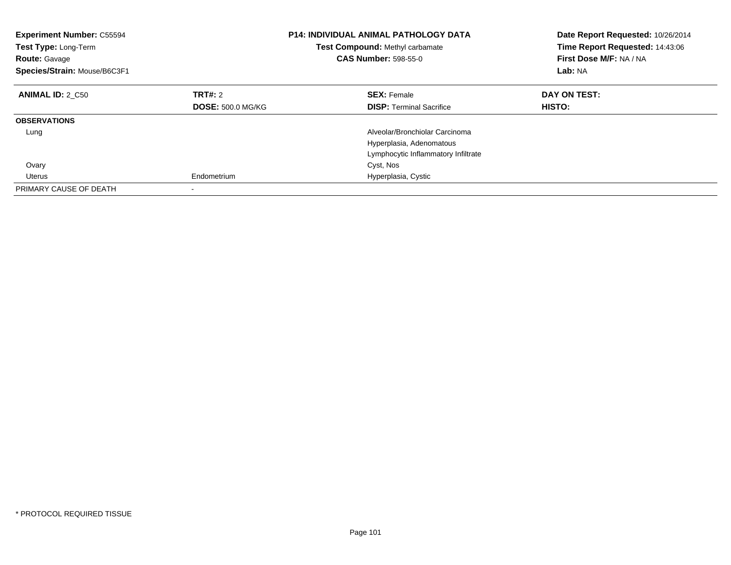| <b>Experiment Number: C55594</b><br>Test Type: Long-Term<br><b>Route: Gavage</b><br>Species/Strain: Mouse/B6C3F1 |                          | <b>P14: INDIVIDUAL ANIMAL PATHOLOGY DATA</b><br>Test Compound: Methyl carbamate<br><b>CAS Number: 598-55-0</b> | Date Report Requested: 10/26/2014<br>Time Report Requested: 14:43:06<br>First Dose M/F: NA / NA<br>Lab: NA |
|------------------------------------------------------------------------------------------------------------------|--------------------------|----------------------------------------------------------------------------------------------------------------|------------------------------------------------------------------------------------------------------------|
| <b>ANIMAL ID: 2 C50</b>                                                                                          | TRT#: 2                  | <b>SEX: Female</b>                                                                                             | DAY ON TEST:                                                                                               |
|                                                                                                                  | <b>DOSE: 500.0 MG/KG</b> | <b>DISP:</b> Terminal Sacrifice                                                                                | HISTO:                                                                                                     |
| <b>OBSERVATIONS</b>                                                                                              |                          |                                                                                                                |                                                                                                            |
| Lung                                                                                                             |                          | Alveolar/Bronchiolar Carcinoma                                                                                 |                                                                                                            |
|                                                                                                                  |                          | Hyperplasia, Adenomatous                                                                                       |                                                                                                            |
|                                                                                                                  |                          | Lymphocytic Inflammatory Infiltrate                                                                            |                                                                                                            |
| Ovary                                                                                                            |                          | Cyst, Nos                                                                                                      |                                                                                                            |
| Uterus                                                                                                           | Endometrium              | Hyperplasia, Cystic                                                                                            |                                                                                                            |
| PRIMARY CAUSE OF DEATH                                                                                           |                          |                                                                                                                |                                                                                                            |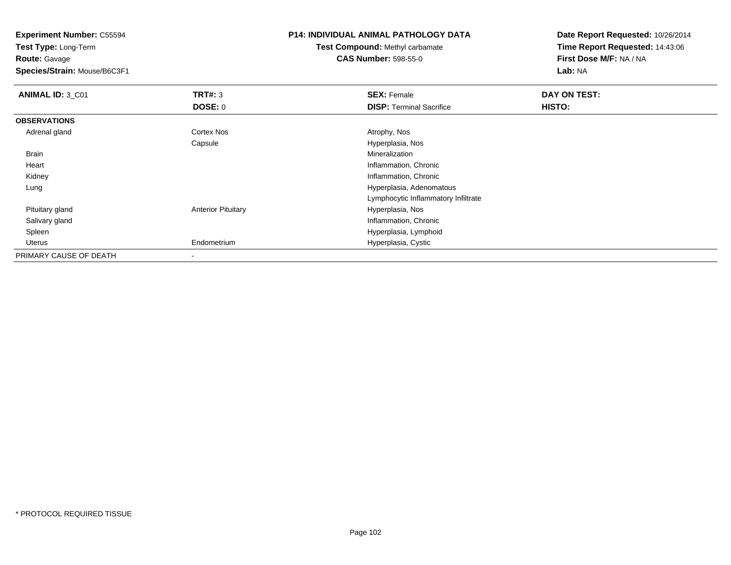**Test Type:** Long-Term**Route:** Gavage

**Species/Strain:** Mouse/B6C3F1

## **P14: INDIVIDUAL ANIMAL PATHOLOGY DATA**

**Test Compound:** Methyl carbamate**CAS Number:** 598-55-0

| ANIMAL ID: 3_C01       | TRT#: 3                   | <b>SEX: Female</b>                  | DAY ON TEST: |  |
|------------------------|---------------------------|-------------------------------------|--------------|--|
|                        | DOSE: 0                   | <b>DISP: Terminal Sacrifice</b>     | HISTO:       |  |
| <b>OBSERVATIONS</b>    |                           |                                     |              |  |
| Adrenal gland          | Cortex Nos                | Atrophy, Nos                        |              |  |
|                        | Capsule                   | Hyperplasia, Nos                    |              |  |
| Brain                  |                           | Mineralization                      |              |  |
| Heart                  |                           | Inflammation, Chronic               |              |  |
| Kidney                 |                           | Inflammation, Chronic               |              |  |
| Lung                   |                           | Hyperplasia, Adenomatous            |              |  |
|                        |                           | Lymphocytic Inflammatory Infiltrate |              |  |
| Pituitary gland        | <b>Anterior Pituitary</b> | Hyperplasia, Nos                    |              |  |
| Salivary gland         |                           | Inflammation, Chronic               |              |  |
| Spleen                 |                           | Hyperplasia, Lymphoid               |              |  |
| Uterus                 | Endometrium               | Hyperplasia, Cystic                 |              |  |
| PRIMARY CAUSE OF DEATH | $\overline{\phantom{a}}$  |                                     |              |  |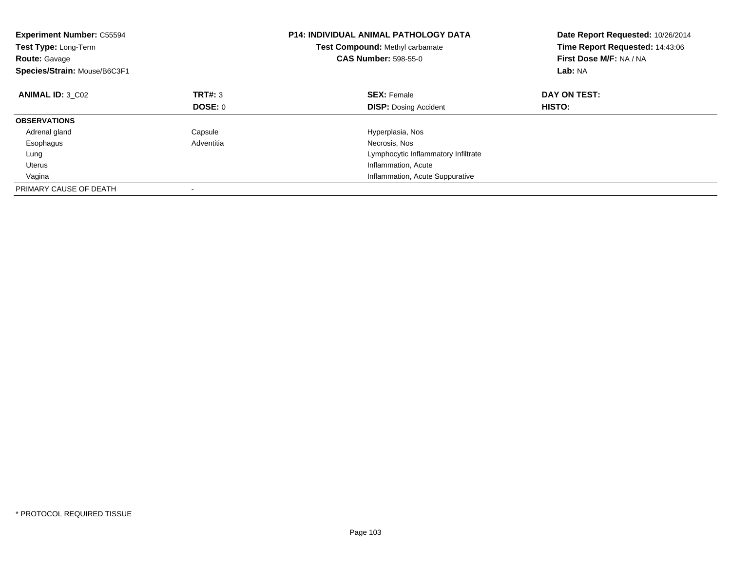| <b>Experiment Number: C55594</b><br>Test Type: Long-Term<br><b>Route: Gavage</b><br>Species/Strain: Mouse/B6C3F1 |            | <b>P14: INDIVIDUAL ANIMAL PATHOLOGY DATA</b><br>Test Compound: Methyl carbamate<br><b>CAS Number: 598-55-0</b> | Date Report Requested: 10/26/2014<br>Time Report Requested: 14:43:06<br>First Dose M/F: NA / NA<br>Lab: NA |
|------------------------------------------------------------------------------------------------------------------|------------|----------------------------------------------------------------------------------------------------------------|------------------------------------------------------------------------------------------------------------|
| <b>ANIMAL ID: 3 C02</b>                                                                                          | TRT#: 3    | <b>SEX: Female</b>                                                                                             | DAY ON TEST:                                                                                               |
|                                                                                                                  | DOSE: 0    | <b>DISP:</b> Dosing Accident                                                                                   | <b>HISTO:</b>                                                                                              |
| <b>OBSERVATIONS</b>                                                                                              |            |                                                                                                                |                                                                                                            |
| Adrenal gland                                                                                                    | Capsule    | Hyperplasia, Nos                                                                                               |                                                                                                            |
| Esophagus                                                                                                        | Adventitia | Necrosis, Nos                                                                                                  |                                                                                                            |
| Lung                                                                                                             |            | Lymphocytic Inflammatory Infiltrate                                                                            |                                                                                                            |
| <b>Uterus</b>                                                                                                    |            | Inflammation, Acute                                                                                            |                                                                                                            |
| Vagina                                                                                                           |            | Inflammation, Acute Suppurative                                                                                |                                                                                                            |
| PRIMARY CAUSE OF DEATH                                                                                           |            |                                                                                                                |                                                                                                            |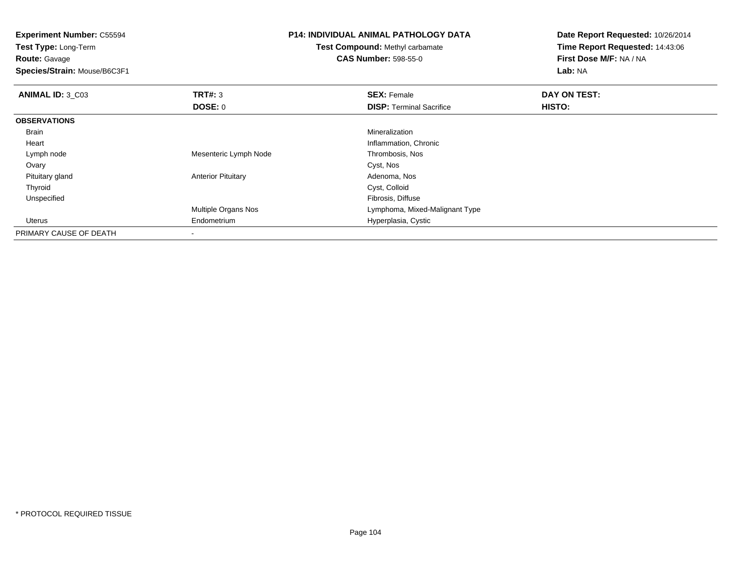| <b>Experiment Number: C55594</b><br><b>Test Type: Long-Term</b><br><b>Route: Gavage</b><br>Species/Strain: Mouse/B6C3F1 |                           | <b>P14: INDIVIDUAL ANIMAL PATHOLOGY DATA</b><br>Test Compound: Methyl carbamate<br><b>CAS Number: 598-55-0</b> | Date Report Requested: 10/26/2014<br>Time Report Requested: 14:43:06<br>First Dose M/F: NA / NA<br>Lab: NA |
|-------------------------------------------------------------------------------------------------------------------------|---------------------------|----------------------------------------------------------------------------------------------------------------|------------------------------------------------------------------------------------------------------------|
| <b>ANIMAL ID: 3_C03</b>                                                                                                 | TRT#: 3                   | <b>SEX: Female</b>                                                                                             | DAY ON TEST:                                                                                               |
|                                                                                                                         | <b>DOSE: 0</b>            | <b>DISP:</b> Terminal Sacrifice                                                                                | HISTO:                                                                                                     |
| <b>OBSERVATIONS</b>                                                                                                     |                           |                                                                                                                |                                                                                                            |
| <b>Brain</b>                                                                                                            |                           | Mineralization                                                                                                 |                                                                                                            |
| Heart                                                                                                                   |                           | Inflammation, Chronic                                                                                          |                                                                                                            |
| Lymph node                                                                                                              | Mesenteric Lymph Node     | Thrombosis, Nos                                                                                                |                                                                                                            |
| Ovary                                                                                                                   |                           | Cyst, Nos                                                                                                      |                                                                                                            |
| Pituitary gland                                                                                                         | <b>Anterior Pituitary</b> | Adenoma, Nos                                                                                                   |                                                                                                            |
| Thyroid                                                                                                                 |                           | Cyst, Colloid                                                                                                  |                                                                                                            |
| Unspecified                                                                                                             |                           | Fibrosis, Diffuse                                                                                              |                                                                                                            |
|                                                                                                                         | Multiple Organs Nos       | Lymphoma, Mixed-Malignant Type                                                                                 |                                                                                                            |
| Uterus                                                                                                                  | Endometrium               | Hyperplasia, Cystic                                                                                            |                                                                                                            |
| PRIMARY CAUSE OF DEATH                                                                                                  |                           |                                                                                                                |                                                                                                            |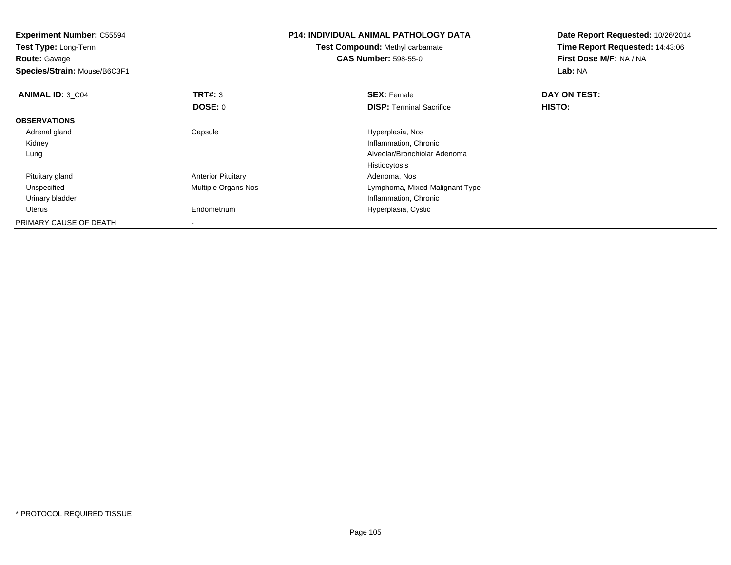| <b>Experiment Number: C55594</b><br>Test Type: Long-Term<br><b>Route: Gavage</b><br>Species/Strain: Mouse/B6C3F1 |                           | <b>P14: INDIVIDUAL ANIMAL PATHOLOGY DATA</b><br><b>Test Compound: Methyl carbamate</b><br><b>CAS Number: 598-55-0</b> | Date Report Requested: 10/26/2014<br>Time Report Requested: 14:43:06<br>First Dose M/F: NA / NA<br><b>Lab: NA</b> |
|------------------------------------------------------------------------------------------------------------------|---------------------------|-----------------------------------------------------------------------------------------------------------------------|-------------------------------------------------------------------------------------------------------------------|
| <b>ANIMAL ID: 3 C04</b>                                                                                          | TRT#: 3                   | <b>SEX: Female</b>                                                                                                    | DAY ON TEST:                                                                                                      |
|                                                                                                                  | DOSE: 0                   | <b>DISP:</b> Terminal Sacrifice                                                                                       | <b>HISTO:</b>                                                                                                     |
| <b>OBSERVATIONS</b>                                                                                              |                           |                                                                                                                       |                                                                                                                   |
| Adrenal gland                                                                                                    | Capsule                   | Hyperplasia, Nos                                                                                                      |                                                                                                                   |
| Kidney                                                                                                           |                           | Inflammation, Chronic                                                                                                 |                                                                                                                   |
| Lung                                                                                                             |                           | Alveolar/Bronchiolar Adenoma                                                                                          |                                                                                                                   |
|                                                                                                                  |                           | Histiocytosis                                                                                                         |                                                                                                                   |
| Pituitary gland                                                                                                  | <b>Anterior Pituitary</b> | Adenoma, Nos                                                                                                          |                                                                                                                   |
| Unspecified                                                                                                      | Multiple Organs Nos       | Lymphoma, Mixed-Malignant Type                                                                                        |                                                                                                                   |
| Urinary bladder                                                                                                  |                           | Inflammation, Chronic                                                                                                 |                                                                                                                   |
| Uterus                                                                                                           | Endometrium               | Hyperplasia, Cystic                                                                                                   |                                                                                                                   |
| PRIMARY CAUSE OF DEATH                                                                                           |                           |                                                                                                                       |                                                                                                                   |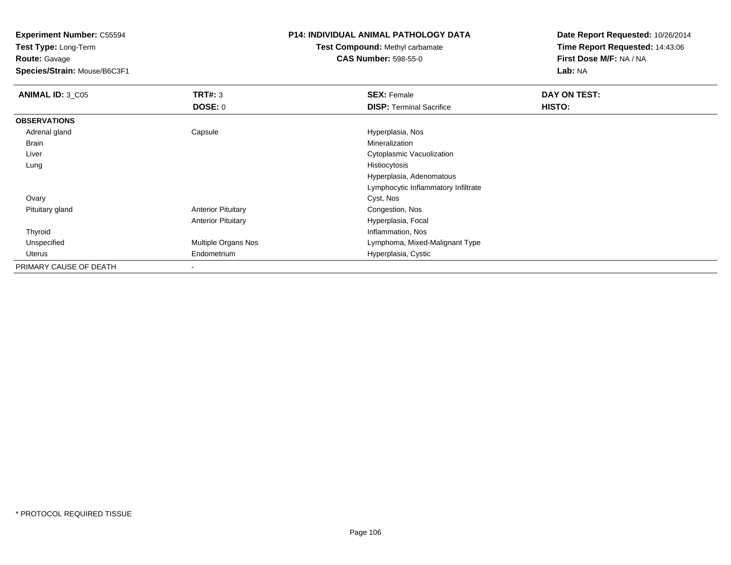**Test Type:** Long-Term**Route:** Gavage

**Species/Strain:** Mouse/B6C3F1

## **P14: INDIVIDUAL ANIMAL PATHOLOGY DATA**

**Test Compound:** Methyl carbamate**CAS Number:** 598-55-0

| <b>ANIMAL ID: 3_C05</b> | TRT#: 3                    | <b>SEX: Female</b>                  | DAY ON TEST: |  |
|-------------------------|----------------------------|-------------------------------------|--------------|--|
|                         | <b>DOSE: 0</b>             | <b>DISP: Terminal Sacrifice</b>     | HISTO:       |  |
| <b>OBSERVATIONS</b>     |                            |                                     |              |  |
| Adrenal gland           | Capsule                    | Hyperplasia, Nos                    |              |  |
| Brain                   |                            | Mineralization                      |              |  |
| Liver                   |                            | <b>Cytoplasmic Vacuolization</b>    |              |  |
| Lung                    |                            | Histiocytosis                       |              |  |
|                         |                            | Hyperplasia, Adenomatous            |              |  |
|                         |                            | Lymphocytic Inflammatory Infiltrate |              |  |
| Ovary                   |                            | Cyst, Nos                           |              |  |
| Pituitary gland         | <b>Anterior Pituitary</b>  | Congestion, Nos                     |              |  |
|                         | <b>Anterior Pituitary</b>  | Hyperplasia, Focal                  |              |  |
| Thyroid                 |                            | Inflammation, Nos                   |              |  |
| Unspecified             | <b>Multiple Organs Nos</b> | Lymphoma, Mixed-Malignant Type      |              |  |
| Uterus                  | Endometrium                | Hyperplasia, Cystic                 |              |  |
| PRIMARY CAUSE OF DEATH  | $\overline{\phantom{a}}$   |                                     |              |  |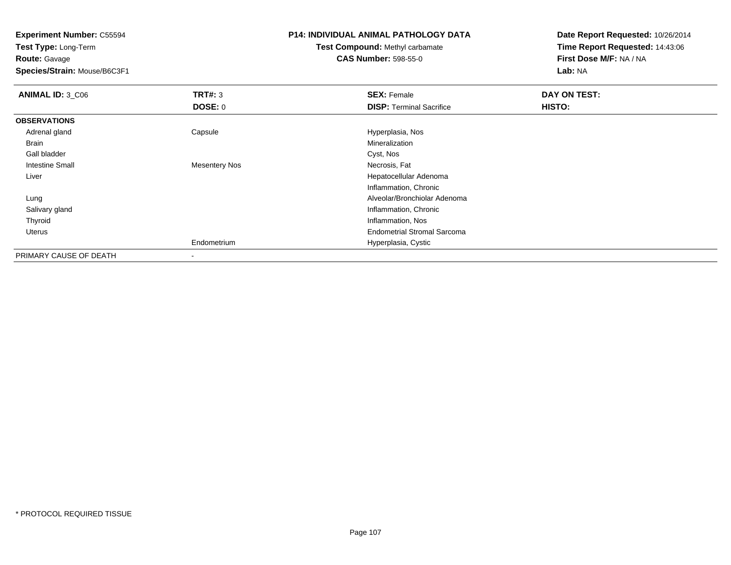**Test Type:** Long-Term**Route:** Gavage

**Species/Strain:** Mouse/B6C3F1

## **P14: INDIVIDUAL ANIMAL PATHOLOGY DATA**

**Test Compound:** Methyl carbamate**CAS Number:** 598-55-0

| <b>ANIMAL ID: 3_C06</b> | <b>TRT#: 3</b>       | <b>SEX: Female</b>                 | DAY ON TEST: |  |
|-------------------------|----------------------|------------------------------------|--------------|--|
|                         | <b>DOSE: 0</b>       | <b>DISP: Terminal Sacrifice</b>    | HISTO:       |  |
| <b>OBSERVATIONS</b>     |                      |                                    |              |  |
| Adrenal gland           | Capsule              | Hyperplasia, Nos                   |              |  |
| Brain                   |                      | Mineralization                     |              |  |
| Gall bladder            |                      | Cyst, Nos                          |              |  |
| Intestine Small         | <b>Mesentery Nos</b> | Necrosis, Fat                      |              |  |
| Liver                   |                      | Hepatocellular Adenoma             |              |  |
|                         |                      | Inflammation, Chronic              |              |  |
| Lung                    |                      | Alveolar/Bronchiolar Adenoma       |              |  |
| Salivary gland          |                      | Inflammation, Chronic              |              |  |
| Thyroid                 |                      | Inflammation, Nos                  |              |  |
| Uterus                  |                      | <b>Endometrial Stromal Sarcoma</b> |              |  |
|                         | Endometrium          | Hyperplasia, Cystic                |              |  |
| PRIMARY CAUSE OF DEATH  | ۰                    |                                    |              |  |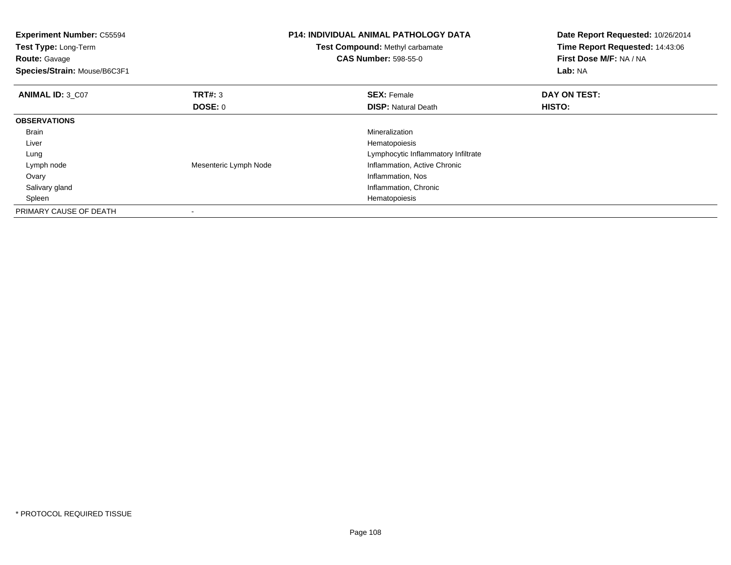| <b>Experiment Number: C55594</b><br><b>Test Type: Long-Term</b><br><b>Route: Gavage</b><br>Species/Strain: Mouse/B6C3F1 |                           | <b>P14: INDIVIDUAL ANIMAL PATHOLOGY DATA</b><br>Test Compound: Methyl carbamate<br><b>CAS Number: 598-55-0</b> | Date Report Requested: 10/26/2014<br>Time Report Requested: 14:43:06<br>First Dose M/F: NA / NA<br>Lab: NA |
|-------------------------------------------------------------------------------------------------------------------------|---------------------------|----------------------------------------------------------------------------------------------------------------|------------------------------------------------------------------------------------------------------------|
| <b>ANIMAL ID: 3 C07</b>                                                                                                 | <b>TRT#: 3</b><br>DOSE: 0 | <b>SEX: Female</b><br><b>DISP: Natural Death</b>                                                               | DAY ON TEST:<br><b>HISTO:</b>                                                                              |
| <b>OBSERVATIONS</b>                                                                                                     |                           |                                                                                                                |                                                                                                            |
|                                                                                                                         |                           |                                                                                                                |                                                                                                            |
| Brain                                                                                                                   |                           | Mineralization                                                                                                 |                                                                                                            |
| Liver                                                                                                                   |                           | Hematopoiesis                                                                                                  |                                                                                                            |
| Lung                                                                                                                    |                           | Lymphocytic Inflammatory Infiltrate                                                                            |                                                                                                            |
| Lymph node                                                                                                              | Mesenteric Lymph Node     | Inflammation, Active Chronic                                                                                   |                                                                                                            |
| Ovary                                                                                                                   |                           | Inflammation, Nos                                                                                              |                                                                                                            |
| Salivary gland                                                                                                          |                           | Inflammation, Chronic                                                                                          |                                                                                                            |
| Spleen                                                                                                                  |                           | Hematopoiesis                                                                                                  |                                                                                                            |
| PRIMARY CAUSE OF DEATH                                                                                                  |                           |                                                                                                                |                                                                                                            |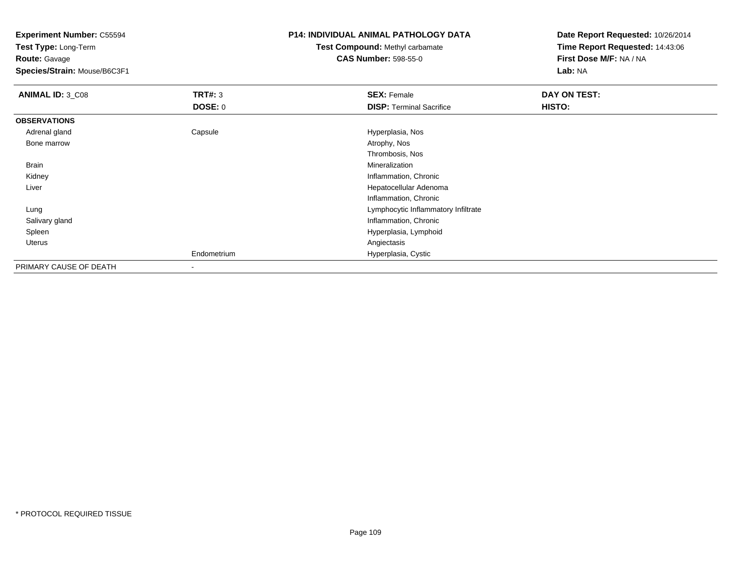**Test Type:** Long-Term**Route:** Gavage

**Species/Strain:** Mouse/B6C3F1

### **P14: INDIVIDUAL ANIMAL PATHOLOGY DATA**

# **Test Compound:** Methyl carbamate**CAS Number:** 598-55-0

| <b>ANIMAL ID: 3_C08</b> | TRT#: 3                  | <b>SEX: Female</b>                  | DAY ON TEST: |
|-------------------------|--------------------------|-------------------------------------|--------------|
|                         | <b>DOSE: 0</b>           | <b>DISP: Terminal Sacrifice</b>     | HISTO:       |
| <b>OBSERVATIONS</b>     |                          |                                     |              |
| Adrenal gland           | Capsule                  | Hyperplasia, Nos                    |              |
| Bone marrow             |                          | Atrophy, Nos                        |              |
|                         |                          | Thrombosis, Nos                     |              |
| Brain                   |                          | Mineralization                      |              |
| Kidney                  |                          | Inflammation, Chronic               |              |
| Liver                   |                          | Hepatocellular Adenoma              |              |
|                         |                          | Inflammation, Chronic               |              |
| Lung                    |                          | Lymphocytic Inflammatory Infiltrate |              |
| Salivary gland          |                          | Inflammation, Chronic               |              |
| Spleen                  |                          | Hyperplasia, Lymphoid               |              |
| Uterus                  |                          | Angiectasis                         |              |
|                         | Endometrium              | Hyperplasia, Cystic                 |              |
| PRIMARY CAUSE OF DEATH  | $\overline{\phantom{a}}$ |                                     |              |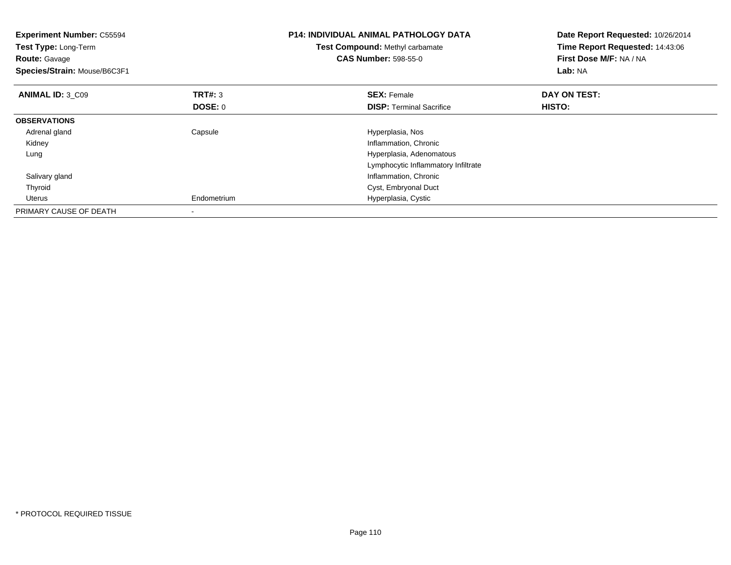| <b>Experiment Number: C55594</b><br>Test Type: Long-Term<br><b>Route: Gavage</b><br>Species/Strain: Mouse/B6C3F1 |                           | <b>P14: INDIVIDUAL ANIMAL PATHOLOGY DATA</b><br>Test Compound: Methyl carbamate<br><b>CAS Number: 598-55-0</b> | Date Report Requested: 10/26/2014<br>Time Report Requested: 14:43:06<br>First Dose M/F: NA / NA<br>Lab: NA |
|------------------------------------------------------------------------------------------------------------------|---------------------------|----------------------------------------------------------------------------------------------------------------|------------------------------------------------------------------------------------------------------------|
| ANIMAL ID: 3 C09                                                                                                 | <b>TRT#: 3</b><br>DOSE: 0 | <b>SEX:</b> Female                                                                                             | DAY ON TEST:<br>HISTO:                                                                                     |
|                                                                                                                  |                           | <b>DISP:</b> Terminal Sacrifice                                                                                |                                                                                                            |
| <b>OBSERVATIONS</b>                                                                                              |                           |                                                                                                                |                                                                                                            |
| Adrenal gland                                                                                                    | Capsule                   | Hyperplasia, Nos                                                                                               |                                                                                                            |
| Kidney                                                                                                           |                           | Inflammation, Chronic                                                                                          |                                                                                                            |
| Lung                                                                                                             |                           | Hyperplasia, Adenomatous                                                                                       |                                                                                                            |
|                                                                                                                  |                           | Lymphocytic Inflammatory Infiltrate                                                                            |                                                                                                            |
| Salivary gland                                                                                                   |                           | Inflammation, Chronic                                                                                          |                                                                                                            |
| Thyroid                                                                                                          |                           | Cyst, Embryonal Duct                                                                                           |                                                                                                            |
| Uterus                                                                                                           | Endometrium               | Hyperplasia, Cystic                                                                                            |                                                                                                            |
| PRIMARY CAUSE OF DEATH                                                                                           |                           |                                                                                                                |                                                                                                            |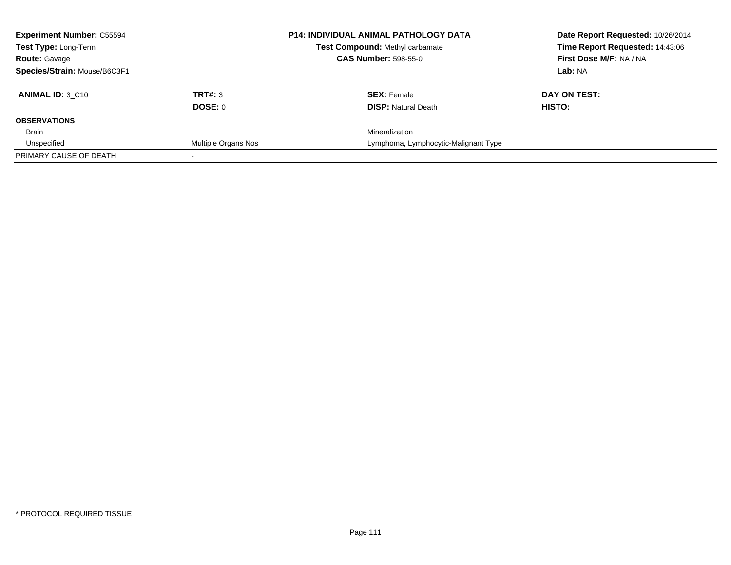| <b>Experiment Number: C55594</b> |                     | <b>P14: INDIVIDUAL ANIMAL PATHOLOGY DATA</b> | Date Report Requested: 10/26/2014 |
|----------------------------------|---------------------|----------------------------------------------|-----------------------------------|
| Test Type: Long-Term             |                     | Test Compound: Methyl carbamate              | Time Report Requested: 14:43:06   |
| <b>Route: Gavage</b>             |                     | <b>CAS Number: 598-55-0</b>                  | First Dose M/F: NA / NA           |
| Species/Strain: Mouse/B6C3F1     |                     |                                              | Lab: NA                           |
| <b>ANIMAL ID: 3 C10</b>          | <b>TRT#: 3</b>      | <b>SEX: Female</b>                           | DAY ON TEST:                      |
|                                  | DOSE: 0             | <b>DISP:</b> Natural Death                   | HISTO:                            |
| <b>OBSERVATIONS</b>              |                     |                                              |                                   |
| Brain                            |                     | Mineralization                               |                                   |
| Unspecified                      | Multiple Organs Nos | Lymphoma, Lymphocytic-Malignant Type         |                                   |
| PRIMARY CAUSE OF DEATH           |                     |                                              |                                   |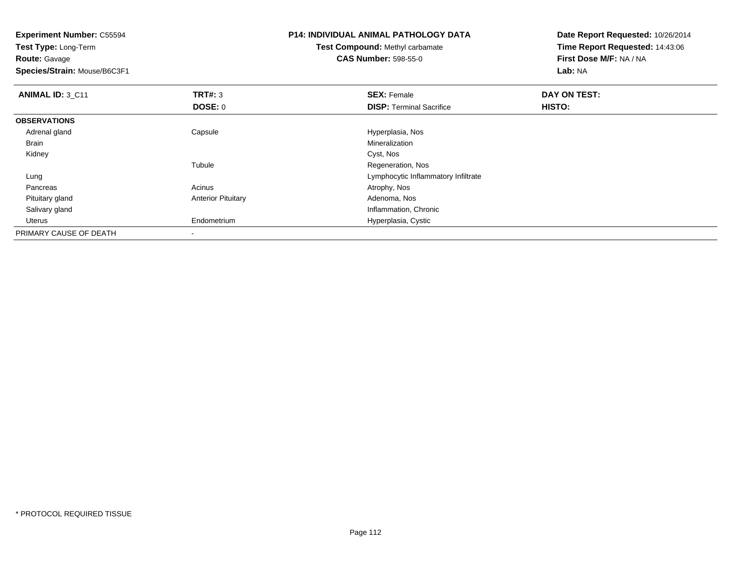**Experiment Number:** C55594**Test Type:** Long-Term**Route:** Gavage **Species/Strain:** Mouse/B6C3F1**P14: INDIVIDUAL ANIMAL PATHOLOGY DATATest Compound:** Methyl carbamate**CAS Number:** 598-55-0**Date Report Requested:** 10/26/2014**Time Report Requested:** 14:43:06**First Dose M/F:** NA / NA**Lab:** NA**ANIMAL ID:** 3\_C11**TRT#:** 3 **SEX:** Female **DAY ON TEST: DOSE:** 0**DISP:** Terminal Sacrifice **HISTO: OBSERVATIONS** Adrenal glandCapsule **Capsule Capsule Capsule Capsule** Hyperplasia, Nos<br>
Mineralization Brainn and the control of the control of the control of the control of the control of the control of the control of the control of the control of the control of the control of the control of the control of the control of the co Kidneyy control of the control of the control of the control of the control of the control of the control of the control of the control of the control of the control of the control of the control of the control of the control of Tubule Regeneration, Nos LungLymphocytic Inflammatory Infiltrate<br>Acinus Acinus and the Community Person of Atrophy, Nos Pancreass and the contract of the contract of the contract of the contract of the contract  $\mathsf{A}$  at  $\mathsf{A}$  and  $\mathsf{A}$  and  $\mathsf{A}$  and  $\mathsf{A}$  and  $\mathsf{A}$  are contract of  $\mathsf{A}$  and  $\mathsf{A}$  and  $\mathsf{A}$  are contract of Pituitary glandAnterior Pituitary **Adenoma, Nos** Adenoma, Nos Salivary gland Inflammation, Chronic Uterus Endometrium Hyperplasia, Cystic PRIMARY CAUSE OF DEATH-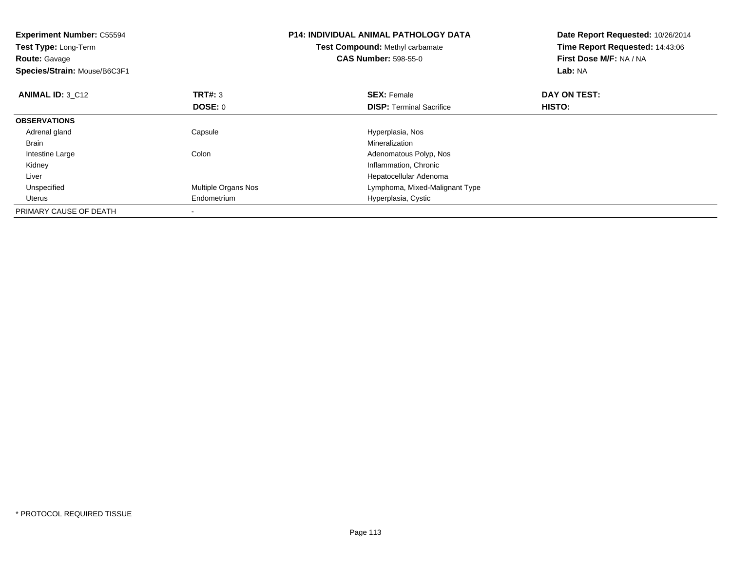| <b>Experiment Number: C55594</b><br>Test Type: Long-Term<br><b>Route: Gavage</b><br>Species/Strain: Mouse/B6C3F1 |                     | <b>P14: INDIVIDUAL ANIMAL PATHOLOGY DATA</b><br>Test Compound: Methyl carbamate<br><b>CAS Number: 598-55-0</b> | Date Report Requested: 10/26/2014<br>Time Report Requested: 14:43:06<br>First Dose M/F: NA / NA<br>Lab: NA |
|------------------------------------------------------------------------------------------------------------------|---------------------|----------------------------------------------------------------------------------------------------------------|------------------------------------------------------------------------------------------------------------|
| <b>ANIMAL ID: 3 C12</b>                                                                                          | TRT#: 3             | <b>SEX: Female</b>                                                                                             | DAY ON TEST:                                                                                               |
|                                                                                                                  | <b>DOSE: 0</b>      | <b>DISP:</b> Terminal Sacrifice                                                                                | HISTO:                                                                                                     |
| <b>OBSERVATIONS</b>                                                                                              |                     |                                                                                                                |                                                                                                            |
| Adrenal gland                                                                                                    | Capsule             | Hyperplasia, Nos                                                                                               |                                                                                                            |
| <b>Brain</b>                                                                                                     |                     | Mineralization                                                                                                 |                                                                                                            |
| Intestine Large                                                                                                  | Colon               | Adenomatous Polyp, Nos                                                                                         |                                                                                                            |
| Kidney                                                                                                           |                     | Inflammation, Chronic                                                                                          |                                                                                                            |
| Liver                                                                                                            |                     | Hepatocellular Adenoma                                                                                         |                                                                                                            |
| Unspecified                                                                                                      | Multiple Organs Nos | Lymphoma, Mixed-Malignant Type                                                                                 |                                                                                                            |
| Uterus                                                                                                           | Endometrium         | Hyperplasia, Cystic                                                                                            |                                                                                                            |
| PRIMARY CAUSE OF DEATH                                                                                           |                     |                                                                                                                |                                                                                                            |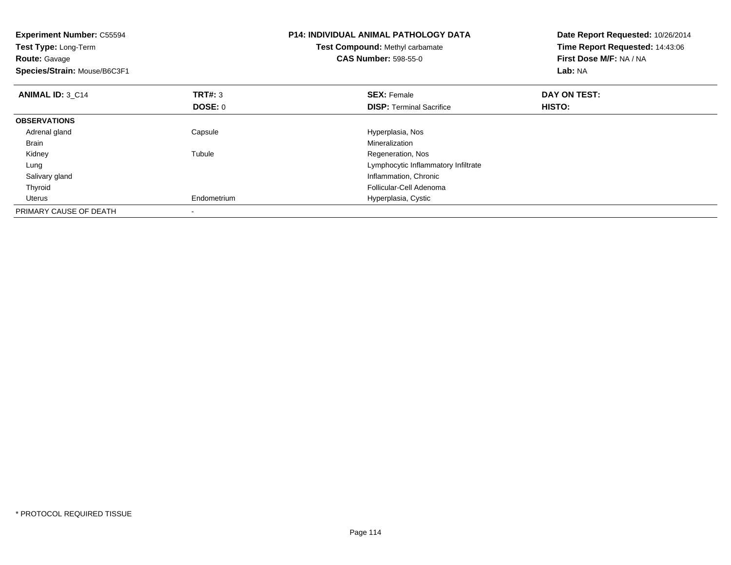| <b>Experiment Number: C55594</b><br>Test Type: Long-Term<br><b>Route: Gavage</b><br>Species/Strain: Mouse/B6C3F1 |                           | <b>P14: INDIVIDUAL ANIMAL PATHOLOGY DATA</b><br>Test Compound: Methyl carbamate<br><b>CAS Number: 598-55-0</b> | Date Report Requested: 10/26/2014<br>Time Report Requested: 14:43:06<br>First Dose M/F: NA / NA<br>Lab: NA |
|------------------------------------------------------------------------------------------------------------------|---------------------------|----------------------------------------------------------------------------------------------------------------|------------------------------------------------------------------------------------------------------------|
| <b>ANIMAL ID: 3 C14</b>                                                                                          | <b>TRT#: 3</b><br>DOSE: 0 | <b>SEX: Female</b><br><b>DISP:</b> Terminal Sacrifice                                                          | DAY ON TEST:<br>HISTO:                                                                                     |
| <b>OBSERVATIONS</b>                                                                                              |                           |                                                                                                                |                                                                                                            |
| Adrenal gland                                                                                                    | Capsule                   | Hyperplasia, Nos                                                                                               |                                                                                                            |
| <b>Brain</b>                                                                                                     |                           | Mineralization                                                                                                 |                                                                                                            |
| Kidney                                                                                                           | Tubule                    | Regeneration, Nos                                                                                              |                                                                                                            |
| Lung                                                                                                             |                           | Lymphocytic Inflammatory Infiltrate                                                                            |                                                                                                            |
| Salivary gland                                                                                                   |                           | Inflammation, Chronic                                                                                          |                                                                                                            |
| Thyroid                                                                                                          |                           | Follicular-Cell Adenoma                                                                                        |                                                                                                            |
| Uterus                                                                                                           | Endometrium               | Hyperplasia, Cystic                                                                                            |                                                                                                            |
| PRIMARY CAUSE OF DEATH                                                                                           |                           |                                                                                                                |                                                                                                            |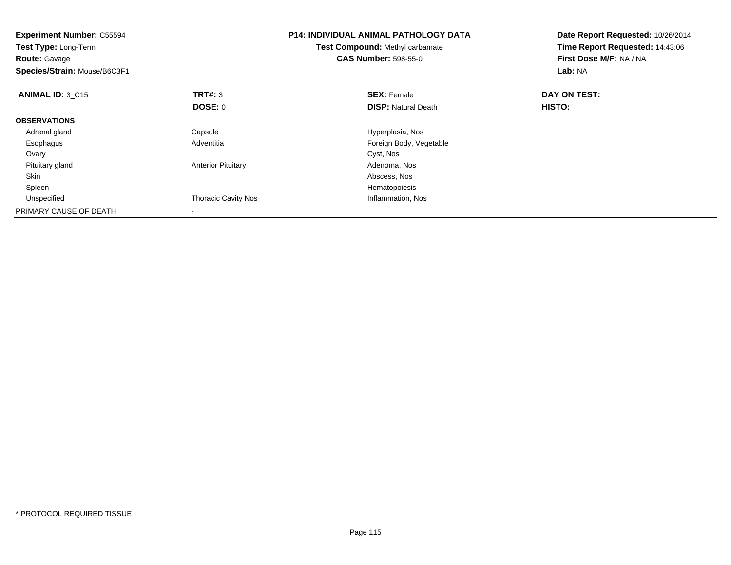| <b>Experiment Number: C55594</b><br>Test Type: Long-Term<br><b>Route: Gavage</b><br>Species/Strain: Mouse/B6C3F1 |                            | <b>P14: INDIVIDUAL ANIMAL PATHOLOGY DATA</b><br>Test Compound: Methyl carbamate<br><b>CAS Number: 598-55-0</b> | Date Report Requested: 10/26/2014<br>Time Report Requested: 14:43:06<br>First Dose M/F: NA / NA<br>Lab: NA |
|------------------------------------------------------------------------------------------------------------------|----------------------------|----------------------------------------------------------------------------------------------------------------|------------------------------------------------------------------------------------------------------------|
| <b>ANIMAL ID: 3 C15</b>                                                                                          | <b>TRT#: 3</b>             | <b>SEX: Female</b>                                                                                             | DAY ON TEST:                                                                                               |
|                                                                                                                  | DOSE: 0                    | <b>DISP:</b> Natural Death                                                                                     | HISTO:                                                                                                     |
| <b>OBSERVATIONS</b>                                                                                              |                            |                                                                                                                |                                                                                                            |
| Adrenal gland                                                                                                    | Capsule                    | Hyperplasia, Nos                                                                                               |                                                                                                            |
| Esophagus                                                                                                        | Adventitia                 | Foreign Body, Vegetable                                                                                        |                                                                                                            |
| Ovary                                                                                                            |                            | Cyst, Nos                                                                                                      |                                                                                                            |
| Pituitary gland                                                                                                  | <b>Anterior Pituitary</b>  | Adenoma, Nos                                                                                                   |                                                                                                            |
| Skin                                                                                                             |                            | Abscess, Nos                                                                                                   |                                                                                                            |
| Spleen                                                                                                           |                            | Hematopoiesis                                                                                                  |                                                                                                            |
| Unspecified                                                                                                      | <b>Thoracic Cavity Nos</b> | Inflammation, Nos                                                                                              |                                                                                                            |
| PRIMARY CAUSE OF DEATH                                                                                           |                            |                                                                                                                |                                                                                                            |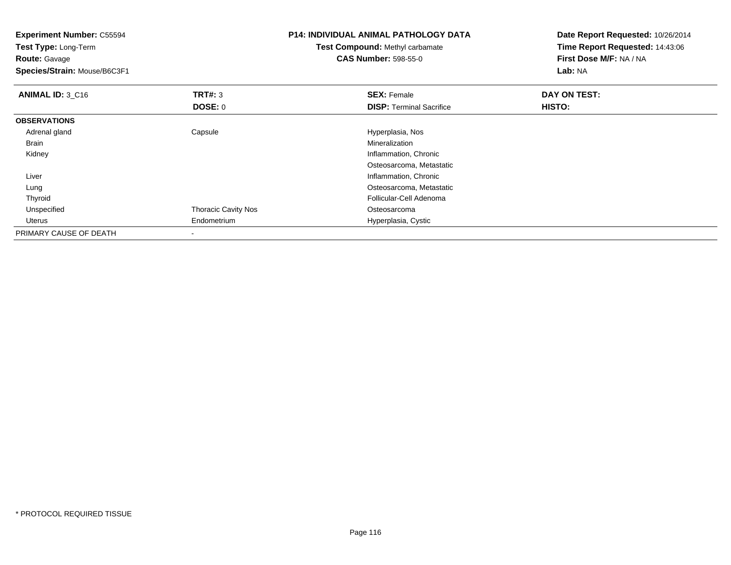| <b>Experiment Number: C55594</b><br>Test Type: Long-Term<br><b>Route: Gavage</b><br>Species/Strain: Mouse/B6C3F1 |                            | <b>P14: INDIVIDUAL ANIMAL PATHOLOGY DATA</b><br><b>Test Compound: Methyl carbamate</b><br><b>CAS Number: 598-55-0</b> | Date Report Requested: 10/26/2014<br>Time Report Requested: 14:43:06<br>First Dose M/F: NA / NA<br><b>Lab: NA</b> |
|------------------------------------------------------------------------------------------------------------------|----------------------------|-----------------------------------------------------------------------------------------------------------------------|-------------------------------------------------------------------------------------------------------------------|
| <b>ANIMAL ID: 3_C16</b>                                                                                          | <b>TRT#: 3</b>             | <b>SEX: Female</b>                                                                                                    | DAY ON TEST:                                                                                                      |
|                                                                                                                  | <b>DOSE: 0</b>             | <b>DISP:</b> Terminal Sacrifice                                                                                       | HISTO:                                                                                                            |
| <b>OBSERVATIONS</b>                                                                                              |                            |                                                                                                                       |                                                                                                                   |
| Adrenal gland                                                                                                    | Capsule                    | Hyperplasia, Nos                                                                                                      |                                                                                                                   |
| Brain                                                                                                            |                            | Mineralization                                                                                                        |                                                                                                                   |
| Kidney                                                                                                           |                            | Inflammation, Chronic                                                                                                 |                                                                                                                   |
|                                                                                                                  |                            | Osteosarcoma, Metastatic                                                                                              |                                                                                                                   |
| Liver                                                                                                            |                            | Inflammation, Chronic                                                                                                 |                                                                                                                   |
| Lung                                                                                                             |                            | Osteosarcoma, Metastatic                                                                                              |                                                                                                                   |
| Thyroid                                                                                                          |                            | Follicular-Cell Adenoma                                                                                               |                                                                                                                   |
| Unspecified                                                                                                      | <b>Thoracic Cavity Nos</b> | Osteosarcoma                                                                                                          |                                                                                                                   |
| Uterus                                                                                                           | Endometrium                | Hyperplasia, Cystic                                                                                                   |                                                                                                                   |
| PRIMARY CAUSE OF DEATH                                                                                           |                            |                                                                                                                       |                                                                                                                   |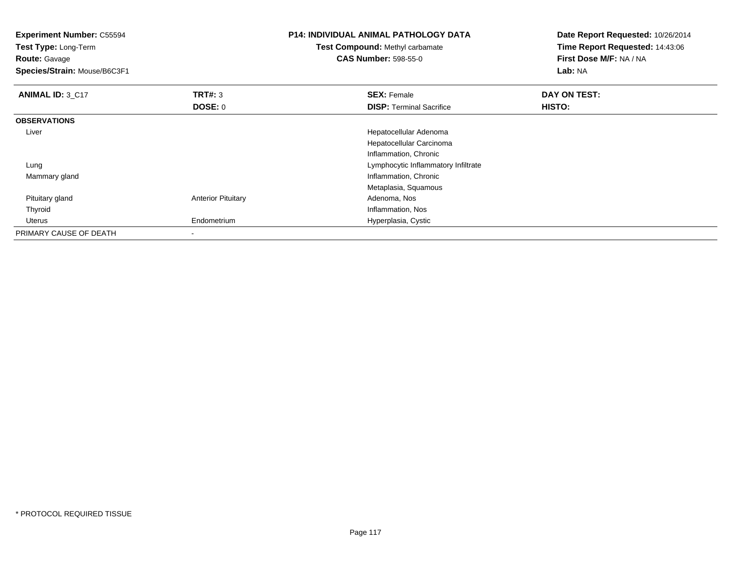| <b>Experiment Number: C55594</b><br>Test Type: Long-Term<br><b>Route: Gavage</b><br>Species/Strain: Mouse/B6C3F1 |                           | <b>P14: INDIVIDUAL ANIMAL PATHOLOGY DATA</b><br><b>Test Compound: Methyl carbamate</b><br><b>CAS Number: 598-55-0</b> | Date Report Requested: 10/26/2014<br>Time Report Requested: 14:43:06<br>First Dose M/F: NA / NA<br>Lab: NA |
|------------------------------------------------------------------------------------------------------------------|---------------------------|-----------------------------------------------------------------------------------------------------------------------|------------------------------------------------------------------------------------------------------------|
| ANIMAL ID: 3 C17                                                                                                 | <b>TRT#: 3</b>            | <b>SEX: Female</b>                                                                                                    | DAY ON TEST:                                                                                               |
|                                                                                                                  | <b>DOSE: 0</b>            | <b>DISP:</b> Terminal Sacrifice                                                                                       | HISTO:                                                                                                     |
| <b>OBSERVATIONS</b>                                                                                              |                           |                                                                                                                       |                                                                                                            |
| Liver                                                                                                            |                           | Hepatocellular Adenoma                                                                                                |                                                                                                            |
|                                                                                                                  |                           | Hepatocellular Carcinoma                                                                                              |                                                                                                            |
|                                                                                                                  |                           | Inflammation, Chronic                                                                                                 |                                                                                                            |
| Lung                                                                                                             |                           | Lymphocytic Inflammatory Infiltrate                                                                                   |                                                                                                            |
| Mammary gland                                                                                                    |                           | Inflammation, Chronic                                                                                                 |                                                                                                            |
|                                                                                                                  |                           | Metaplasia, Squamous                                                                                                  |                                                                                                            |
| Pituitary gland                                                                                                  | <b>Anterior Pituitary</b> | Adenoma, Nos                                                                                                          |                                                                                                            |
| Thyroid                                                                                                          |                           | Inflammation, Nos                                                                                                     |                                                                                                            |
| Uterus                                                                                                           | Endometrium               | Hyperplasia, Cystic                                                                                                   |                                                                                                            |
| PRIMARY CAUSE OF DEATH                                                                                           | ۰                         |                                                                                                                       |                                                                                                            |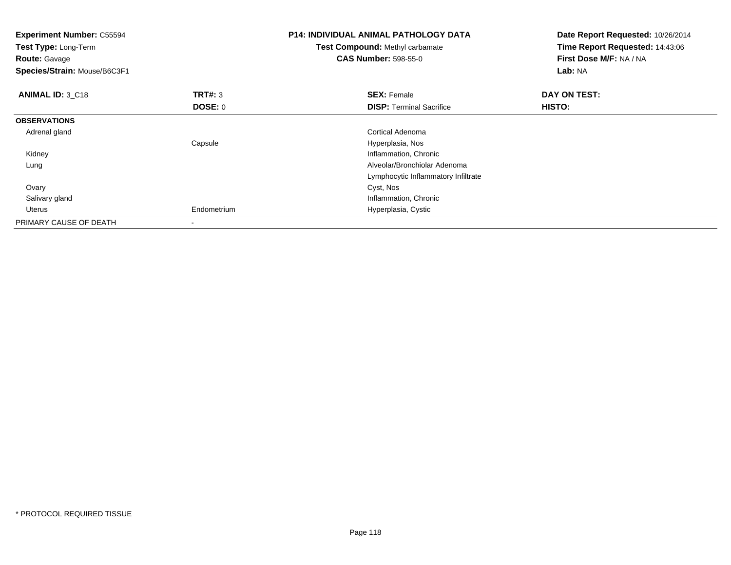| <b>Experiment Number: C55594</b><br>Test Type: Long-Term<br><b>Route: Gavage</b><br>Species/Strain: Mouse/B6C3F1 |                          | <b>P14: INDIVIDUAL ANIMAL PATHOLOGY DATA</b><br>Test Compound: Methyl carbamate<br><b>CAS Number: 598-55-0</b> | Date Report Requested: 10/26/2014<br>Time Report Requested: 14:43:06<br>First Dose M/F: NA / NA<br>Lab: NA |
|------------------------------------------------------------------------------------------------------------------|--------------------------|----------------------------------------------------------------------------------------------------------------|------------------------------------------------------------------------------------------------------------|
| <b>ANIMAL ID: 3_C18</b>                                                                                          | <b>TRT#: 3</b>           | <b>SEX: Female</b>                                                                                             | DAY ON TEST:                                                                                               |
|                                                                                                                  | DOSE: 0                  | <b>DISP:</b> Terminal Sacrifice                                                                                | HISTO:                                                                                                     |
| <b>OBSERVATIONS</b>                                                                                              |                          |                                                                                                                |                                                                                                            |
| Adrenal gland                                                                                                    |                          | Cortical Adenoma                                                                                               |                                                                                                            |
|                                                                                                                  | Capsule                  | Hyperplasia, Nos                                                                                               |                                                                                                            |
| Kidney                                                                                                           |                          | Inflammation, Chronic                                                                                          |                                                                                                            |
| Lung                                                                                                             |                          | Alveolar/Bronchiolar Adenoma                                                                                   |                                                                                                            |
|                                                                                                                  |                          | Lymphocytic Inflammatory Infiltrate                                                                            |                                                                                                            |
| Ovary                                                                                                            |                          | Cyst, Nos                                                                                                      |                                                                                                            |
| Salivary gland                                                                                                   |                          | Inflammation, Chronic                                                                                          |                                                                                                            |
| Uterus                                                                                                           | Endometrium              | Hyperplasia, Cystic                                                                                            |                                                                                                            |
| PRIMARY CAUSE OF DEATH                                                                                           | $\overline{\phantom{a}}$ |                                                                                                                |                                                                                                            |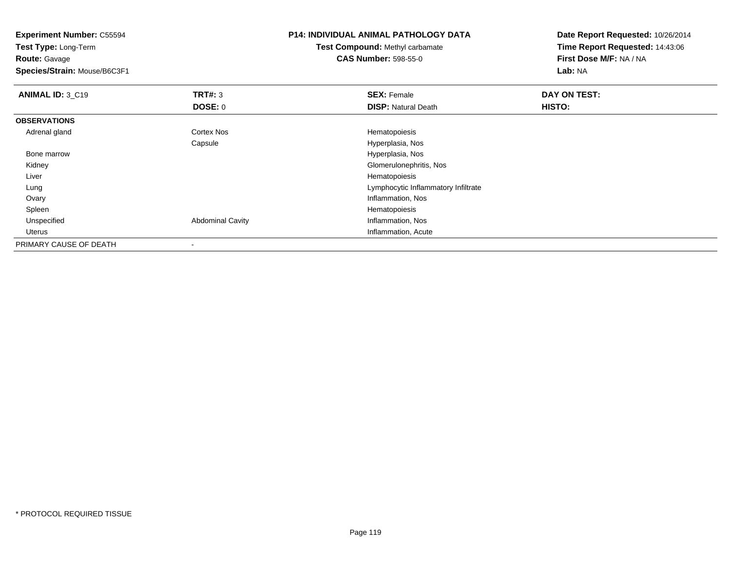**Experiment Number:** C55594**Test Type:** Long-Term**Route:** Gavage **Species/Strain:** Mouse/B6C3F1**P14: INDIVIDUAL ANIMAL PATHOLOGY DATATest Compound:** Methyl carbamate**CAS Number:** 598-55-0**Date Report Requested:** 10/26/2014**Time Report Requested:** 14:43:06**First Dose M/F:** NA / NA**Lab:** NA**ANIMAL ID: 3 C19 TRT#:** 3 **SEX:** Female **DAY ON TEST: DOSE:** 0**DISP:** Natural Death **HISTO: OBSERVATIONS** Adrenal glandCortex Nos **Hematopoiesis** Capsule Hyperplasia, Nos Bone marrow Hyperplasia, Nos Kidney Glomerulonephritis, Nos Liver Hematopoiesisg and the state of the state of the state of the state of the Lymphocytic Inflammatory Infiltrate Lung Ovary Inflammation, Nos Spleenn and the state of the state of the state of the state of the state of the state of the state of the state of the state of the state of the state of the state of the state of the state of the state of the state of the stat UnspecifiedAbdominal Cavity **Inflammation**, Nos Uterus Inflammation, AcutePRIMARY CAUSE OF DEATH-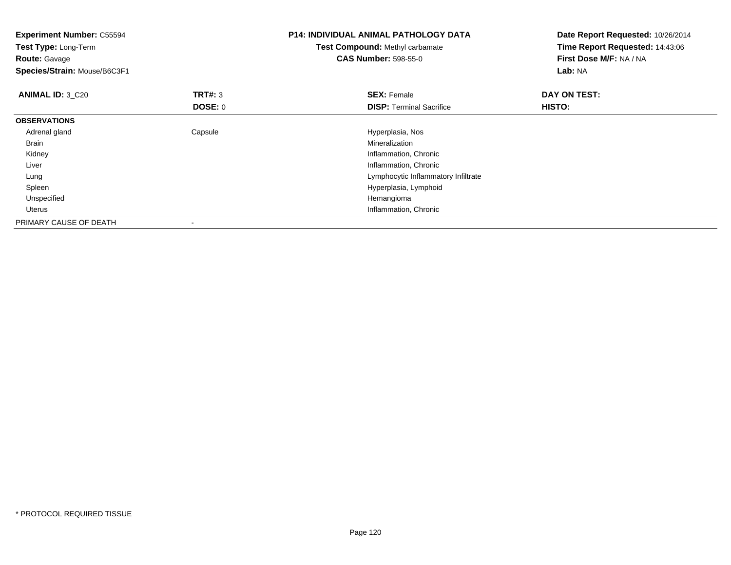| <b>Experiment Number: C55594</b><br>Test Type: Long-Term<br><b>Route:</b> Gavage<br>Species/Strain: Mouse/B6C3F1 |                | <b>P14: INDIVIDUAL ANIMAL PATHOLOGY DATA</b><br><b>Test Compound: Methyl carbamate</b><br><b>CAS Number: 598-55-0</b> | Date Report Requested: 10/26/2014<br>Time Report Requested: 14:43:06<br>First Dose M/F: NA / NA<br>Lab: NA |
|------------------------------------------------------------------------------------------------------------------|----------------|-----------------------------------------------------------------------------------------------------------------------|------------------------------------------------------------------------------------------------------------|
| <b>ANIMAL ID: 3 C20</b>                                                                                          | <b>TRT#: 3</b> | <b>SEX: Female</b>                                                                                                    | DAY ON TEST:                                                                                               |
|                                                                                                                  | DOSE: 0        | <b>DISP:</b> Terminal Sacrifice                                                                                       | <b>HISTO:</b>                                                                                              |
| <b>OBSERVATIONS</b>                                                                                              |                |                                                                                                                       |                                                                                                            |
| Adrenal gland                                                                                                    | Capsule        | Hyperplasia, Nos                                                                                                      |                                                                                                            |
| Brain                                                                                                            |                | Mineralization                                                                                                        |                                                                                                            |
| Kidney                                                                                                           |                | Inflammation, Chronic                                                                                                 |                                                                                                            |
| Liver                                                                                                            |                | Inflammation, Chronic                                                                                                 |                                                                                                            |
| Lung                                                                                                             |                | Lymphocytic Inflammatory Infiltrate                                                                                   |                                                                                                            |
| Spleen                                                                                                           |                | Hyperplasia, Lymphoid                                                                                                 |                                                                                                            |
| Unspecified                                                                                                      |                | Hemangioma                                                                                                            |                                                                                                            |
| Uterus                                                                                                           |                | Inflammation, Chronic                                                                                                 |                                                                                                            |
| PRIMARY CAUSE OF DEATH                                                                                           |                |                                                                                                                       |                                                                                                            |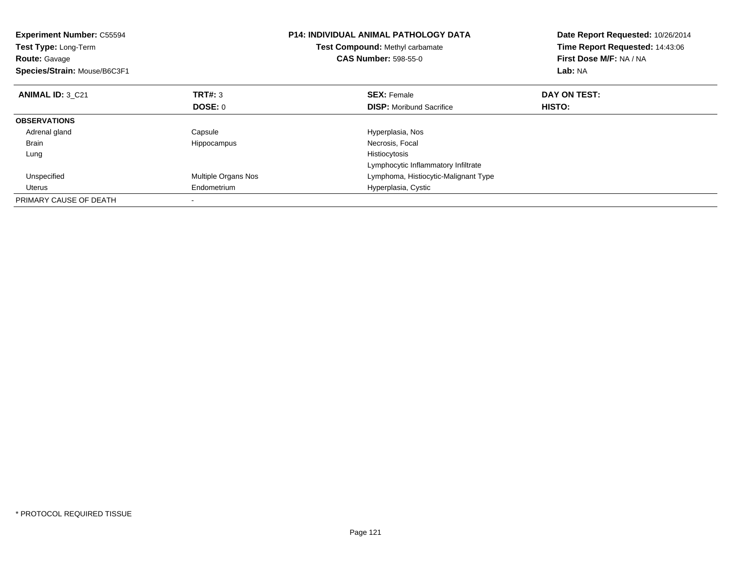| <b>Experiment Number: C55594</b><br>Test Type: Long-Term<br><b>Route: Gavage</b><br>Species/Strain: Mouse/B6C3F1 |                     | <b>P14: INDIVIDUAL ANIMAL PATHOLOGY DATA</b><br>Test Compound: Methyl carbamate<br><b>CAS Number: 598-55-0</b> | Date Report Requested: 10/26/2014<br>Time Report Requested: 14:43:06<br>First Dose M/F: NA / NA<br>Lab: NA |
|------------------------------------------------------------------------------------------------------------------|---------------------|----------------------------------------------------------------------------------------------------------------|------------------------------------------------------------------------------------------------------------|
| <b>ANIMAL ID: 3 C21</b>                                                                                          | TRT#: 3             | <b>SEX: Female</b>                                                                                             | DAY ON TEST:                                                                                               |
|                                                                                                                  | <b>DOSE: 0</b>      | <b>DISP:</b> Moribund Sacrifice                                                                                | <b>HISTO:</b>                                                                                              |
| <b>OBSERVATIONS</b>                                                                                              |                     |                                                                                                                |                                                                                                            |
| Adrenal gland                                                                                                    | Capsule             | Hyperplasia, Nos                                                                                               |                                                                                                            |
| <b>Brain</b>                                                                                                     | Hippocampus         | Necrosis, Focal                                                                                                |                                                                                                            |
| Lung                                                                                                             |                     | Histiocytosis                                                                                                  |                                                                                                            |
|                                                                                                                  |                     | Lymphocytic Inflammatory Infiltrate                                                                            |                                                                                                            |
| Unspecified                                                                                                      | Multiple Organs Nos | Lymphoma, Histiocytic-Malignant Type                                                                           |                                                                                                            |
| Uterus                                                                                                           | Endometrium         | Hyperplasia, Cystic                                                                                            |                                                                                                            |
| PRIMARY CAUSE OF DEATH                                                                                           |                     |                                                                                                                |                                                                                                            |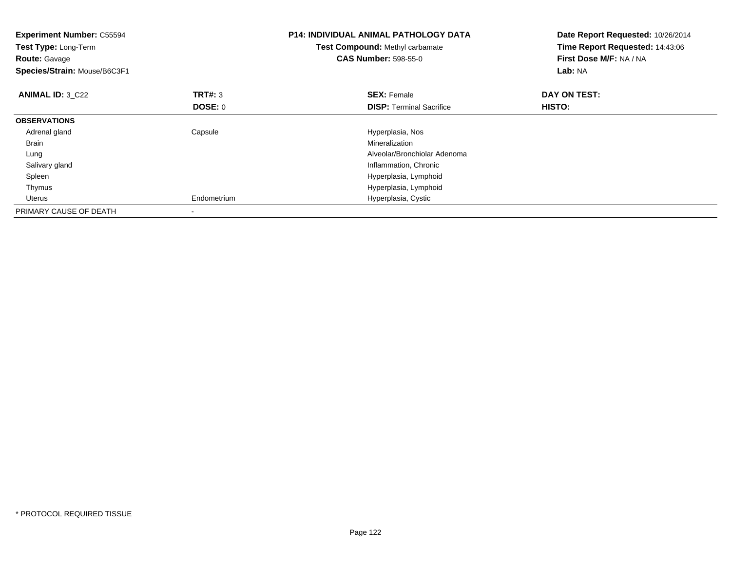| <b>Experiment Number: C55594</b><br>Test Type: Long-Term<br><b>Route: Gavage</b><br>Species/Strain: Mouse/B6C3F1 |                                  | <b>P14: INDIVIDUAL ANIMAL PATHOLOGY DATA</b><br>Test Compound: Methyl carbamate<br><b>CAS Number: 598-55-0</b> | Date Report Requested: 10/26/2014<br>Time Report Requested: 14:43:06<br>First Dose M/F: NA / NA<br>Lab: NA |
|------------------------------------------------------------------------------------------------------------------|----------------------------------|----------------------------------------------------------------------------------------------------------------|------------------------------------------------------------------------------------------------------------|
| <b>ANIMAL ID: 3 C22</b>                                                                                          | <b>TRT#: 3</b><br><b>DOSE: 0</b> | <b>SEX: Female</b><br><b>DISP:</b> Terminal Sacrifice                                                          | DAY ON TEST:<br>HISTO:                                                                                     |
| <b>OBSERVATIONS</b>                                                                                              |                                  |                                                                                                                |                                                                                                            |
| Adrenal gland                                                                                                    | Capsule                          | Hyperplasia, Nos                                                                                               |                                                                                                            |
| <b>Brain</b>                                                                                                     |                                  | Mineralization                                                                                                 |                                                                                                            |
| Lung                                                                                                             |                                  | Alveolar/Bronchiolar Adenoma                                                                                   |                                                                                                            |
| Salivary gland                                                                                                   |                                  | Inflammation, Chronic                                                                                          |                                                                                                            |
| Spleen                                                                                                           |                                  | Hyperplasia, Lymphoid                                                                                          |                                                                                                            |
| Thymus                                                                                                           |                                  | Hyperplasia, Lymphoid                                                                                          |                                                                                                            |
| Uterus                                                                                                           | Endometrium                      | Hyperplasia, Cystic                                                                                            |                                                                                                            |
| PRIMARY CAUSE OF DEATH                                                                                           | $\overline{\phantom{a}}$         |                                                                                                                |                                                                                                            |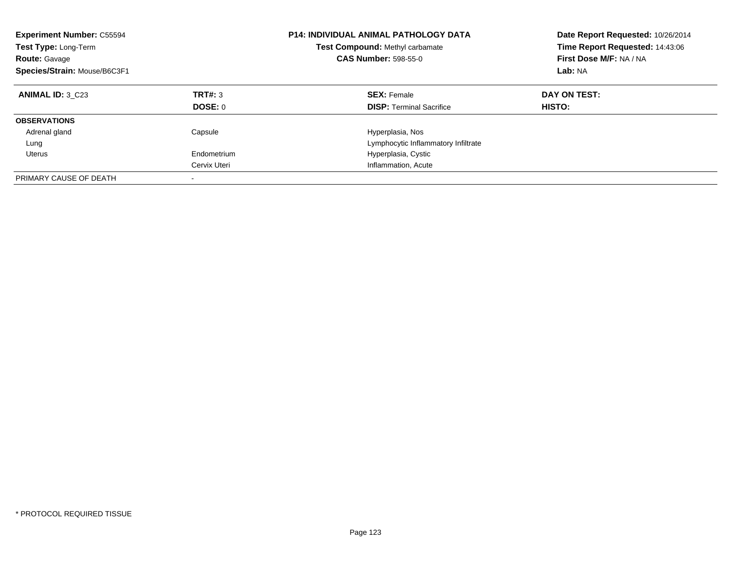| <b>Experiment Number: C55594</b><br>Test Type: Long-Term<br><b>Route: Gavage</b><br>Species/Strain: Mouse/B6C3F1 |                    | <b>P14: INDIVIDUAL ANIMAL PATHOLOGY DATA</b><br>Date Report Requested: 10/26/2014<br>Time Report Requested: 14:43:06<br>Test Compound: Methyl carbamate<br>First Dose M/F: NA / NA<br><b>CAS Number: 598-55-0</b><br>Lab: NA |                               |
|------------------------------------------------------------------------------------------------------------------|--------------------|------------------------------------------------------------------------------------------------------------------------------------------------------------------------------------------------------------------------------|-------------------------------|
| <b>ANIMAL ID: 3 C23</b>                                                                                          | TRT#: 3<br>DOSE: 0 | <b>SEX: Female</b><br><b>DISP:</b> Terminal Sacrifice                                                                                                                                                                        | DAY ON TEST:<br><b>HISTO:</b> |
| <b>OBSERVATIONS</b>                                                                                              |                    |                                                                                                                                                                                                                              |                               |
| Adrenal gland                                                                                                    | Capsule            | Hyperplasia, Nos                                                                                                                                                                                                             |                               |
| Lung                                                                                                             |                    | Lymphocytic Inflammatory Infiltrate                                                                                                                                                                                          |                               |
| Uterus                                                                                                           | Endometrium        | Hyperplasia, Cystic                                                                                                                                                                                                          |                               |
|                                                                                                                  | Cervix Uteri       | Inflammation, Acute                                                                                                                                                                                                          |                               |
| PRIMARY CAUSE OF DEATH                                                                                           |                    |                                                                                                                                                                                                                              |                               |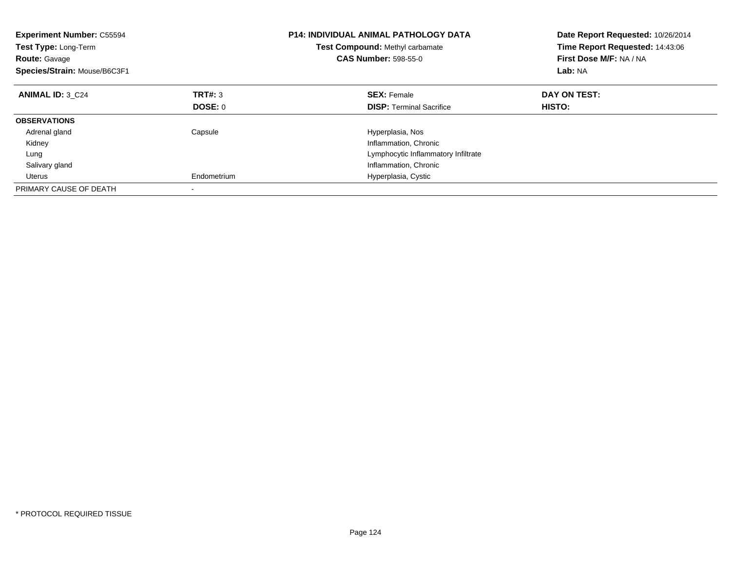| <b>P14: INDIVIDUAL ANIMAL PATHOLOGY DATA</b><br><b>Experiment Number: C55594</b><br>Test Compound: Methyl carbamate<br><b>Test Type: Long-Term</b><br><b>CAS Number: 598-55-0</b><br><b>Route: Gavage</b><br>Species/Strain: Mouse/B6C3F1 |             | Date Report Requested: 10/26/2014<br>Time Report Requested: 14:43:06<br>First Dose M/F: NA / NA<br>Lab: NA |               |
|-------------------------------------------------------------------------------------------------------------------------------------------------------------------------------------------------------------------------------------------|-------------|------------------------------------------------------------------------------------------------------------|---------------|
| <b>ANIMAL ID: 3 C24</b>                                                                                                                                                                                                                   | TRT#: 3     | <b>SEX: Female</b>                                                                                         | DAY ON TEST:  |
|                                                                                                                                                                                                                                           | DOSE: 0     | <b>DISP:</b> Terminal Sacrifice                                                                            | <b>HISTO:</b> |
| <b>OBSERVATIONS</b>                                                                                                                                                                                                                       |             |                                                                                                            |               |
| Adrenal gland                                                                                                                                                                                                                             | Capsule     | Hyperplasia, Nos                                                                                           |               |
| Kidney                                                                                                                                                                                                                                    |             | Inflammation, Chronic                                                                                      |               |
| Lung                                                                                                                                                                                                                                      |             | Lymphocytic Inflammatory Infiltrate                                                                        |               |
| Salivary gland                                                                                                                                                                                                                            |             | Inflammation, Chronic                                                                                      |               |
| Uterus                                                                                                                                                                                                                                    | Endometrium | Hyperplasia, Cystic                                                                                        |               |
| PRIMARY CAUSE OF DEATH                                                                                                                                                                                                                    |             |                                                                                                            |               |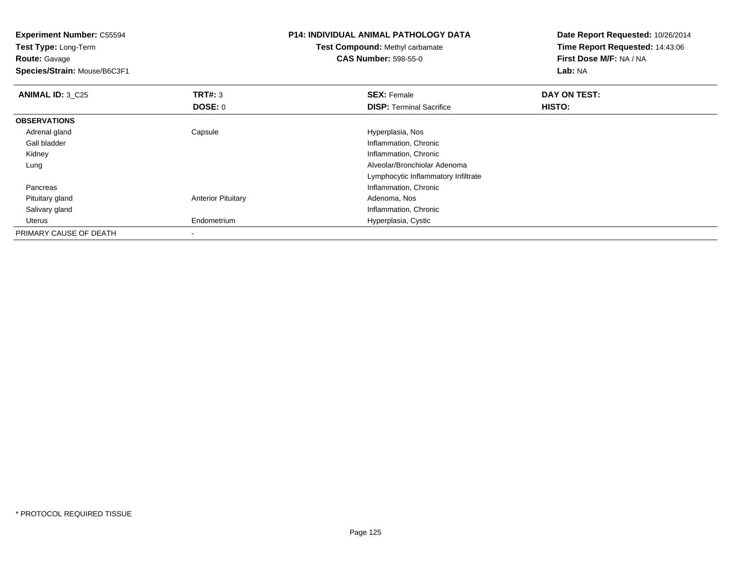| <b>Experiment Number: C55594</b><br>Test Type: Long-Term<br><b>Route: Gavage</b><br>Species/Strain: Mouse/B6C3F1 |                           | <b>P14: INDIVIDUAL ANIMAL PATHOLOGY DATA</b><br><b>Test Compound: Methyl carbamate</b><br><b>CAS Number: 598-55-0</b> | Date Report Requested: 10/26/2014<br>Time Report Requested: 14:43:06<br>First Dose M/F: NA / NA<br><b>Lab: NA</b> |
|------------------------------------------------------------------------------------------------------------------|---------------------------|-----------------------------------------------------------------------------------------------------------------------|-------------------------------------------------------------------------------------------------------------------|
| <b>ANIMAL ID: 3_C25</b>                                                                                          | <b>TRT#: 3</b><br>DOSE: 0 | <b>SEX: Female</b><br><b>DISP: Terminal Sacrifice</b>                                                                 | DAY ON TEST:<br>HISTO:                                                                                            |
| <b>OBSERVATIONS</b>                                                                                              |                           |                                                                                                                       |                                                                                                                   |
| Adrenal gland                                                                                                    | Capsule                   | Hyperplasia, Nos                                                                                                      |                                                                                                                   |
| Gall bladder                                                                                                     |                           | Inflammation, Chronic                                                                                                 |                                                                                                                   |
| Kidney                                                                                                           |                           | Inflammation, Chronic                                                                                                 |                                                                                                                   |
| Lung                                                                                                             |                           | Alveolar/Bronchiolar Adenoma                                                                                          |                                                                                                                   |
|                                                                                                                  |                           | Lymphocytic Inflammatory Infiltrate                                                                                   |                                                                                                                   |
| Pancreas                                                                                                         |                           | Inflammation, Chronic                                                                                                 |                                                                                                                   |
| Pituitary gland                                                                                                  | <b>Anterior Pituitary</b> | Adenoma, Nos                                                                                                          |                                                                                                                   |
| Salivary gland                                                                                                   |                           | Inflammation, Chronic                                                                                                 |                                                                                                                   |
| Uterus                                                                                                           | Endometrium               | Hyperplasia, Cystic                                                                                                   |                                                                                                                   |
| PRIMARY CAUSE OF DEATH                                                                                           |                           |                                                                                                                       |                                                                                                                   |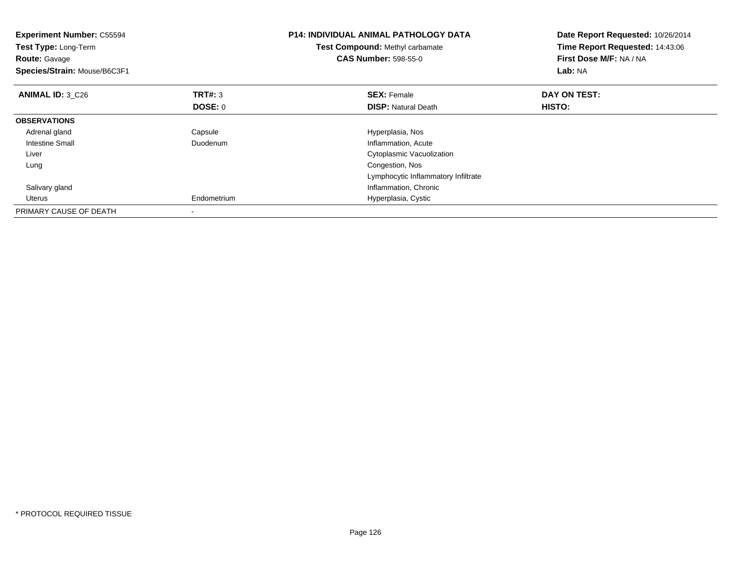| <b>Experiment Number: C55594</b><br>Test Type: Long-Term<br><b>Route: Gavage</b><br>Species/Strain: Mouse/B6C3F1 | <b>P14: INDIVIDUAL ANIMAL PATHOLOGY DATA</b><br>Test Compound: Methyl carbamate<br><b>CAS Number: 598-55-0</b><br>Lab: NA |                                     | Date Report Requested: 10/26/2014<br>Time Report Requested: 14:43:06<br>First Dose M/F: NA / NA |
|------------------------------------------------------------------------------------------------------------------|---------------------------------------------------------------------------------------------------------------------------|-------------------------------------|-------------------------------------------------------------------------------------------------|
| <b>ANIMAL ID: 3 C26</b>                                                                                          | <b>TRT#: 3</b>                                                                                                            | <b>SEX: Female</b>                  | DAY ON TEST:                                                                                    |
|                                                                                                                  | <b>DOSE: 0</b>                                                                                                            | <b>DISP:</b> Natural Death          | HISTO:                                                                                          |
| <b>OBSERVATIONS</b>                                                                                              |                                                                                                                           |                                     |                                                                                                 |
| Adrenal gland                                                                                                    | Capsule                                                                                                                   | Hyperplasia, Nos                    |                                                                                                 |
| Intestine Small                                                                                                  | Duodenum                                                                                                                  | Inflammation, Acute                 |                                                                                                 |
| Liver                                                                                                            |                                                                                                                           | Cytoplasmic Vacuolization           |                                                                                                 |
| Lung                                                                                                             |                                                                                                                           | Congestion, Nos                     |                                                                                                 |
|                                                                                                                  |                                                                                                                           | Lymphocytic Inflammatory Infiltrate |                                                                                                 |
| Salivary gland                                                                                                   |                                                                                                                           | Inflammation, Chronic               |                                                                                                 |
| Uterus                                                                                                           | Endometrium                                                                                                               | Hyperplasia, Cystic                 |                                                                                                 |
| PRIMARY CAUSE OF DEATH                                                                                           | $\overline{\phantom{a}}$                                                                                                  |                                     |                                                                                                 |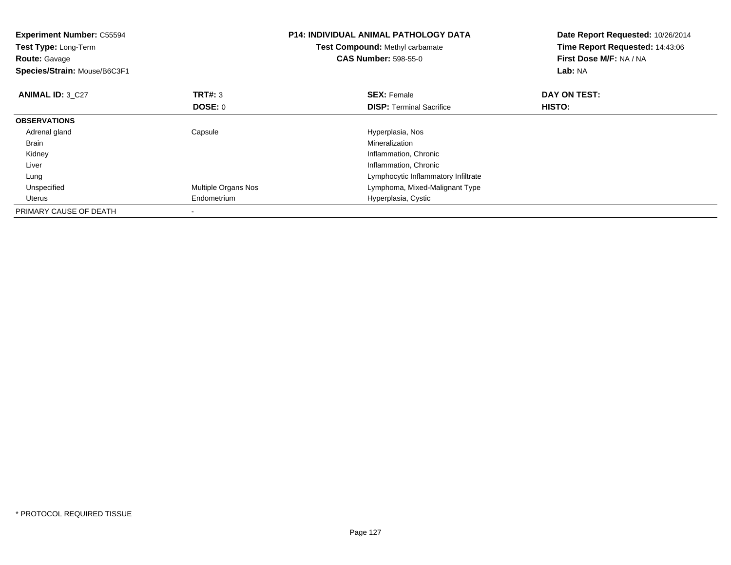| <b>Experiment Number: C55594</b><br><b>Test Type: Long-Term</b><br><b>Route: Gavage</b><br>Species/Strain: Mouse/B6C3F1 | <b>P14: INDIVIDUAL ANIMAL PATHOLOGY DATA</b><br>Test Compound: Methyl carbamate<br><b>CAS Number: 598-55-0</b> |                                                       | Date Report Requested: 10/26/2014<br>Time Report Requested: 14:43:06<br>First Dose M/F: NA / NA<br>Lab: NA |
|-------------------------------------------------------------------------------------------------------------------------|----------------------------------------------------------------------------------------------------------------|-------------------------------------------------------|------------------------------------------------------------------------------------------------------------|
| <b>ANIMAL ID: 3 C27</b>                                                                                                 | TRT#: 3<br>DOSE: 0                                                                                             | <b>SEX: Female</b><br><b>DISP:</b> Terminal Sacrifice | DAY ON TEST:<br><b>HISTO:</b>                                                                              |
| <b>OBSERVATIONS</b>                                                                                                     |                                                                                                                |                                                       |                                                                                                            |
| Adrenal gland                                                                                                           | Capsule                                                                                                        | Hyperplasia, Nos                                      |                                                                                                            |
| Brain                                                                                                                   |                                                                                                                | Mineralization                                        |                                                                                                            |
| Kidney                                                                                                                  |                                                                                                                | Inflammation, Chronic                                 |                                                                                                            |
| Liver                                                                                                                   |                                                                                                                | Inflammation, Chronic                                 |                                                                                                            |
| Lung                                                                                                                    |                                                                                                                | Lymphocytic Inflammatory Infiltrate                   |                                                                                                            |
| Unspecified                                                                                                             | Multiple Organs Nos                                                                                            | Lymphoma, Mixed-Malignant Type                        |                                                                                                            |
| Uterus                                                                                                                  | Endometrium                                                                                                    | Hyperplasia, Cystic                                   |                                                                                                            |
| PRIMARY CAUSE OF DEATH                                                                                                  |                                                                                                                |                                                       |                                                                                                            |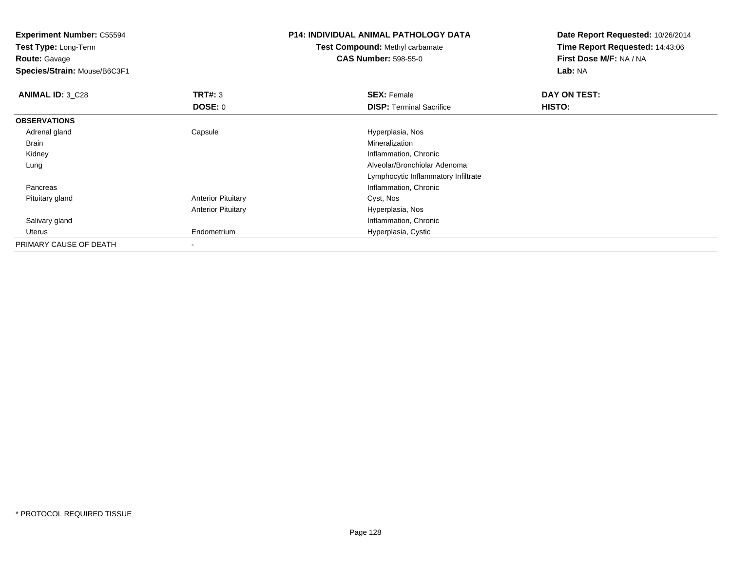**Experiment Number:** C55594**Test Type:** Long-Term**Route:** Gavage **Species/Strain:** Mouse/B6C3F1**P14: INDIVIDUAL ANIMAL PATHOLOGY DATATest Compound:** Methyl carbamate**CAS Number:** 598-55-0**Date Report Requested:** 10/26/2014**Time Report Requested:** 14:43:06**First Dose M/F:** NA / NA**Lab:** NA**ANIMAL ID: 3 C28 RIGHTER SEX:** Female **DAY ON TEST: SEX:** Female **DOSE:** 0**DISP:** Terminal Sacrifice **HISTO: OBSERVATIONS** Adrenal glandCapsule **Capsule Capsule Capsule Capsule** Hyperplasia, Nos<br>
Mineralization Brainn and the control of the control of the control of the control of the control of the control of the control of the control of the control of the control of the control of the control of the control of the control of the co Kidney Inflammation, Chronic Lung Alveolar/Bronchiolar Adenoma Lymphocytic Inflammatory Infiltrate Pancreas Inflammation, Chronic Pituitary glandAnterior Pituitary **Cyst, Nos** Anterior Pituitary Hyperplasia, Nos Salivary glandInflammation, Chronic

Hyperplasia, Cystic

Endometrium

-

Uterus

PRIMARY CAUSE OF DEATH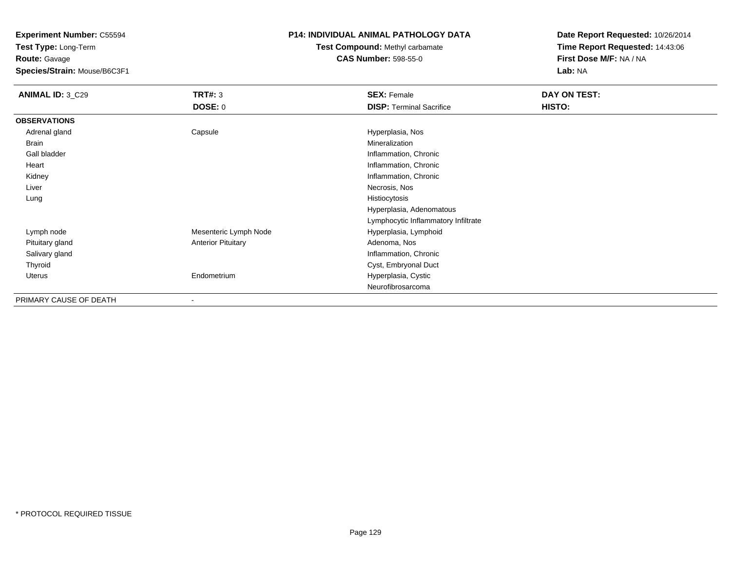**Test Type:** Long-Term**Route:** Gavage

**Species/Strain:** Mouse/B6C3F1

### **P14: INDIVIDUAL ANIMAL PATHOLOGY DATA**

**Test Compound:** Methyl carbamate**CAS Number:** 598-55-0

| <b>ANIMAL ID: 3_C29</b> | TRT#: 3                   | <b>SEX: Female</b>                  | DAY ON TEST: |
|-------------------------|---------------------------|-------------------------------------|--------------|
|                         | DOSE: 0                   | <b>DISP: Terminal Sacrifice</b>     | HISTO:       |
| <b>OBSERVATIONS</b>     |                           |                                     |              |
| Adrenal gland           | Capsule                   | Hyperplasia, Nos                    |              |
| Brain                   |                           | Mineralization                      |              |
| Gall bladder            |                           | Inflammation, Chronic               |              |
| Heart                   |                           | Inflammation, Chronic               |              |
| Kidney                  |                           | Inflammation, Chronic               |              |
| Liver                   |                           | Necrosis, Nos                       |              |
| Lung                    |                           | Histiocytosis                       |              |
|                         |                           | Hyperplasia, Adenomatous            |              |
|                         |                           | Lymphocytic Inflammatory Infiltrate |              |
| Lymph node              | Mesenteric Lymph Node     | Hyperplasia, Lymphoid               |              |
| Pituitary gland         | <b>Anterior Pituitary</b> | Adenoma, Nos                        |              |
| Salivary gland          |                           | Inflammation, Chronic               |              |
| Thyroid                 |                           | Cyst, Embryonal Duct                |              |
| Uterus                  | Endometrium               | Hyperplasia, Cystic                 |              |
|                         |                           | Neurofibrosarcoma                   |              |
| PRIMARY CAUSE OF DEATH  | $\overline{\phantom{a}}$  |                                     |              |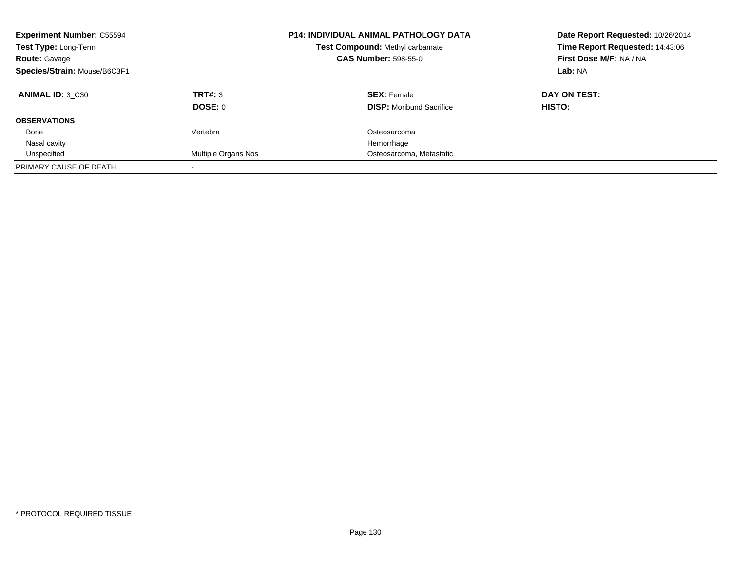| <b>Experiment Number: C55594</b><br>Test Type: Long-Term<br><b>Route: Gavage</b><br>Species/Strain: Mouse/B6C3F1 |                            | <b>P14: INDIVIDUAL ANIMAL PATHOLOGY DATA</b><br>Date Report Requested: 10/26/2014<br>Time Report Requested: 14:43:06<br><b>Test Compound: Methyl carbamate</b><br><b>CAS Number: 598-55-0</b><br>First Dose M/F: NA / NA<br>Lab: NA |               |
|------------------------------------------------------------------------------------------------------------------|----------------------------|-------------------------------------------------------------------------------------------------------------------------------------------------------------------------------------------------------------------------------------|---------------|
| <b>ANIMAL ID: 3 C30</b>                                                                                          | TRT#: 3                    | <b>SEX: Female</b>                                                                                                                                                                                                                  | DAY ON TEST:  |
|                                                                                                                  | <b>DOSE: 0</b>             | <b>DISP:</b> Moribund Sacrifice                                                                                                                                                                                                     | <b>HISTO:</b> |
| <b>OBSERVATIONS</b>                                                                                              |                            |                                                                                                                                                                                                                                     |               |
| Bone                                                                                                             | Vertebra                   | Osteosarcoma                                                                                                                                                                                                                        |               |
| Nasal cavity                                                                                                     |                            | Hemorrhage                                                                                                                                                                                                                          |               |
| Unspecified                                                                                                      | <b>Multiple Organs Nos</b> | Osteosarcoma, Metastatic                                                                                                                                                                                                            |               |
| PRIMARY CAUSE OF DEATH                                                                                           |                            |                                                                                                                                                                                                                                     |               |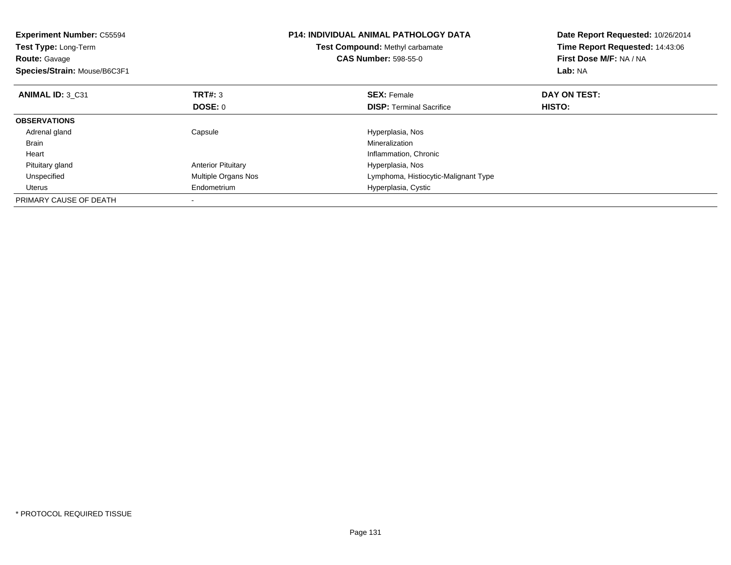| <b>Experiment Number: C55594</b><br>Test Type: Long-Term<br><b>Route: Gavage</b><br>Species/Strain: Mouse/B6C3F1 |                           | <b>P14: INDIVIDUAL ANIMAL PATHOLOGY DATA</b><br>Test Compound: Methyl carbamate<br><b>CAS Number: 598-55-0</b> | Date Report Requested: 10/26/2014<br>Time Report Requested: 14:43:06<br>First Dose M/F: NA / NA<br>Lab: NA |
|------------------------------------------------------------------------------------------------------------------|---------------------------|----------------------------------------------------------------------------------------------------------------|------------------------------------------------------------------------------------------------------------|
| ANIMAL ID: 3 C31                                                                                                 | <b>TRT#: 3</b>            | <b>SEX: Female</b>                                                                                             | DAY ON TEST:                                                                                               |
|                                                                                                                  | <b>DOSE: 0</b>            | <b>DISP:</b> Terminal Sacrifice                                                                                | HISTO:                                                                                                     |
| <b>OBSERVATIONS</b>                                                                                              |                           |                                                                                                                |                                                                                                            |
| Adrenal gland                                                                                                    | Capsule                   | Hyperplasia, Nos                                                                                               |                                                                                                            |
| <b>Brain</b>                                                                                                     |                           | Mineralization                                                                                                 |                                                                                                            |
| Heart                                                                                                            |                           | Inflammation, Chronic                                                                                          |                                                                                                            |
| Pituitary gland                                                                                                  | <b>Anterior Pituitary</b> | Hyperplasia, Nos                                                                                               |                                                                                                            |
| Unspecified                                                                                                      | Multiple Organs Nos       | Lymphoma, Histiocytic-Malignant Type                                                                           |                                                                                                            |
| Uterus                                                                                                           | Endometrium               | Hyperplasia, Cystic                                                                                            |                                                                                                            |
| PRIMARY CAUSE OF DEATH                                                                                           |                           |                                                                                                                |                                                                                                            |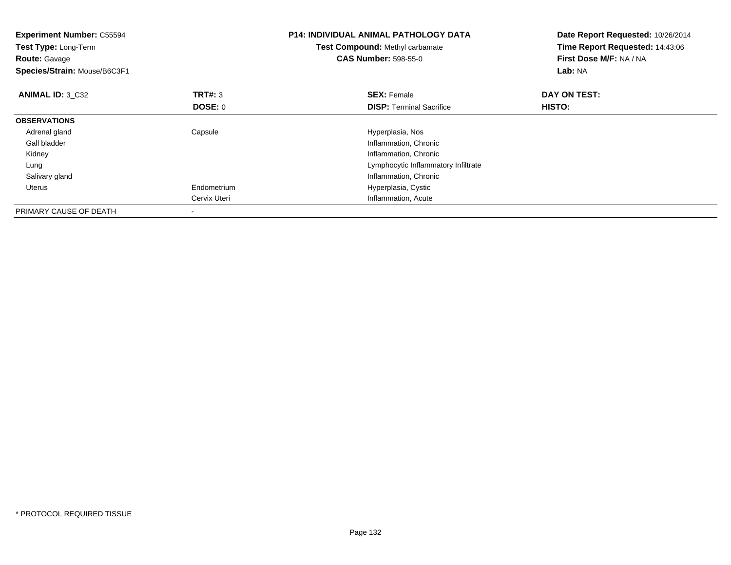| <b>Experiment Number: C55594</b><br>Test Type: Long-Term<br><b>Route: Gavage</b><br>Species/Strain: Mouse/B6C3F1 |                | <b>P14: INDIVIDUAL ANIMAL PATHOLOGY DATA</b><br>Test Compound: Methyl carbamate<br><b>CAS Number: 598-55-0</b> | Date Report Requested: 10/26/2014<br>Time Report Requested: 14:43:06<br>First Dose M/F: NA / NA<br>Lab: NA |
|------------------------------------------------------------------------------------------------------------------|----------------|----------------------------------------------------------------------------------------------------------------|------------------------------------------------------------------------------------------------------------|
| <b>ANIMAL ID: 3 C32</b>                                                                                          | TRT#: 3        | <b>SEX: Female</b>                                                                                             | DAY ON TEST:                                                                                               |
|                                                                                                                  | <b>DOSE: 0</b> | <b>DISP:</b> Terminal Sacrifice                                                                                | HISTO:                                                                                                     |
| <b>OBSERVATIONS</b>                                                                                              |                |                                                                                                                |                                                                                                            |
| Adrenal gland                                                                                                    | Capsule        | Hyperplasia, Nos                                                                                               |                                                                                                            |
| Gall bladder                                                                                                     |                | Inflammation, Chronic                                                                                          |                                                                                                            |
| Kidney                                                                                                           |                | Inflammation, Chronic                                                                                          |                                                                                                            |
| Lung                                                                                                             |                | Lymphocytic Inflammatory Infiltrate                                                                            |                                                                                                            |
| Salivary gland                                                                                                   |                | Inflammation, Chronic                                                                                          |                                                                                                            |
| Uterus                                                                                                           | Endometrium    | Hyperplasia, Cystic                                                                                            |                                                                                                            |
|                                                                                                                  | Cervix Uteri   | Inflammation, Acute                                                                                            |                                                                                                            |
| PRIMARY CAUSE OF DEATH                                                                                           |                |                                                                                                                |                                                                                                            |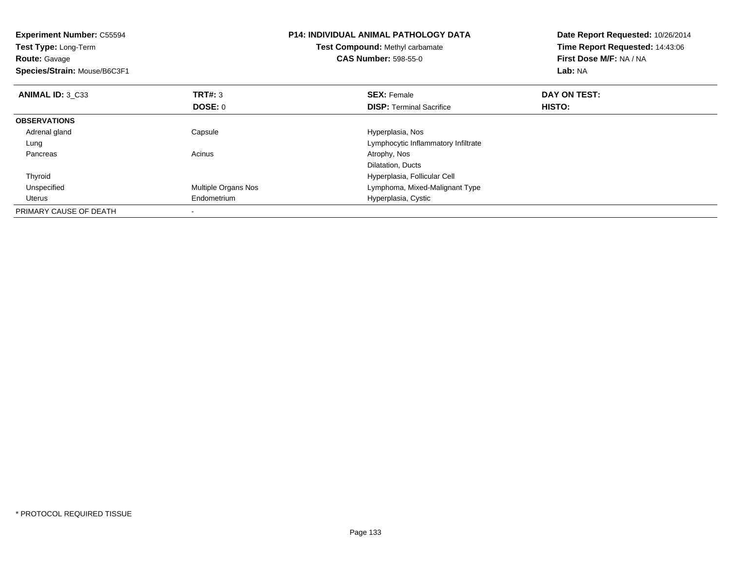| <b>Experiment Number: C55594</b><br>Test Type: Long-Term<br><b>Route: Gavage</b><br>Species/Strain: Mouse/B6C3F1 |                     | <b>P14: INDIVIDUAL ANIMAL PATHOLOGY DATA</b><br><b>Test Compound: Methyl carbamate</b><br><b>CAS Number: 598-55-0</b> | Date Report Requested: 10/26/2014<br>Time Report Requested: 14:43:06<br>First Dose M/F: NA / NA<br>Lab: NA |
|------------------------------------------------------------------------------------------------------------------|---------------------|-----------------------------------------------------------------------------------------------------------------------|------------------------------------------------------------------------------------------------------------|
| ANIMAL ID: 3 C33                                                                                                 | <b>TRT#: 3</b>      | <b>SEX: Female</b>                                                                                                    | DAY ON TEST:                                                                                               |
|                                                                                                                  | DOSE: 0             | <b>DISP:</b> Terminal Sacrifice                                                                                       | HISTO:                                                                                                     |
| <b>OBSERVATIONS</b>                                                                                              |                     |                                                                                                                       |                                                                                                            |
| Adrenal gland                                                                                                    | Capsule             | Hyperplasia, Nos                                                                                                      |                                                                                                            |
| Lung                                                                                                             |                     | Lymphocytic Inflammatory Infiltrate                                                                                   |                                                                                                            |
| Pancreas                                                                                                         | Acinus              | Atrophy, Nos                                                                                                          |                                                                                                            |
|                                                                                                                  |                     | Dilatation, Ducts                                                                                                     |                                                                                                            |
| Thyroid                                                                                                          |                     | Hyperplasia, Follicular Cell                                                                                          |                                                                                                            |
| Unspecified                                                                                                      | Multiple Organs Nos | Lymphoma, Mixed-Malignant Type                                                                                        |                                                                                                            |
| Uterus                                                                                                           | Endometrium         | Hyperplasia, Cystic                                                                                                   |                                                                                                            |
| PRIMARY CAUSE OF DEATH                                                                                           |                     |                                                                                                                       |                                                                                                            |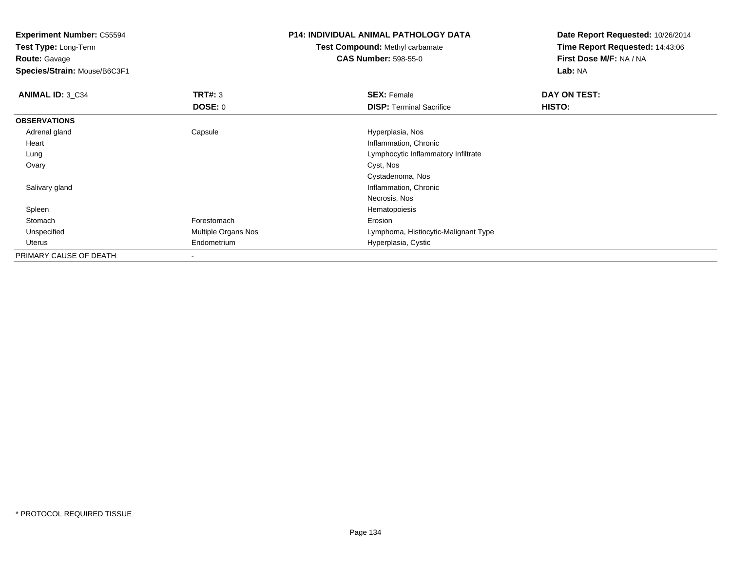**Experiment Number:** C55594**Test Type:** Long-Term**Route:** Gavage **Species/Strain:** Mouse/B6C3F1**P14: INDIVIDUAL ANIMAL PATHOLOGY DATATest Compound:** Methyl carbamate**CAS Number:** 598-55-0**Date Report Requested:** 10/26/2014**Time Report Requested:** 14:43:06**First Dose M/F:** NA / NA**Lab:** NA**ANIMAL ID: 3 C34 TRT#:** 3 **SEX:** Female **DAY ON TEST: DOSE:** 0**DISP:** Terminal Sacrifice **HISTO: OBSERVATIONS** Adrenal glandCapsule **Capsule Hyperplasia**, Nos Heart Inflammation, Chronicg and the state of the state of the state of the state of the Lymphocytic Inflammatory Infiltrate Lung Ovaryy and the control of the control of the control of the control of the control of the control of the control of the control of the control of the control of the control of the control of the control of the control of the co Cystadenoma, Nos**Inflammation, Chronic**  Salivary glandNecrosis, NosHematopoiesis Spleenn and the state of the state of the state of the state of the state of the state of the state of the state of the state of the state of the state of the state of the state of the state of the state of the state of the stat Stomach Forestomach Erosion UnspecifiedMultiple Organs Nos **Multiple Organs Nos** Lymphoma, Histiocytic-Malignant Type Uterus Endometrium Hyperplasia, Cystic PRIMARY CAUSE OF DEATH

-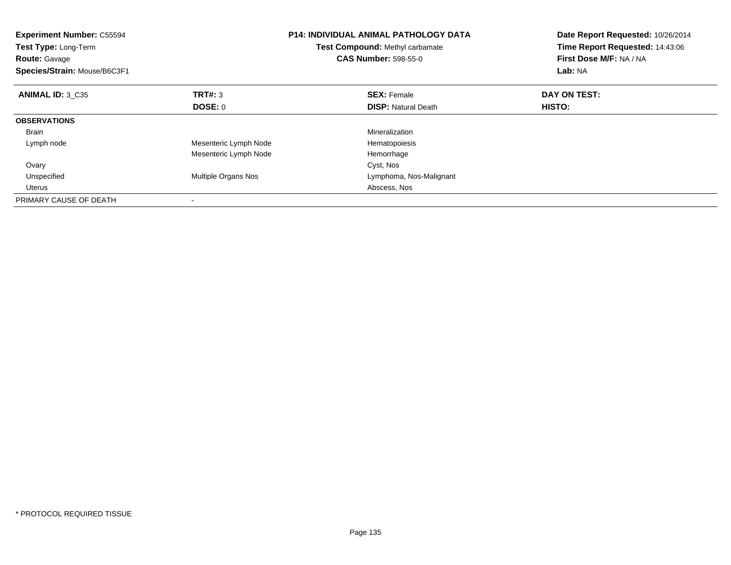| <b>Experiment Number: C55594</b><br>Test Type: Long-Term<br><b>Route: Gavage</b><br>Species/Strain: Mouse/B6C3F1 |                       | <b>P14: INDIVIDUAL ANIMAL PATHOLOGY DATA</b><br>Test Compound: Methyl carbamate<br><b>CAS Number: 598-55-0</b> | Date Report Requested: 10/26/2014<br>Time Report Requested: 14:43:06<br>First Dose M/F: NA / NA<br>Lab: NA |
|------------------------------------------------------------------------------------------------------------------|-----------------------|----------------------------------------------------------------------------------------------------------------|------------------------------------------------------------------------------------------------------------|
| ANIMAL ID: 3 C35                                                                                                 | <b>TRT#: 3</b>        | <b>SEX: Female</b>                                                                                             | DAY ON TEST:                                                                                               |
|                                                                                                                  | <b>DOSE: 0</b>        | <b>DISP:</b> Natural Death                                                                                     | HISTO:                                                                                                     |
| <b>OBSERVATIONS</b>                                                                                              |                       |                                                                                                                |                                                                                                            |
| <b>Brain</b>                                                                                                     |                       | Mineralization                                                                                                 |                                                                                                            |
| Lymph node                                                                                                       | Mesenteric Lymph Node | Hematopoiesis                                                                                                  |                                                                                                            |
|                                                                                                                  | Mesenteric Lymph Node | Hemorrhage                                                                                                     |                                                                                                            |
| Ovary                                                                                                            |                       | Cyst, Nos                                                                                                      |                                                                                                            |
| Unspecified                                                                                                      | Multiple Organs Nos   | Lymphoma, Nos-Malignant                                                                                        |                                                                                                            |
| Uterus                                                                                                           |                       | Abscess, Nos                                                                                                   |                                                                                                            |
| PRIMARY CAUSE OF DEATH                                                                                           |                       |                                                                                                                |                                                                                                            |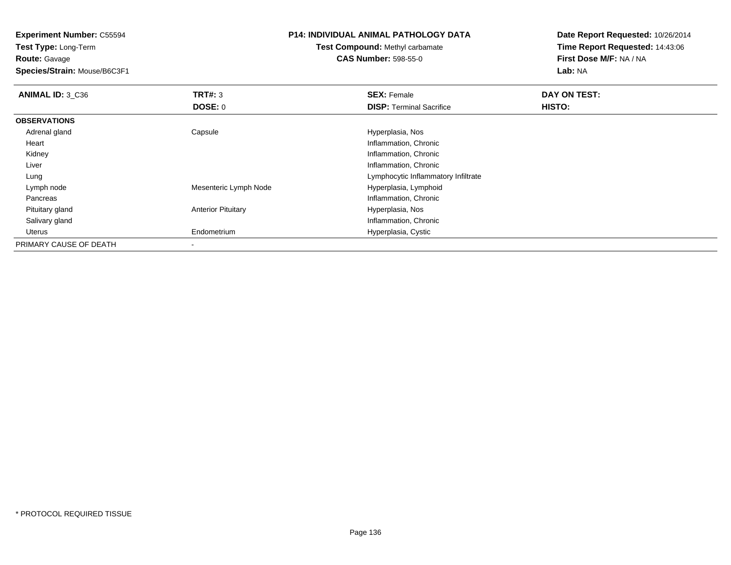**Test Type:** Long-Term**Route:** Gavage

**Species/Strain:** Mouse/B6C3F1

### **P14: INDIVIDUAL ANIMAL PATHOLOGY DATA**

# **Test Compound:** Methyl carbamate**CAS Number:** 598-55-0

| ANIMAL ID: 3 C36       | TRT#: 3                   | <b>SEX: Female</b>                  | DAY ON TEST: |  |
|------------------------|---------------------------|-------------------------------------|--------------|--|
|                        | <b>DOSE: 0</b>            | <b>DISP:</b> Terminal Sacrifice     | HISTO:       |  |
| <b>OBSERVATIONS</b>    |                           |                                     |              |  |
| Adrenal gland          | Capsule                   | Hyperplasia, Nos                    |              |  |
| Heart                  |                           | Inflammation, Chronic               |              |  |
| Kidney                 |                           | Inflammation, Chronic               |              |  |
| Liver                  |                           | Inflammation, Chronic               |              |  |
| Lung                   |                           | Lymphocytic Inflammatory Infiltrate |              |  |
| Lymph node             | Mesenteric Lymph Node     | Hyperplasia, Lymphoid               |              |  |
| Pancreas               |                           | Inflammation, Chronic               |              |  |
| Pituitary gland        | <b>Anterior Pituitary</b> | Hyperplasia, Nos                    |              |  |
| Salivary gland         |                           | Inflammation, Chronic               |              |  |
| Uterus                 | Endometrium               | Hyperplasia, Cystic                 |              |  |
| PRIMARY CAUSE OF DEATH | $\blacksquare$            |                                     |              |  |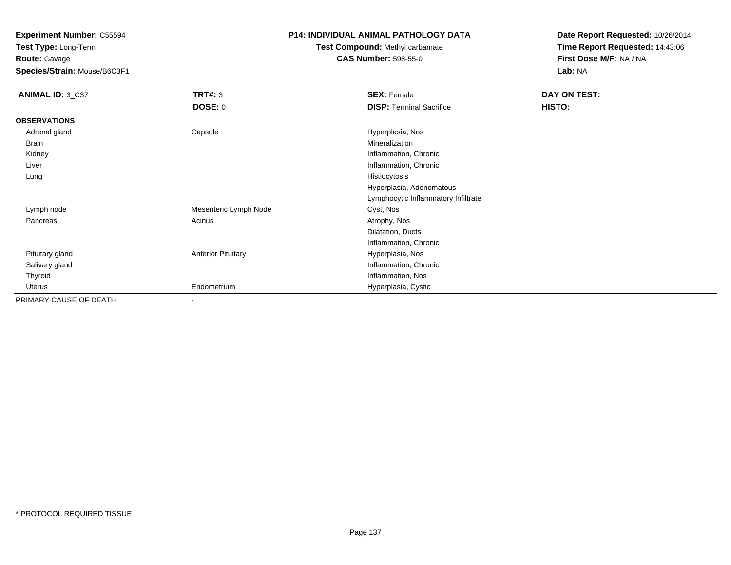**Test Type:** Long-Term**Route:** Gavage

**Species/Strain:** Mouse/B6C3F1

### **P14: INDIVIDUAL ANIMAL PATHOLOGY DATA**

**Test Compound:** Methyl carbamate**CAS Number:** 598-55-0

| <b>ANIMAL ID: 3_C37</b> | <b>TRT#: 3</b>            | <b>SEX: Female</b>                  | DAY ON TEST: |  |
|-------------------------|---------------------------|-------------------------------------|--------------|--|
|                         | <b>DOSE: 0</b>            | <b>DISP: Terminal Sacrifice</b>     | HISTO:       |  |
| <b>OBSERVATIONS</b>     |                           |                                     |              |  |
| Adrenal gland           | Capsule                   | Hyperplasia, Nos                    |              |  |
| Brain                   |                           | Mineralization                      |              |  |
| Kidney                  |                           | Inflammation, Chronic               |              |  |
| Liver                   |                           | Inflammation, Chronic               |              |  |
| Lung                    |                           | Histiocytosis                       |              |  |
|                         |                           | Hyperplasia, Adenomatous            |              |  |
|                         |                           | Lymphocytic Inflammatory Infiltrate |              |  |
| Lymph node              | Mesenteric Lymph Node     | Cyst, Nos                           |              |  |
| Pancreas                | Acinus                    | Atrophy, Nos                        |              |  |
|                         |                           | Dilatation, Ducts                   |              |  |
|                         |                           | Inflammation, Chronic               |              |  |
| Pituitary gland         | <b>Anterior Pituitary</b> | Hyperplasia, Nos                    |              |  |
| Salivary gland          |                           | Inflammation, Chronic               |              |  |
| Thyroid                 |                           | Inflammation, Nos                   |              |  |
| Uterus                  | Endometrium               | Hyperplasia, Cystic                 |              |  |
| PRIMARY CAUSE OF DEATH  | $\overline{\phantom{a}}$  |                                     |              |  |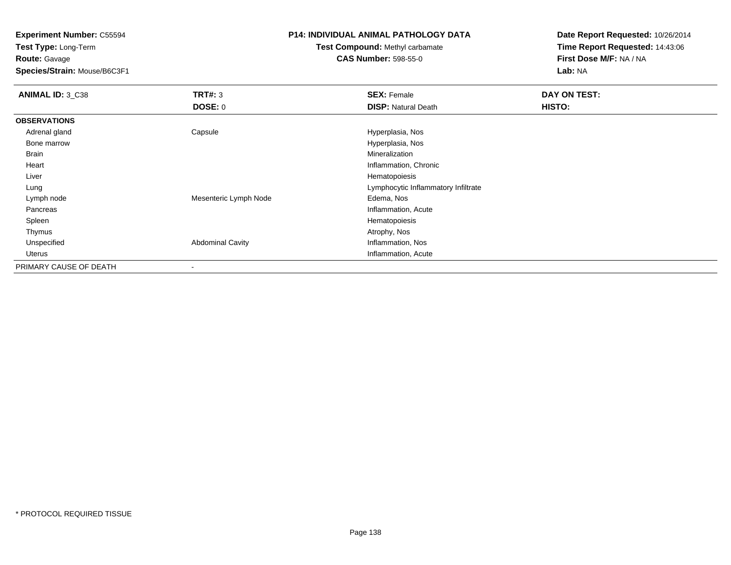**Test Type:** Long-Term**Route:** Gavage

**Species/Strain:** Mouse/B6C3F1

### **P14: INDIVIDUAL ANIMAL PATHOLOGY DATA**

# **Test Compound:** Methyl carbamate**CAS Number:** 598-55-0

| ANIMAL ID: 3 C38       | TRT#: 3<br><b>DOSE: 0</b> | <b>SEX: Female</b><br><b>DISP: Natural Death</b> | DAY ON TEST:<br>HISTO: |
|------------------------|---------------------------|--------------------------------------------------|------------------------|
| <b>OBSERVATIONS</b>    |                           |                                                  |                        |
| Adrenal gland          | Capsule                   | Hyperplasia, Nos                                 |                        |
| Bone marrow            |                           | Hyperplasia, Nos                                 |                        |
| Brain                  |                           | Mineralization                                   |                        |
| Heart                  |                           | Inflammation, Chronic                            |                        |
| Liver                  |                           | Hematopoiesis                                    |                        |
| Lung                   |                           | Lymphocytic Inflammatory Infiltrate              |                        |
| Lymph node             | Mesenteric Lymph Node     | Edema, Nos                                       |                        |
| Pancreas               |                           | Inflammation, Acute                              |                        |
| Spleen                 |                           | Hematopoiesis                                    |                        |
| Thymus                 |                           | Atrophy, Nos                                     |                        |
| Unspecified            | <b>Abdominal Cavity</b>   | Inflammation, Nos                                |                        |
| Uterus                 |                           | Inflammation, Acute                              |                        |
| PRIMARY CAUSE OF DEATH | $\overline{\phantom{a}}$  |                                                  |                        |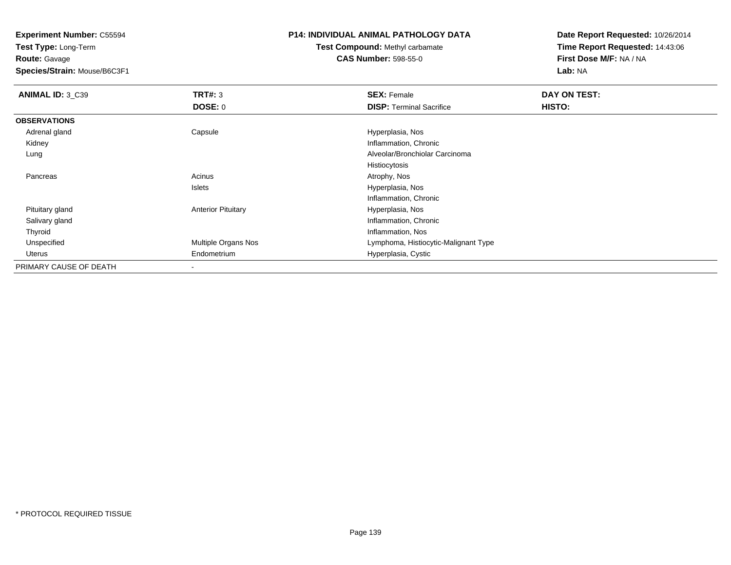**Test Type:** Long-Term**Route:** Gavage

**Species/Strain:** Mouse/B6C3F1

### **P14: INDIVIDUAL ANIMAL PATHOLOGY DATA**

**Test Compound:** Methyl carbamate**CAS Number:** 598-55-0

| ANIMAL ID: 3_C39       | TRT#: 3                   | <b>SEX: Female</b>                   | DAY ON TEST: |  |
|------------------------|---------------------------|--------------------------------------|--------------|--|
|                        | <b>DOSE: 0</b>            | <b>DISP: Terminal Sacrifice</b>      | HISTO:       |  |
| <b>OBSERVATIONS</b>    |                           |                                      |              |  |
| Adrenal gland          | Capsule                   | Hyperplasia, Nos                     |              |  |
| Kidney                 |                           | Inflammation, Chronic                |              |  |
| Lung                   |                           | Alveolar/Bronchiolar Carcinoma       |              |  |
|                        |                           | Histiocytosis                        |              |  |
| Pancreas               | Acinus                    | Atrophy, Nos                         |              |  |
|                        | Islets                    | Hyperplasia, Nos                     |              |  |
|                        |                           | Inflammation, Chronic                |              |  |
| Pituitary gland        | <b>Anterior Pituitary</b> | Hyperplasia, Nos                     |              |  |
| Salivary gland         |                           | Inflammation, Chronic                |              |  |
| Thyroid                |                           | Inflammation, Nos                    |              |  |
| Unspecified            | Multiple Organs Nos       | Lymphoma, Histiocytic-Malignant Type |              |  |
| Uterus                 | Endometrium               | Hyperplasia, Cystic                  |              |  |
| PRIMARY CAUSE OF DEATH | ۰                         |                                      |              |  |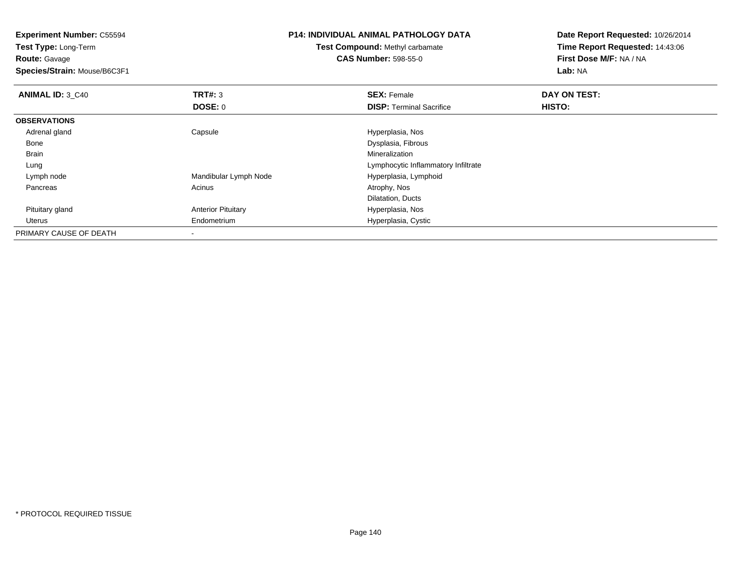**Experiment Number:** C55594**Test Type:** Long-Term**Route:** Gavage **Species/Strain:** Mouse/B6C3F1**P14: INDIVIDUAL ANIMAL PATHOLOGY DATATest Compound:** Methyl carbamate**CAS Number:** 598-55-0**Date Report Requested:** 10/26/2014**Time Report Requested:** 14:43:06**First Dose M/F:** NA / NA**Lab:** NA**ANIMAL ID: 3 C40 Communist SEX: Female DAY ON TEST: DAY ON TEST: DOSE:** 0**DISP:** Terminal Sacrifice **HISTO: OBSERVATIONS** Adrenal glandCapsule **Capsule Hyperplasia**, Nos Bone Dysplasia, Fibrous Brainn and the control of the control of the control of the control of the control of the control of the control of the control of the control of the control of the control of the control of the control of the control of the co LungLymphocytic Inflammatory Infiltrate<br>Hyperplasia, Lymphoid Lymph nodeMandibular Lymph Node Hyperplasia, I<br>Acinus Atrophy, Nos Pancreass and the contract of the contract of the contract of the contract of the contract  $\mathsf{A}$  at  $\mathsf{A}$  and  $\mathsf{A}$  and  $\mathsf{A}$  and  $\mathsf{A}$  and  $\mathsf{A}$  are contract of  $\mathsf{A}$  and  $\mathsf{A}$  and  $\mathsf{A}$  are contract of Dilatation, DuctsHyperplasia, Nos Pituitary glandAnterior Pituitary Uterus Endometrium Hyperplasia, Cystic PRIMARY CAUSE OF DEATH-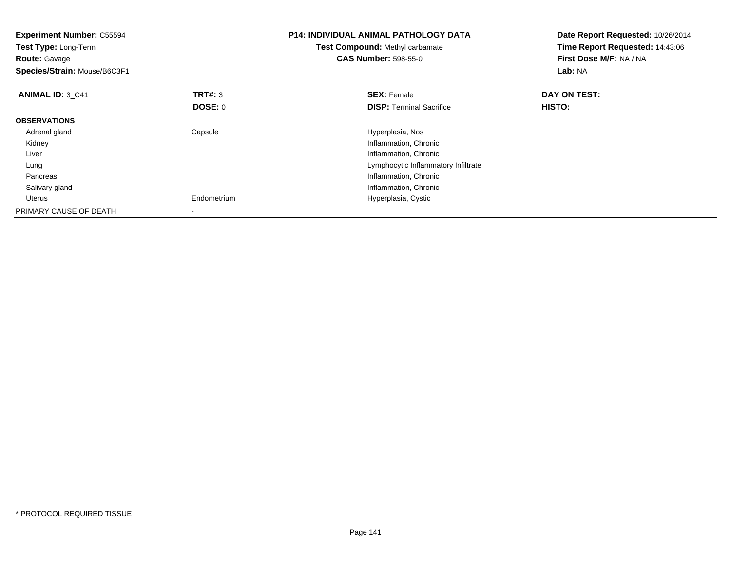| <b>Experiment Number: C55594</b><br>Test Type: Long-Term<br><b>Route: Gavage</b><br>Species/Strain: Mouse/B6C3F1 |                           | <b>P14: INDIVIDUAL ANIMAL PATHOLOGY DATA</b><br>Test Compound: Methyl carbamate<br><b>CAS Number: 598-55-0</b> | Date Report Requested: 10/26/2014<br>Time Report Requested: 14:43:06<br>First Dose M/F: NA / NA<br>Lab: NA |  |
|------------------------------------------------------------------------------------------------------------------|---------------------------|----------------------------------------------------------------------------------------------------------------|------------------------------------------------------------------------------------------------------------|--|
| <b>ANIMAL ID: 3 C41</b>                                                                                          | <b>TRT#: 3</b><br>DOSE: 0 | <b>SEX: Female</b><br><b>DISP:</b> Terminal Sacrifice                                                          | DAY ON TEST:<br>HISTO:                                                                                     |  |
| <b>OBSERVATIONS</b>                                                                                              |                           |                                                                                                                |                                                                                                            |  |
| Adrenal gland                                                                                                    | Capsule                   | Hyperplasia, Nos                                                                                               |                                                                                                            |  |
| Kidney                                                                                                           |                           | Inflammation, Chronic                                                                                          |                                                                                                            |  |
| Liver                                                                                                            |                           | Inflammation, Chronic                                                                                          |                                                                                                            |  |
| Lung                                                                                                             |                           | Lymphocytic Inflammatory Infiltrate                                                                            |                                                                                                            |  |
| Pancreas                                                                                                         |                           | Inflammation, Chronic                                                                                          |                                                                                                            |  |
| Salivary gland                                                                                                   |                           | Inflammation, Chronic                                                                                          |                                                                                                            |  |
| Uterus                                                                                                           | Endometrium               | Hyperplasia, Cystic                                                                                            |                                                                                                            |  |
| PRIMARY CAUSE OF DEATH                                                                                           |                           |                                                                                                                |                                                                                                            |  |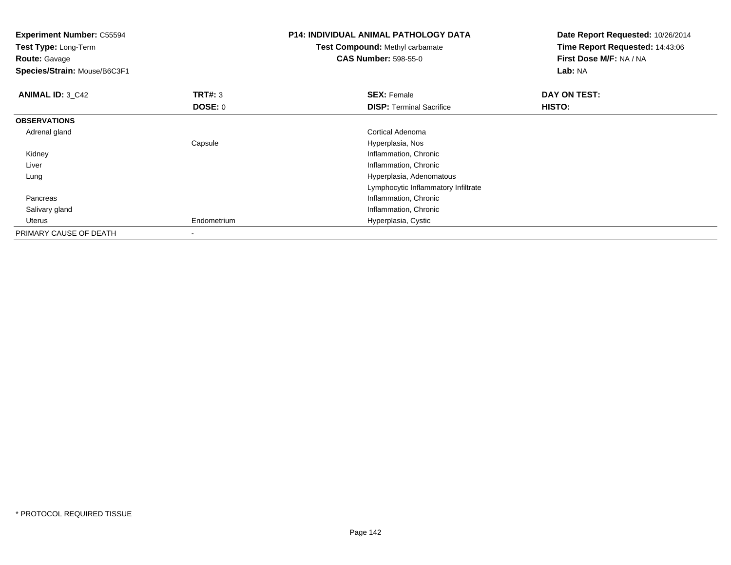| <b>Experiment Number: C55594</b><br>Test Type: Long-Term<br><b>Route: Gavage</b><br>Species/Strain: Mouse/B6C3F1 |                          | <b>P14: INDIVIDUAL ANIMAL PATHOLOGY DATA</b><br><b>Test Compound: Methyl carbamate</b><br><b>CAS Number: 598-55-0</b> | Date Report Requested: 10/26/2014<br>Time Report Requested: 14:43:06<br>First Dose M/F: NA / NA<br>Lab: NA |  |
|------------------------------------------------------------------------------------------------------------------|--------------------------|-----------------------------------------------------------------------------------------------------------------------|------------------------------------------------------------------------------------------------------------|--|
| <b>ANIMAL ID: 3_C42</b>                                                                                          | TRT#: 3                  | <b>SEX: Female</b>                                                                                                    | DAY ON TEST:                                                                                               |  |
|                                                                                                                  | DOSE: 0                  | <b>DISP:</b> Terminal Sacrifice                                                                                       | HISTO:                                                                                                     |  |
| <b>OBSERVATIONS</b>                                                                                              |                          |                                                                                                                       |                                                                                                            |  |
| Adrenal gland                                                                                                    |                          | Cortical Adenoma                                                                                                      |                                                                                                            |  |
|                                                                                                                  | Capsule                  | Hyperplasia, Nos                                                                                                      |                                                                                                            |  |
| Kidney                                                                                                           |                          | Inflammation, Chronic                                                                                                 |                                                                                                            |  |
| Liver                                                                                                            |                          | Inflammation, Chronic                                                                                                 |                                                                                                            |  |
| Lung                                                                                                             |                          | Hyperplasia, Adenomatous                                                                                              |                                                                                                            |  |
|                                                                                                                  |                          | Lymphocytic Inflammatory Infiltrate                                                                                   |                                                                                                            |  |
| Pancreas                                                                                                         |                          | Inflammation, Chronic                                                                                                 |                                                                                                            |  |
| Salivary gland                                                                                                   |                          | Inflammation, Chronic                                                                                                 |                                                                                                            |  |
| Uterus                                                                                                           | Endometrium              | Hyperplasia, Cystic                                                                                                   |                                                                                                            |  |
| PRIMARY CAUSE OF DEATH                                                                                           | $\overline{\phantom{a}}$ |                                                                                                                       |                                                                                                            |  |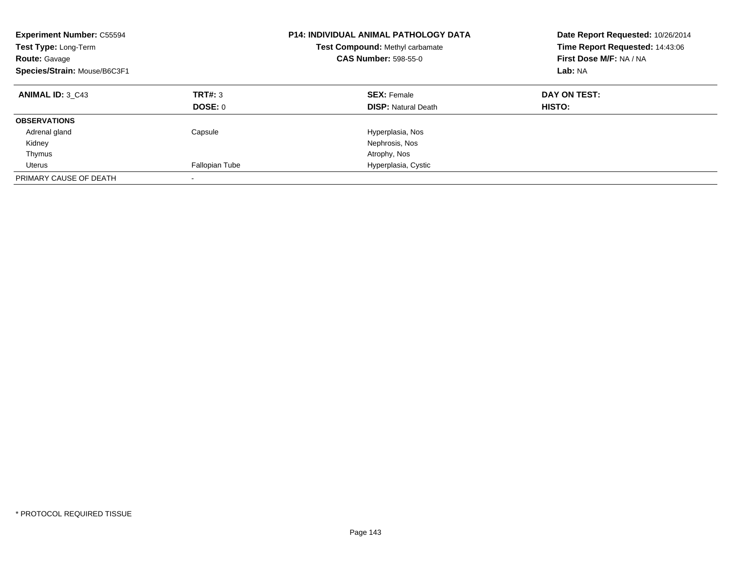| <b>Experiment Number: C55594</b><br>Test Type: Long-Term<br><b>Route: Gavage</b><br>Species/Strain: Mouse/B6C3F1 |                           | <b>P14: INDIVIDUAL ANIMAL PATHOLOGY DATA</b><br>Test Compound: Methyl carbamate<br><b>CAS Number: 598-55-0</b> | Date Report Requested: 10/26/2014<br>Time Report Requested: 14:43:06<br>First Dose M/F: NA / NA<br>Lab: NA |  |
|------------------------------------------------------------------------------------------------------------------|---------------------------|----------------------------------------------------------------------------------------------------------------|------------------------------------------------------------------------------------------------------------|--|
| <b>ANIMAL ID: 3 C43</b>                                                                                          | TRT#: 3<br><b>DOSE: 0</b> | <b>SEX: Female</b><br><b>DISP: Natural Death</b>                                                               | DAY ON TEST:<br>HISTO:                                                                                     |  |
| <b>OBSERVATIONS</b>                                                                                              |                           |                                                                                                                |                                                                                                            |  |
| Adrenal gland                                                                                                    | Capsule                   | Hyperplasia, Nos                                                                                               |                                                                                                            |  |
| Kidney                                                                                                           |                           | Nephrosis, Nos                                                                                                 |                                                                                                            |  |
| Thymus                                                                                                           |                           | Atrophy, Nos                                                                                                   |                                                                                                            |  |
| Uterus                                                                                                           | Fallopian Tube            | Hyperplasia, Cystic                                                                                            |                                                                                                            |  |
| PRIMARY CAUSE OF DEATH                                                                                           |                           |                                                                                                                |                                                                                                            |  |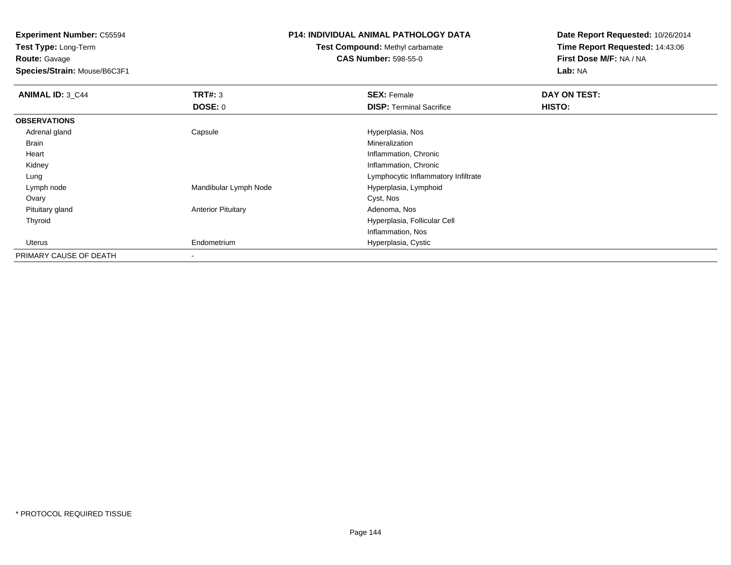**Test Type:** Long-Term**Route:** Gavage

**Species/Strain:** Mouse/B6C3F1

### **P14: INDIVIDUAL ANIMAL PATHOLOGY DATA**

# **Test Compound:** Methyl carbamate**CAS Number:** 598-55-0

| <b>ANIMAL ID: 3 C44</b> | TRT#: 3                   | <b>SEX: Female</b>                  | DAY ON TEST: |  |
|-------------------------|---------------------------|-------------------------------------|--------------|--|
|                         | <b>DOSE: 0</b>            | <b>DISP:</b> Terminal Sacrifice     | HISTO:       |  |
| <b>OBSERVATIONS</b>     |                           |                                     |              |  |
| Adrenal gland           | Capsule                   | Hyperplasia, Nos                    |              |  |
| Brain                   |                           | Mineralization                      |              |  |
| Heart                   |                           | Inflammation, Chronic               |              |  |
| Kidney                  |                           | Inflammation, Chronic               |              |  |
| Lung                    |                           | Lymphocytic Inflammatory Infiltrate |              |  |
| Lymph node              | Mandibular Lymph Node     | Hyperplasia, Lymphoid               |              |  |
| Ovary                   |                           | Cyst, Nos                           |              |  |
| Pituitary gland         | <b>Anterior Pituitary</b> | Adenoma, Nos                        |              |  |
| Thyroid                 |                           | Hyperplasia, Follicular Cell        |              |  |
|                         |                           | Inflammation, Nos                   |              |  |
| Uterus                  | Endometrium               | Hyperplasia, Cystic                 |              |  |
| PRIMARY CAUSE OF DEATH  | $\,$                      |                                     |              |  |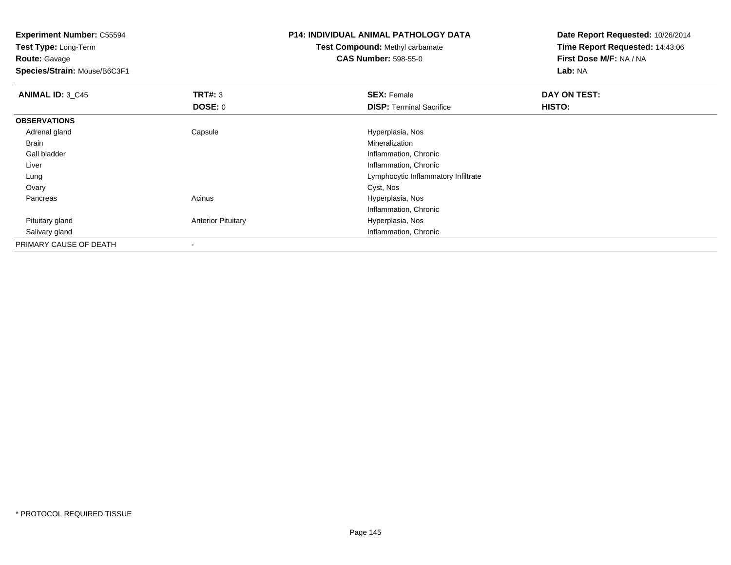**Experiment Number:** C55594

**Test Type:** Long-Term**Route:** Gavage

**Species/Strain:** Mouse/B6C3F1

## **P14: INDIVIDUAL ANIMAL PATHOLOGY DATA**

**Test Compound:** Methyl carbamate**CAS Number:** 598-55-0

**Date Report Requested:** 10/26/2014**Time Report Requested:** 14:43:06**First Dose M/F:** NA / NA**Lab:** NA

| <b>ANIMAL ID: 3 C45</b> | TRT#: 3                   | <b>SEX: Female</b>                  | DAY ON TEST: |  |
|-------------------------|---------------------------|-------------------------------------|--------------|--|
|                         | <b>DOSE: 0</b>            | <b>DISP: Terminal Sacrifice</b>     | HISTO:       |  |
| <b>OBSERVATIONS</b>     |                           |                                     |              |  |
| Adrenal gland           | Capsule                   | Hyperplasia, Nos                    |              |  |
| Brain                   |                           | Mineralization                      |              |  |
| Gall bladder            |                           | Inflammation, Chronic               |              |  |
| Liver                   |                           | Inflammation, Chronic               |              |  |
| Lung                    |                           | Lymphocytic Inflammatory Infiltrate |              |  |
| Ovary                   |                           | Cyst, Nos                           |              |  |
| Pancreas                | Acinus                    | Hyperplasia, Nos                    |              |  |
|                         |                           | Inflammation, Chronic               |              |  |
| Pituitary gland         | <b>Anterior Pituitary</b> | Hyperplasia, Nos                    |              |  |
| Salivary gland          |                           | Inflammation, Chronic               |              |  |
| PRIMARY CAUSE OF DEATH  |                           |                                     |              |  |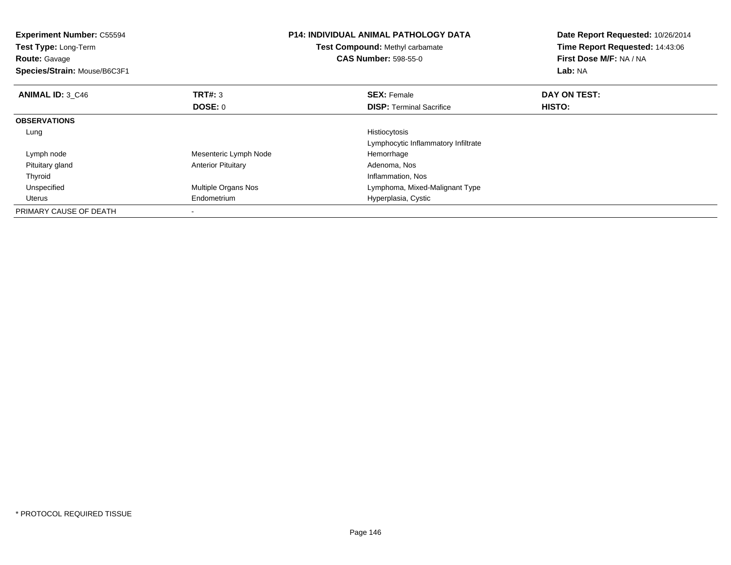| <b>Experiment Number: C55594</b><br><b>Test Type: Long-Term</b><br><b>Route: Gavage</b><br>Species/Strain: Mouse/B6C3F1 |                           | <b>P14: INDIVIDUAL ANIMAL PATHOLOGY DATA</b><br>Test Compound: Methyl carbamate<br><b>CAS Number: 598-55-0</b> | Date Report Requested: 10/26/2014<br>Time Report Requested: 14:43:06<br>First Dose M/F: NA / NA<br>Lab: NA |
|-------------------------------------------------------------------------------------------------------------------------|---------------------------|----------------------------------------------------------------------------------------------------------------|------------------------------------------------------------------------------------------------------------|
| ANIMAL ID: 3 C46                                                                                                        | <b>TRT#: 3</b>            | <b>SEX: Female</b>                                                                                             | DAY ON TEST:                                                                                               |
|                                                                                                                         | DOSE: 0                   | <b>DISP:</b> Terminal Sacrifice                                                                                | <b>HISTO:</b>                                                                                              |
| <b>OBSERVATIONS</b>                                                                                                     |                           |                                                                                                                |                                                                                                            |
| Lung                                                                                                                    |                           | Histiocytosis                                                                                                  |                                                                                                            |
|                                                                                                                         |                           | Lymphocytic Inflammatory Infiltrate                                                                            |                                                                                                            |
| Lymph node                                                                                                              | Mesenteric Lymph Node     | Hemorrhage                                                                                                     |                                                                                                            |
| Pituitary gland                                                                                                         | <b>Anterior Pituitary</b> | Adenoma, Nos                                                                                                   |                                                                                                            |
| Thyroid                                                                                                                 |                           | Inflammation, Nos                                                                                              |                                                                                                            |
| Unspecified                                                                                                             | Multiple Organs Nos       | Lymphoma, Mixed-Malignant Type                                                                                 |                                                                                                            |
| Uterus                                                                                                                  | Endometrium               | Hyperplasia, Cystic                                                                                            |                                                                                                            |
| PRIMARY CAUSE OF DEATH                                                                                                  |                           |                                                                                                                |                                                                                                            |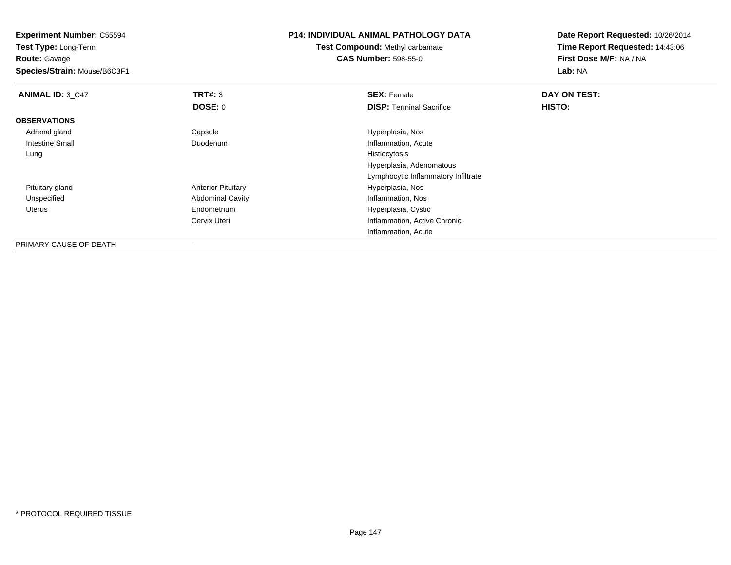**Experiment Number:** C55594**Test Type:** Long-Term**Route:** Gavage **Species/Strain:** Mouse/B6C3F1**P14: INDIVIDUAL ANIMAL PATHOLOGY DATATest Compound:** Methyl carbamate**CAS Number:** 598-55-0**Date Report Requested:** 10/26/2014**Time Report Requested:** 14:43:06**First Dose M/F:** NA / NA**Lab:** NA**ANIMAL ID: 3 C47 TRT#:** 3 **SEX:** Female **DAY ON TEST: DOSE:** 0**DISP:** Terminal Sacrifice **HISTO: OBSERVATIONS** Adrenal glandCapsule **Capsule Hyperplasia**, Nos Intestine Small DuodenumInflammation, Acute<br>Histiocytosis Lungg and the state of the state of the state of the state of the state of the state of the state of the state of the state of the state of the state of the state of the state of the state of the state of the state of the stat Hyperplasia, Adenomatous Lymphocytic Inflammatory Infiltrate Pituitary glandAnterior Pituitary<br>
Abdominal Cavity<br>
Abdominal Cavity<br>
Hyperplasia, Nos UnspecifiedAbdominal Cavity Uterus Endometrium Hyperplasia, Cystic Cervix Uteri Inflammation, Active ChronicInflammation, AcutePRIMARY CAUSE OF DEATH

-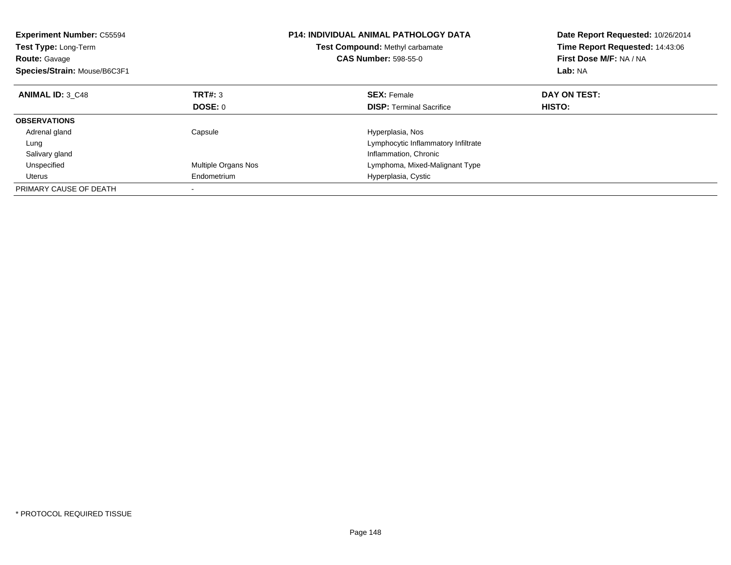| <b>Experiment Number: C55594</b><br>Test Type: Long-Term<br><b>Route: Gavage</b><br>Species/Strain: Mouse/B6C3F1 |                     | <b>P14: INDIVIDUAL ANIMAL PATHOLOGY DATA</b><br>Test Compound: Methyl carbamate<br><b>CAS Number: 598-55-0</b> | Date Report Requested: 10/26/2014<br>Time Report Requested: 14:43:06<br>First Dose M/F: NA / NA<br>Lab: NA |
|------------------------------------------------------------------------------------------------------------------|---------------------|----------------------------------------------------------------------------------------------------------------|------------------------------------------------------------------------------------------------------------|
| <b>ANIMAL ID: 3 C48</b>                                                                                          | <b>TRT#: 3</b>      | <b>SEX: Female</b>                                                                                             | DAY ON TEST:                                                                                               |
|                                                                                                                  | DOSE: 0             | <b>DISP: Terminal Sacrifice</b>                                                                                | <b>HISTO:</b>                                                                                              |
| <b>OBSERVATIONS</b>                                                                                              |                     |                                                                                                                |                                                                                                            |
| Adrenal gland                                                                                                    | Capsule             | Hyperplasia, Nos                                                                                               |                                                                                                            |
| Lung                                                                                                             |                     | Lymphocytic Inflammatory Infiltrate                                                                            |                                                                                                            |
| Salivary gland                                                                                                   |                     | Inflammation, Chronic                                                                                          |                                                                                                            |
| Unspecified                                                                                                      | Multiple Organs Nos | Lymphoma, Mixed-Malignant Type                                                                                 |                                                                                                            |
| Uterus                                                                                                           | Endometrium         | Hyperplasia, Cystic                                                                                            |                                                                                                            |
| PRIMARY CAUSE OF DEATH                                                                                           |                     |                                                                                                                |                                                                                                            |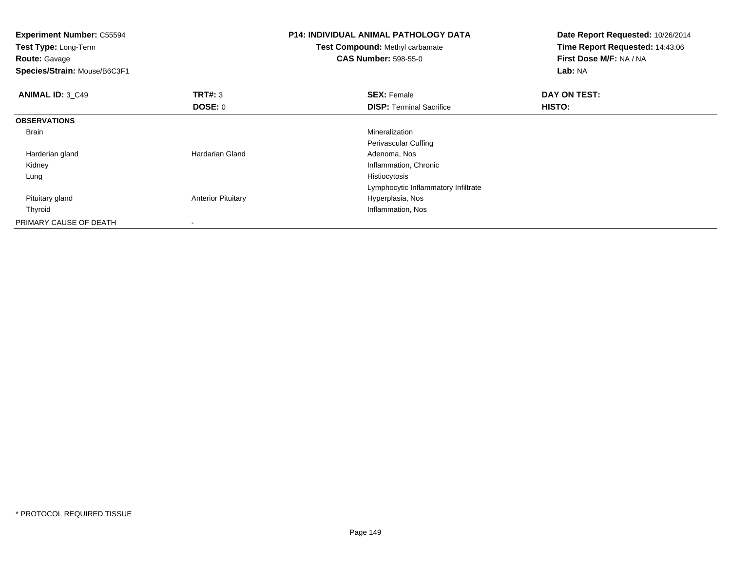| <b>Experiment Number: C55594</b><br>Test Type: Long-Term<br><b>Route: Gavage</b><br>Species/Strain: Mouse/B6C3F1 |                           | <b>P14: INDIVIDUAL ANIMAL PATHOLOGY DATA</b><br>Test Compound: Methyl carbamate<br><b>CAS Number: 598-55-0</b> | Date Report Requested: 10/26/2014<br>Time Report Requested: 14:43:06<br>First Dose M/F: NA / NA<br>Lab: NA |
|------------------------------------------------------------------------------------------------------------------|---------------------------|----------------------------------------------------------------------------------------------------------------|------------------------------------------------------------------------------------------------------------|
| <b>ANIMAL ID: 3 C49</b>                                                                                          | TRT#: 3                   | <b>SEX: Female</b>                                                                                             | DAY ON TEST:                                                                                               |
|                                                                                                                  | <b>DOSE: 0</b>            | <b>DISP:</b> Terminal Sacrifice                                                                                | HISTO:                                                                                                     |
| <b>OBSERVATIONS</b>                                                                                              |                           |                                                                                                                |                                                                                                            |
| Brain                                                                                                            |                           | Mineralization                                                                                                 |                                                                                                            |
|                                                                                                                  |                           | Perivascular Cuffing                                                                                           |                                                                                                            |
| Harderian gland                                                                                                  | <b>Hardarian Gland</b>    | Adenoma, Nos                                                                                                   |                                                                                                            |
| Kidney                                                                                                           |                           | Inflammation, Chronic                                                                                          |                                                                                                            |
| Lung                                                                                                             |                           | Histiocytosis                                                                                                  |                                                                                                            |
|                                                                                                                  |                           | Lymphocytic Inflammatory Infiltrate                                                                            |                                                                                                            |
| Pituitary gland                                                                                                  | <b>Anterior Pituitary</b> | Hyperplasia, Nos                                                                                               |                                                                                                            |
| Thyroid                                                                                                          |                           | Inflammation, Nos                                                                                              |                                                                                                            |
| PRIMARY CAUSE OF DEATH                                                                                           |                           |                                                                                                                |                                                                                                            |